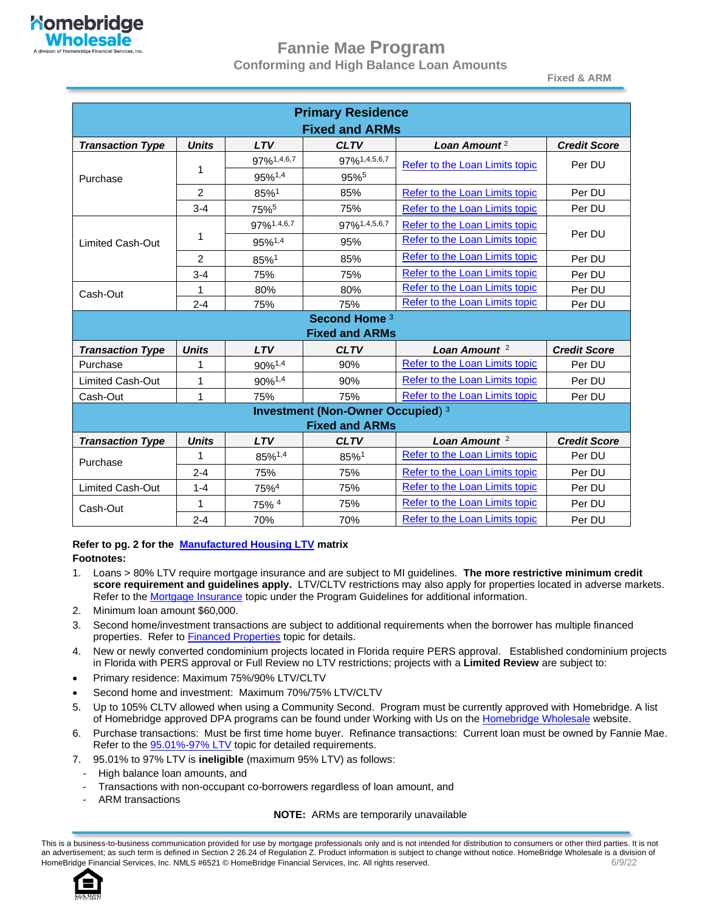

#### **Fannie Mae Program Conforming and High Balance Loan Amounts**

**Fixed & ARM**

| <b>Primary Residence</b> |              |                    |                                          |                                |                     |
|--------------------------|--------------|--------------------|------------------------------------------|--------------------------------|---------------------|
| <b>Fixed and ARMs</b>    |              |                    |                                          |                                |                     |
| <b>Transaction Type</b>  | <b>Units</b> | <b>LTV</b>         | <b>CLTV</b>                              | Loan Amount <sup>2</sup>       | <b>Credit Score</b> |
|                          |              | 97%1,4,6,7         | 97%1,4,5,6,7                             | Refer to the Loan Limits topic | Per DU              |
| Purchase                 | 1            | 95%1,4             | 95%5                                     |                                |                     |
|                          | 2            | 85%1               | 85%                                      | Refer to the Loan Limits topic | Per DU              |
|                          | $3 - 4$      | 75% <sup>5</sup>   | 75%                                      | Refer to the Loan Limits topic | Per DU              |
|                          |              | 97%1.4,6,7         | 97%1,4,5,6,7                             | Refer to the Loan Limits topic |                     |
| Limited Cash-Out         | 1            | 95%1,4             | 95%                                      | Refer to the Loan Limits topic | Per DU              |
|                          | 2            | 85%1               | 85%                                      | Refer to the Loan Limits topic | Per DU              |
|                          | $3 - 4$      | 75%                | 75%                                      | Refer to the Loan Limits topic | Per DU              |
| Cash-Out                 | 1            | 80%                | 80%                                      | Refer to the Loan Limits topic | Per DU              |
|                          | $2 - 4$      | 75%                | 75%                                      | Refer to the Loan Limits topic | Per DU              |
|                          |              |                    | Second Home <sup>3</sup>                 |                                |                     |
|                          |              |                    | <b>Fixed and ARMs</b>                    |                                |                     |
| <b>Transaction Type</b>  | <b>Units</b> | <b>LTV</b>         | <b>CLTV</b>                              | Loan Amount $2$                | <b>Credit Score</b> |
| Purchase                 | 1            | 90% <sup>1,4</sup> | 90%                                      | Refer to the Loan Limits topic | Per DU              |
| <b>Limited Cash-Out</b>  | 1            | 90%1,4             | 90%                                      | Refer to the Loan Limits topic | Per DU              |
| Cash-Out                 | 1            | 75%                | 75%                                      | Refer to the Loan Limits topic | Per DU              |
|                          |              |                    | <b>Investment (Non-Owner Occupied) 3</b> |                                |                     |
|                          |              |                    | <b>Fixed and ARMs</b>                    |                                |                     |
| <b>Transaction Type</b>  | <b>Units</b> | <b>LTV</b>         | <b>CLTV</b>                              | Loan Amount $2$                | <b>Credit Score</b> |
| Purchase                 | 1            | 85%1,4             | 85%1                                     | Refer to the Loan Limits topic | Per DU              |
|                          | $2 - 4$      | 75%                | 75%                                      | Refer to the Loan Limits topic | Per DU              |
| <b>Limited Cash-Out</b>  | $1 - 4$      | 75%4               | 75%                                      | Refer to the Loan Limits topic | Per DU              |
| Cash-Out                 | 1            | 75% 4              | 75%                                      | Refer to the Loan Limits topic | Per DU              |
|                          | $2 - 4$      | 70%                | 70%                                      | Refer to the Loan Limits topic | Per DU              |

## **Refer to pg. 2 for the [Manufactured Housing LTV](#page-1-0) matrix**

#### **Footnotes:**

- 1. Loans > 80% LTV require mortgage insurance and are subject to MI guidelines. **The more restrictive minimum credit score requirement and guidelines apply.** LTV/CLTV restrictions may also apply for properties located in adverse markets. Refer to th[e Mortgage Insurance](#page-53-0) topic under the Program Guidelines for additional information.
- 2. Minimum loan amount \$60,000.
- 3. Second home/investment transactions are subject to additional requirements when the borrower has multiple financed properties. Refer to **Financed Properties** topic for details.
- 4. New or newly converted condominium projects located in Florida require PERS approval. Established condominium projects in Florida with PERS approval or Full Review no LTV restrictions; projects with a **Limited Review** are subject to:
- Primary residence: Maximum 75%/90% LTV/CLTV
- Second home and investment: Maximum 70%/75% LTV/CLTV
- 5. Up to 105% CLTV allowed when using a Community Second. Program must be currently approved with Homebridge. A list of Homebridge approved DPA programs can be found under Working with Us on the [Homebridge](http://www.homebridgewholesale.com/working-with-us/) Wholesale website.
- 6. Purchase transactions: Must be first time home buyer. Refinance transactions: Current loan must be owned by Fannie Mae. Refer to the **95.01%-97% LTV** topic for detailed requirements.
- 7. 95.01% to 97% LTV is **ineligible** (maximum 95% LTV) as follows:
- High balance loan amounts, and
- Transactions with non-occupant co-borrowers regardless of loan amount, and
- ARM transactions

#### **NOTE:** ARMs are temporarily unavailable

This is a business-to-business communication provided for use by mortgage professionals only and is not intended for distribution to consumers or other third parties. It is not an advertisement; as such term is defined in Section 2 26.24 of Regulation Z. Product information is subject to change without notice. HomeBridge Wholesale is a division of HomeBridge Financial Services, Inc. NMLS #6521 © HomeBridge Financial Services, Inc. All rights reserved. 609/22

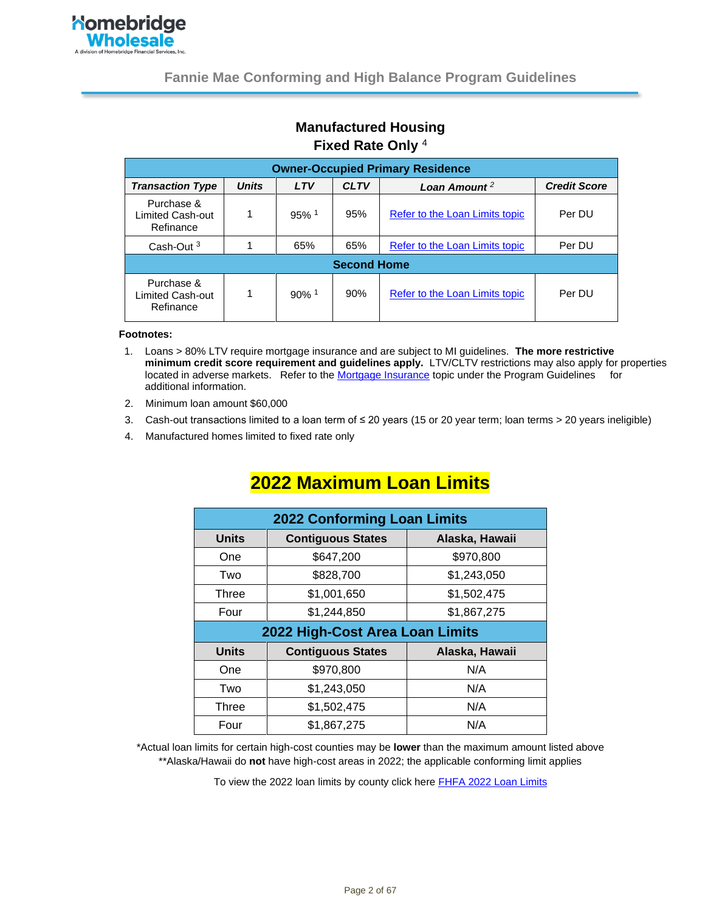

#### **Manufactured Housing Fixed Rate Only** <sup>4</sup>

<span id="page-1-0"></span>

| <b>Owner-Occupied Primary Residence</b>     |              |                     |             |                                |                     |
|---------------------------------------------|--------------|---------------------|-------------|--------------------------------|---------------------|
| <b>Transaction Type</b>                     | <b>Units</b> | <b>LTV</b>          | <b>CLTV</b> | Loan Amount <sup>2</sup>       | <b>Credit Score</b> |
| Purchase &<br>Limited Cash-out<br>Refinance | 1            | $95\%$ <sup>1</sup> | 95%         | Refer to the Loan Limits topic | Per DU              |
| Cash-Out $3$                                |              | 65%                 | 65%         | Refer to the Loan Limits topic | Per DU              |
| <b>Second Home</b>                          |              |                     |             |                                |                     |
| Purchase &<br>Limited Cash-out<br>Refinance |              | $90\%$ <sup>1</sup> | 90%         | Refer to the Loan Limits topic | Per DU              |

#### **Footnotes:**

- 1. Loans > 80% LTV require mortgage insurance and are subject to MI guidelines. **The more restrictive minimum credit score requirement and guidelines apply.** LTV/CLTV restrictions may also apply for properties located in adverse markets. Refer to the [Mortgage Insurance](#page-53-0) topic under the Program Guidelines for additional information.
- 2. Minimum loan amount \$60,000
- 3. Cash-out transactions limited to a loan term of ≤ 20 years (15 or 20 year term; loan terms > 20 years ineligible)
- 4. Manufactured homes limited to fixed rate only

| <b>2022 Conforming Loan Limits</b> |                          |                |
|------------------------------------|--------------------------|----------------|
| <b>Units</b>                       | <b>Contiguous States</b> | Alaska, Hawaii |
| One                                | \$647,200                | \$970,800      |
| Two                                | \$828,700                | \$1,243,050    |
| Three                              | \$1,001,650              | \$1,502,475    |
| Four                               | \$1,244,850              | \$1,867,275    |
| 2022 High-Cost Area Loan Limits    |                          |                |
| <b>Units</b>                       | <b>Contiguous States</b> |                |
|                                    |                          | Alaska, Hawaii |
| One                                | \$970,800                | N/A            |
| Two                                | \$1,243,050              | N/A            |
| Three                              | \$1,502,475              | N/A            |

# <span id="page-1-1"></span>**2022 Maximum Loan Limits**

\*Actual loan limits for certain high-cost counties may be **lower** than the maximum amount listed above \*\*Alaska/Hawaii do **not** have high-cost areas in 2022; the applicable conforming limit applies

To view the 2022 loan limits by county click here **FHFA 2022 Loan Limits**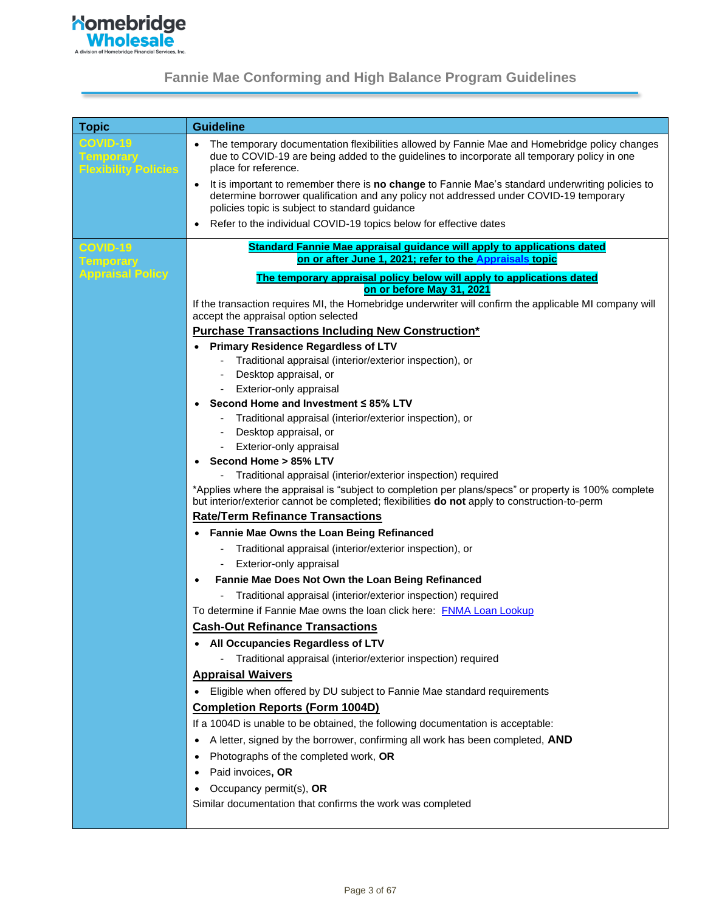

| <b>Topic</b>                                    | <b>Guideline</b>                                                                                                                                                                                                                                          |  |  |
|-------------------------------------------------|-----------------------------------------------------------------------------------------------------------------------------------------------------------------------------------------------------------------------------------------------------------|--|--|
| <b>COVID-19</b>                                 | The temporary documentation flexibilities allowed by Fannie Mae and Homebridge policy changes<br>٠                                                                                                                                                        |  |  |
| <b>Temporary</b><br><b>Flexibility Policies</b> | due to COVID-19 are being added to the guidelines to incorporate all temporary policy in one<br>place for reference.                                                                                                                                      |  |  |
|                                                 | It is important to remember there is no change to Fannie Mae's standard underwriting policies to<br>$\bullet$<br>determine borrower qualification and any policy not addressed under COVID-19 temporary<br>policies topic is subject to standard guidance |  |  |
|                                                 | Refer to the individual COVID-19 topics below for effective dates<br>$\bullet$                                                                                                                                                                            |  |  |
|                                                 |                                                                                                                                                                                                                                                           |  |  |
| COVID-19<br><b>Temporary</b>                    | Standard Fannie Mae appraisal guidance will apply to applications dated<br>on or after June 1, 2021; refer to the Appraisals topic                                                                                                                        |  |  |
| <b>Appraisal Policy</b>                         |                                                                                                                                                                                                                                                           |  |  |
|                                                 | The temporary appraisal policy below will apply to applications dated<br>on or before May 31, 2021                                                                                                                                                        |  |  |
|                                                 | If the transaction requires MI, the Homebridge underwriter will confirm the applicable MI company will                                                                                                                                                    |  |  |
|                                                 | accept the appraisal option selected                                                                                                                                                                                                                      |  |  |
|                                                 | <b>Purchase Transactions Including New Construction*</b>                                                                                                                                                                                                  |  |  |
|                                                 | <b>Primary Residence Regardless of LTV</b>                                                                                                                                                                                                                |  |  |
|                                                 | Traditional appraisal (interior/exterior inspection), or                                                                                                                                                                                                  |  |  |
|                                                 | Desktop appraisal, or                                                                                                                                                                                                                                     |  |  |
|                                                 | Exterior-only appraisal<br>Second Home and Investment ≤ 85% LTV                                                                                                                                                                                           |  |  |
|                                                 | Traditional appraisal (interior/exterior inspection), or                                                                                                                                                                                                  |  |  |
|                                                 | Desktop appraisal, or                                                                                                                                                                                                                                     |  |  |
|                                                 | Exterior-only appraisal<br>$\overline{\phantom{a}}$                                                                                                                                                                                                       |  |  |
|                                                 | Second Home > 85% LTV<br>$\bullet$                                                                                                                                                                                                                        |  |  |
|                                                 | Traditional appraisal (interior/exterior inspection) required                                                                                                                                                                                             |  |  |
|                                                 | *Applies where the appraisal is "subject to completion per plans/specs" or property is 100% complete<br>but interior/exterior cannot be completed; flexibilities do not apply to construction-to-perm                                                     |  |  |
|                                                 | <b>Rate/Term Refinance Transactions</b>                                                                                                                                                                                                                   |  |  |
|                                                 | Fannie Mae Owns the Loan Being Refinanced                                                                                                                                                                                                                 |  |  |
|                                                 | Traditional appraisal (interior/exterior inspection), or                                                                                                                                                                                                  |  |  |
|                                                 | Exterior-only appraisal                                                                                                                                                                                                                                   |  |  |
|                                                 | Fannie Mae Does Not Own the Loan Being Refinanced<br>$\bullet$                                                                                                                                                                                            |  |  |
|                                                 | Traditional appraisal (interior/exterior inspection) required                                                                                                                                                                                             |  |  |
|                                                 | To determine if Fannie Mae owns the loan click here: FNMA Loan Lookup                                                                                                                                                                                     |  |  |
|                                                 | <b>Cash-Out Refinance Transactions</b>                                                                                                                                                                                                                    |  |  |
|                                                 | All Occupancies Regardless of LTV                                                                                                                                                                                                                         |  |  |
|                                                 | Traditional appraisal (interior/exterior inspection) required                                                                                                                                                                                             |  |  |
|                                                 | <b>Appraisal Waivers</b>                                                                                                                                                                                                                                  |  |  |
|                                                 | Eligible when offered by DU subject to Fannie Mae standard requirements                                                                                                                                                                                   |  |  |
|                                                 | <b>Completion Reports (Form 1004D)</b>                                                                                                                                                                                                                    |  |  |
|                                                 | If a 1004D is unable to be obtained, the following documentation is acceptable:                                                                                                                                                                           |  |  |
|                                                 | A letter, signed by the borrower, confirming all work has been completed, AND                                                                                                                                                                             |  |  |
|                                                 | Photographs of the completed work, OR<br>٠                                                                                                                                                                                                                |  |  |
|                                                 | Paid invoices, OR<br>٠                                                                                                                                                                                                                                    |  |  |
|                                                 | Occupancy permit(s), OR                                                                                                                                                                                                                                   |  |  |
|                                                 | Similar documentation that confirms the work was completed                                                                                                                                                                                                |  |  |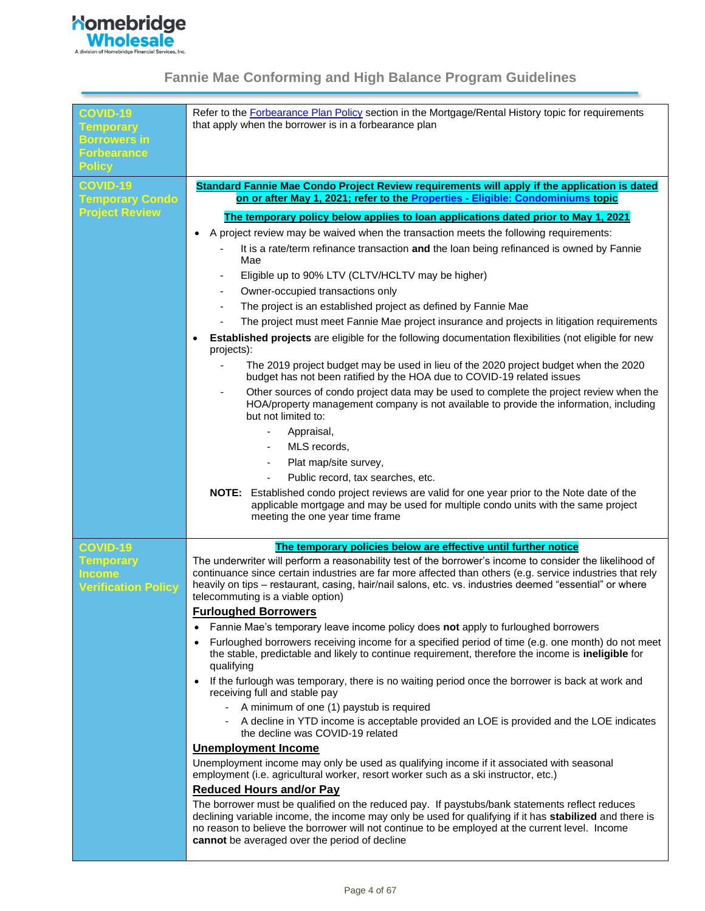

| <b>COVID-19</b><br><b>Temporary</b><br><b>Borrowers in</b><br><b>Forbearance</b><br><b>Policy</b> | Refer to the Forbearance Plan Policy section in the Mortgage/Rental History topic for requirements<br>that apply when the borrower is in a forbearance plan                                                                                                                                                                                                           |
|---------------------------------------------------------------------------------------------------|-----------------------------------------------------------------------------------------------------------------------------------------------------------------------------------------------------------------------------------------------------------------------------------------------------------------------------------------------------------------------|
| <b>COVID-19</b>                                                                                   |                                                                                                                                                                                                                                                                                                                                                                       |
|                                                                                                   | Standard Fannie Mae Condo Project Review requirements will apply if the application is dated<br>on or after May 1, 2021; refer to the Properties - Eligible: Condominiums topic                                                                                                                                                                                       |
| <b>Temporary Condo</b><br><b>Project Review</b>                                                   |                                                                                                                                                                                                                                                                                                                                                                       |
|                                                                                                   | The temporary policy below applies to loan applications dated prior to May 1, 2021                                                                                                                                                                                                                                                                                    |
|                                                                                                   | A project review may be waived when the transaction meets the following requirements:<br>$\bullet$                                                                                                                                                                                                                                                                    |
|                                                                                                   | It is a rate/term refinance transaction and the loan being refinanced is owned by Fannie                                                                                                                                                                                                                                                                              |
|                                                                                                   | Mae                                                                                                                                                                                                                                                                                                                                                                   |
|                                                                                                   | Eligible up to 90% LTV (CLTV/HCLTV may be higher)                                                                                                                                                                                                                                                                                                                     |
|                                                                                                   | Owner-occupied transactions only                                                                                                                                                                                                                                                                                                                                      |
|                                                                                                   | The project is an established project as defined by Fannie Mae<br>-                                                                                                                                                                                                                                                                                                   |
|                                                                                                   | The project must meet Fannie Mae project insurance and projects in litigation requirements<br>-                                                                                                                                                                                                                                                                       |
|                                                                                                   | Established projects are eligible for the following documentation flexibilities (not eligible for new                                                                                                                                                                                                                                                                 |
|                                                                                                   | projects):                                                                                                                                                                                                                                                                                                                                                            |
|                                                                                                   | The 2019 project budget may be used in lieu of the 2020 project budget when the 2020<br>budget has not been ratified by the HOA due to COVID-19 related issues                                                                                                                                                                                                        |
|                                                                                                   | Other sources of condo project data may be used to complete the project review when the<br>-<br>HOA/property management company is not available to provide the information, including<br>but not limited to:                                                                                                                                                         |
|                                                                                                   | Appraisal,<br>٠                                                                                                                                                                                                                                                                                                                                                       |
|                                                                                                   | MLS records,<br>$\overline{\phantom{a}}$                                                                                                                                                                                                                                                                                                                              |
|                                                                                                   |                                                                                                                                                                                                                                                                                                                                                                       |
|                                                                                                   | Plat map/site survey,                                                                                                                                                                                                                                                                                                                                                 |
|                                                                                                   | Public record, tax searches, etc.                                                                                                                                                                                                                                                                                                                                     |
|                                                                                                   | NOTE: Established condo project reviews are valid for one year prior to the Note date of the<br>applicable mortgage and may be used for multiple condo units with the same project<br>meeting the one year time frame                                                                                                                                                 |
| <b>COVID-19</b>                                                                                   | The temporary policies below are effective until further notice                                                                                                                                                                                                                                                                                                       |
| <b>Temporary</b><br><b>Income</b><br><b>Verification Policy</b>                                   | The underwriter will perform a reasonability test of the borrower's income to consider the likelihood of<br>continuance since certain industries are far more affected than others (e.g. service industries that rely<br>heavily on tips - restaurant, casing, hair/nail salons, etc. vs. industries deemed "essential" or where<br>telecommuting is a viable option) |
|                                                                                                   | <b>Furloughed Borrowers</b>                                                                                                                                                                                                                                                                                                                                           |
|                                                                                                   | Fannie Mae's temporary leave income policy does not apply to furloughed borrowers<br>$\bullet$                                                                                                                                                                                                                                                                        |
|                                                                                                   | Furloughed borrowers receiving income for a specified period of time (e.g. one month) do not meet<br>$\bullet$                                                                                                                                                                                                                                                        |
|                                                                                                   | the stable, predictable and likely to continue requirement, therefore the income is ineligible for<br>qualifying                                                                                                                                                                                                                                                      |
|                                                                                                   | If the furlough was temporary, there is no waiting period once the borrower is back at work and<br>$\bullet$<br>receiving full and stable pay                                                                                                                                                                                                                         |
|                                                                                                   | A minimum of one (1) paystub is required                                                                                                                                                                                                                                                                                                                              |
|                                                                                                   | - A decline in YTD income is acceptable provided an LOE is provided and the LOE indicates<br>the decline was COVID-19 related                                                                                                                                                                                                                                         |
|                                                                                                   | <b>Unemployment Income</b>                                                                                                                                                                                                                                                                                                                                            |
|                                                                                                   | Unemployment income may only be used as qualifying income if it associated with seasonal<br>employment (i.e. agricultural worker, resort worker such as a ski instructor, etc.)                                                                                                                                                                                       |
|                                                                                                   | <b>Reduced Hours and/or Pay</b>                                                                                                                                                                                                                                                                                                                                       |
|                                                                                                   | The borrower must be qualified on the reduced pay. If paystubs/bank statements reflect reduces<br>declining variable income, the income may only be used for qualifying if it has stabilized and there is<br>no reason to believe the borrower will not continue to be employed at the current level. Income<br>cannot be averaged over the period of decline         |
|                                                                                                   |                                                                                                                                                                                                                                                                                                                                                                       |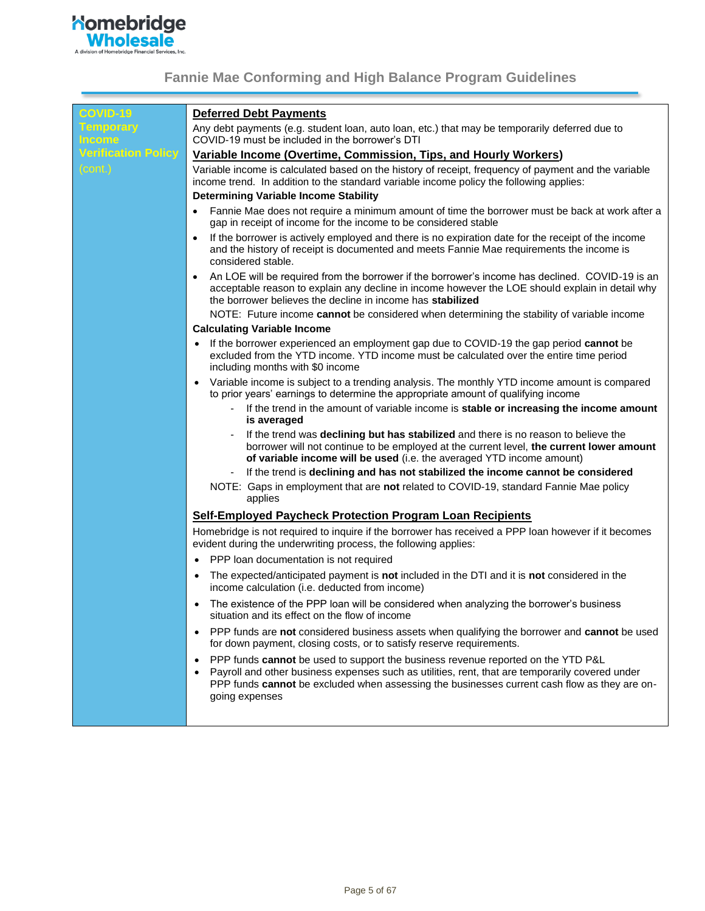

| <b>COVID-19</b>                   | <b>Deferred Debt Payments</b>                                                                                                                                                                                                                                                                                      |
|-----------------------------------|--------------------------------------------------------------------------------------------------------------------------------------------------------------------------------------------------------------------------------------------------------------------------------------------------------------------|
| <b>Temporary</b><br><b>Income</b> | Any debt payments (e.g. student loan, auto loan, etc.) that may be temporarily deferred due to<br>COVID-19 must be included in the borrower's DTI                                                                                                                                                                  |
| <b>Verification Policy</b>        | Variable Income (Overtime, Commission, Tips, and Hourly Workers)                                                                                                                                                                                                                                                   |
| (cont.)                           | Variable income is calculated based on the history of receipt, frequency of payment and the variable<br>income trend. In addition to the standard variable income policy the following applies:<br><b>Determining Variable Income Stability</b>                                                                    |
|                                   | Fannie Mae does not require a minimum amount of time the borrower must be back at work after a<br>$\bullet$<br>gap in receipt of income for the income to be considered stable                                                                                                                                     |
|                                   | If the borrower is actively employed and there is no expiration date for the receipt of the income<br>and the history of receipt is documented and meets Fannie Mae requirements the income is<br>considered stable.                                                                                               |
|                                   | An LOE will be required from the borrower if the borrower's income has declined. COVID-19 is an<br>$\bullet$<br>acceptable reason to explain any decline in income however the LOE should explain in detail why<br>the borrower believes the decline in income has stabilized                                      |
|                                   | NOTE: Future income cannot be considered when determining the stability of variable income<br><b>Calculating Variable Income</b>                                                                                                                                                                                   |
|                                   | If the borrower experienced an employment gap due to COVID-19 the gap period cannot be<br>$\bullet$<br>excluded from the YTD income. YTD income must be calculated over the entire time period<br>including months with \$0 income                                                                                 |
|                                   | Variable income is subject to a trending analysis. The monthly YTD income amount is compared<br>$\bullet$<br>to prior years' earnings to determine the appropriate amount of qualifying income<br>If the trend in the amount of variable income is stable or increasing the income amount<br>is averaged           |
|                                   | If the trend was declining but has stabilized and there is no reason to believe the<br>borrower will not continue to be employed at the current level, the current lower amount<br>of variable income will be used (i.e. the averaged YTD income amount)                                                           |
|                                   | If the trend is declining and has not stabilized the income cannot be considered<br>NOTE: Gaps in employment that are not related to COVID-19, standard Fannie Mae policy<br>applies                                                                                                                               |
|                                   | <b>Self-Employed Paycheck Protection Program Loan Recipients</b>                                                                                                                                                                                                                                                   |
|                                   | Homebridge is not required to inquire if the borrower has received a PPP loan however if it becomes<br>evident during the underwriting process, the following applies:                                                                                                                                             |
|                                   | PPP loan documentation is not required<br>$\bullet$                                                                                                                                                                                                                                                                |
|                                   | The expected/anticipated payment is not included in the DTI and it is not considered in the<br>٠<br>income calculation (i.e. deducted from income)                                                                                                                                                                 |
|                                   | The existence of the PPP loan will be considered when analyzing the borrower's business<br>$\bullet$<br>situation and its effect on the flow of income                                                                                                                                                             |
|                                   | PPP funds are not considered business assets when qualifying the borrower and cannot be used<br>$\bullet$<br>for down payment, closing costs, or to satisfy reserve requirements.                                                                                                                                  |
|                                   | PPP funds cannot be used to support the business revenue reported on the YTD P&L<br>$\bullet$<br>Payroll and other business expenses such as utilities, rent, that are temporarily covered under<br>PPP funds cannot be excluded when assessing the businesses current cash flow as they are on-<br>going expenses |
|                                   |                                                                                                                                                                                                                                                                                                                    |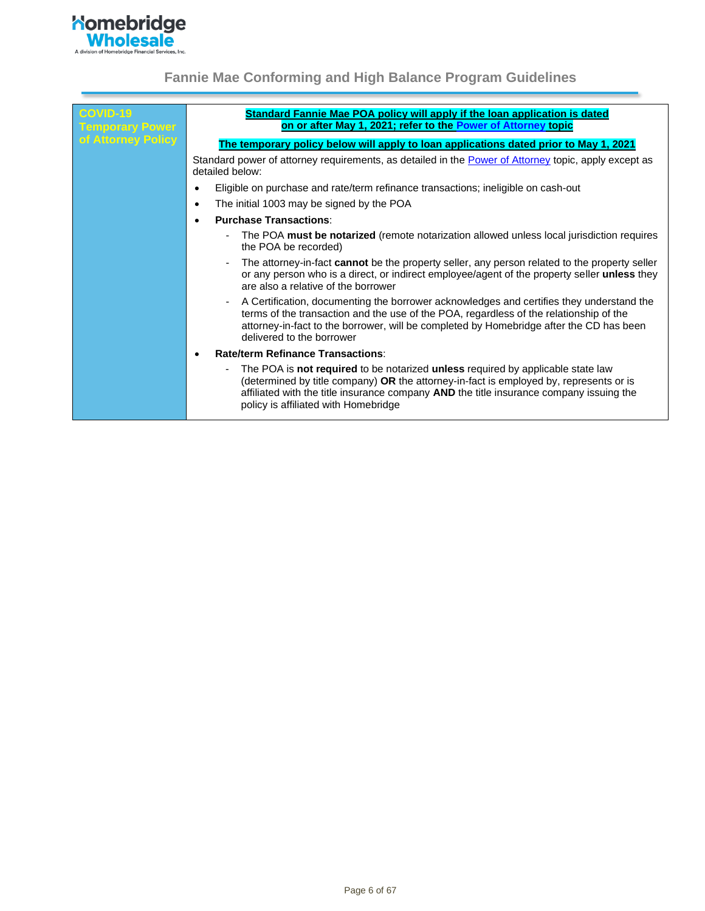

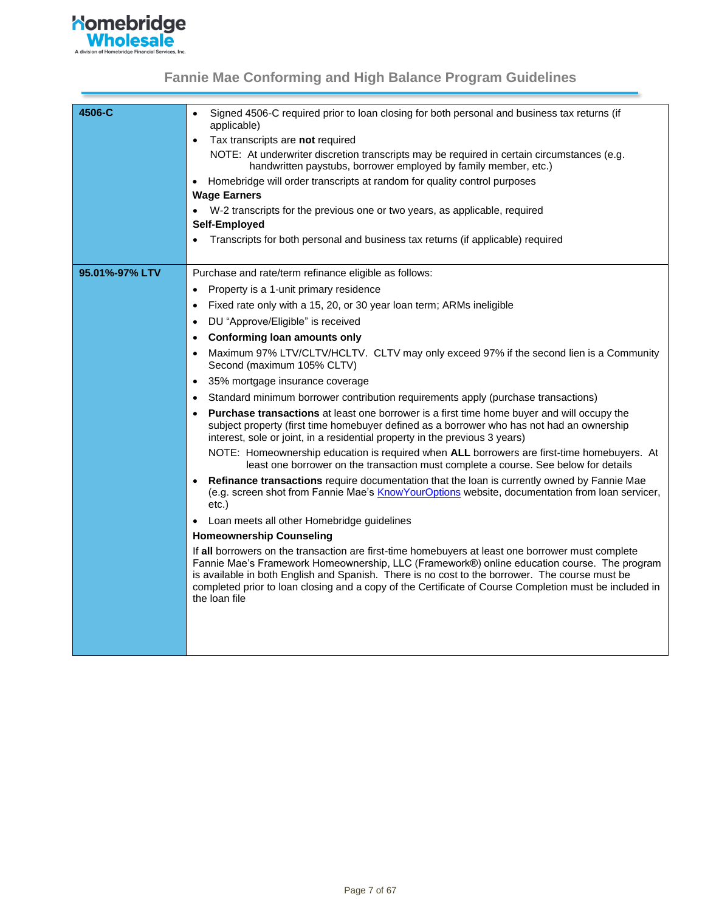

<span id="page-6-0"></span>

| 4506-C         | Signed 4506-C required prior to loan closing for both personal and business tax returns (if<br>applicable)                                                                                                                                                                                                                                                                                                                    |
|----------------|-------------------------------------------------------------------------------------------------------------------------------------------------------------------------------------------------------------------------------------------------------------------------------------------------------------------------------------------------------------------------------------------------------------------------------|
|                | Tax transcripts are not required<br>$\bullet$                                                                                                                                                                                                                                                                                                                                                                                 |
|                | NOTE: At underwriter discretion transcripts may be required in certain circumstances (e.g.<br>handwritten paystubs, borrower employed by family member, etc.)                                                                                                                                                                                                                                                                 |
|                | Homebridge will order transcripts at random for quality control purposes<br>$\bullet$                                                                                                                                                                                                                                                                                                                                         |
|                | <b>Wage Earners</b>                                                                                                                                                                                                                                                                                                                                                                                                           |
|                | W-2 transcripts for the previous one or two years, as applicable, required                                                                                                                                                                                                                                                                                                                                                    |
|                | Self-Employed                                                                                                                                                                                                                                                                                                                                                                                                                 |
|                | Transcripts for both personal and business tax returns (if applicable) required                                                                                                                                                                                                                                                                                                                                               |
| 95.01%-97% LTV | Purchase and rate/term refinance eligible as follows:                                                                                                                                                                                                                                                                                                                                                                         |
|                | Property is a 1-unit primary residence<br>$\bullet$                                                                                                                                                                                                                                                                                                                                                                           |
|                | Fixed rate only with a 15, 20, or 30 year loan term; ARMs ineligible<br>$\bullet$                                                                                                                                                                                                                                                                                                                                             |
|                | DU "Approve/Eligible" is received<br>$\bullet$                                                                                                                                                                                                                                                                                                                                                                                |
|                | <b>Conforming loan amounts only</b><br>$\bullet$                                                                                                                                                                                                                                                                                                                                                                              |
|                | Maximum 97% LTV/CLTV/HCLTV. CLTV may only exceed 97% if the second lien is a Community<br>$\bullet$<br>Second (maximum 105% CLTV)                                                                                                                                                                                                                                                                                             |
|                | 35% mortgage insurance coverage<br>$\bullet$                                                                                                                                                                                                                                                                                                                                                                                  |
|                | Standard minimum borrower contribution requirements apply (purchase transactions)<br>$\bullet$                                                                                                                                                                                                                                                                                                                                |
|                | Purchase transactions at least one borrower is a first time home buyer and will occupy the<br>$\bullet$                                                                                                                                                                                                                                                                                                                       |
|                | subject property (first time homebuyer defined as a borrower who has not had an ownership<br>interest, sole or joint, in a residential property in the previous 3 years)                                                                                                                                                                                                                                                      |
|                | NOTE: Homeownership education is required when ALL borrowers are first-time homebuyers. At<br>least one borrower on the transaction must complete a course. See below for details                                                                                                                                                                                                                                             |
|                | Refinance transactions require documentation that the loan is currently owned by Fannie Mae<br>(e.g. screen shot from Fannie Mae's KnowYourOptions website, documentation from loan servicer,<br>$etc.$ )                                                                                                                                                                                                                     |
|                | Loan meets all other Homebridge guidelines<br>$\bullet$                                                                                                                                                                                                                                                                                                                                                                       |
|                | <b>Homeownership Counseling</b>                                                                                                                                                                                                                                                                                                                                                                                               |
|                | If all borrowers on the transaction are first-time homebuyers at least one borrower must complete<br>Fannie Mae's Framework Homeownership, LLC (Framework®) online education course. The program<br>is available in both English and Spanish. There is no cost to the borrower. The course must be<br>completed prior to loan closing and a copy of the Certificate of Course Completion must be included in<br>the loan file |
|                |                                                                                                                                                                                                                                                                                                                                                                                                                               |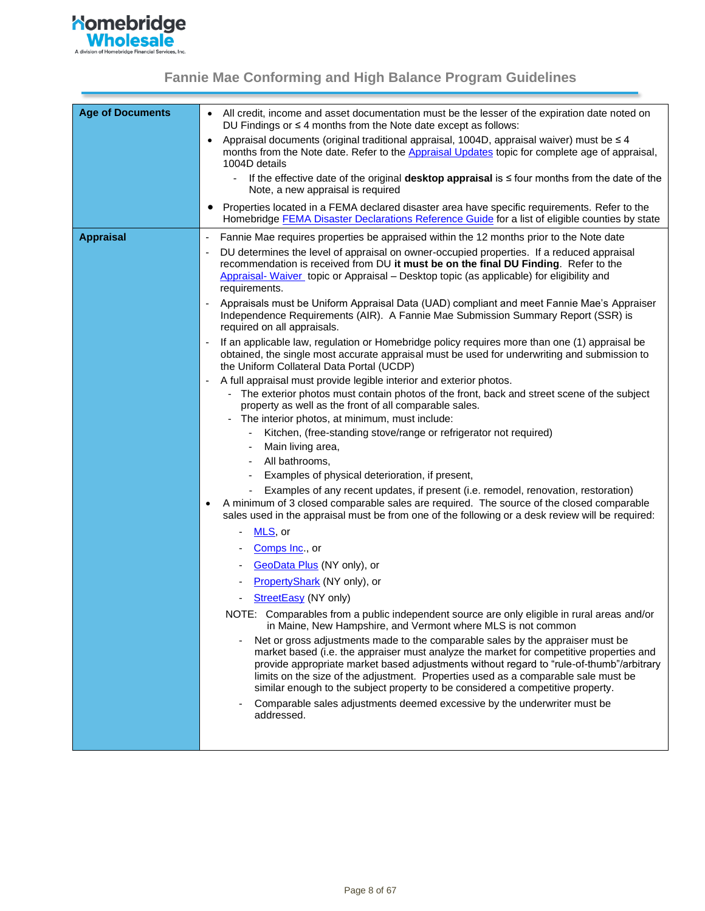<span id="page-7-0"></span>

| <b>Age of Documents</b> | All credit, income and asset documentation must be the lesser of the expiration date noted on<br>$\bullet$<br>DU Findings or $\leq 4$ months from the Note date except as follows:                                                                                                                                                                                                                                                             |
|-------------------------|------------------------------------------------------------------------------------------------------------------------------------------------------------------------------------------------------------------------------------------------------------------------------------------------------------------------------------------------------------------------------------------------------------------------------------------------|
|                         | Appraisal documents (original traditional appraisal, 1004D, appraisal waiver) must be $\leq 4$<br>months from the Note date. Refer to the Appraisal Updates topic for complete age of appraisal,<br>1004D details                                                                                                                                                                                                                              |
|                         | - If the effective date of the original <b>desktop appraisal</b> is $\leq$ four months from the date of the<br>Note, a new appraisal is required                                                                                                                                                                                                                                                                                               |
|                         | Properties located in a FEMA declared disaster area have specific requirements. Refer to the<br>$\bullet$<br>Homebridge FEMA Disaster Declarations Reference Guide for a list of eligible counties by state                                                                                                                                                                                                                                    |
| <b>Appraisal</b>        | Fannie Mae requires properties be appraised within the 12 months prior to the Note date<br>$\qquad \qquad \blacksquare$                                                                                                                                                                                                                                                                                                                        |
|                         | DU determines the level of appraisal on owner-occupied properties. If a reduced appraisal<br>recommendation is received from DU it must be on the final DU Finding. Refer to the<br>Appraisal-Waiver topic or Appraisal - Desktop topic (as applicable) for eligibility and<br>requirements.                                                                                                                                                   |
|                         | Appraisals must be Uniform Appraisal Data (UAD) compliant and meet Fannie Mae's Appraiser<br>Independence Requirements (AIR). A Fannie Mae Submission Summary Report (SSR) is<br>required on all appraisals.                                                                                                                                                                                                                                   |
|                         | If an applicable law, regulation or Homebridge policy requires more than one (1) appraisal be<br>obtained, the single most accurate appraisal must be used for underwriting and submission to<br>the Uniform Collateral Data Portal (UCDP)                                                                                                                                                                                                     |
|                         | A full appraisal must provide legible interior and exterior photos.<br>- The exterior photos must contain photos of the front, back and street scene of the subject<br>property as well as the front of all comparable sales.<br>- The interior photos, at minimum, must include:                                                                                                                                                              |
|                         | Kitchen, (free-standing stove/range or refrigerator not required)<br>$\overline{\phantom{a}}$                                                                                                                                                                                                                                                                                                                                                  |
|                         | Main living area,                                                                                                                                                                                                                                                                                                                                                                                                                              |
|                         | All bathrooms,                                                                                                                                                                                                                                                                                                                                                                                                                                 |
|                         | Examples of physical deterioration, if present,                                                                                                                                                                                                                                                                                                                                                                                                |
|                         | Examples of any recent updates, if present (i.e. remodel, renovation, restoration)<br>A minimum of 3 closed comparable sales are required. The source of the closed comparable<br>sales used in the appraisal must be from one of the following or a desk review will be required:                                                                                                                                                             |
|                         | MLS, or                                                                                                                                                                                                                                                                                                                                                                                                                                        |
|                         | Comps Inc., or                                                                                                                                                                                                                                                                                                                                                                                                                                 |
|                         | GeoData Plus (NY only), or                                                                                                                                                                                                                                                                                                                                                                                                                     |
|                         | <b>PropertyShark</b> (NY only), or                                                                                                                                                                                                                                                                                                                                                                                                             |
|                         | StreetEasy (NY only)                                                                                                                                                                                                                                                                                                                                                                                                                           |
|                         | NOTE: Comparables from a public independent source are only eligible in rural areas and/or<br>in Maine, New Hampshire, and Vermont where MLS is not common                                                                                                                                                                                                                                                                                     |
|                         | Net or gross adjustments made to the comparable sales by the appraiser must be<br>market based (i.e. the appraiser must analyze the market for competitive properties and<br>provide appropriate market based adjustments without regard to "rule-of-thumb"/arbitrary<br>limits on the size of the adjustment. Properties used as a comparable sale must be<br>similar enough to the subject property to be considered a competitive property. |
|                         | Comparable sales adjustments deemed excessive by the underwriter must be<br>addressed.                                                                                                                                                                                                                                                                                                                                                         |
|                         |                                                                                                                                                                                                                                                                                                                                                                                                                                                |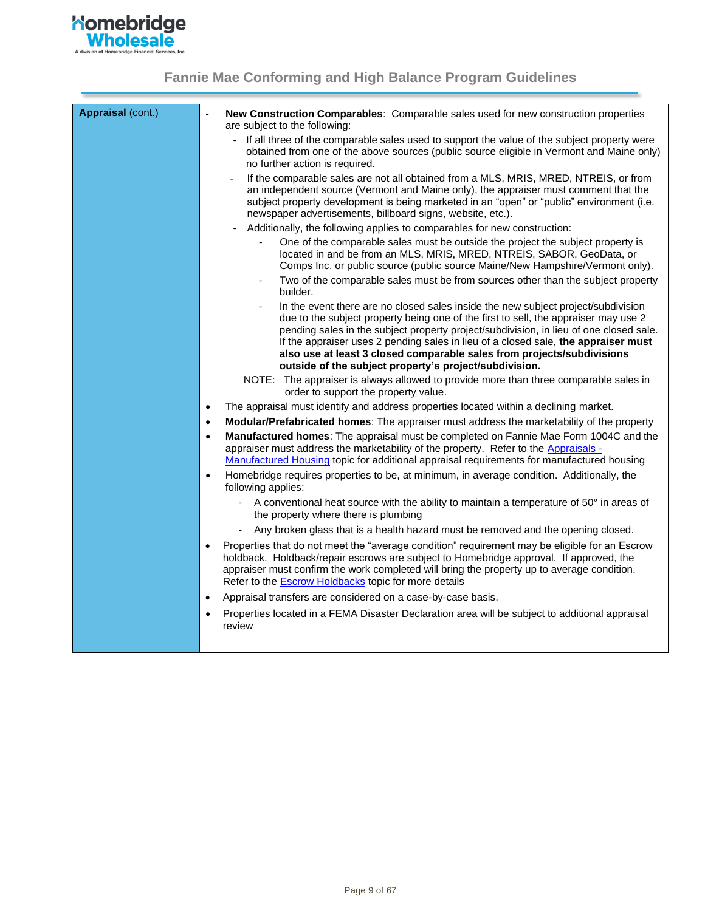

| Appraisal (cont.) | New Construction Comparables: Comparable sales used for new construction properties<br>are subject to the following:                                                                                                                                                                                                                                                                                                                                                                                           |
|-------------------|----------------------------------------------------------------------------------------------------------------------------------------------------------------------------------------------------------------------------------------------------------------------------------------------------------------------------------------------------------------------------------------------------------------------------------------------------------------------------------------------------------------|
|                   | - If all three of the comparable sales used to support the value of the subject property were<br>obtained from one of the above sources (public source eligible in Vermont and Maine only)<br>no further action is required.                                                                                                                                                                                                                                                                                   |
|                   | If the comparable sales are not all obtained from a MLS, MRIS, MRED, NTREIS, or from<br>an independent source (Vermont and Maine only), the appraiser must comment that the<br>subject property development is being marketed in an "open" or "public" environment (i.e.<br>newspaper advertisements, billboard signs, website, etc.).                                                                                                                                                                         |
|                   | Additionally, the following applies to comparables for new construction:                                                                                                                                                                                                                                                                                                                                                                                                                                       |
|                   | One of the comparable sales must be outside the project the subject property is<br>located in and be from an MLS, MRIS, MRED, NTREIS, SABOR, GeoData, or<br>Comps Inc. or public source (public source Maine/New Hampshire/Vermont only).                                                                                                                                                                                                                                                                      |
|                   | Two of the comparable sales must be from sources other than the subject property<br>builder.                                                                                                                                                                                                                                                                                                                                                                                                                   |
|                   | In the event there are no closed sales inside the new subject project/subdivision<br>$\blacksquare$<br>due to the subject property being one of the first to sell, the appraiser may use 2<br>pending sales in the subject property project/subdivision, in lieu of one closed sale.<br>If the appraiser uses 2 pending sales in lieu of a closed sale, the appraiser must<br>also use at least 3 closed comparable sales from projects/subdivisions<br>outside of the subject property's project/subdivision. |
|                   | NOTE: The appraiser is always allowed to provide more than three comparable sales in<br>order to support the property value.                                                                                                                                                                                                                                                                                                                                                                                   |
|                   | The appraisal must identify and address properties located within a declining market.<br>$\bullet$                                                                                                                                                                                                                                                                                                                                                                                                             |
|                   | Modular/Prefabricated homes: The appraiser must address the marketability of the property<br>$\bullet$                                                                                                                                                                                                                                                                                                                                                                                                         |
|                   | Manufactured homes: The appraisal must be completed on Fannie Mae Form 1004C and the<br>$\bullet$<br>appraiser must address the marketability of the property. Refer to the Appraisals -<br>Manufactured Housing topic for additional appraisal requirements for manufactured housing<br>Homebridge requires properties to be, at minimum, in average condition. Additionally, the<br>$\bullet$<br>following applies:                                                                                          |
|                   | A conventional heat source with the ability to maintain a temperature of 50° in areas of<br>$\sim$<br>the property where there is plumbing                                                                                                                                                                                                                                                                                                                                                                     |
|                   | Any broken glass that is a health hazard must be removed and the opening closed.                                                                                                                                                                                                                                                                                                                                                                                                                               |
|                   | Properties that do not meet the "average condition" requirement may be eligible for an Escrow<br>$\bullet$<br>holdback. Holdback/repair escrows are subject to Homebridge approval. If approved, the<br>appraiser must confirm the work completed will bring the property up to average condition.<br>Refer to the <b>Escrow Holdbacks</b> topic for more details                                                                                                                                              |
|                   | Appraisal transfers are considered on a case-by-case basis.<br>$\bullet$                                                                                                                                                                                                                                                                                                                                                                                                                                       |
|                   | Properties located in a FEMA Disaster Declaration area will be subject to additional appraisal<br>$\bullet$<br>review                                                                                                                                                                                                                                                                                                                                                                                          |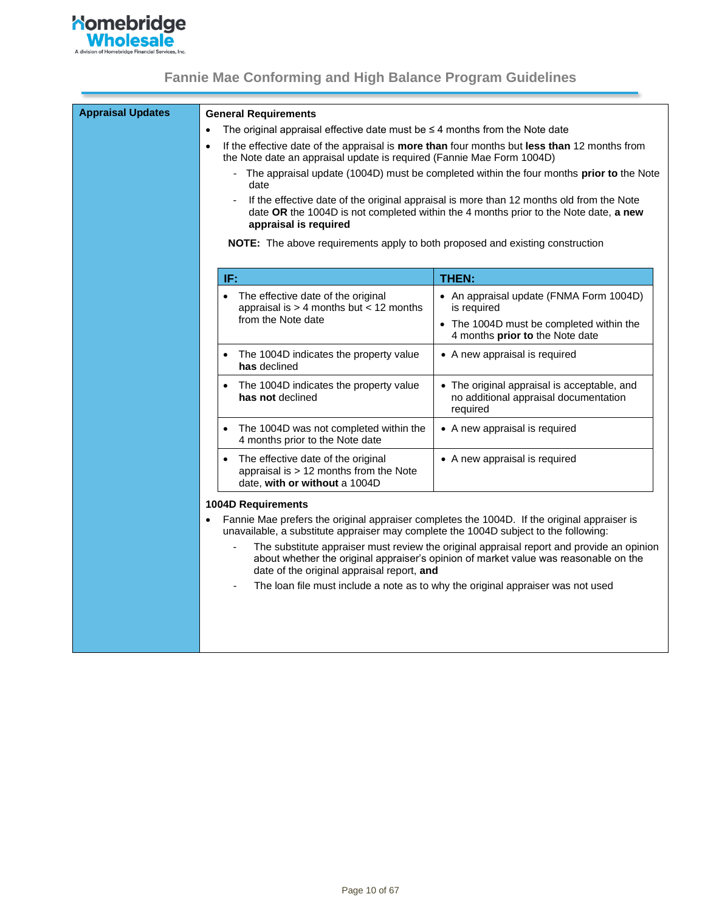

<span id="page-9-0"></span>

| <b>Appraisal Updates</b> | <b>General Requirements</b>                                                                                                                                                         |                                                                                                                                                                                   |
|--------------------------|-------------------------------------------------------------------------------------------------------------------------------------------------------------------------------------|-----------------------------------------------------------------------------------------------------------------------------------------------------------------------------------|
|                          | The original appraisal effective date must be $\leq$ 4 months from the Note date<br>$\bullet$                                                                                       |                                                                                                                                                                                   |
|                          | $\bullet$<br>the Note date an appraisal update is required (Fannie Mae Form 1004D)                                                                                                  | If the effective date of the appraisal is more than four months but less than 12 months from                                                                                      |
|                          | date                                                                                                                                                                                | The appraisal update (1004D) must be completed within the four months prior to the Note                                                                                           |
|                          | appraisal is required                                                                                                                                                               | If the effective date of the original appraisal is more than 12 months old from the Note<br>date OR the 1004D is not completed within the 4 months prior to the Note date, a new  |
|                          | <b>NOTE:</b> The above requirements apply to both proposed and existing construction                                                                                                |                                                                                                                                                                                   |
|                          | IF:                                                                                                                                                                                 | THEN:                                                                                                                                                                             |
|                          | The effective date of the original<br>appraisal is $>$ 4 months but < 12 months                                                                                                     | • An appraisal update (FNMA Form 1004D)<br>is required                                                                                                                            |
|                          | from the Note date                                                                                                                                                                  | • The 1004D must be completed within the<br>4 months prior to the Note date                                                                                                       |
|                          | The 1004D indicates the property value<br>has declined                                                                                                                              | • A new appraisal is required                                                                                                                                                     |
|                          | The 1004D indicates the property value<br>has not declined                                                                                                                          | • The original appraisal is acceptable, and<br>no additional appraisal documentation<br>required                                                                                  |
|                          | The 1004D was not completed within the<br>4 months prior to the Note date                                                                                                           | • A new appraisal is required                                                                                                                                                     |
|                          | The effective date of the original<br>appraisal is $> 12$ months from the Note<br>date, with or without a 1004D                                                                     | • A new appraisal is required                                                                                                                                                     |
|                          | <b>1004D Requirements</b>                                                                                                                                                           |                                                                                                                                                                                   |
|                          | Fannie Mae prefers the original appraiser completes the 1004D. If the original appraiser is<br>unavailable, a substitute appraiser may complete the 1004D subject to the following: |                                                                                                                                                                                   |
|                          | date of the original appraisal report, and                                                                                                                                          | The substitute appraiser must review the original appraisal report and provide an opinion<br>about whether the original appraiser's opinion of market value was reasonable on the |
|                          |                                                                                                                                                                                     | The loan file must include a note as to why the original appraiser was not used                                                                                                   |
|                          |                                                                                                                                                                                     |                                                                                                                                                                                   |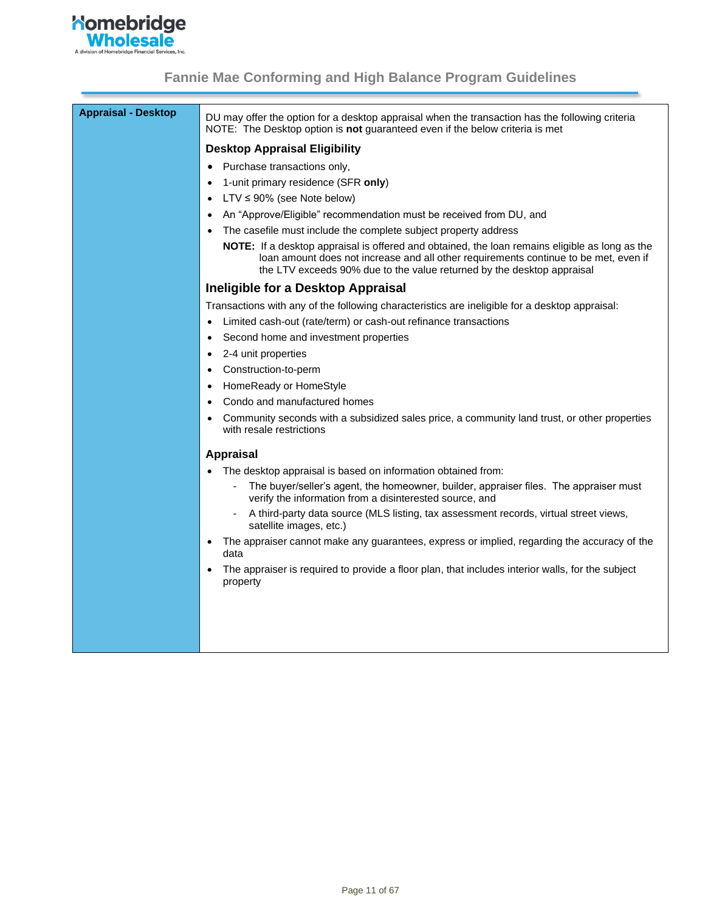

| <b>Appraisal - Desktop</b> | DU may offer the option for a desktop appraisal when the transaction has the following criteria<br>NOTE: The Desktop option is not guaranteed even if the below criteria is met                                                                                  |
|----------------------------|------------------------------------------------------------------------------------------------------------------------------------------------------------------------------------------------------------------------------------------------------------------|
|                            | <b>Desktop Appraisal Eligibility</b>                                                                                                                                                                                                                             |
|                            | Purchase transactions only,                                                                                                                                                                                                                                      |
|                            | 1-unit primary residence (SFR only)                                                                                                                                                                                                                              |
|                            | $LTV \leq 90\%$ (see Note below)                                                                                                                                                                                                                                 |
|                            | An "Approve/Eligible" recommendation must be received from DU, and                                                                                                                                                                                               |
|                            | The casefile must include the complete subject property address                                                                                                                                                                                                  |
|                            | NOTE: If a desktop appraisal is offered and obtained, the loan remains eligible as long as the<br>loan amount does not increase and all other requirements continue to be met, even if<br>the LTV exceeds 90% due to the value returned by the desktop appraisal |
|                            | Ineligible for a Desktop Appraisal                                                                                                                                                                                                                               |
|                            | Transactions with any of the following characteristics are ineligible for a desktop appraisal:                                                                                                                                                                   |
|                            | Limited cash-out (rate/term) or cash-out refinance transactions                                                                                                                                                                                                  |
|                            | Second home and investment properties<br>$\bullet$                                                                                                                                                                                                               |
|                            | 2-4 unit properties<br>$\bullet$                                                                                                                                                                                                                                 |
|                            | Construction-to-perm                                                                                                                                                                                                                                             |
|                            | HomeReady or HomeStyle                                                                                                                                                                                                                                           |
|                            | Condo and manufactured homes                                                                                                                                                                                                                                     |
|                            | Community seconds with a subsidized sales price, a community land trust, or other properties<br>with resale restrictions                                                                                                                                         |
|                            | <b>Appraisal</b>                                                                                                                                                                                                                                                 |
|                            | The desktop appraisal is based on information obtained from:                                                                                                                                                                                                     |
|                            | The buyer/seller's agent, the homeowner, builder, appraiser files. The appraiser must<br>verify the information from a disinterested source, and                                                                                                                 |
|                            | A third-party data source (MLS listing, tax assessment records, virtual street views,<br>satellite images, etc.)                                                                                                                                                 |
|                            | The appraiser cannot make any guarantees, express or implied, regarding the accuracy of the<br>data                                                                                                                                                              |
|                            | The appraiser is required to provide a floor plan, that includes interior walls, for the subject<br>property                                                                                                                                                     |
|                            |                                                                                                                                                                                                                                                                  |
|                            |                                                                                                                                                                                                                                                                  |
|                            |                                                                                                                                                                                                                                                                  |
|                            |                                                                                                                                                                                                                                                                  |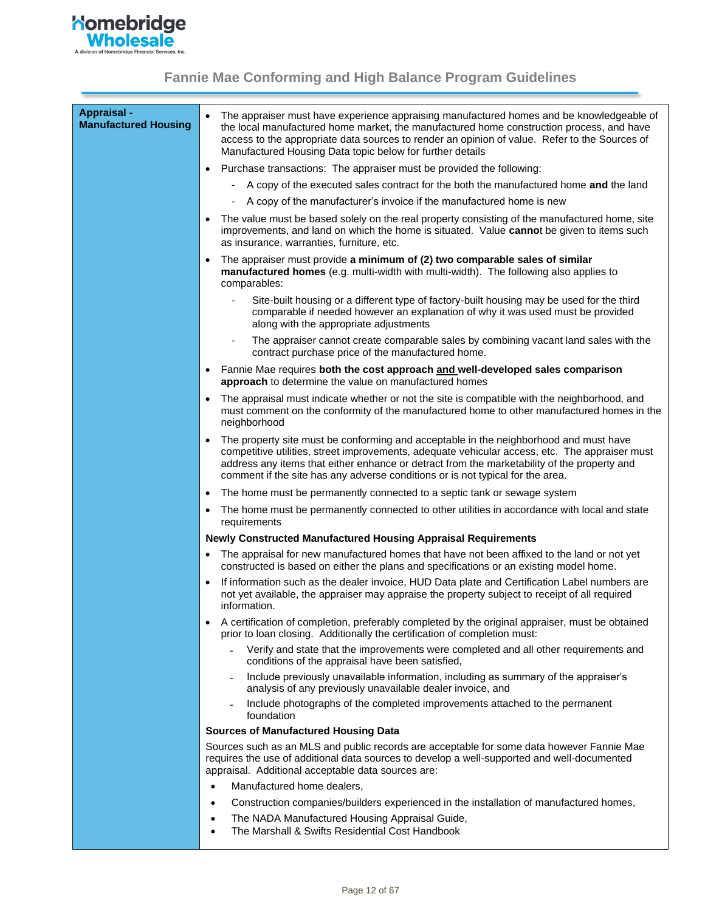

<span id="page-11-0"></span>

| Appraisal -<br><b>Manufactured Housing</b> | The appraiser must have experience appraising manufactured homes and be knowledgeable of<br>$\bullet$<br>the local manufactured home market, the manufactured home construction process, and have<br>access to the appropriate data sources to render an opinion of value. Refer to the Sources of<br>Manufactured Housing Data topic below for further details                       |
|--------------------------------------------|---------------------------------------------------------------------------------------------------------------------------------------------------------------------------------------------------------------------------------------------------------------------------------------------------------------------------------------------------------------------------------------|
|                                            | Purchase transactions: The appraiser must be provided the following:<br>$\bullet$                                                                                                                                                                                                                                                                                                     |
|                                            | A copy of the executed sales contract for the both the manufactured home and the land                                                                                                                                                                                                                                                                                                 |
|                                            | A copy of the manufacturer's invoice if the manufactured home is new<br>$\overline{\phantom{a}}$                                                                                                                                                                                                                                                                                      |
|                                            | The value must be based solely on the real property consisting of the manufactured home, site<br>$\bullet$<br>improvements, and land on which the home is situated. Value cannot be given to items such<br>as insurance, warranties, furniture, etc.                                                                                                                                  |
|                                            | The appraiser must provide a minimum of (2) two comparable sales of similar<br>$\bullet$<br>manufactured homes (e.g. multi-width with multi-width). The following also applies to<br>comparables:                                                                                                                                                                                     |
|                                            | Site-built housing or a different type of factory-built housing may be used for the third<br>comparable if needed however an explanation of why it was used must be provided<br>along with the appropriate adjustments                                                                                                                                                                |
|                                            | The appraiser cannot create comparable sales by combining vacant land sales with the<br>contract purchase price of the manufactured home.                                                                                                                                                                                                                                             |
|                                            | Fannie Mae requires both the cost approach and well-developed sales comparison<br>$\bullet$<br>approach to determine the value on manufactured homes                                                                                                                                                                                                                                  |
|                                            | The appraisal must indicate whether or not the site is compatible with the neighborhood, and<br>$\bullet$<br>must comment on the conformity of the manufactured home to other manufactured homes in the<br>neighborhood                                                                                                                                                               |
|                                            | The property site must be conforming and acceptable in the neighborhood and must have<br>$\bullet$<br>competitive utilities, street improvements, adequate vehicular access, etc. The appraiser must<br>address any items that either enhance or detract from the marketability of the property and<br>comment if the site has any adverse conditions or is not typical for the area. |
|                                            | The home must be permanently connected to a septic tank or sewage system<br>$\bullet$                                                                                                                                                                                                                                                                                                 |
|                                            | The home must be permanently connected to other utilities in accordance with local and state<br>$\bullet$<br>requirements                                                                                                                                                                                                                                                             |
|                                            | <b>Newly Constructed Manufactured Housing Appraisal Requirements</b>                                                                                                                                                                                                                                                                                                                  |
|                                            | The appraisal for new manufactured homes that have not been affixed to the land or not yet<br>constructed is based on either the plans and specifications or an existing model home.                                                                                                                                                                                                  |
|                                            | If information such as the dealer invoice, HUD Data plate and Certification Label numbers are<br>$\bullet$<br>not yet available, the appraiser may appraise the property subject to receipt of all required<br>information.                                                                                                                                                           |
|                                            | A certification of completion, preferably completed by the original appraiser, must be obtained<br>prior to loan closing. Additionally the certification of completion must:                                                                                                                                                                                                          |
|                                            | Verify and state that the improvements were completed and all other requirements and<br>conditions of the appraisal have been satisfied,                                                                                                                                                                                                                                              |
|                                            | Include previously unavailable information, including as summary of the appraiser's<br>analysis of any previously unavailable dealer invoice, and                                                                                                                                                                                                                                     |
|                                            | Include photographs of the completed improvements attached to the permanent<br>foundation                                                                                                                                                                                                                                                                                             |
|                                            | <b>Sources of Manufactured Housing Data</b>                                                                                                                                                                                                                                                                                                                                           |
|                                            | Sources such as an MLS and public records are acceptable for some data however Fannie Mae<br>requires the use of additional data sources to develop a well-supported and well-documented<br>appraisal. Additional acceptable data sources are:                                                                                                                                        |
|                                            | Manufactured home dealers,<br>$\bullet$                                                                                                                                                                                                                                                                                                                                               |
|                                            | Construction companies/builders experienced in the installation of manufactured homes,<br>٠                                                                                                                                                                                                                                                                                           |
|                                            | The NADA Manufactured Housing Appraisal Guide,<br>٠<br>The Marshall & Swifts Residential Cost Handbook<br>٠                                                                                                                                                                                                                                                                           |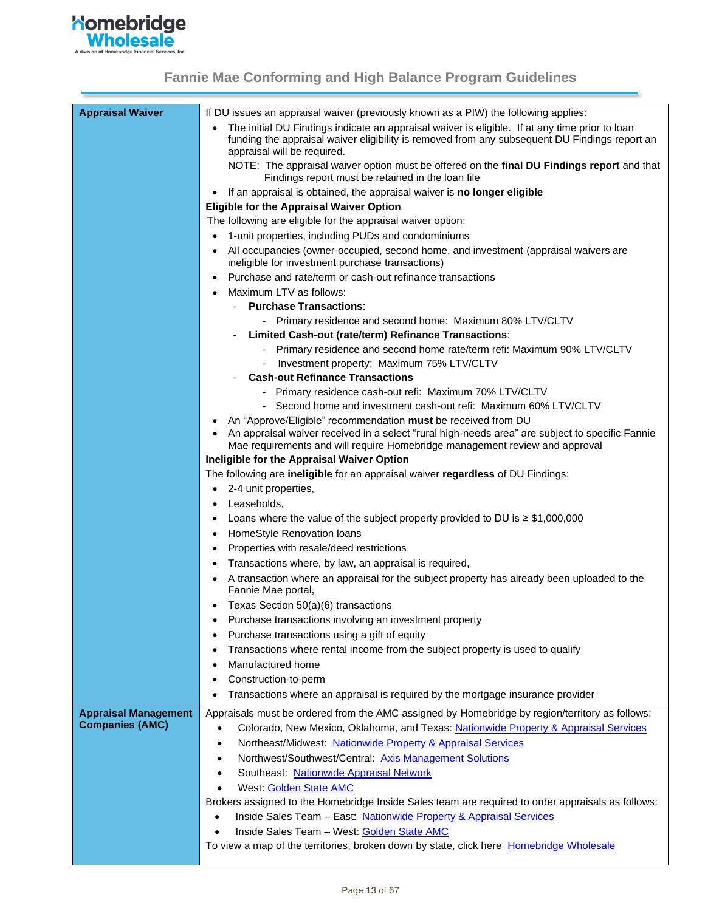

| <b>Appraisal Waiver</b>     | If DU issues an appraisal waiver (previously known as a PIW) the following applies:                                                                              |
|-----------------------------|------------------------------------------------------------------------------------------------------------------------------------------------------------------|
|                             | The initial DU Findings indicate an appraisal waiver is eligible. If at any time prior to loan                                                                   |
|                             | funding the appraisal waiver eligibility is removed from any subsequent DU Findings report an                                                                    |
|                             | appraisal will be required.<br>NOTE: The appraisal waiver option must be offered on the final DU Findings report and that                                        |
|                             | Findings report must be retained in the loan file                                                                                                                |
|                             | If an appraisal is obtained, the appraisal waiver is no longer eligible                                                                                          |
|                             | <b>Eligible for the Appraisal Waiver Option</b>                                                                                                                  |
|                             | The following are eligible for the appraisal waiver option:                                                                                                      |
|                             | 1-unit properties, including PUDs and condominiums                                                                                                               |
|                             | All occupancies (owner-occupied, second home, and investment (appraisal waivers are<br>ineligible for investment purchase transactions)                          |
|                             | Purchase and rate/term or cash-out refinance transactions                                                                                                        |
|                             | Maximum LTV as follows:                                                                                                                                          |
|                             | <b>Purchase Transactions:</b>                                                                                                                                    |
|                             | - Primary residence and second home: Maximum 80% LTV/CLTV                                                                                                        |
|                             | Limited Cash-out (rate/term) Refinance Transactions:                                                                                                             |
|                             | - Primary residence and second home rate/term refi: Maximum 90% LTV/CLTV                                                                                         |
|                             | Investment property: Maximum 75% LTV/CLTV                                                                                                                        |
|                             | <b>Cash-out Refinance Transactions</b>                                                                                                                           |
|                             | - Primary residence cash-out refi: Maximum 70% LTV/CLTV                                                                                                          |
|                             | Second home and investment cash-out refi: Maximum 60% LTV/CLTV                                                                                                   |
|                             | An "Approve/Eligible" recommendation must be received from DU<br>An appraisal waiver received in a select "rural high-needs area" are subject to specific Fannie |
|                             | Mae requirements and will require Homebridge management review and approval                                                                                      |
|                             | Ineligible for the Appraisal Waiver Option                                                                                                                       |
|                             | The following are ineligible for an appraisal waiver regardless of DU Findings:                                                                                  |
|                             | 2-4 unit properties,<br>٠                                                                                                                                        |
|                             | Leaseholds,                                                                                                                                                      |
|                             | Loans where the value of the subject property provided to DU is $\geq$ \$1,000,000                                                                               |
|                             | HomeStyle Renovation loans                                                                                                                                       |
|                             | Properties with resale/deed restrictions<br>٠                                                                                                                    |
|                             | Transactions where, by law, an appraisal is required,                                                                                                            |
|                             | A transaction where an appraisal for the subject property has already been uploaded to the<br>Fannie Mae portal,                                                 |
|                             | Texas Section 50(a)(6) transactions                                                                                                                              |
|                             | Purchase transactions involving an investment property                                                                                                           |
|                             | Purchase transactions using a gift of equity<br>٠                                                                                                                |
|                             | Transactions where rental income from the subject property is used to qualify                                                                                    |
|                             | Manufactured home                                                                                                                                                |
|                             | Construction-to-perm<br>٠                                                                                                                                        |
|                             | Transactions where an appraisal is required by the mortgage insurance provider<br>٠                                                                              |
| <b>Appraisal Management</b> | Appraisals must be ordered from the AMC assigned by Homebridge by region/territory as follows:                                                                   |
| <b>Companies (AMC)</b>      | Colorado, New Mexico, Oklahoma, and Texas: Nationwide Property & Appraisal Services<br>$\bullet$                                                                 |
|                             | Northeast/Midwest: Nationwide Property & Appraisal Services<br>$\bullet$                                                                                         |
|                             | Northwest/Southwest/Central: Axis Management Solutions<br>$\bullet$                                                                                              |
|                             | Southeast: Nationwide Appraisal Network<br>$\bullet$                                                                                                             |
|                             | West: Golden State AMC                                                                                                                                           |
|                             | Brokers assigned to the Homebridge Inside Sales team are required to order appraisals as follows:                                                                |
|                             | Inside Sales Team - East: Nationwide Property & Appraisal Services                                                                                               |
|                             | Inside Sales Team - West: Golden State AMC                                                                                                                       |
|                             | To view a map of the territories, broken down by state, click here Homebridge Wholesale                                                                          |
|                             |                                                                                                                                                                  |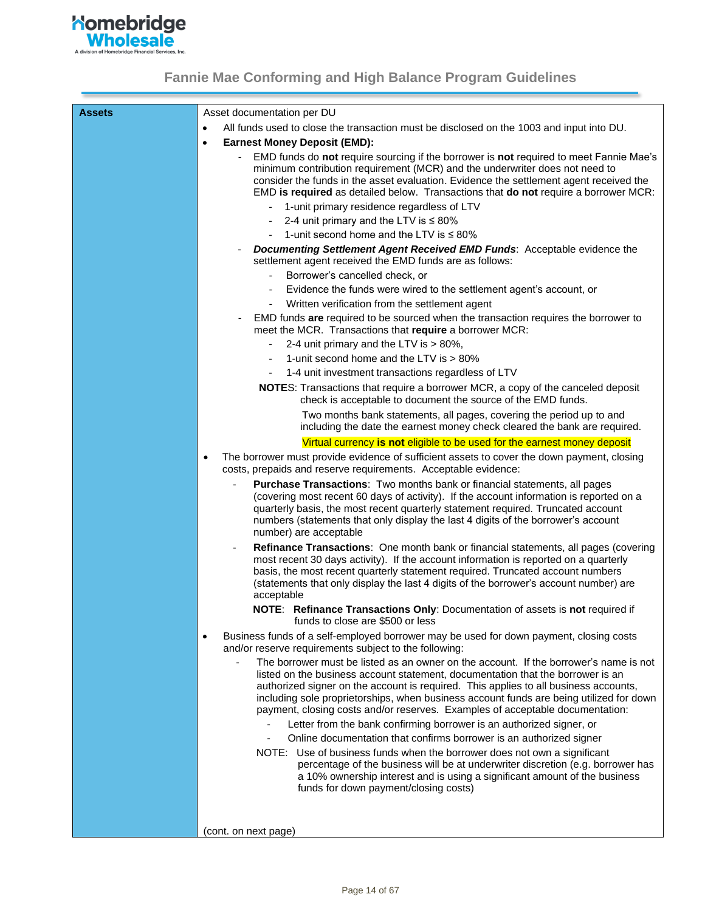

| Assets | Asset documentation per DU                                                                                                                                                                                                                                                                                                                                                                                                                                                                                           |
|--------|----------------------------------------------------------------------------------------------------------------------------------------------------------------------------------------------------------------------------------------------------------------------------------------------------------------------------------------------------------------------------------------------------------------------------------------------------------------------------------------------------------------------|
|        | All funds used to close the transaction must be disclosed on the 1003 and input into DU.<br>$\bullet$                                                                                                                                                                                                                                                                                                                                                                                                                |
|        | <b>Earnest Money Deposit (EMD):</b><br>$\bullet$                                                                                                                                                                                                                                                                                                                                                                                                                                                                     |
|        | EMD funds do not require sourcing if the borrower is not required to meet Fannie Mae's<br>minimum contribution requirement (MCR) and the underwriter does not need to<br>consider the funds in the asset evaluation. Evidence the settlement agent received the<br>EMD is required as detailed below. Transactions that do not require a borrower MCR:                                                                                                                                                               |
|        | 1-unit primary residence regardless of LTV                                                                                                                                                                                                                                                                                                                                                                                                                                                                           |
|        | 2-4 unit primary and the LTV is $\leq 80\%$                                                                                                                                                                                                                                                                                                                                                                                                                                                                          |
|        | 1-unit second home and the LTV is $\leq 80\%$                                                                                                                                                                                                                                                                                                                                                                                                                                                                        |
|        | <b>Documenting Settlement Agent Received EMD Funds:</b> Acceptable evidence the<br>settlement agent received the EMD funds are as follows:                                                                                                                                                                                                                                                                                                                                                                           |
|        | Borrower's cancelled check, or                                                                                                                                                                                                                                                                                                                                                                                                                                                                                       |
|        | Evidence the funds were wired to the settlement agent's account, or                                                                                                                                                                                                                                                                                                                                                                                                                                                  |
|        | Written verification from the settlement agent                                                                                                                                                                                                                                                                                                                                                                                                                                                                       |
|        | EMD funds are required to be sourced when the transaction requires the borrower to<br>meet the MCR. Transactions that require a borrower MCR:                                                                                                                                                                                                                                                                                                                                                                        |
|        | 2-4 unit primary and the LTV is > 80%,<br>$\overline{\phantom{a}}$                                                                                                                                                                                                                                                                                                                                                                                                                                                   |
|        | 1-unit second home and the LTV is > 80%                                                                                                                                                                                                                                                                                                                                                                                                                                                                              |
|        | 1-4 unit investment transactions regardless of LTV                                                                                                                                                                                                                                                                                                                                                                                                                                                                   |
|        | NOTES: Transactions that require a borrower MCR, a copy of the canceled deposit<br>check is acceptable to document the source of the EMD funds.                                                                                                                                                                                                                                                                                                                                                                      |
|        | Two months bank statements, all pages, covering the period up to and<br>including the date the earnest money check cleared the bank are required.                                                                                                                                                                                                                                                                                                                                                                    |
|        | Virtual currency is not eligible to be used for the earnest money deposit                                                                                                                                                                                                                                                                                                                                                                                                                                            |
|        | The borrower must provide evidence of sufficient assets to cover the down payment, closing<br>$\bullet$<br>costs, prepaids and reserve requirements. Acceptable evidence:                                                                                                                                                                                                                                                                                                                                            |
|        | Purchase Transactions: Two months bank or financial statements, all pages<br>(covering most recent 60 days of activity). If the account information is reported on a<br>quarterly basis, the most recent quarterly statement required. Truncated account<br>numbers (statements that only display the last 4 digits of the borrower's account<br>number) are acceptable                                                                                                                                              |
|        | Refinance Transactions: One month bank or financial statements, all pages (covering<br>$\overline{\phantom{a}}$<br>most recent 30 days activity). If the account information is reported on a quarterly<br>basis, the most recent quarterly statement required. Truncated account numbers<br>(statements that only display the last 4 digits of the borrower's account number) are<br>acceptable                                                                                                                     |
|        | NOTE: Refinance Transactions Only: Documentation of assets is not required if<br>funds to close are \$500 or less                                                                                                                                                                                                                                                                                                                                                                                                    |
|        | Business funds of a self-employed borrower may be used for down payment, closing costs<br>٠<br>and/or reserve requirements subject to the following:                                                                                                                                                                                                                                                                                                                                                                 |
|        | The borrower must be listed as an owner on the account. If the borrower's name is not<br>listed on the business account statement, documentation that the borrower is an<br>authorized signer on the account is required. This applies to all business accounts,<br>including sole proprietorships, when business account funds are being utilized for down<br>payment, closing costs and/or reserves. Examples of acceptable documentation:<br>Letter from the bank confirming borrower is an authorized signer, or |
|        | Online documentation that confirms borrower is an authorized signer                                                                                                                                                                                                                                                                                                                                                                                                                                                  |
|        | NOTE: Use of business funds when the borrower does not own a significant<br>percentage of the business will be at underwriter discretion (e.g. borrower has<br>a 10% ownership interest and is using a significant amount of the business<br>funds for down payment/closing costs)                                                                                                                                                                                                                                   |
|        |                                                                                                                                                                                                                                                                                                                                                                                                                                                                                                                      |
|        | (cont. on next page)                                                                                                                                                                                                                                                                                                                                                                                                                                                                                                 |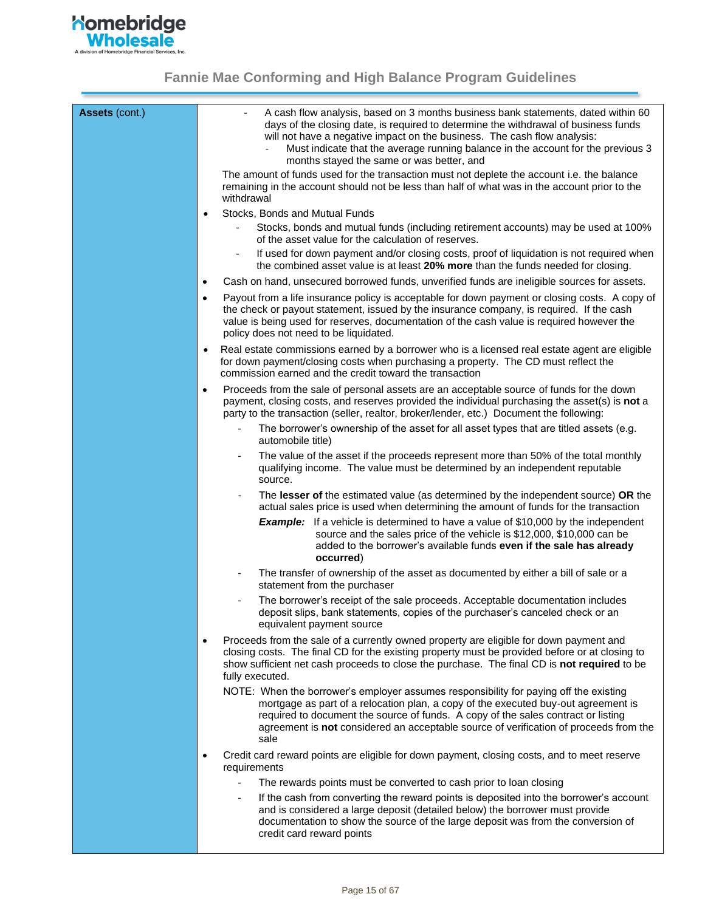

| Assets (cont.) | A cash flow analysis, based on 3 months business bank statements, dated within 60<br>days of the closing date, is required to determine the withdrawal of business funds<br>will not have a negative impact on the business. The cash flow analysis:<br>Must indicate that the average running balance in the account for the previous 3<br>months stayed the same or was better, and |
|----------------|---------------------------------------------------------------------------------------------------------------------------------------------------------------------------------------------------------------------------------------------------------------------------------------------------------------------------------------------------------------------------------------|
|                | The amount of funds used for the transaction must not deplete the account i.e. the balance<br>remaining in the account should not be less than half of what was in the account prior to the<br>withdrawal                                                                                                                                                                             |
|                | Stocks, Bonds and Mutual Funds<br>٠<br>Stocks, bonds and mutual funds (including retirement accounts) may be used at 100%                                                                                                                                                                                                                                                             |
|                | of the asset value for the calculation of reserves.                                                                                                                                                                                                                                                                                                                                   |
|                | If used for down payment and/or closing costs, proof of liquidation is not required when<br>the combined asset value is at least 20% more than the funds needed for closing.                                                                                                                                                                                                          |
|                | Cash on hand, unsecured borrowed funds, unverified funds are ineligible sources for assets.<br>$\bullet$                                                                                                                                                                                                                                                                              |
|                | Payout from a life insurance policy is acceptable for down payment or closing costs. A copy of<br>٠<br>the check or payout statement, issued by the insurance company, is required. If the cash<br>value is being used for reserves, documentation of the cash value is required however the<br>policy does not need to be liquidated.                                                |
|                | Real estate commissions earned by a borrower who is a licensed real estate agent are eligible<br>for down payment/closing costs when purchasing a property. The CD must reflect the<br>commission earned and the credit toward the transaction                                                                                                                                        |
|                | Proceeds from the sale of personal assets are an acceptable source of funds for the down<br>٠<br>payment, closing costs, and reserves provided the individual purchasing the asset(s) is not a<br>party to the transaction (seller, realtor, broker/lender, etc.) Document the following:                                                                                             |
|                | The borrower's ownership of the asset for all asset types that are titled assets (e.g.<br>automobile title)                                                                                                                                                                                                                                                                           |
|                | The value of the asset if the proceeds represent more than 50% of the total monthly<br>qualifying income. The value must be determined by an independent reputable<br>source.                                                                                                                                                                                                         |
|                | The lesser of the estimated value (as determined by the independent source) OR the<br>actual sales price is used when determining the amount of funds for the transaction                                                                                                                                                                                                             |
|                | <b>Example:</b> If a vehicle is determined to have a value of \$10,000 by the independent<br>source and the sales price of the vehicle is \$12,000, \$10,000 can be<br>added to the borrower's available funds even if the sale has already<br>occurred)                                                                                                                              |
|                | The transfer of ownership of the asset as documented by either a bill of sale or a<br>statement from the purchaser                                                                                                                                                                                                                                                                    |
|                | The borrower's receipt of the sale proceeds. Acceptable documentation includes<br>deposit slips, bank statements, copies of the purchaser's canceled check or an<br>equivalent payment source                                                                                                                                                                                         |
|                | Proceeds from the sale of a currently owned property are eligible for down payment and<br>$\bullet$<br>closing costs. The final CD for the existing property must be provided before or at closing to<br>show sufficient net cash proceeds to close the purchase. The final CD is not required to be<br>fully executed.                                                               |
|                | NOTE: When the borrower's employer assumes responsibility for paying off the existing<br>mortgage as part of a relocation plan, a copy of the executed buy-out agreement is<br>required to document the source of funds. A copy of the sales contract or listing<br>agreement is not considered an acceptable source of verification of proceeds from the<br>sale                     |
|                | Credit card reward points are eligible for down payment, closing costs, and to meet reserve<br>requirements                                                                                                                                                                                                                                                                           |
|                | The rewards points must be converted to cash prior to loan closing                                                                                                                                                                                                                                                                                                                    |
|                | If the cash from converting the reward points is deposited into the borrower's account<br>and is considered a large deposit (detailed below) the borrower must provide<br>documentation to show the source of the large deposit was from the conversion of<br>credit card reward points                                                                                               |
|                |                                                                                                                                                                                                                                                                                                                                                                                       |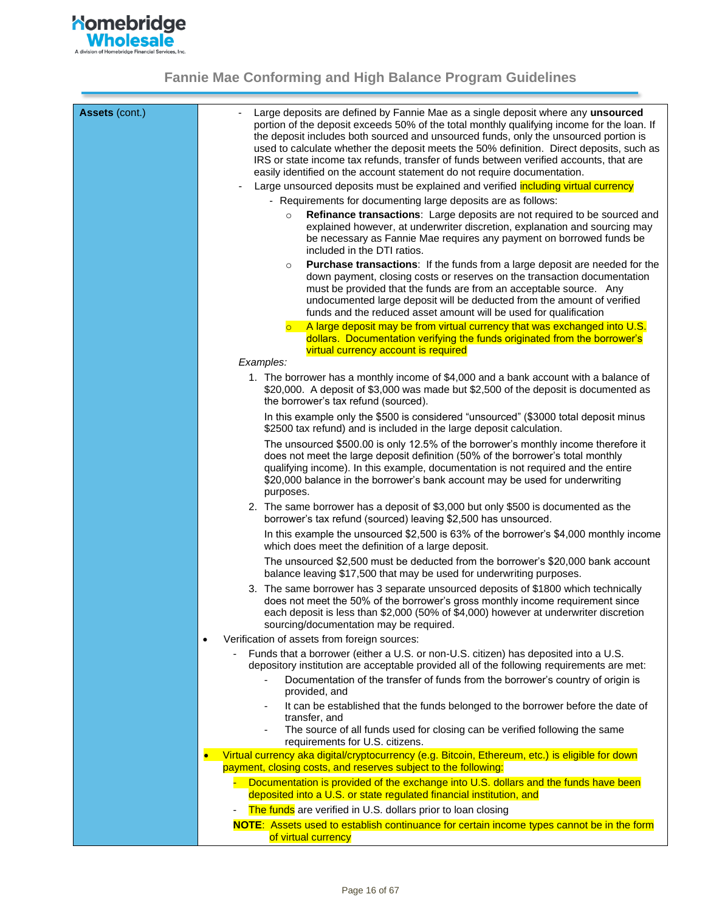

| <b>Assets (cont.)</b> | Large deposits are defined by Fannie Mae as a single deposit where any unsourced<br>portion of the deposit exceeds 50% of the total monthly qualifying income for the loan. If<br>the deposit includes both sourced and unsourced funds, only the unsourced portion is<br>used to calculate whether the deposit meets the 50% definition. Direct deposits, such as<br>IRS or state income tax refunds, transfer of funds between verified accounts, that are<br>easily identified on the account statement do not require documentation. |
|-----------------------|------------------------------------------------------------------------------------------------------------------------------------------------------------------------------------------------------------------------------------------------------------------------------------------------------------------------------------------------------------------------------------------------------------------------------------------------------------------------------------------------------------------------------------------|
|                       | Large unsourced deposits must be explained and verified including virtual currency                                                                                                                                                                                                                                                                                                                                                                                                                                                       |
|                       | - Requirements for documenting large deposits are as follows:                                                                                                                                                                                                                                                                                                                                                                                                                                                                            |
|                       | Refinance transactions: Large deposits are not required to be sourced and<br>$\circ$<br>explained however, at underwriter discretion, explanation and sourcing may<br>be necessary as Fannie Mae requires any payment on borrowed funds be<br>included in the DTI ratios.                                                                                                                                                                                                                                                                |
|                       | Purchase transactions: If the funds from a large deposit are needed for the<br>$\circ$<br>down payment, closing costs or reserves on the transaction documentation<br>must be provided that the funds are from an acceptable source. Any<br>undocumented large deposit will be deducted from the amount of verified<br>funds and the reduced asset amount will be used for qualification                                                                                                                                                 |
|                       | A large deposit may be from virtual currency that was exchanged into U.S.<br>dollars. Documentation verifying the funds originated from the borrower's<br>virtual currency account is required                                                                                                                                                                                                                                                                                                                                           |
|                       | Examples:                                                                                                                                                                                                                                                                                                                                                                                                                                                                                                                                |
|                       | 1. The borrower has a monthly income of \$4,000 and a bank account with a balance of<br>\$20,000. A deposit of \$3,000 was made but \$2,500 of the deposit is documented as<br>the borrower's tax refund (sourced).                                                                                                                                                                                                                                                                                                                      |
|                       | In this example only the \$500 is considered "unsourced" (\$3000 total deposit minus<br>\$2500 tax refund) and is included in the large deposit calculation.                                                                                                                                                                                                                                                                                                                                                                             |
|                       | The unsourced \$500.00 is only 12.5% of the borrower's monthly income therefore it<br>does not meet the large deposit definition (50% of the borrower's total monthly<br>qualifying income). In this example, documentation is not required and the entire<br>\$20,000 balance in the borrower's bank account may be used for underwriting<br>purposes.                                                                                                                                                                                  |
|                       | 2. The same borrower has a deposit of \$3,000 but only \$500 is documented as the<br>borrower's tax refund (sourced) leaving \$2,500 has unsourced.                                                                                                                                                                                                                                                                                                                                                                                      |
|                       | In this example the unsourced \$2,500 is 63% of the borrower's \$4,000 monthly income<br>which does meet the definition of a large deposit.                                                                                                                                                                                                                                                                                                                                                                                              |
|                       | The unsourced \$2,500 must be deducted from the borrower's \$20,000 bank account<br>balance leaving \$17,500 that may be used for underwriting purposes.                                                                                                                                                                                                                                                                                                                                                                                 |
|                       | 3. The same borrower has 3 separate unsourced deposits of \$1800 which technically<br>does not meet the 50% of the borrower's gross monthly income requirement since<br>each deposit is less than \$2,000 (50% of \$4,000) however at underwriter discretion<br>sourcing/documentation may be required.                                                                                                                                                                                                                                  |
|                       | Verification of assets from foreign sources:<br>$\bullet$                                                                                                                                                                                                                                                                                                                                                                                                                                                                                |
|                       | Funds that a borrower (either a U.S. or non-U.S. citizen) has deposited into a U.S.<br>depository institution are acceptable provided all of the following requirements are met:                                                                                                                                                                                                                                                                                                                                                         |
|                       | Documentation of the transfer of funds from the borrower's country of origin is<br>provided, and                                                                                                                                                                                                                                                                                                                                                                                                                                         |
|                       | It can be established that the funds belonged to the borrower before the date of                                                                                                                                                                                                                                                                                                                                                                                                                                                         |
|                       | transfer, and<br>The source of all funds used for closing can be verified following the same<br>requirements for U.S. citizens.                                                                                                                                                                                                                                                                                                                                                                                                          |
|                       | Virtual currency aka digital/cryptocurrency (e.g. Bitcoin, Ethereum, etc.) is eligible for down<br>payment, closing costs, and reserves subject to the following:                                                                                                                                                                                                                                                                                                                                                                        |
|                       | Documentation is provided of the exchange into U.S. dollars and the funds have been<br>deposited into a U.S. or state regulated financial institution, and                                                                                                                                                                                                                                                                                                                                                                               |
|                       | The funds are verified in U.S. dollars prior to loan closing                                                                                                                                                                                                                                                                                                                                                                                                                                                                             |
|                       | NOTE: Assets used to establish continuance for certain income types cannot be in the form<br>of virtual currency                                                                                                                                                                                                                                                                                                                                                                                                                         |
|                       |                                                                                                                                                                                                                                                                                                                                                                                                                                                                                                                                          |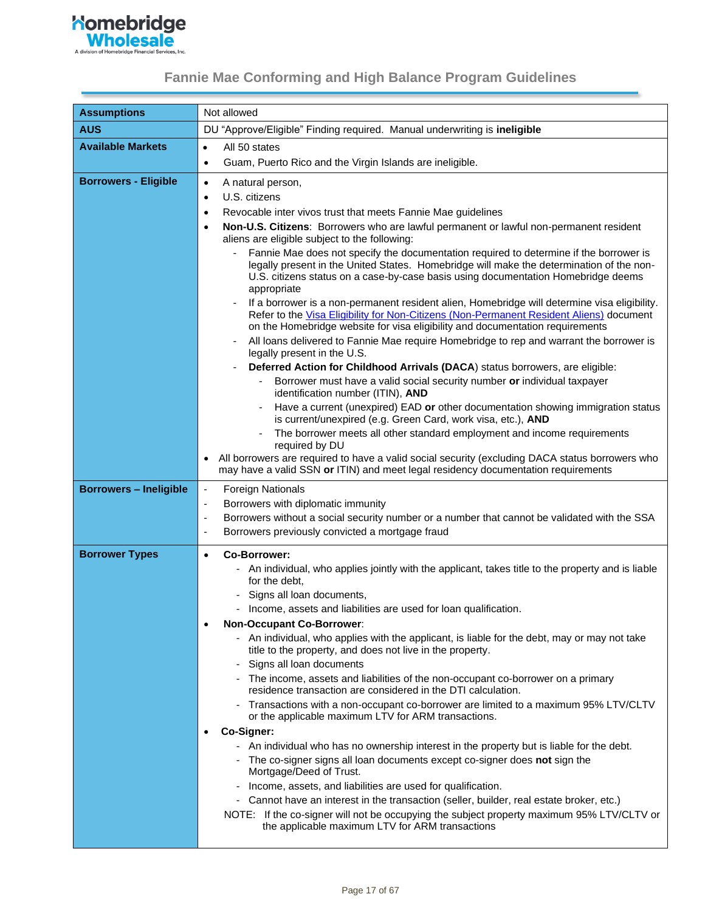

| <b>Assumptions</b>            | Not allowed                                                                                                                                                                                                                                                                                                                                                                                                                                                                                                                                                                                                                                                                                                                                                                                                                                                                                                                                                                                                                                                                                                                                                                                                                                                                                                                                                                                                                                           |
|-------------------------------|-------------------------------------------------------------------------------------------------------------------------------------------------------------------------------------------------------------------------------------------------------------------------------------------------------------------------------------------------------------------------------------------------------------------------------------------------------------------------------------------------------------------------------------------------------------------------------------------------------------------------------------------------------------------------------------------------------------------------------------------------------------------------------------------------------------------------------------------------------------------------------------------------------------------------------------------------------------------------------------------------------------------------------------------------------------------------------------------------------------------------------------------------------------------------------------------------------------------------------------------------------------------------------------------------------------------------------------------------------------------------------------------------------------------------------------------------------|
| <b>AUS</b>                    | DU "Approve/Eligible" Finding required. Manual underwriting is ineligible                                                                                                                                                                                                                                                                                                                                                                                                                                                                                                                                                                                                                                                                                                                                                                                                                                                                                                                                                                                                                                                                                                                                                                                                                                                                                                                                                                             |
| <b>Available Markets</b>      | All 50 states<br>$\bullet$                                                                                                                                                                                                                                                                                                                                                                                                                                                                                                                                                                                                                                                                                                                                                                                                                                                                                                                                                                                                                                                                                                                                                                                                                                                                                                                                                                                                                            |
|                               | Guam, Puerto Rico and the Virgin Islands are ineligible.<br>$\bullet$                                                                                                                                                                                                                                                                                                                                                                                                                                                                                                                                                                                                                                                                                                                                                                                                                                                                                                                                                                                                                                                                                                                                                                                                                                                                                                                                                                                 |
| <b>Borrowers - Eligible</b>   | A natural person,<br>$\bullet$<br>U.S. citizens<br>$\bullet$<br>Revocable inter vivos trust that meets Fannie Mae guidelines<br>$\bullet$<br>Non-U.S. Citizens: Borrowers who are lawful permanent or lawful non-permanent resident<br>$\bullet$<br>aliens are eligible subject to the following:<br>Fannie Mae does not specify the documentation required to determine if the borrower is<br>legally present in the United States. Homebridge will make the determination of the non-<br>U.S. citizens status on a case-by-case basis using documentation Homebridge deems<br>appropriate<br>If a borrower is a non-permanent resident alien, Homebridge will determine visa eligibility.<br>Refer to the Visa Eligibility for Non-Citizens (Non-Permanent Resident Aliens) document<br>on the Homebridge website for visa eligibility and documentation requirements<br>All loans delivered to Fannie Mae require Homebridge to rep and warrant the borrower is<br>legally present in the U.S.<br>Deferred Action for Childhood Arrivals (DACA) status borrowers, are eligible:<br>Borrower must have a valid social security number or individual taxpayer<br>identification number (ITIN), AND<br>Have a current (unexpired) EAD or other documentation showing immigration status<br>is current/unexpired (e.g. Green Card, work visa, etc.), AND<br>The borrower meets all other standard employment and income requirements<br>required by DU |
|                               | All borrowers are required to have a valid social security (excluding DACA status borrowers who<br>may have a valid SSN or ITIN) and meet legal residency documentation requirements                                                                                                                                                                                                                                                                                                                                                                                                                                                                                                                                                                                                                                                                                                                                                                                                                                                                                                                                                                                                                                                                                                                                                                                                                                                                  |
| <b>Borrowers - Ineligible</b> | <b>Foreign Nationals</b><br>$\overline{\phantom{a}}$<br>Borrowers with diplomatic immunity<br>Borrowers without a social security number or a number that cannot be validated with the SSA<br>Borrowers previously convicted a mortgage fraud<br>÷,                                                                                                                                                                                                                                                                                                                                                                                                                                                                                                                                                                                                                                                                                                                                                                                                                                                                                                                                                                                                                                                                                                                                                                                                   |
| <b>Borrower Types</b>         | <b>Co-Borrower:</b><br>$\bullet$<br>- An individual, who applies jointly with the applicant, takes title to the property and is liable<br>for the debt,<br>- Signs all loan documents,<br>- Income, assets and liabilities are used for loan qualification.<br><b>Non-Occupant Co-Borrower:</b><br>- An individual, who applies with the applicant, is liable for the debt, may or may not take<br>title to the property, and does not live in the property.<br>Signs all loan documents<br>The income, assets and liabilities of the non-occupant co-borrower on a primary<br>residence transaction are considered in the DTI calculation.<br>- Transactions with a non-occupant co-borrower are limited to a maximum 95% LTV/CLTV<br>or the applicable maximum LTV for ARM transactions.<br>Co-Signer:<br>- An individual who has no ownership interest in the property but is liable for the debt.<br>- The co-signer signs all loan documents except co-signer does not sign the<br>Mortgage/Deed of Trust.<br>- Income, assets, and liabilities are used for qualification.<br>- Cannot have an interest in the transaction (seller, builder, real estate broker, etc.)<br>NOTE: If the co-signer will not be occupying the subject property maximum 95% LTV/CLTV or<br>the applicable maximum LTV for ARM transactions                                                                                                                          |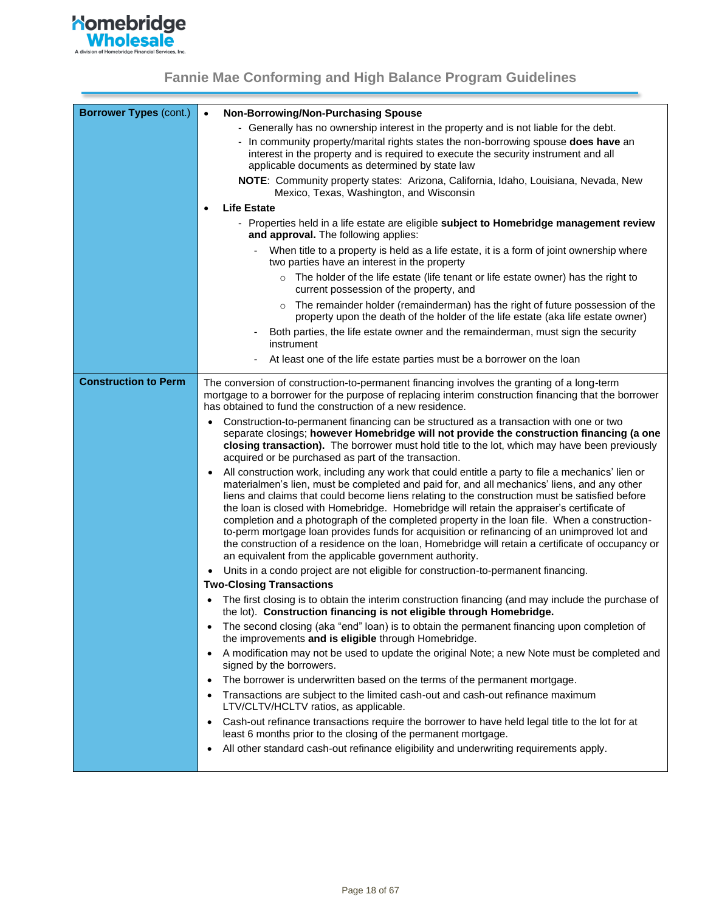

| <b>Borrower Types (cont.)</b> | Non-Borrowing/Non-Purchasing Spouse<br>$\bullet$                                                                                                                                                                                                                                                                                                                                                                                                                                                                                                                                                                                                                                                                                                                |
|-------------------------------|-----------------------------------------------------------------------------------------------------------------------------------------------------------------------------------------------------------------------------------------------------------------------------------------------------------------------------------------------------------------------------------------------------------------------------------------------------------------------------------------------------------------------------------------------------------------------------------------------------------------------------------------------------------------------------------------------------------------------------------------------------------------|
|                               | - Generally has no ownership interest in the property and is not liable for the debt.                                                                                                                                                                                                                                                                                                                                                                                                                                                                                                                                                                                                                                                                           |
|                               | - In community property/marital rights states the non-borrowing spouse does have an<br>interest in the property and is required to execute the security instrument and all<br>applicable documents as determined by state law                                                                                                                                                                                                                                                                                                                                                                                                                                                                                                                                   |
|                               | <b>NOTE:</b> Community property states: Arizona, California, Idaho, Louisiana, Nevada, New<br>Mexico, Texas, Washington, and Wisconsin                                                                                                                                                                                                                                                                                                                                                                                                                                                                                                                                                                                                                          |
|                               | <b>Life Estate</b><br>$\bullet$                                                                                                                                                                                                                                                                                                                                                                                                                                                                                                                                                                                                                                                                                                                                 |
|                               | - Properties held in a life estate are eligible subject to Homebridge management review<br>and approval. The following applies:                                                                                                                                                                                                                                                                                                                                                                                                                                                                                                                                                                                                                                 |
|                               | When title to a property is held as a life estate, it is a form of joint ownership where<br>two parties have an interest in the property                                                                                                                                                                                                                                                                                                                                                                                                                                                                                                                                                                                                                        |
|                               | $\circ$ The holder of the life estate (life tenant or life estate owner) has the right to<br>current possession of the property, and                                                                                                                                                                                                                                                                                                                                                                                                                                                                                                                                                                                                                            |
|                               | The remainder holder (remainderman) has the right of future possession of the<br>$\circ$<br>property upon the death of the holder of the life estate (aka life estate owner)                                                                                                                                                                                                                                                                                                                                                                                                                                                                                                                                                                                    |
|                               | Both parties, the life estate owner and the remainderman, must sign the security<br>instrument                                                                                                                                                                                                                                                                                                                                                                                                                                                                                                                                                                                                                                                                  |
|                               | At least one of the life estate parties must be a borrower on the loan                                                                                                                                                                                                                                                                                                                                                                                                                                                                                                                                                                                                                                                                                          |
| <b>Construction to Perm</b>   | The conversion of construction-to-permanent financing involves the granting of a long-term<br>mortgage to a borrower for the purpose of replacing interim construction financing that the borrower<br>has obtained to fund the construction of a new residence.                                                                                                                                                                                                                                                                                                                                                                                                                                                                                                 |
|                               | Construction-to-permanent financing can be structured as a transaction with one or two<br>separate closings; however Homebridge will not provide the construction financing (a one                                                                                                                                                                                                                                                                                                                                                                                                                                                                                                                                                                              |
|                               | closing transaction). The borrower must hold title to the lot, which may have been previously<br>acquired or be purchased as part of the transaction.                                                                                                                                                                                                                                                                                                                                                                                                                                                                                                                                                                                                           |
|                               | All construction work, including any work that could entitle a party to file a mechanics' lien or<br>materialmen's lien, must be completed and paid for, and all mechanics' liens, and any other<br>liens and claims that could become liens relating to the construction must be satisfied before<br>the loan is closed with Homebridge. Homebridge will retain the appraiser's certificate of<br>completion and a photograph of the completed property in the loan file. When a construction-<br>to-perm mortgage loan provides funds for acquisition or refinancing of an unimproved lot and<br>the construction of a residence on the loan, Homebridge will retain a certificate of occupancy or<br>an equivalent from the applicable government authority. |
|                               | Units in a condo project are not eligible for construction-to-permanent financing.                                                                                                                                                                                                                                                                                                                                                                                                                                                                                                                                                                                                                                                                              |
|                               | <b>Two-Closing Transactions</b>                                                                                                                                                                                                                                                                                                                                                                                                                                                                                                                                                                                                                                                                                                                                 |
|                               | The first closing is to obtain the interim construction financing (and may include the purchase of<br>the lot). Construction financing is not eligible through Homebridge.                                                                                                                                                                                                                                                                                                                                                                                                                                                                                                                                                                                      |
|                               | The second closing (aka "end" loan) is to obtain the permanent financing upon completion of<br>the improvements and is eligible through Homebridge.                                                                                                                                                                                                                                                                                                                                                                                                                                                                                                                                                                                                             |
|                               | A modification may not be used to update the original Note; a new Note must be completed and<br>signed by the borrowers.                                                                                                                                                                                                                                                                                                                                                                                                                                                                                                                                                                                                                                        |
|                               | The borrower is underwritten based on the terms of the permanent mortgage.<br>٠                                                                                                                                                                                                                                                                                                                                                                                                                                                                                                                                                                                                                                                                                 |
|                               | Transactions are subject to the limited cash-out and cash-out refinance maximum<br>LTV/CLTV/HCLTV ratios, as applicable.                                                                                                                                                                                                                                                                                                                                                                                                                                                                                                                                                                                                                                        |
|                               | Cash-out refinance transactions require the borrower to have held legal title to the lot for at<br>least 6 months prior to the closing of the permanent mortgage.                                                                                                                                                                                                                                                                                                                                                                                                                                                                                                                                                                                               |
|                               | All other standard cash-out refinance eligibility and underwriting requirements apply.<br>$\bullet$                                                                                                                                                                                                                                                                                                                                                                                                                                                                                                                                                                                                                                                             |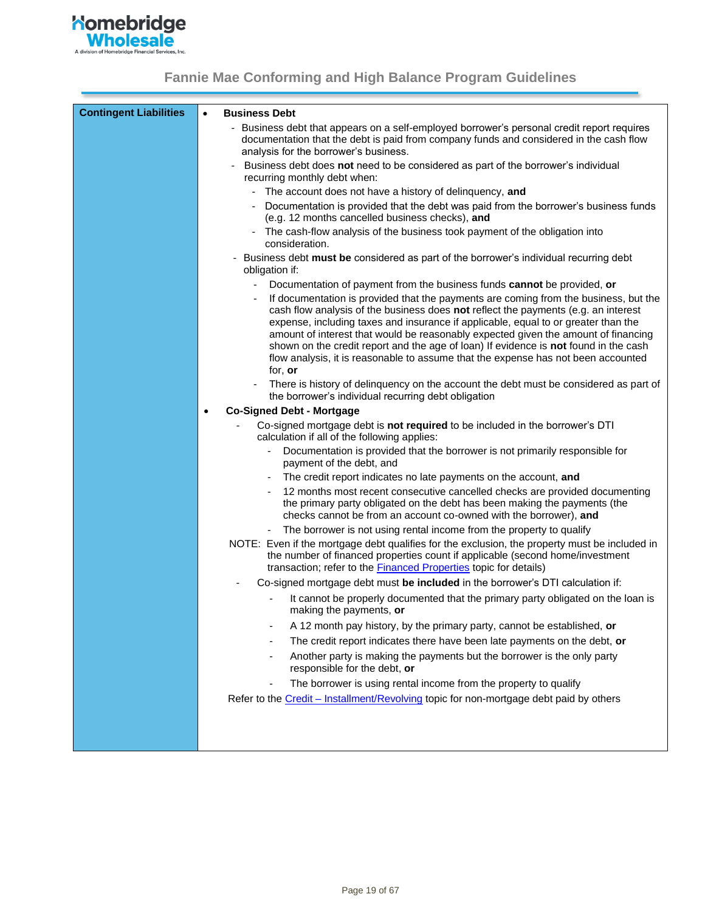

<span id="page-18-0"></span>

| <b>Contingent Liabilities</b> | $\bullet$                                     | <b>Business Debt</b>                                                                                                                                                                                                                                                                                                                                                                                                                                                                                                                |
|-------------------------------|-----------------------------------------------|-------------------------------------------------------------------------------------------------------------------------------------------------------------------------------------------------------------------------------------------------------------------------------------------------------------------------------------------------------------------------------------------------------------------------------------------------------------------------------------------------------------------------------------|
|                               |                                               | - Business debt that appears on a self-employed borrower's personal credit report requires<br>documentation that the debt is paid from company funds and considered in the cash flow<br>analysis for the borrower's business.                                                                                                                                                                                                                                                                                                       |
|                               |                                               | Business debt does not need to be considered as part of the borrower's individual<br>recurring monthly debt when:                                                                                                                                                                                                                                                                                                                                                                                                                   |
|                               |                                               | The account does not have a history of delinquency, and                                                                                                                                                                                                                                                                                                                                                                                                                                                                             |
|                               |                                               | Documentation is provided that the debt was paid from the borrower's business funds<br>(e.g. 12 months cancelled business checks), and                                                                                                                                                                                                                                                                                                                                                                                              |
|                               |                                               | The cash-flow analysis of the business took payment of the obligation into<br>consideration.                                                                                                                                                                                                                                                                                                                                                                                                                                        |
|                               |                                               | Business debt must be considered as part of the borrower's individual recurring debt<br>obligation if:                                                                                                                                                                                                                                                                                                                                                                                                                              |
|                               |                                               | Documentation of payment from the business funds cannot be provided, or                                                                                                                                                                                                                                                                                                                                                                                                                                                             |
|                               |                                               | If documentation is provided that the payments are coming from the business, but the<br>cash flow analysis of the business does not reflect the payments (e.g. an interest<br>expense, including taxes and insurance if applicable, equal to or greater than the<br>amount of interest that would be reasonably expected given the amount of financing<br>shown on the credit report and the age of loan) If evidence is not found in the cash<br>flow analysis, it is reasonable to assume that the expense has not been accounted |
|                               |                                               | for, or                                                                                                                                                                                                                                                                                                                                                                                                                                                                                                                             |
|                               |                                               | There is history of delinquency on the account the debt must be considered as part of<br>the borrower's individual recurring debt obligation                                                                                                                                                                                                                                                                                                                                                                                        |
|                               | <b>Co-Signed Debt - Mortgage</b><br>$\bullet$ |                                                                                                                                                                                                                                                                                                                                                                                                                                                                                                                                     |
|                               |                                               | Co-signed mortgage debt is not required to be included in the borrower's DTI<br>calculation if all of the following applies:                                                                                                                                                                                                                                                                                                                                                                                                        |
|                               |                                               | Documentation is provided that the borrower is not primarily responsible for<br>payment of the debt, and                                                                                                                                                                                                                                                                                                                                                                                                                            |
|                               |                                               | The credit report indicates no late payments on the account, and                                                                                                                                                                                                                                                                                                                                                                                                                                                                    |
|                               |                                               | 12 months most recent consecutive cancelled checks are provided documenting<br>the primary party obligated on the debt has been making the payments (the<br>checks cannot be from an account co-owned with the borrower), and                                                                                                                                                                                                                                                                                                       |
|                               |                                               | The borrower is not using rental income from the property to qualify<br>$\qquad \qquad \blacksquare$                                                                                                                                                                                                                                                                                                                                                                                                                                |
|                               |                                               | NOTE: Even if the mortgage debt qualifies for the exclusion, the property must be included in<br>the number of financed properties count if applicable (second home/investment<br>transaction; refer to the Financed Properties topic for details)                                                                                                                                                                                                                                                                                  |
|                               |                                               | Co-signed mortgage debt must be included in the borrower's DTI calculation if:                                                                                                                                                                                                                                                                                                                                                                                                                                                      |
|                               |                                               | It cannot be properly documented that the primary party obligated on the loan is<br>making the payments, or                                                                                                                                                                                                                                                                                                                                                                                                                         |
|                               |                                               | A 12 month pay history, by the primary party, cannot be established, or                                                                                                                                                                                                                                                                                                                                                                                                                                                             |
|                               |                                               | The credit report indicates there have been late payments on the debt, or                                                                                                                                                                                                                                                                                                                                                                                                                                                           |
|                               |                                               | Another party is making the payments but the borrower is the only party<br>responsible for the debt, or                                                                                                                                                                                                                                                                                                                                                                                                                             |
|                               |                                               | The borrower is using rental income from the property to qualify                                                                                                                                                                                                                                                                                                                                                                                                                                                                    |
|                               |                                               | Refer to the Credit - Installment/Revolving topic for non-mortgage debt paid by others                                                                                                                                                                                                                                                                                                                                                                                                                                              |
|                               |                                               |                                                                                                                                                                                                                                                                                                                                                                                                                                                                                                                                     |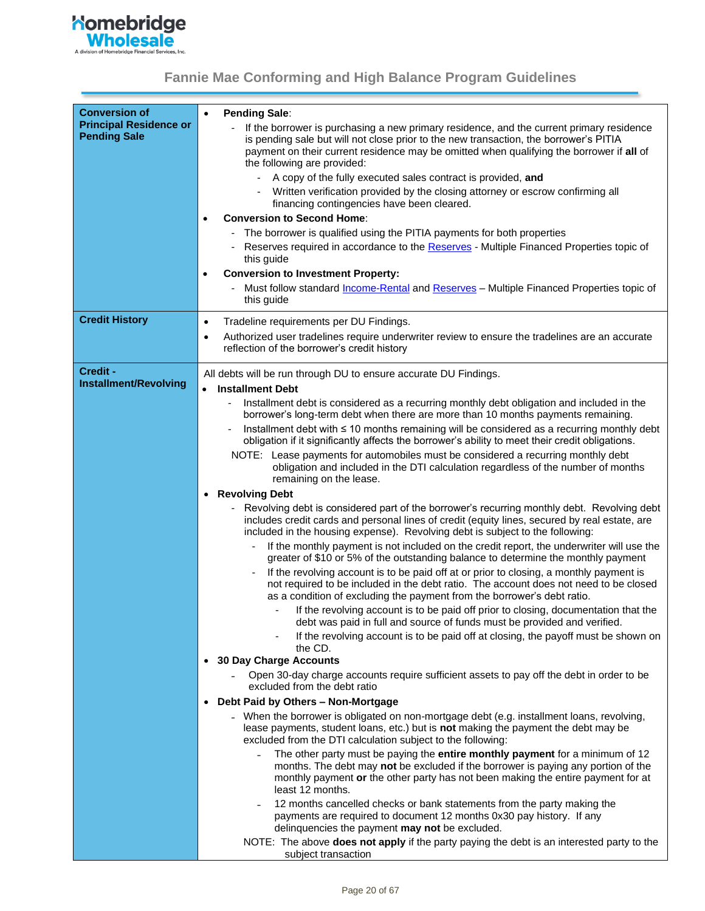**Momebridge**<br>
Mholesale

<span id="page-19-0"></span>

| <b>Conversion of</b><br><b>Principal Residence or</b><br><b>Pending Sale</b> | <b>Pending Sale:</b><br>$\bullet$<br>If the borrower is purchasing a new primary residence, and the current primary residence<br>is pending sale but will not close prior to the new transaction, the borrower's PITIA<br>payment on their current residence may be omitted when qualifying the borrower if all of<br>the following are provided:<br>A copy of the fully executed sales contract is provided, and<br>Written verification provided by the closing attorney or escrow confirming all<br>financing contingencies have been cleared.<br><b>Conversion to Second Home:</b><br>$\bullet$<br>The borrower is qualified using the PITIA payments for both properties<br>Reserves required in accordance to the Reserves - Multiple Financed Properties topic of<br>this guide<br><b>Conversion to Investment Property:</b><br>$\bullet$<br>Must follow standard <i>Income-Rental</i> and Reserves - Multiple Financed Properties topic of<br>this guide                                                                                                                                                                                                                                                                                                                                                                                                                                                                                                                                                                                                                                                                                                                                                                                                                                                                                                                                                                                                                                                                                                                                                                                                                                                                                                                                                                                                                                                                                                                                                                                                                                                                                          |
|------------------------------------------------------------------------------|-----------------------------------------------------------------------------------------------------------------------------------------------------------------------------------------------------------------------------------------------------------------------------------------------------------------------------------------------------------------------------------------------------------------------------------------------------------------------------------------------------------------------------------------------------------------------------------------------------------------------------------------------------------------------------------------------------------------------------------------------------------------------------------------------------------------------------------------------------------------------------------------------------------------------------------------------------------------------------------------------------------------------------------------------------------------------------------------------------------------------------------------------------------------------------------------------------------------------------------------------------------------------------------------------------------------------------------------------------------------------------------------------------------------------------------------------------------------------------------------------------------------------------------------------------------------------------------------------------------------------------------------------------------------------------------------------------------------------------------------------------------------------------------------------------------------------------------------------------------------------------------------------------------------------------------------------------------------------------------------------------------------------------------------------------------------------------------------------------------------------------------------------------------------------------------------------------------------------------------------------------------------------------------------------------------------------------------------------------------------------------------------------------------------------------------------------------------------------------------------------------------------------------------------------------------------------------------------------------------------------------------------------------------|
| <b>Credit History</b>                                                        | Tradeline requirements per DU Findings.<br>$\bullet$<br>Authorized user tradelines require underwriter review to ensure the tradelines are an accurate<br>٠<br>reflection of the borrower's credit history                                                                                                                                                                                                                                                                                                                                                                                                                                                                                                                                                                                                                                                                                                                                                                                                                                                                                                                                                                                                                                                                                                                                                                                                                                                                                                                                                                                                                                                                                                                                                                                                                                                                                                                                                                                                                                                                                                                                                                                                                                                                                                                                                                                                                                                                                                                                                                                                                                                |
| Credit -<br>Installment/Revolving                                            | All debts will be run through DU to ensure accurate DU Findings.<br><b>Installment Debt</b><br>$\bullet$<br>Installment debt is considered as a recurring monthly debt obligation and included in the<br>borrower's long-term debt when there are more than 10 months payments remaining.<br>Installment debt with ≤ 10 months remaining will be considered as a recurring monthly debt<br>obligation if it significantly affects the borrower's ability to meet their credit obligations.<br>NOTE: Lease payments for automobiles must be considered a recurring monthly debt<br>obligation and included in the DTI calculation regardless of the number of months<br>remaining on the lease.<br><b>Revolving Debt</b><br>$\bullet$<br>Revolving debt is considered part of the borrower's recurring monthly debt. Revolving debt<br>includes credit cards and personal lines of credit (equity lines, secured by real estate, are<br>included in the housing expense). Revolving debt is subject to the following:<br>If the monthly payment is not included on the credit report, the underwriter will use the<br>greater of \$10 or 5% of the outstanding balance to determine the monthly payment<br>If the revolving account is to be paid off at or prior to closing, a monthly payment is<br>not required to be included in the debt ratio. The account does not need to be closed<br>as a condition of excluding the payment from the borrower's debt ratio.<br>If the revolving account is to be paid off prior to closing, documentation that the<br>debt was paid in full and source of funds must be provided and verified.<br>If the revolving account is to be paid off at closing, the payoff must be shown on<br>the CD.<br><b>30 Day Charge Accounts</b><br>$\bullet$<br>Open 30-day charge accounts require sufficient assets to pay off the debt in order to be<br>excluded from the debt ratio<br>Debt Paid by Others - Non-Mortgage<br>$\bullet$<br>- When the borrower is obligated on non-mortgage debt (e.g. installment loans, revolving,<br>lease payments, student loans, etc.) but is not making the payment the debt may be<br>excluded from the DTI calculation subject to the following:<br>The other party must be paying the entire monthly payment for a minimum of 12<br>months. The debt may not be excluded if the borrower is paying any portion of the<br>monthly payment or the other party has not been making the entire payment for at<br>least 12 months.<br>12 months cancelled checks or bank statements from the party making the<br>payments are required to document 12 months 0x30 pay history. If any |
|                                                                              | delinquencies the payment may not be excluded.<br>NOTE: The above does not apply if the party paying the debt is an interested party to the<br>subject transaction                                                                                                                                                                                                                                                                                                                                                                                                                                                                                                                                                                                                                                                                                                                                                                                                                                                                                                                                                                                                                                                                                                                                                                                                                                                                                                                                                                                                                                                                                                                                                                                                                                                                                                                                                                                                                                                                                                                                                                                                                                                                                                                                                                                                                                                                                                                                                                                                                                                                                        |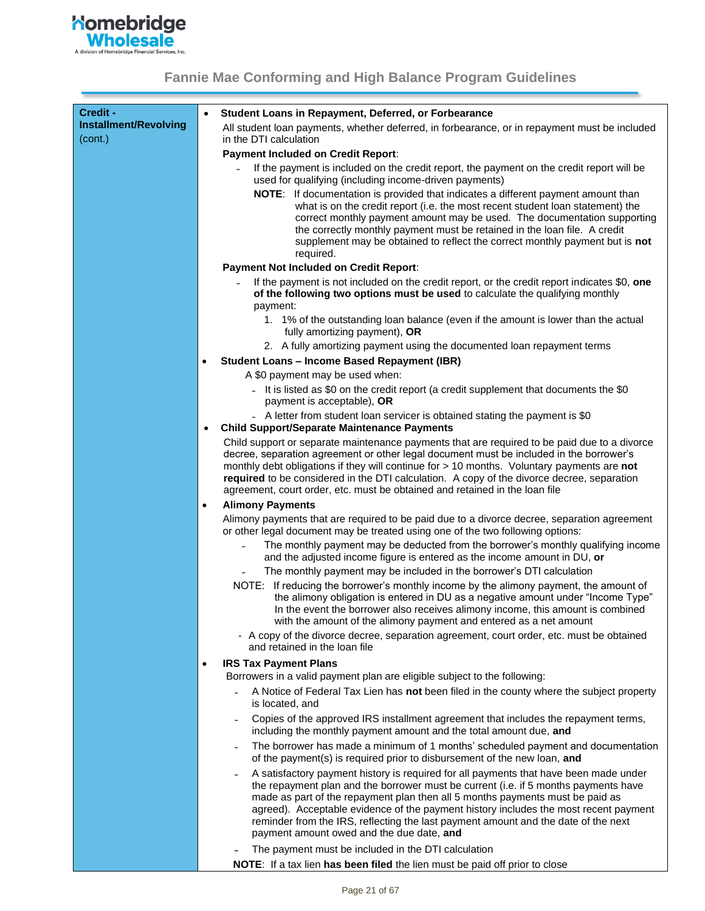

| Credit -<br>Installment/Revolving<br>(cont.) | $\bullet$                                 | Student Loans in Repayment, Deferred, or Forbearance<br>All student loan payments, whether deferred, in forbearance, or in repayment must be included<br>in the DTI calculation                                                                                                                                                                                                                                                                                                          |
|----------------------------------------------|-------------------------------------------|------------------------------------------------------------------------------------------------------------------------------------------------------------------------------------------------------------------------------------------------------------------------------------------------------------------------------------------------------------------------------------------------------------------------------------------------------------------------------------------|
|                                              | <b>Payment Included on Credit Report:</b> |                                                                                                                                                                                                                                                                                                                                                                                                                                                                                          |
|                                              |                                           | If the payment is included on the credit report, the payment on the credit report will be<br>used for qualifying (including income-driven payments)                                                                                                                                                                                                                                                                                                                                      |
|                                              |                                           | NOTE: If documentation is provided that indicates a different payment amount than<br>what is on the credit report (i.e. the most recent student loan statement) the<br>correct monthly payment amount may be used. The documentation supporting<br>the correctly monthly payment must be retained in the loan file. A credit<br>supplement may be obtained to reflect the correct monthly payment but is not<br>required.                                                                |
|                                              |                                           | <b>Payment Not Included on Credit Report:</b>                                                                                                                                                                                                                                                                                                                                                                                                                                            |
|                                              |                                           | If the payment is not included on the credit report, or the credit report indicates \$0, one<br>of the following two options must be used to calculate the qualifying monthly<br>payment:                                                                                                                                                                                                                                                                                                |
|                                              |                                           | 1. 1% of the outstanding loan balance (even if the amount is lower than the actual<br>fully amortizing payment), OR                                                                                                                                                                                                                                                                                                                                                                      |
|                                              |                                           | 2. A fully amortizing payment using the documented loan repayment terms                                                                                                                                                                                                                                                                                                                                                                                                                  |
|                                              |                                           | <b>Student Loans - Income Based Repayment (IBR)</b>                                                                                                                                                                                                                                                                                                                                                                                                                                      |
|                                              |                                           | A \$0 payment may be used when:                                                                                                                                                                                                                                                                                                                                                                                                                                                          |
|                                              |                                           | - It is listed as \$0 on the credit report (a credit supplement that documents the \$0<br>payment is acceptable), OR                                                                                                                                                                                                                                                                                                                                                                     |
|                                              | $\bullet$                                 | - A letter from student loan servicer is obtained stating the payment is \$0<br><b>Child Support/Separate Maintenance Payments</b>                                                                                                                                                                                                                                                                                                                                                       |
|                                              |                                           | Child support or separate maintenance payments that are required to be paid due to a divorce<br>decree, separation agreement or other legal document must be included in the borrower's<br>monthly debt obligations if they will continue for > 10 months. Voluntary payments are not<br>required to be considered in the DTI calculation. A copy of the divorce decree, separation<br>agreement, court order, etc. must be obtained and retained in the loan file                       |
|                                              | ٠                                         | <b>Alimony Payments</b>                                                                                                                                                                                                                                                                                                                                                                                                                                                                  |
|                                              |                                           | Alimony payments that are required to be paid due to a divorce decree, separation agreement<br>or other legal document may be treated using one of the two following options:                                                                                                                                                                                                                                                                                                            |
|                                              |                                           | The monthly payment may be deducted from the borrower's monthly qualifying income<br>and the adjusted income figure is entered as the income amount in DU, or<br>The monthly payment may be included in the borrower's DTI calculation                                                                                                                                                                                                                                                   |
|                                              |                                           | NOTE: If reducing the borrower's monthly income by the alimony payment, the amount of<br>the alimony obligation is entered in DU as a negative amount under "Income Type"<br>In the event the borrower also receives alimony income, this amount is combined<br>with the amount of the alimony payment and entered as a net amount<br>- A copy of the divorce decree, separation agreement, court order, etc. must be obtained<br>and retained in the loan file                          |
|                                              | ٠                                         | <b>IRS Tax Payment Plans</b>                                                                                                                                                                                                                                                                                                                                                                                                                                                             |
|                                              |                                           | Borrowers in a valid payment plan are eligible subject to the following:                                                                                                                                                                                                                                                                                                                                                                                                                 |
|                                              |                                           | A Notice of Federal Tax Lien has not been filed in the county where the subject property<br>is located, and                                                                                                                                                                                                                                                                                                                                                                              |
|                                              |                                           | Copies of the approved IRS installment agreement that includes the repayment terms,<br>including the monthly payment amount and the total amount due, and                                                                                                                                                                                                                                                                                                                                |
|                                              |                                           | The borrower has made a minimum of 1 months' scheduled payment and documentation<br>of the payment(s) is required prior to disbursement of the new loan, and                                                                                                                                                                                                                                                                                                                             |
|                                              |                                           | A satisfactory payment history is required for all payments that have been made under<br>the repayment plan and the borrower must be current (i.e. if 5 months payments have<br>made as part of the repayment plan then all 5 months payments must be paid as<br>agreed). Acceptable evidence of the payment history includes the most recent payment<br>reminder from the IRS, reflecting the last payment amount and the date of the next<br>payment amount owed and the due date, and |
|                                              |                                           | The payment must be included in the DTI calculation                                                                                                                                                                                                                                                                                                                                                                                                                                      |
|                                              |                                           | NOTE: If a tax lien has been filed the lien must be paid off prior to close                                                                                                                                                                                                                                                                                                                                                                                                              |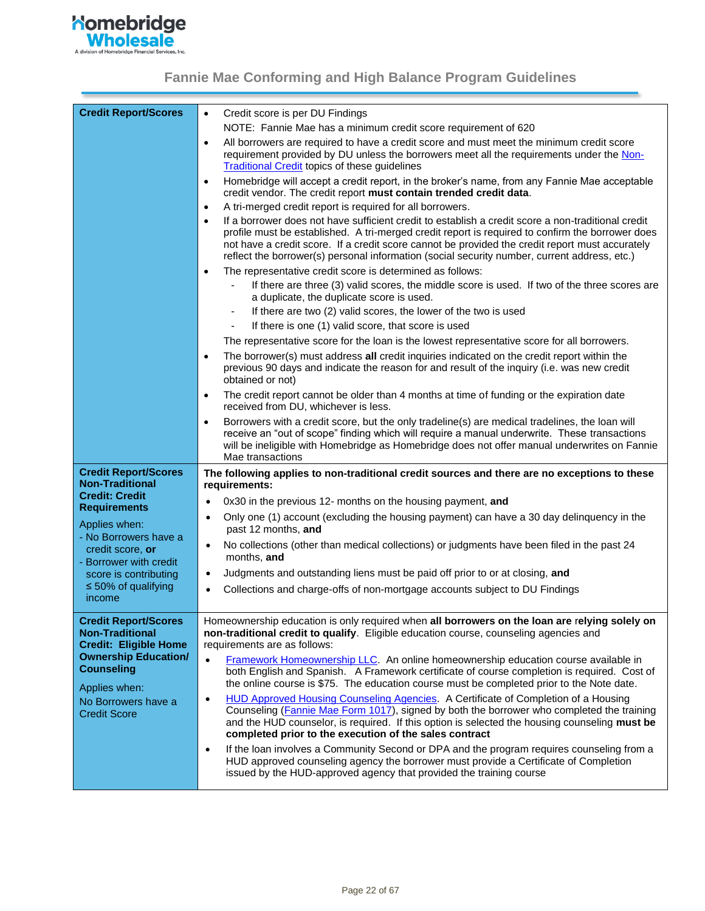

<span id="page-21-1"></span><span id="page-21-0"></span>

| <b>Credit Report/Scores</b>                                                                                                                                                                   | Credit score is per DU Findings<br>$\bullet$                                                                                                                                                                                                                                                                                                                                                                           |  |  |
|-----------------------------------------------------------------------------------------------------------------------------------------------------------------------------------------------|------------------------------------------------------------------------------------------------------------------------------------------------------------------------------------------------------------------------------------------------------------------------------------------------------------------------------------------------------------------------------------------------------------------------|--|--|
|                                                                                                                                                                                               | NOTE: Fannie Mae has a minimum credit score requirement of 620                                                                                                                                                                                                                                                                                                                                                         |  |  |
|                                                                                                                                                                                               | All borrowers are required to have a credit score and must meet the minimum credit score<br>$\bullet$<br>requirement provided by DU unless the borrowers meet all the requirements under the Non-<br><b>Traditional Credit topics of these guidelines</b>                                                                                                                                                              |  |  |
|                                                                                                                                                                                               | Homebridge will accept a credit report, in the broker's name, from any Fannie Mae acceptable<br>$\bullet$<br>credit vendor. The credit report must contain trended credit data.                                                                                                                                                                                                                                        |  |  |
|                                                                                                                                                                                               | A tri-merged credit report is required for all borrowers.<br>$\bullet$                                                                                                                                                                                                                                                                                                                                                 |  |  |
|                                                                                                                                                                                               | If a borrower does not have sufficient credit to establish a credit score a non-traditional credit<br>$\bullet$<br>profile must be established. A tri-merged credit report is required to confirm the borrower does<br>not have a credit score. If a credit score cannot be provided the credit report must accurately<br>reflect the borrower(s) personal information (social security number, current address, etc.) |  |  |
|                                                                                                                                                                                               | The representative credit score is determined as follows:<br>$\bullet$                                                                                                                                                                                                                                                                                                                                                 |  |  |
|                                                                                                                                                                                               | If there are three (3) valid scores, the middle score is used. If two of the three scores are<br>a duplicate, the duplicate score is used.                                                                                                                                                                                                                                                                             |  |  |
|                                                                                                                                                                                               | If there are two (2) valid scores, the lower of the two is used                                                                                                                                                                                                                                                                                                                                                        |  |  |
|                                                                                                                                                                                               | If there is one (1) valid score, that score is used                                                                                                                                                                                                                                                                                                                                                                    |  |  |
|                                                                                                                                                                                               | The representative score for the loan is the lowest representative score for all borrowers.                                                                                                                                                                                                                                                                                                                            |  |  |
|                                                                                                                                                                                               | The borrower(s) must address all credit inquiries indicated on the credit report within the<br>$\bullet$<br>previous 90 days and indicate the reason for and result of the inquiry (i.e. was new credit<br>obtained or not)                                                                                                                                                                                            |  |  |
|                                                                                                                                                                                               | The credit report cannot be older than 4 months at time of funding or the expiration date<br>$\bullet$<br>received from DU, whichever is less.                                                                                                                                                                                                                                                                         |  |  |
|                                                                                                                                                                                               | Borrowers with a credit score, but the only tradeline(s) are medical tradelines, the loan will<br>$\bullet$<br>receive an "out of scope" finding which will require a manual underwrite. These transactions<br>will be ineligible with Homebridge as Homebridge does not offer manual underwrites on Fannie<br>Mae transactions                                                                                        |  |  |
| <b>Credit Report/Scores</b><br><b>Non-Traditional</b><br><b>Credit: Credit</b><br><b>Requirements</b><br>Applies when:<br>- No Borrowers have a<br>credit score, or<br>- Borrower with credit | The following applies to non-traditional credit sources and there are no exceptions to these<br>requirements:                                                                                                                                                                                                                                                                                                          |  |  |
|                                                                                                                                                                                               | 0x30 in the previous 12- months on the housing payment, and                                                                                                                                                                                                                                                                                                                                                            |  |  |
|                                                                                                                                                                                               | Only one (1) account (excluding the housing payment) can have a 30 day delinquency in the<br>$\bullet$<br>past 12 months, and                                                                                                                                                                                                                                                                                          |  |  |
|                                                                                                                                                                                               | No collections (other than medical collections) or judgments have been filed in the past 24<br>$\bullet$<br>months, and                                                                                                                                                                                                                                                                                                |  |  |
| score is contributing                                                                                                                                                                         | Judgments and outstanding liens must be paid off prior to or at closing, and<br>$\bullet$                                                                                                                                                                                                                                                                                                                              |  |  |
| $\leq 50\%$ of qualifying<br>income                                                                                                                                                           | Collections and charge-offs of non-mortgage accounts subject to DU Findings                                                                                                                                                                                                                                                                                                                                            |  |  |
| <b>Credit Report/Scores</b><br><b>Non-Traditional</b>                                                                                                                                         | Homeownership education is only required when all borrowers on the loan are relying solely on<br>non-traditional credit to qualify. Eligible education course, counseling agencies and                                                                                                                                                                                                                                 |  |  |
| <b>Credit: Eligible Home</b>                                                                                                                                                                  | requirements are as follows:                                                                                                                                                                                                                                                                                                                                                                                           |  |  |
| <b>Ownership Education/</b>                                                                                                                                                                   | Framework Homeownership LLC. An online homeownership education course available in                                                                                                                                                                                                                                                                                                                                     |  |  |
| <b>Counseling</b><br>Applies when:                                                                                                                                                            | both English and Spanish. A Framework certificate of course completion is required. Cost of<br>the online course is \$75. The education course must be completed prior to the Note date.                                                                                                                                                                                                                               |  |  |
| No Borrowers have a<br><b>Credit Score</b>                                                                                                                                                    | <b>HUD Approved Housing Counseling Agencies.</b> A Certificate of Completion of a Housing<br>$\bullet$<br>Counseling (Fannie Mae Form 1017), signed by both the borrower who completed the training<br>and the HUD counselor, is required. If this option is selected the housing counseling must be<br>completed prior to the execution of the sales contract                                                         |  |  |
|                                                                                                                                                                                               | If the loan involves a Community Second or DPA and the program requires counseling from a<br>$\bullet$<br>HUD approved counseling agency the borrower must provide a Certificate of Completion<br>issued by the HUD-approved agency that provided the training course                                                                                                                                                  |  |  |
|                                                                                                                                                                                               |                                                                                                                                                                                                                                                                                                                                                                                                                        |  |  |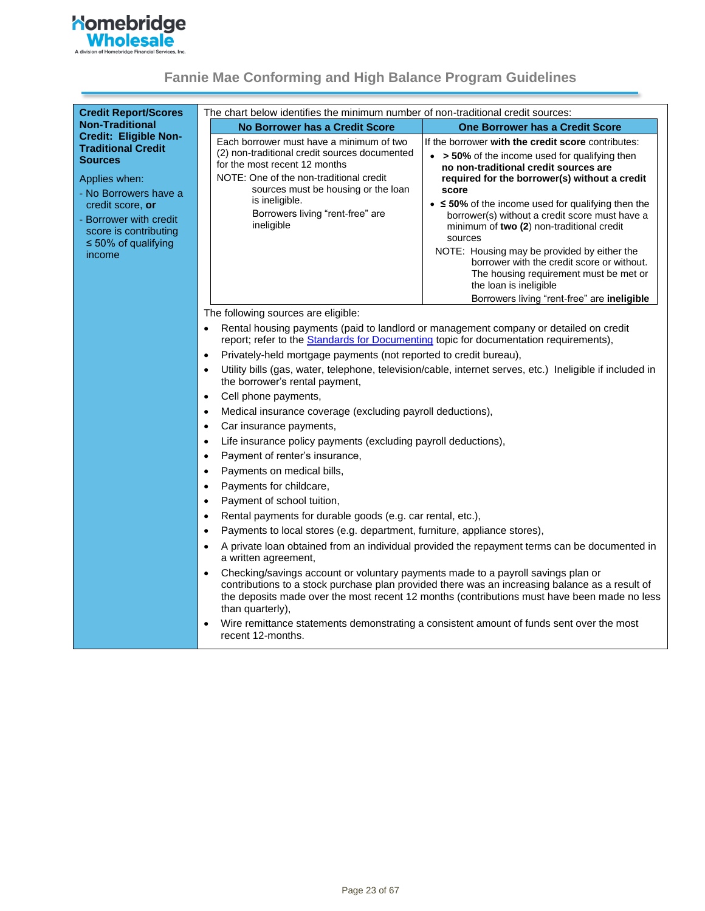# **Momebridge**<br>
Mholesale

<span id="page-22-0"></span>

| <b>Credit Report/Scores</b>                                                                                                                                  | The chart below identifies the minimum number of non-traditional credit sources:                                                                                 |                                                                                                                                                                                                              |
|--------------------------------------------------------------------------------------------------------------------------------------------------------------|------------------------------------------------------------------------------------------------------------------------------------------------------------------|--------------------------------------------------------------------------------------------------------------------------------------------------------------------------------------------------------------|
| <b>Non-Traditional</b>                                                                                                                                       | No Borrower has a Credit Score                                                                                                                                   | One Borrower has a Credit Score                                                                                                                                                                              |
| <b>Credit: Eligible Non-</b><br><b>Traditional Credit</b>                                                                                                    | Each borrower must have a minimum of two                                                                                                                         | If the borrower with the credit score contributes:                                                                                                                                                           |
| <b>Sources</b><br>Applies when:<br>- No Borrowers have a<br>credit score, or<br>- Borrower with credit<br>score is contributing<br>$\leq 50\%$ of qualifying | (2) non-traditional credit sources documented<br>for the most recent 12 months<br>NOTE: One of the non-traditional credit<br>sources must be housing or the loan | • > 50% of the income used for qualifying then<br>no non-traditional credit sources are<br>required for the borrower(s) without a credit<br>score                                                            |
|                                                                                                                                                              | is ineligible.<br>Borrowers living "rent-free" are<br>ineligible                                                                                                 | • $\leq$ 50% of the income used for qualifying then the<br>borrower(s) without a credit score must have a<br>minimum of two (2) non-traditional credit<br>sources                                            |
| income                                                                                                                                                       |                                                                                                                                                                  | NOTE: Housing may be provided by either the<br>borrower with the credit score or without.<br>The housing requirement must be met or<br>the loan is ineligible<br>Borrowers living "rent-free" are ineligible |
|                                                                                                                                                              | The following sources are eligible:                                                                                                                              |                                                                                                                                                                                                              |
|                                                                                                                                                              | Rental housing payments (paid to landlord or management company or detailed on credit<br>$\bullet$                                                               |                                                                                                                                                                                                              |
|                                                                                                                                                              | report; refer to the Standards for Documenting topic for documentation requirements),                                                                            |                                                                                                                                                                                                              |
|                                                                                                                                                              | Privately-held mortgage payments (not reported to credit bureau),<br>$\bullet$                                                                                   |                                                                                                                                                                                                              |
|                                                                                                                                                              | $\bullet$<br>the borrower's rental payment,                                                                                                                      | Utility bills (gas, water, telephone, television/cable, internet serves, etc.) Ineligible if included in                                                                                                     |
|                                                                                                                                                              | Cell phone payments,<br>$\bullet$                                                                                                                                |                                                                                                                                                                                                              |
|                                                                                                                                                              | Medical insurance coverage (excluding payroll deductions),<br>$\bullet$                                                                                          |                                                                                                                                                                                                              |
|                                                                                                                                                              | Car insurance payments,<br>$\bullet$                                                                                                                             |                                                                                                                                                                                                              |
|                                                                                                                                                              | Life insurance policy payments (excluding payroll deductions),<br>$\bullet$                                                                                      |                                                                                                                                                                                                              |
|                                                                                                                                                              | Payment of renter's insurance,<br>$\bullet$                                                                                                                      |                                                                                                                                                                                                              |
|                                                                                                                                                              | Payments on medical bills,<br>$\bullet$                                                                                                                          |                                                                                                                                                                                                              |
|                                                                                                                                                              | Payments for childcare,<br>$\bullet$                                                                                                                             |                                                                                                                                                                                                              |
|                                                                                                                                                              | Payment of school tuition,<br>$\bullet$                                                                                                                          |                                                                                                                                                                                                              |
|                                                                                                                                                              | Rental payments for durable goods (e.g. car rental, etc.),<br>$\bullet$                                                                                          |                                                                                                                                                                                                              |
|                                                                                                                                                              | Payments to local stores (e.g. department, furniture, appliance stores),<br>$\bullet$                                                                            |                                                                                                                                                                                                              |
|                                                                                                                                                              | $\bullet$<br>a written agreement,                                                                                                                                | A private loan obtained from an individual provided the repayment terms can be documented in                                                                                                                 |
|                                                                                                                                                              | Checking/savings account or voluntary payments made to a payroll savings plan or<br>$\bullet$<br>than quarterly),                                                | contributions to a stock purchase plan provided there was an increasing balance as a result of<br>the deposits made over the most recent 12 months (contributions must have been made no less                |
|                                                                                                                                                              | $\bullet$<br>recent 12-months.                                                                                                                                   | Wire remittance statements demonstrating a consistent amount of funds sent over the most                                                                                                                     |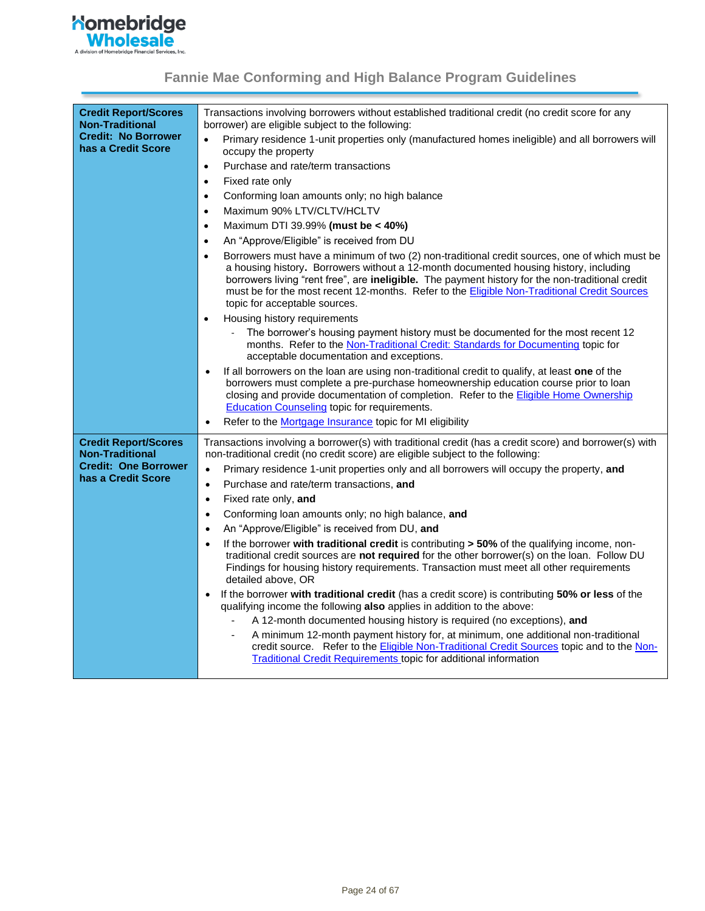

| <b>Credit Report/Scores</b><br><b>Non-Traditional</b> | Transactions involving borrowers without established traditional credit (no credit score for any<br>borrower) are eligible subject to the following:                                                                                                                                                                                                                                                                                    |
|-------------------------------------------------------|-----------------------------------------------------------------------------------------------------------------------------------------------------------------------------------------------------------------------------------------------------------------------------------------------------------------------------------------------------------------------------------------------------------------------------------------|
| <b>Credit: No Borrower</b><br>has a Credit Score      | Primary residence 1-unit properties only (manufactured homes ineligible) and all borrowers will<br>$\bullet$<br>occupy the property                                                                                                                                                                                                                                                                                                     |
|                                                       | Purchase and rate/term transactions<br>$\bullet$                                                                                                                                                                                                                                                                                                                                                                                        |
|                                                       | Fixed rate only<br>$\bullet$                                                                                                                                                                                                                                                                                                                                                                                                            |
|                                                       | Conforming loan amounts only; no high balance<br>$\bullet$                                                                                                                                                                                                                                                                                                                                                                              |
|                                                       | Maximum 90% LTV/CLTV/HCLTV<br>$\bullet$                                                                                                                                                                                                                                                                                                                                                                                                 |
|                                                       | Maximum DTI 39.99% (must be < 40%)<br>$\bullet$                                                                                                                                                                                                                                                                                                                                                                                         |
|                                                       | An "Approve/Eligible" is received from DU<br>$\bullet$                                                                                                                                                                                                                                                                                                                                                                                  |
|                                                       | Borrowers must have a minimum of two (2) non-traditional credit sources, one of which must be<br>$\bullet$<br>a housing history. Borrowers without a 12-month documented housing history, including<br>borrowers living "rent free", are ineligible. The payment history for the non-traditional credit<br>must be for the most recent 12-months. Refer to the Eligible Non-Traditional Credit Sources<br>topic for acceptable sources. |
|                                                       | Housing history requirements<br>$\bullet$                                                                                                                                                                                                                                                                                                                                                                                               |
|                                                       | The borrower's housing payment history must be documented for the most recent 12<br>months. Refer to the Non-Traditional Credit: Standards for Documenting topic for<br>acceptable documentation and exceptions.                                                                                                                                                                                                                        |
|                                                       | If all borrowers on the loan are using non-traditional credit to qualify, at least one of the<br>٠<br>borrowers must complete a pre-purchase homeownership education course prior to loan<br>closing and provide documentation of completion. Refer to the Eligible Home Ownership<br><b>Education Counseling topic for requirements.</b>                                                                                               |
|                                                       | Refer to the <b>Mortgage Insurance</b> topic for MI eligibility<br>$\bullet$                                                                                                                                                                                                                                                                                                                                                            |
| <b>Credit Report/Scores</b><br><b>Non-Traditional</b> | Transactions involving a borrower(s) with traditional credit (has a credit score) and borrower(s) with<br>non-traditional credit (no credit score) are eligible subject to the following:                                                                                                                                                                                                                                               |
| <b>Credit: One Borrower</b><br>has a Credit Score     | Primary residence 1-unit properties only and all borrowers will occupy the property, and<br>$\bullet$                                                                                                                                                                                                                                                                                                                                   |
|                                                       | Purchase and rate/term transactions, and<br>$\bullet$                                                                                                                                                                                                                                                                                                                                                                                   |
|                                                       | Fixed rate only, and<br>$\bullet$                                                                                                                                                                                                                                                                                                                                                                                                       |
|                                                       | Conforming loan amounts only; no high balance, and<br>$\bullet$                                                                                                                                                                                                                                                                                                                                                                         |
|                                                       | An "Approve/Eligible" is received from DU, and<br>$\bullet$                                                                                                                                                                                                                                                                                                                                                                             |
|                                                       | If the borrower with traditional credit is contributing > 50% of the qualifying income, non-<br>$\bullet$<br>traditional credit sources are not required for the other borrower(s) on the loan. Follow DU<br>Findings for housing history requirements. Transaction must meet all other requirements<br>detailed above, OR                                                                                                              |
|                                                       | If the borrower with traditional credit (has a credit score) is contributing 50% or less of the<br>$\bullet$<br>qualifying income the following also applies in addition to the above:                                                                                                                                                                                                                                                  |
|                                                       | A 12-month documented housing history is required (no exceptions), and                                                                                                                                                                                                                                                                                                                                                                  |
|                                                       | A minimum 12-month payment history for, at minimum, one additional non-traditional<br>credit source. Refer to the Eligible Non-Traditional Credit Sources topic and to the Non-<br><b>Traditional Credit Requirements topic for additional information</b>                                                                                                                                                                              |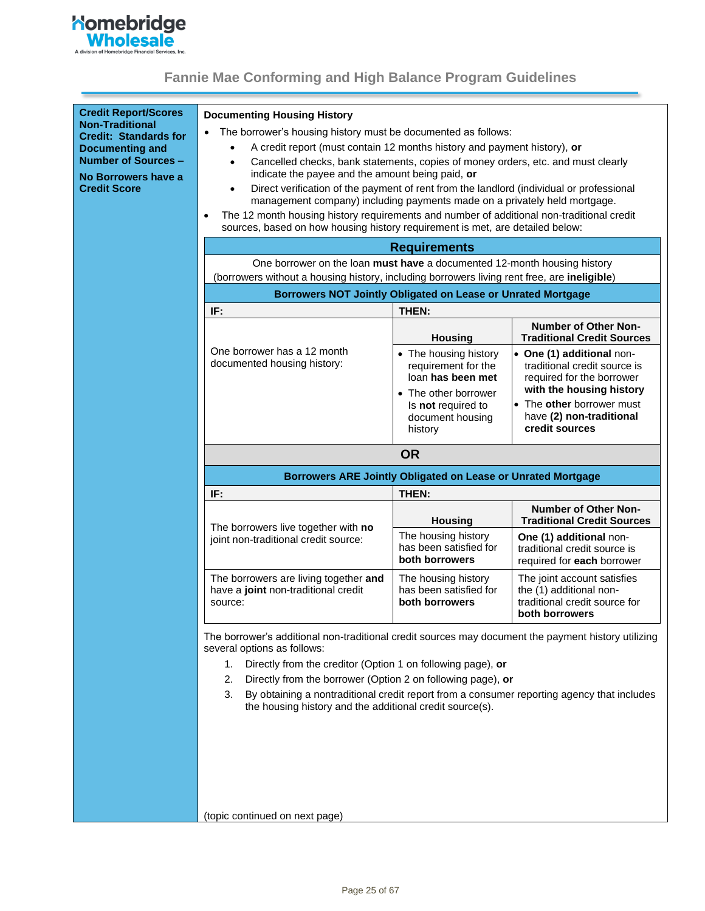

<span id="page-24-1"></span><span id="page-24-0"></span>

| <b>Credit Report/Scores</b><br><b>Non-Traditional</b><br><b>Credit: Standards for</b><br><b>Documenting and</b><br><b>Number of Sources -</b><br>No Borrowers have a<br><b>Credit Score</b> | <b>Documenting Housing History</b><br>The borrower's housing history must be documented as follows:<br>A credit report (must contain 12 months history and payment history), or<br>Cancelled checks, bank statements, copies of money orders, etc. and must clearly<br>٠<br>indicate the payee and the amount being paid, or<br>Direct verification of the payment of rent from the landlord (individual or professional<br>$\bullet$<br>management company) including payments made on a privately held mortgage.<br>The 12 month housing history requirements and number of additional non-traditional credit<br>$\bullet$<br>sources, based on how housing history requirement is met, are detailed below:<br><b>Requirements</b> |                                                                                                                                                                                                                                                                                                                                                                  |                                                                                                                    |  |
|---------------------------------------------------------------------------------------------------------------------------------------------------------------------------------------------|--------------------------------------------------------------------------------------------------------------------------------------------------------------------------------------------------------------------------------------------------------------------------------------------------------------------------------------------------------------------------------------------------------------------------------------------------------------------------------------------------------------------------------------------------------------------------------------------------------------------------------------------------------------------------------------------------------------------------------------|------------------------------------------------------------------------------------------------------------------------------------------------------------------------------------------------------------------------------------------------------------------------------------------------------------------------------------------------------------------|--------------------------------------------------------------------------------------------------------------------|--|
|                                                                                                                                                                                             | One borrower on the loan must have a documented 12-month housing history                                                                                                                                                                                                                                                                                                                                                                                                                                                                                                                                                                                                                                                             |                                                                                                                                                                                                                                                                                                                                                                  |                                                                                                                    |  |
|                                                                                                                                                                                             | (borrowers without a housing history, including borrowers living rent free, are ineligible)                                                                                                                                                                                                                                                                                                                                                                                                                                                                                                                                                                                                                                          |                                                                                                                                                                                                                                                                                                                                                                  |                                                                                                                    |  |
|                                                                                                                                                                                             | Borrowers NOT Jointly Obligated on Lease or Unrated Mortgage                                                                                                                                                                                                                                                                                                                                                                                                                                                                                                                                                                                                                                                                         |                                                                                                                                                                                                                                                                                                                                                                  |                                                                                                                    |  |
|                                                                                                                                                                                             | IF:                                                                                                                                                                                                                                                                                                                                                                                                                                                                                                                                                                                                                                                                                                                                  | THEN:                                                                                                                                                                                                                                                                                                                                                            |                                                                                                                    |  |
|                                                                                                                                                                                             |                                                                                                                                                                                                                                                                                                                                                                                                                                                                                                                                                                                                                                                                                                                                      | <b>Housing</b>                                                                                                                                                                                                                                                                                                                                                   | <b>Number of Other Non-</b><br><b>Traditional Credit Sources</b>                                                   |  |
|                                                                                                                                                                                             | One borrower has a 12 month<br>documented housing history:                                                                                                                                                                                                                                                                                                                                                                                                                                                                                                                                                                                                                                                                           | • The housing history<br>requirement for the<br>loan has been met                                                                                                                                                                                                                                                                                                | • One (1) additional non-<br>traditional credit source is<br>required for the borrower<br>with the housing history |  |
|                                                                                                                                                                                             |                                                                                                                                                                                                                                                                                                                                                                                                                                                                                                                                                                                                                                                                                                                                      | Is not required to<br>document housing<br>history                                                                                                                                                                                                                                                                                                                | • The other borrower must<br>have (2) non-traditional<br>credit sources                                            |  |
|                                                                                                                                                                                             |                                                                                                                                                                                                                                                                                                                                                                                                                                                                                                                                                                                                                                                                                                                                      | <b>OR</b>                                                                                                                                                                                                                                                                                                                                                        |                                                                                                                    |  |
|                                                                                                                                                                                             |                                                                                                                                                                                                                                                                                                                                                                                                                                                                                                                                                                                                                                                                                                                                      | Borrowers ARE Jointly Obligated on Lease or Unrated Mortgage                                                                                                                                                                                                                                                                                                     |                                                                                                                    |  |
|                                                                                                                                                                                             | IF:                                                                                                                                                                                                                                                                                                                                                                                                                                                                                                                                                                                                                                                                                                                                  | THEN:                                                                                                                                                                                                                                                                                                                                                            |                                                                                                                    |  |
|                                                                                                                                                                                             | The borrowers live together with no                                                                                                                                                                                                                                                                                                                                                                                                                                                                                                                                                                                                                                                                                                  | <b>Housing</b>                                                                                                                                                                                                                                                                                                                                                   | <b>Number of Other Non-</b><br><b>Traditional Credit Sources</b>                                                   |  |
|                                                                                                                                                                                             | joint non-traditional credit source:                                                                                                                                                                                                                                                                                                                                                                                                                                                                                                                                                                                                                                                                                                 | • The other borrower<br>The housing history<br>One (1) additional non-<br>has been satisfied for<br>traditional credit source is<br>both borrowers<br>required for each borrower<br>The joint account satisfies<br>The housing history<br>the (1) additional non-<br>has been satisfied for<br>traditional credit source for<br>both borrowers<br>both borrowers |                                                                                                                    |  |
|                                                                                                                                                                                             | The borrowers are living together and<br>have a joint non-traditional credit<br>source:                                                                                                                                                                                                                                                                                                                                                                                                                                                                                                                                                                                                                                              |                                                                                                                                                                                                                                                                                                                                                                  |                                                                                                                    |  |
|                                                                                                                                                                                             | The borrower's additional non-traditional credit sources may document the payment history utilizing<br>several options as follows:<br>Directly from the creditor (Option 1 on following page), or<br>1.<br>Directly from the borrower (Option 2 on following page), or<br>2.<br>By obtaining a nontraditional credit report from a consumer reporting agency that includes<br>3.<br>the housing history and the additional credit source(s).                                                                                                                                                                                                                                                                                         |                                                                                                                                                                                                                                                                                                                                                                  |                                                                                                                    |  |
|                                                                                                                                                                                             | (topic continued on next page)                                                                                                                                                                                                                                                                                                                                                                                                                                                                                                                                                                                                                                                                                                       |                                                                                                                                                                                                                                                                                                                                                                  |                                                                                                                    |  |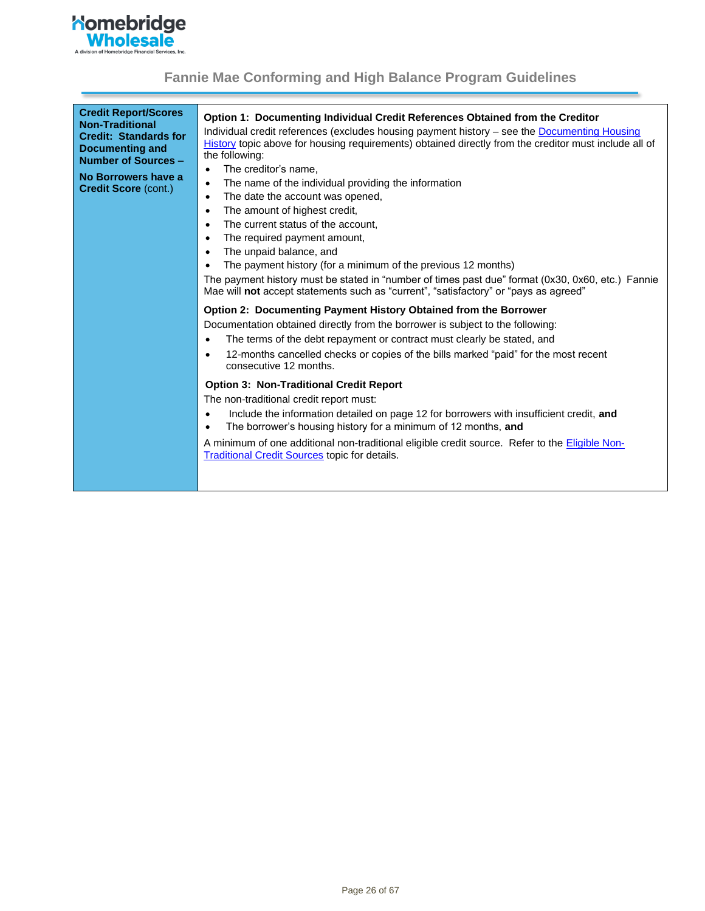

| <b>Credit Report/Scores</b><br><b>Non-Traditional</b><br><b>Credit: Standards for</b><br><b>Documenting and</b><br>Number of Sources -<br>No Borrowers have a<br><b>Credit Score (cont.)</b> | Option 1: Documenting Individual Credit References Obtained from the Creditor<br>Individual credit references (excludes housing payment history – see the Documenting Housing<br>History topic above for housing requirements) obtained directly from the creditor must include all of<br>the following:<br>The creditor's name,<br>$\bullet$<br>The name of the individual providing the information<br>$\bullet$<br>The date the account was opened,<br>$\bullet$<br>The amount of highest credit,<br>The current status of the account.<br>$\bullet$<br>The required payment amount,<br>The unpaid balance, and<br>$\bullet$<br>The payment history (for a minimum of the previous 12 months)<br>The payment history must be stated in "number of times past due" format (0x30, 0x60, etc.) Fannie<br>Mae will not accept statements such as "current", "satisfactory" or "pays as agreed" |
|----------------------------------------------------------------------------------------------------------------------------------------------------------------------------------------------|-----------------------------------------------------------------------------------------------------------------------------------------------------------------------------------------------------------------------------------------------------------------------------------------------------------------------------------------------------------------------------------------------------------------------------------------------------------------------------------------------------------------------------------------------------------------------------------------------------------------------------------------------------------------------------------------------------------------------------------------------------------------------------------------------------------------------------------------------------------------------------------------------|
|                                                                                                                                                                                              | <b>Option 2: Documenting Payment History Obtained from the Borrower</b><br>Documentation obtained directly from the borrower is subject to the following:<br>The terms of the debt repayment or contract must clearly be stated, and<br>12-months cancelled checks or copies of the bills marked "paid" for the most recent<br>consecutive 12 months.<br><b>Option 3: Non-Traditional Credit Report</b><br>The non-traditional credit report must:<br>Include the information detailed on page 12 for borrowers with insufficient credit, and<br>The borrower's housing history for a minimum of 12 months, and<br>A minimum of one additional non-traditional eligible credit source. Refer to the <b>Eligible Non-</b><br><b>Traditional Credit Sources topic for details.</b>                                                                                                              |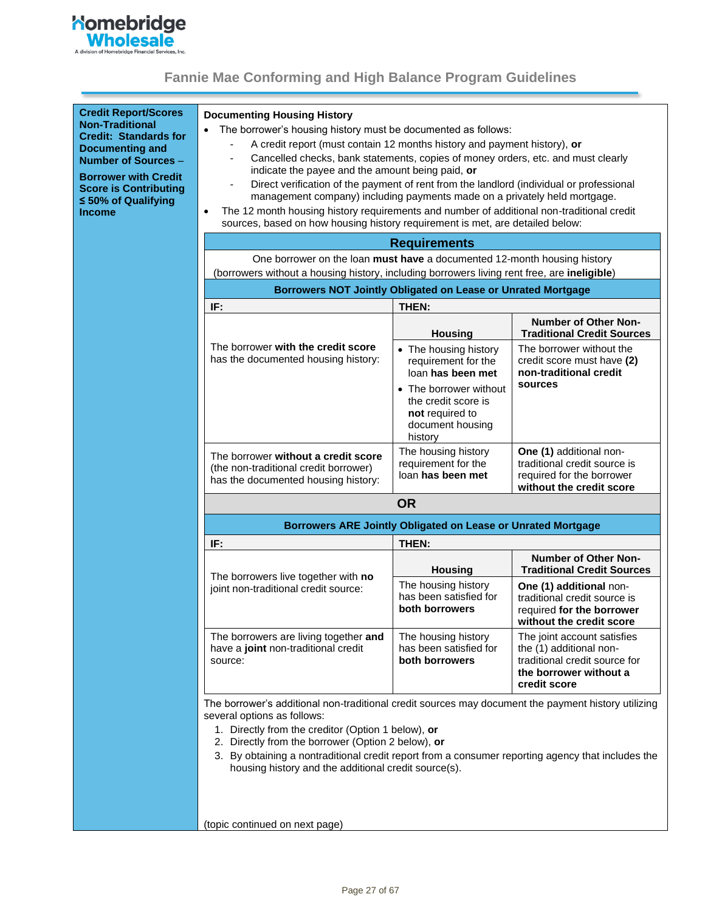

| <b>Credit Report/Scores</b><br><b>Non-Traditional</b><br><b>Credit: Standards for</b><br><b>Documenting and</b><br>Number of Sources -<br><b>Borrower with Credit</b><br><b>Score is Contributing</b><br>$\leq 50\%$ of Qualifying<br><b>Income</b> | <b>Documenting Housing History</b><br>The borrower's housing history must be documented as follows:<br>A credit report (must contain 12 months history and payment history), or<br>Cancelled checks, bank statements, copies of money orders, etc. and must clearly<br>indicate the payee and the amount being paid, or<br>Direct verification of the payment of rent from the landlord (individual or professional<br>management company) including payments made on a privately held mortgage.<br>The 12 month housing history requirements and number of additional non-traditional credit<br>$\bullet$<br>sources, based on how housing history requirement is met, are detailed below:<br><b>Requirements</b><br>One borrower on the loan must have a documented 12-month housing history |                                                                                                 |                                                                                                                                                                                                                                                                                                                                                                                     |
|-----------------------------------------------------------------------------------------------------------------------------------------------------------------------------------------------------------------------------------------------------|------------------------------------------------------------------------------------------------------------------------------------------------------------------------------------------------------------------------------------------------------------------------------------------------------------------------------------------------------------------------------------------------------------------------------------------------------------------------------------------------------------------------------------------------------------------------------------------------------------------------------------------------------------------------------------------------------------------------------------------------------------------------------------------------|-------------------------------------------------------------------------------------------------|-------------------------------------------------------------------------------------------------------------------------------------------------------------------------------------------------------------------------------------------------------------------------------------------------------------------------------------------------------------------------------------|
|                                                                                                                                                                                                                                                     |                                                                                                                                                                                                                                                                                                                                                                                                                                                                                                                                                                                                                                                                                                                                                                                                | Borrowers NOT Jointly Obligated on Lease or Unrated Mortgage                                    |                                                                                                                                                                                                                                                                                                                                                                                     |
|                                                                                                                                                                                                                                                     | IF:                                                                                                                                                                                                                                                                                                                                                                                                                                                                                                                                                                                                                                                                                                                                                                                            | THEN:                                                                                           |                                                                                                                                                                                                                                                                                                                                                                                     |
|                                                                                                                                                                                                                                                     |                                                                                                                                                                                                                                                                                                                                                                                                                                                                                                                                                                                                                                                                                                                                                                                                | <b>Housing</b>                                                                                  | <b>Number of Other Non-</b><br><b>Traditional Credit Sources</b>                                                                                                                                                                                                                                                                                                                    |
|                                                                                                                                                                                                                                                     | The borrower with the credit score<br>has the documented housing history:                                                                                                                                                                                                                                                                                                                                                                                                                                                                                                                                                                                                                                                                                                                      | • The housing history<br>requirement for the<br>loan has been met                               | The borrower without the<br>credit score must have (2)<br>non-traditional credit                                                                                                                                                                                                                                                                                                    |
|                                                                                                                                                                                                                                                     |                                                                                                                                                                                                                                                                                                                                                                                                                                                                                                                                                                                                                                                                                                                                                                                                | • The borrower without<br>the credit score is<br>not required to<br>document housing<br>history | sources                                                                                                                                                                                                                                                                                                                                                                             |
|                                                                                                                                                                                                                                                     | The borrower without a credit score<br>(the non-traditional credit borrower)<br>has the documented housing history:                                                                                                                                                                                                                                                                                                                                                                                                                                                                                                                                                                                                                                                                            | The housing history<br>requirement for the<br>loan has been met                                 | One (1) additional non-<br>traditional credit source is<br>required for the borrower<br>without the credit score                                                                                                                                                                                                                                                                    |
|                                                                                                                                                                                                                                                     | <b>OR</b>                                                                                                                                                                                                                                                                                                                                                                                                                                                                                                                                                                                                                                                                                                                                                                                      |                                                                                                 |                                                                                                                                                                                                                                                                                                                                                                                     |
| Borrowers ARE Jointly Obligated on Lease or Unrated Mortgage                                                                                                                                                                                        |                                                                                                                                                                                                                                                                                                                                                                                                                                                                                                                                                                                                                                                                                                                                                                                                |                                                                                                 |                                                                                                                                                                                                                                                                                                                                                                                     |
|                                                                                                                                                                                                                                                     | IF:                                                                                                                                                                                                                                                                                                                                                                                                                                                                                                                                                                                                                                                                                                                                                                                            | THEN:                                                                                           |                                                                                                                                                                                                                                                                                                                                                                                     |
|                                                                                                                                                                                                                                                     | The borrowers live together with no                                                                                                                                                                                                                                                                                                                                                                                                                                                                                                                                                                                                                                                                                                                                                            | <b>Housing</b>                                                                                  | <b>Traditional Credit Sources</b>                                                                                                                                                                                                                                                                                                                                                   |
|                                                                                                                                                                                                                                                     | joint non-traditional credit source:                                                                                                                                                                                                                                                                                                                                                                                                                                                                                                                                                                                                                                                                                                                                                           | The housing history<br>has been satisfied for<br>both borrowers                                 | (borrowers without a housing history, including borrowers living rent free, are ineligible)<br><b>Number of Other Non-</b><br>One (1) additional non-<br>traditional credit source is<br>required for the borrower<br>without the credit score<br>The joint account satisfies<br>the (1) additional non-<br>traditional credit source for<br>the borrower without a<br>credit score |
|                                                                                                                                                                                                                                                     | The borrowers are living together and<br>have a joint non-traditional credit<br>source:                                                                                                                                                                                                                                                                                                                                                                                                                                                                                                                                                                                                                                                                                                        | The housing history<br>has been satisfied for<br>both borrowers                                 |                                                                                                                                                                                                                                                                                                                                                                                     |
|                                                                                                                                                                                                                                                     | The borrower's additional non-traditional credit sources may document the payment history utilizing<br>several options as follows:                                                                                                                                                                                                                                                                                                                                                                                                                                                                                                                                                                                                                                                             |                                                                                                 |                                                                                                                                                                                                                                                                                                                                                                                     |
|                                                                                                                                                                                                                                                     | 1. Directly from the creditor (Option 1 below), or<br>2. Directly from the borrower (Option 2 below), or                                                                                                                                                                                                                                                                                                                                                                                                                                                                                                                                                                                                                                                                                       |                                                                                                 |                                                                                                                                                                                                                                                                                                                                                                                     |
|                                                                                                                                                                                                                                                     | 3. By obtaining a nontraditional credit report from a consumer reporting agency that includes the<br>housing history and the additional credit source(s).                                                                                                                                                                                                                                                                                                                                                                                                                                                                                                                                                                                                                                      |                                                                                                 |                                                                                                                                                                                                                                                                                                                                                                                     |
|                                                                                                                                                                                                                                                     | (topic continued on next page)                                                                                                                                                                                                                                                                                                                                                                                                                                                                                                                                                                                                                                                                                                                                                                 |                                                                                                 |                                                                                                                                                                                                                                                                                                                                                                                     |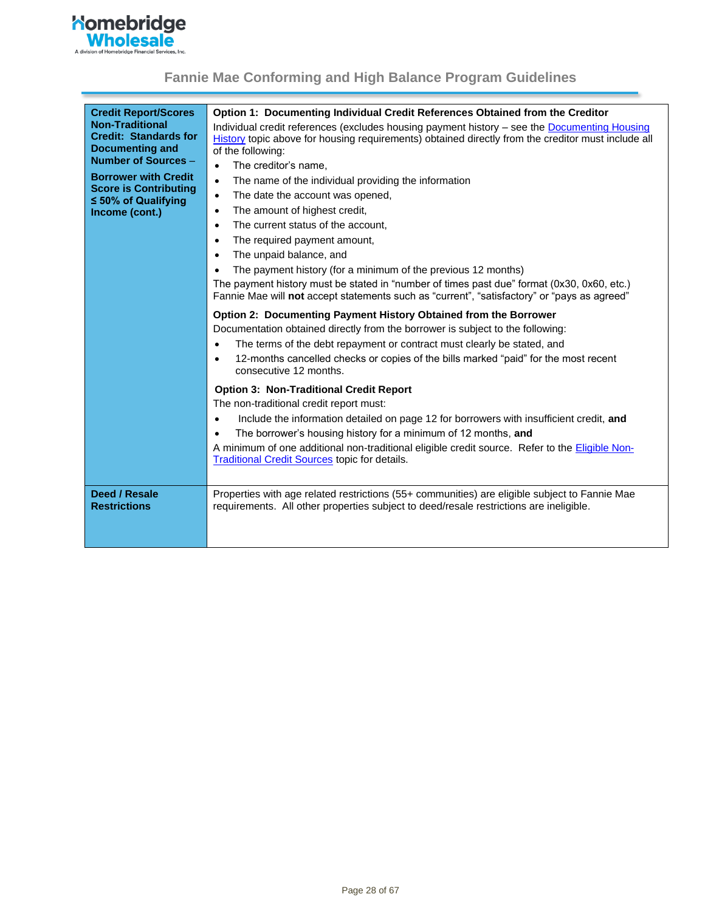

| <b>Credit Report/Scores</b><br><b>Non-Traditional</b><br><b>Credit: Standards for</b><br><b>Documenting and</b><br>Number of Sources -<br><b>Borrower with Credit</b><br><b>Score is Contributing</b><br>$\leq 50\%$ of Qualifying<br>Income (cont.) | Option 1: Documenting Individual Credit References Obtained from the Creditor<br>Individual credit references (excludes housing payment history - see the Documenting Housing<br>History topic above for housing requirements) obtained directly from the creditor must include all<br>of the following:<br>The creditor's name,<br>$\bullet$<br>The name of the individual providing the information<br>$\bullet$<br>The date the account was opened,<br>$\bullet$<br>The amount of highest credit,<br>$\bullet$<br>The current status of the account,<br>$\bullet$<br>The required payment amount,<br>$\bullet$<br>The unpaid balance, and<br>$\bullet$<br>The payment history (for a minimum of the previous 12 months)<br>$\bullet$<br>The payment history must be stated in "number of times past due" format (0x30, 0x60, etc.)<br>Fannie Mae will not accept statements such as "current", "satisfactory" or "pays as agreed"<br>Option 2: Documenting Payment History Obtained from the Borrower<br>Documentation obtained directly from the borrower is subject to the following:<br>The terms of the debt repayment or contract must clearly be stated, and<br>$\bullet$<br>12-months cancelled checks or copies of the bills marked "paid" for the most recent<br>consecutive 12 months.<br><b>Option 3: Non-Traditional Credit Report</b><br>The non-traditional credit report must:<br>Include the information detailed on page 12 for borrowers with insufficient credit, and<br>The borrower's housing history for a minimum of 12 months, and<br>$\bullet$<br>A minimum of one additional non-traditional eligible credit source. Refer to the <b>Eligible Non-</b><br><b>Traditional Credit Sources topic for details.</b> |
|------------------------------------------------------------------------------------------------------------------------------------------------------------------------------------------------------------------------------------------------------|---------------------------------------------------------------------------------------------------------------------------------------------------------------------------------------------------------------------------------------------------------------------------------------------------------------------------------------------------------------------------------------------------------------------------------------------------------------------------------------------------------------------------------------------------------------------------------------------------------------------------------------------------------------------------------------------------------------------------------------------------------------------------------------------------------------------------------------------------------------------------------------------------------------------------------------------------------------------------------------------------------------------------------------------------------------------------------------------------------------------------------------------------------------------------------------------------------------------------------------------------------------------------------------------------------------------------------------------------------------------------------------------------------------------------------------------------------------------------------------------------------------------------------------------------------------------------------------------------------------------------------------------------------------------------------------------------------------------------------------------|
| Deed / Resale<br><b>Restrictions</b>                                                                                                                                                                                                                 | Properties with age related restrictions (55+ communities) are eligible subject to Fannie Mae<br>requirements. All other properties subject to deed/resale restrictions are ineligible.                                                                                                                                                                                                                                                                                                                                                                                                                                                                                                                                                                                                                                                                                                                                                                                                                                                                                                                                                                                                                                                                                                                                                                                                                                                                                                                                                                                                                                                                                                                                                     |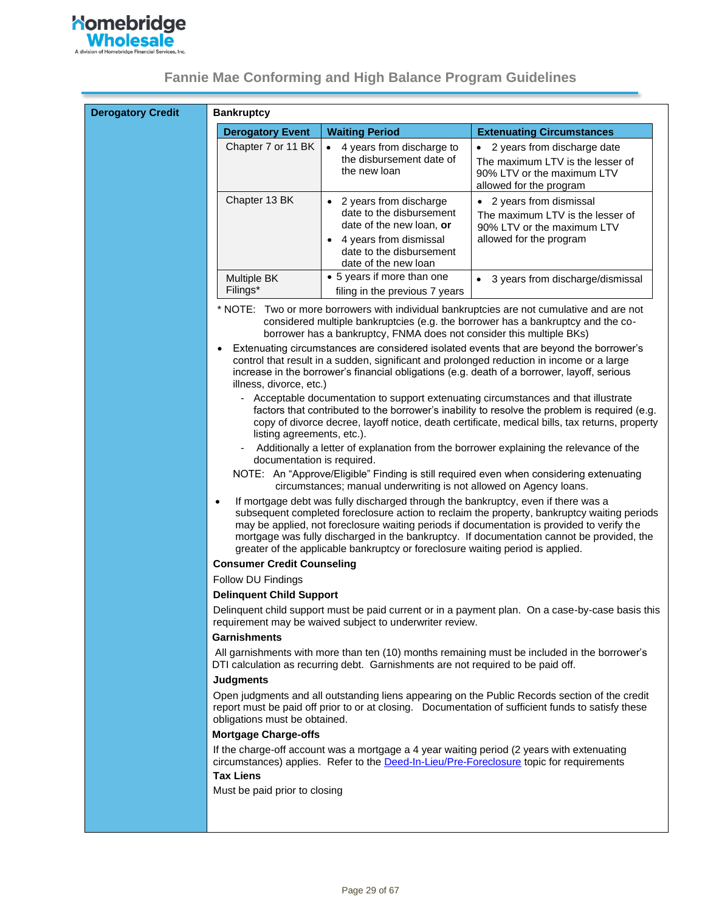

| <b>Derogatory Credit</b> | <b>Bankruptcy</b>                                                                    |                                                                                                                                                                     |                                                                                                                                                                                                                                                                                                                                                                                |
|--------------------------|--------------------------------------------------------------------------------------|---------------------------------------------------------------------------------------------------------------------------------------------------------------------|--------------------------------------------------------------------------------------------------------------------------------------------------------------------------------------------------------------------------------------------------------------------------------------------------------------------------------------------------------------------------------|
|                          | <b>Derogatory Event</b>                                                              | <b>Waiting Period</b>                                                                                                                                               | <b>Extenuating Circumstances</b>                                                                                                                                                                                                                                                                                                                                               |
|                          | Chapter 7 or 11 BK                                                                   | 4 years from discharge to<br>the disbursement date of<br>the new loan                                                                                               | 2 years from discharge date<br>The maximum LTV is the lesser of<br>90% LTV or the maximum LTV<br>allowed for the program                                                                                                                                                                                                                                                       |
|                          | Chapter 13 BK                                                                        | • 2 years from discharge<br>date to the disbursement<br>date of the new loan, or<br>4 years from dismissal<br>date to the disbursement<br>date of the new loan      | • 2 years from dismissal<br>The maximum LTV is the lesser of<br>90% LTV or the maximum LTV<br>allowed for the program                                                                                                                                                                                                                                                          |
|                          | Multiple BK<br>Filings*                                                              | • 5 years if more than one<br>filing in the previous 7 years                                                                                                        | • 3 years from discharge/dismissal                                                                                                                                                                                                                                                                                                                                             |
|                          |                                                                                      | borrower has a bankruptcy, FNMA does not consider this multiple BKs)                                                                                                | * NOTE: Two or more borrowers with individual bankruptcies are not cumulative and are not<br>considered multiple bankruptcies (e.g. the borrower has a bankruptcy and the co-                                                                                                                                                                                                  |
|                          | $\bullet$<br>illness, divorce, etc.)                                                 |                                                                                                                                                                     | Extenuating circumstances are considered isolated events that are beyond the borrower's<br>control that result in a sudden, significant and prolonged reduction in income or a large<br>increase in the borrower's financial obligations (e.g. death of a borrower, layoff, serious                                                                                            |
|                          | $\overline{\phantom{0}}$<br>listing agreements, etc.).<br>documentation is required. |                                                                                                                                                                     | Acceptable documentation to support extenuating circumstances and that illustrate<br>factors that contributed to the borrower's inability to resolve the problem is required (e.g.<br>copy of divorce decree, layoff notice, death certificate, medical bills, tax returns, property<br>Additionally a letter of explanation from the borrower explaining the relevance of the |
|                          |                                                                                      | circumstances; manual underwriting is not allowed on Agency loans.                                                                                                  | NOTE: An "Approve/Eligible" Finding is still required even when considering extenuating                                                                                                                                                                                                                                                                                        |
|                          | $\bullet$                                                                            | If mortgage debt was fully discharged through the bankruptcy, even if there was a<br>greater of the applicable bankruptcy or foreclosure waiting period is applied. | subsequent completed foreclosure action to reclaim the property, bankruptcy waiting periods<br>may be applied, not foreclosure waiting periods if documentation is provided to verify the<br>mortgage was fully discharged in the bankruptcy. If documentation cannot be provided, the                                                                                         |
|                          | <b>Consumer Credit Counseling</b>                                                    |                                                                                                                                                                     |                                                                                                                                                                                                                                                                                                                                                                                |
|                          | Follow DU Findings                                                                   |                                                                                                                                                                     |                                                                                                                                                                                                                                                                                                                                                                                |
|                          | <b>Delinquent Child Support</b>                                                      |                                                                                                                                                                     |                                                                                                                                                                                                                                                                                                                                                                                |
|                          |                                                                                      | requirement may be waived subject to underwriter review.                                                                                                            | Delinquent child support must be paid current or in a payment plan. On a case-by-case basis this                                                                                                                                                                                                                                                                               |
|                          | <b>Garnishments</b>                                                                  |                                                                                                                                                                     |                                                                                                                                                                                                                                                                                                                                                                                |
|                          |                                                                                      | DTI calculation as recurring debt. Garnishments are not required to be paid off.                                                                                    | All garnishments with more than ten (10) months remaining must be included in the borrower's                                                                                                                                                                                                                                                                                   |
|                          | <b>Judgments</b>                                                                     |                                                                                                                                                                     |                                                                                                                                                                                                                                                                                                                                                                                |
|                          | obligations must be obtained.                                                        |                                                                                                                                                                     | Open judgments and all outstanding liens appearing on the Public Records section of the credit<br>report must be paid off prior to or at closing. Documentation of sufficient funds to satisfy these                                                                                                                                                                           |
|                          | <b>Mortgage Charge-offs</b>                                                          |                                                                                                                                                                     |                                                                                                                                                                                                                                                                                                                                                                                |
|                          |                                                                                      |                                                                                                                                                                     | If the charge-off account was a mortgage a 4 year waiting period (2 years with extenuating<br>circumstances) applies. Refer to the Deed-In-Lieu/Pre-Foreclosure topic for requirements                                                                                                                                                                                         |
|                          | <b>Tax Liens</b><br>Must be paid prior to closing                                    |                                                                                                                                                                     |                                                                                                                                                                                                                                                                                                                                                                                |
|                          |                                                                                      |                                                                                                                                                                     |                                                                                                                                                                                                                                                                                                                                                                                |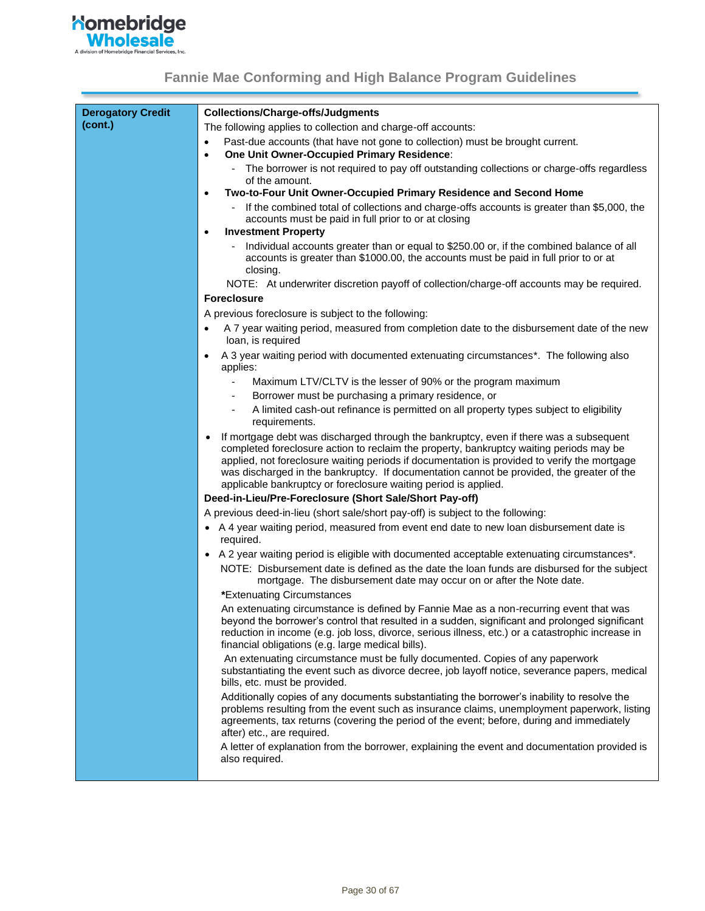

<span id="page-29-0"></span>

| <b>Derogatory Credit</b> | <b>Collections/Charge-offs/Judgments</b>                                                                                                                                                                                                                                                                                                                                                                                                          |  |  |
|--------------------------|---------------------------------------------------------------------------------------------------------------------------------------------------------------------------------------------------------------------------------------------------------------------------------------------------------------------------------------------------------------------------------------------------------------------------------------------------|--|--|
| (cont.)                  | The following applies to collection and charge-off accounts:                                                                                                                                                                                                                                                                                                                                                                                      |  |  |
|                          | Past-due accounts (that have not gone to collection) must be brought current.<br>$\bullet$                                                                                                                                                                                                                                                                                                                                                        |  |  |
|                          | One Unit Owner-Occupied Primary Residence:<br>$\bullet$                                                                                                                                                                                                                                                                                                                                                                                           |  |  |
|                          | The borrower is not required to pay off outstanding collections or charge-offs regardless<br>of the amount.                                                                                                                                                                                                                                                                                                                                       |  |  |
|                          | Two-to-Four Unit Owner-Occupied Primary Residence and Second Home<br>$\bullet$                                                                                                                                                                                                                                                                                                                                                                    |  |  |
|                          | If the combined total of collections and charge-offs accounts is greater than \$5,000, the<br>accounts must be paid in full prior to or at closing                                                                                                                                                                                                                                                                                                |  |  |
|                          | <b>Investment Property</b><br>٠                                                                                                                                                                                                                                                                                                                                                                                                                   |  |  |
|                          | Individual accounts greater than or equal to \$250.00 or, if the combined balance of all<br>accounts is greater than \$1000.00, the accounts must be paid in full prior to or at<br>closing.                                                                                                                                                                                                                                                      |  |  |
|                          | NOTE: At underwriter discretion payoff of collection/charge-off accounts may be required.                                                                                                                                                                                                                                                                                                                                                         |  |  |
|                          | <b>Foreclosure</b>                                                                                                                                                                                                                                                                                                                                                                                                                                |  |  |
|                          | A previous foreclosure is subject to the following:                                                                                                                                                                                                                                                                                                                                                                                               |  |  |
|                          | A 7 year waiting period, measured from completion date to the disbursement date of the new<br>loan, is required                                                                                                                                                                                                                                                                                                                                   |  |  |
|                          | A 3 year waiting period with documented extenuating circumstances*. The following also<br>applies:                                                                                                                                                                                                                                                                                                                                                |  |  |
|                          | Maximum LTV/CLTV is the lesser of 90% or the program maximum<br>$\overline{\phantom{a}}$                                                                                                                                                                                                                                                                                                                                                          |  |  |
|                          | Borrower must be purchasing a primary residence, or                                                                                                                                                                                                                                                                                                                                                                                               |  |  |
|                          | A limited cash-out refinance is permitted on all property types subject to eligibility<br>requirements.                                                                                                                                                                                                                                                                                                                                           |  |  |
|                          | If mortgage debt was discharged through the bankruptcy, even if there was a subsequent<br>completed foreclosure action to reclaim the property, bankruptcy waiting periods may be<br>applied, not foreclosure waiting periods if documentation is provided to verify the mortgage<br>was discharged in the bankruptcy. If documentation cannot be provided, the greater of the<br>applicable bankruptcy or foreclosure waiting period is applied. |  |  |
|                          | Deed-in-Lieu/Pre-Foreclosure (Short Sale/Short Pay-off)                                                                                                                                                                                                                                                                                                                                                                                           |  |  |
|                          | A previous deed-in-lieu (short sale/short pay-off) is subject to the following:                                                                                                                                                                                                                                                                                                                                                                   |  |  |
|                          | • A 4 year waiting period, measured from event end date to new loan disbursement date is<br>required.                                                                                                                                                                                                                                                                                                                                             |  |  |
|                          | • A 2 year waiting period is eligible with documented acceptable extenuating circumstances*.                                                                                                                                                                                                                                                                                                                                                      |  |  |
|                          | NOTE: Disbursement date is defined as the date the loan funds are disbursed for the subject<br>mortgage. The disbursement date may occur on or after the Note date.                                                                                                                                                                                                                                                                               |  |  |
|                          | *Extenuating Circumstances                                                                                                                                                                                                                                                                                                                                                                                                                        |  |  |
|                          | An extenuating circumstance is defined by Fannie Mae as a non-recurring event that was<br>beyond the borrower's control that resulted in a sudden, significant and prolonged significant<br>reduction in income (e.g. job loss, divorce, serious illness, etc.) or a catastrophic increase in<br>financial obligations (e.g. large medical bills).                                                                                                |  |  |
|                          | An extenuating circumstance must be fully documented. Copies of any paperwork<br>substantiating the event such as divorce decree, job layoff notice, severance papers, medical<br>bills, etc. must be provided.                                                                                                                                                                                                                                   |  |  |
|                          | Additionally copies of any documents substantiating the borrower's inability to resolve the<br>problems resulting from the event such as insurance claims, unemployment paperwork, listing<br>agreements, tax returns (covering the period of the event; before, during and immediately<br>after) etc., are required.                                                                                                                             |  |  |
|                          | A letter of explanation from the borrower, explaining the event and documentation provided is<br>also required.                                                                                                                                                                                                                                                                                                                                   |  |  |
|                          |                                                                                                                                                                                                                                                                                                                                                                                                                                                   |  |  |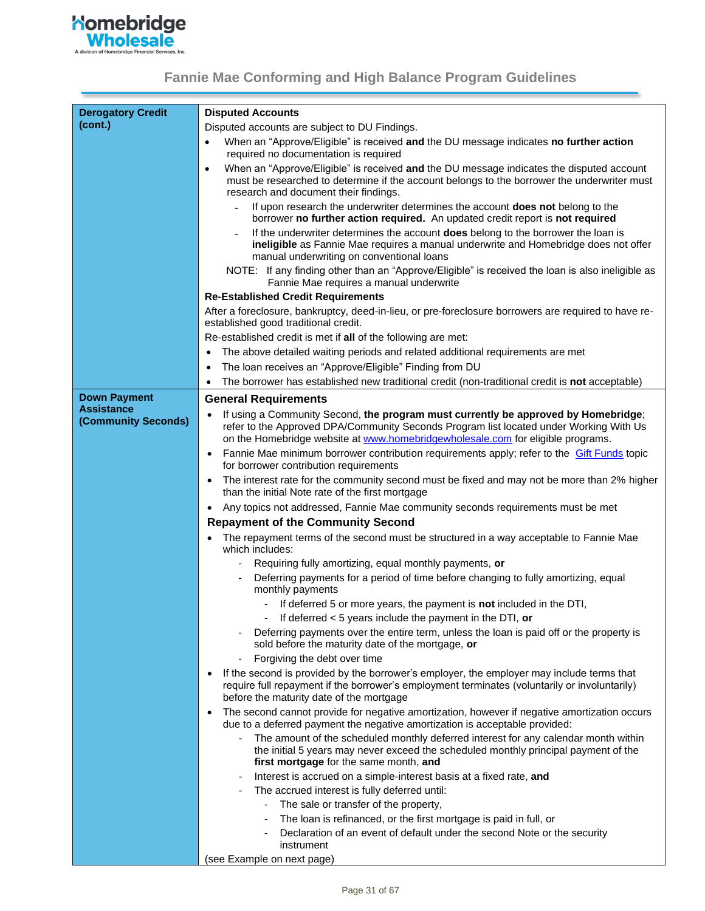| <b>Derogatory Credit</b>                 | <b>Disputed Accounts</b>                                                                                                                                                                                                                                        |  |  |
|------------------------------------------|-----------------------------------------------------------------------------------------------------------------------------------------------------------------------------------------------------------------------------------------------------------------|--|--|
| (cont.)                                  | Disputed accounts are subject to DU Findings.                                                                                                                                                                                                                   |  |  |
|                                          | When an "Approve/Eligible" is received and the DU message indicates no further action<br>$\bullet$<br>required no documentation is required                                                                                                                     |  |  |
|                                          | When an "Approve/Eligible" is received and the DU message indicates the disputed account<br>$\bullet$<br>must be researched to determine if the account belongs to the borrower the underwriter must<br>research and document their findings.                   |  |  |
|                                          | If upon research the underwriter determines the account does not belong to the<br>borrower no further action required. An updated credit report is not required                                                                                                 |  |  |
|                                          | If the underwriter determines the account <b>does</b> belong to the borrower the loan is<br>ineligible as Fannie Mae requires a manual underwrite and Homebridge does not offer<br>manual underwriting on conventional loans                                    |  |  |
|                                          | NOTE: If any finding other than an "Approve/Eligible" is received the loan is also ineligible as<br>Fannie Mae requires a manual underwrite                                                                                                                     |  |  |
|                                          | <b>Re-Established Credit Requirements</b>                                                                                                                                                                                                                       |  |  |
|                                          | After a foreclosure, bankruptcy, deed-in-lieu, or pre-foreclosure borrowers are required to have re-<br>established good traditional credit.                                                                                                                    |  |  |
|                                          | Re-established credit is met if all of the following are met:                                                                                                                                                                                                   |  |  |
|                                          | The above detailed waiting periods and related additional requirements are met                                                                                                                                                                                  |  |  |
|                                          | The loan receives an "Approve/Eligible" Finding from DU                                                                                                                                                                                                         |  |  |
|                                          | The borrower has established new traditional credit (non-traditional credit is not acceptable)<br>$\bullet$                                                                                                                                                     |  |  |
| <b>Down Payment</b>                      | <b>General Requirements</b>                                                                                                                                                                                                                                     |  |  |
| <b>Assistance</b><br>(Community Seconds) | If using a Community Second, the program must currently be approved by Homebridge;<br>refer to the Approved DPA/Community Seconds Program list located under Working With Us<br>on the Homebridge website at www.homebridgewholesale.com for eligible programs. |  |  |
|                                          | Fannie Mae minimum borrower contribution requirements apply; refer to the <b>Gift Funds</b> topic<br>for borrower contribution requirements                                                                                                                     |  |  |
|                                          | The interest rate for the community second must be fixed and may not be more than 2% higher<br>than the initial Note rate of the first mortgage                                                                                                                 |  |  |
|                                          | Any topics not addressed, Fannie Mae community seconds requirements must be met<br>$\bullet$                                                                                                                                                                    |  |  |
|                                          | <b>Repayment of the Community Second</b>                                                                                                                                                                                                                        |  |  |
|                                          | The repayment terms of the second must be structured in a way acceptable to Fannie Mae<br>which includes:                                                                                                                                                       |  |  |
|                                          | Requiring fully amortizing, equal monthly payments, or                                                                                                                                                                                                          |  |  |
|                                          | Deferring payments for a period of time before changing to fully amortizing, equal<br>monthly payments                                                                                                                                                          |  |  |
|                                          | If deferred 5 or more years, the payment is <b>not</b> included in the DTI,<br>If deferred $<$ 5 years include the payment in the DTI, or                                                                                                                       |  |  |
|                                          | Deferring payments over the entire term, unless the loan is paid off or the property is<br>sold before the maturity date of the mortgage, or                                                                                                                    |  |  |
|                                          | Forgiving the debt over time                                                                                                                                                                                                                                    |  |  |
|                                          | If the second is provided by the borrower's employer, the employer may include terms that<br>require full repayment if the borrower's employment terminates (voluntarily or involuntarily)<br>before the maturity date of the mortgage                          |  |  |
|                                          | The second cannot provide for negative amortization, however if negative amortization occurs<br>$\bullet$<br>due to a deferred payment the negative amortization is acceptable provided:                                                                        |  |  |
|                                          | The amount of the scheduled monthly deferred interest for any calendar month within<br>the initial 5 years may never exceed the scheduled monthly principal payment of the<br>first mortgage for the same month, and                                            |  |  |
|                                          | Interest is accrued on a simple-interest basis at a fixed rate, and                                                                                                                                                                                             |  |  |
|                                          | The accrued interest is fully deferred until:                                                                                                                                                                                                                   |  |  |
|                                          | The sale or transfer of the property,                                                                                                                                                                                                                           |  |  |
|                                          | The loan is refinanced, or the first mortgage is paid in full, or                                                                                                                                                                                               |  |  |
|                                          | Declaration of an event of default under the second Note or the security                                                                                                                                                                                        |  |  |
|                                          | instrument<br>(see Example on next page)                                                                                                                                                                                                                        |  |  |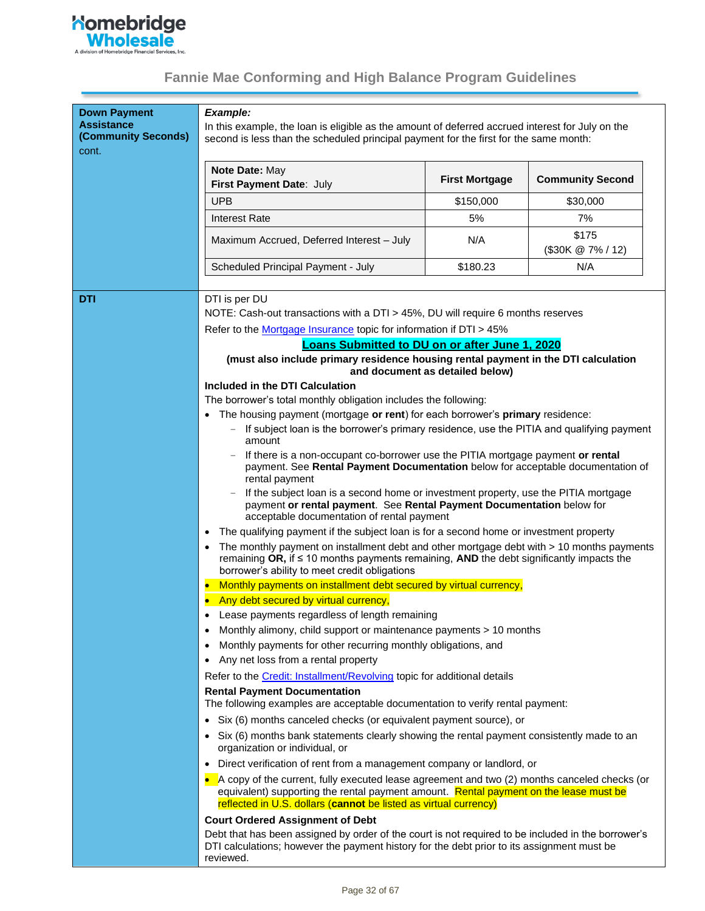

| <b>Down Payment</b><br><b>Assistance</b><br>(Community Seconds)<br>cont. | Example:<br>In this example, the loan is eligible as the amount of deferred accrued interest for July on the<br>second is less than the scheduled principal payment for the first for the same month:                                                     |                                 |                               |
|--------------------------------------------------------------------------|-----------------------------------------------------------------------------------------------------------------------------------------------------------------------------------------------------------------------------------------------------------|---------------------------------|-------------------------------|
|                                                                          | Note Date: May<br>First Payment Date: July                                                                                                                                                                                                                | <b>First Mortgage</b>           | <b>Community Second</b>       |
|                                                                          | <b>UPB</b>                                                                                                                                                                                                                                                | \$150,000                       | \$30,000                      |
|                                                                          | <b>Interest Rate</b>                                                                                                                                                                                                                                      | 5%                              | 7%                            |
|                                                                          | Maximum Accrued, Deferred Interest - July                                                                                                                                                                                                                 | N/A                             | \$175<br>$($30K \& 7\% / 12)$ |
|                                                                          | Scheduled Principal Payment - July                                                                                                                                                                                                                        | \$180.23                        | N/A                           |
|                                                                          |                                                                                                                                                                                                                                                           |                                 |                               |
| DTI                                                                      | DTI is per DU<br>NOTE: Cash-out transactions with a DTI > 45%, DU will require 6 months reserves                                                                                                                                                          |                                 |                               |
|                                                                          | Refer to the Mortgage Insurance topic for information if DTI > 45%                                                                                                                                                                                        |                                 |                               |
|                                                                          | Loans Submitted to DU on or after June 1, 2020                                                                                                                                                                                                            |                                 |                               |
|                                                                          | (must also include primary residence housing rental payment in the DTI calculation                                                                                                                                                                        | and document as detailed below) |                               |
|                                                                          | Included in the DTI Calculation                                                                                                                                                                                                                           |                                 |                               |
|                                                                          | The borrower's total monthly obligation includes the following:                                                                                                                                                                                           |                                 |                               |
|                                                                          | • The housing payment (mortgage or rent) for each borrower's primary residence:                                                                                                                                                                           |                                 |                               |
|                                                                          | If subject loan is the borrower's primary residence, use the PITIA and qualifying payment<br>amount                                                                                                                                                       |                                 |                               |
|                                                                          | If there is a non-occupant co-borrower use the PITIA mortgage payment or rental<br>payment. See Rental Payment Documentation below for acceptable documentation of<br>rental payment                                                                      |                                 |                               |
|                                                                          | If the subject loan is a second home or investment property, use the PITIA mortgage<br>payment or rental payment. See Rental Payment Documentation below for<br>acceptable documentation of rental payment                                                |                                 |                               |
|                                                                          | The qualifying payment if the subject loan is for a second home or investment property<br>$\bullet$                                                                                                                                                       |                                 |                               |
|                                                                          | The monthly payment on installment debt and other mortgage debt with > 10 months payments<br>remaining OR, if $\leq$ 10 months payments remaining, AND the debt significantly impacts the<br>borrower's ability to meet credit obligations                |                                 |                               |
|                                                                          | Monthly payments on installment debt secured by virtual currency,                                                                                                                                                                                         |                                 |                               |
|                                                                          | Any debt secured by virtual currency,                                                                                                                                                                                                                     |                                 |                               |
|                                                                          | Lease payments regardless of length remaining                                                                                                                                                                                                             |                                 |                               |
|                                                                          | Monthly alimony, child support or maintenance payments > 10 months                                                                                                                                                                                        |                                 |                               |
|                                                                          | Monthly payments for other recurring monthly obligations, and<br>٠                                                                                                                                                                                        |                                 |                               |
|                                                                          | Any net loss from a rental property                                                                                                                                                                                                                       |                                 |                               |
|                                                                          | Refer to the <b>Credit: Installment/Revolving</b> topic for additional details                                                                                                                                                                            |                                 |                               |
|                                                                          | <b>Rental Payment Documentation</b><br>The following examples are acceptable documentation to verify rental payment:                                                                                                                                      |                                 |                               |
|                                                                          | • Six (6) months canceled checks (or equivalent payment source), or                                                                                                                                                                                       |                                 |                               |
|                                                                          | • Six (6) months bank statements clearly showing the rental payment consistently made to an<br>organization or individual, or                                                                                                                             |                                 |                               |
|                                                                          | Direct verification of rent from a management company or landlord, or<br>$\bullet$                                                                                                                                                                        |                                 |                               |
|                                                                          | A copy of the current, fully executed lease agreement and two (2) months canceled checks (or<br>equivalent) supporting the rental payment amount. Rental payment on the lease must be<br>reflected in U.S. dollars (cannot be listed as virtual currency) |                                 |                               |
|                                                                          | <b>Court Ordered Assignment of Debt</b>                                                                                                                                                                                                                   |                                 |                               |
|                                                                          | Debt that has been assigned by order of the court is not required to be included in the borrower's<br>DTI calculations; however the payment history for the debt prior to its assignment must be<br>reviewed.                                             |                                 |                               |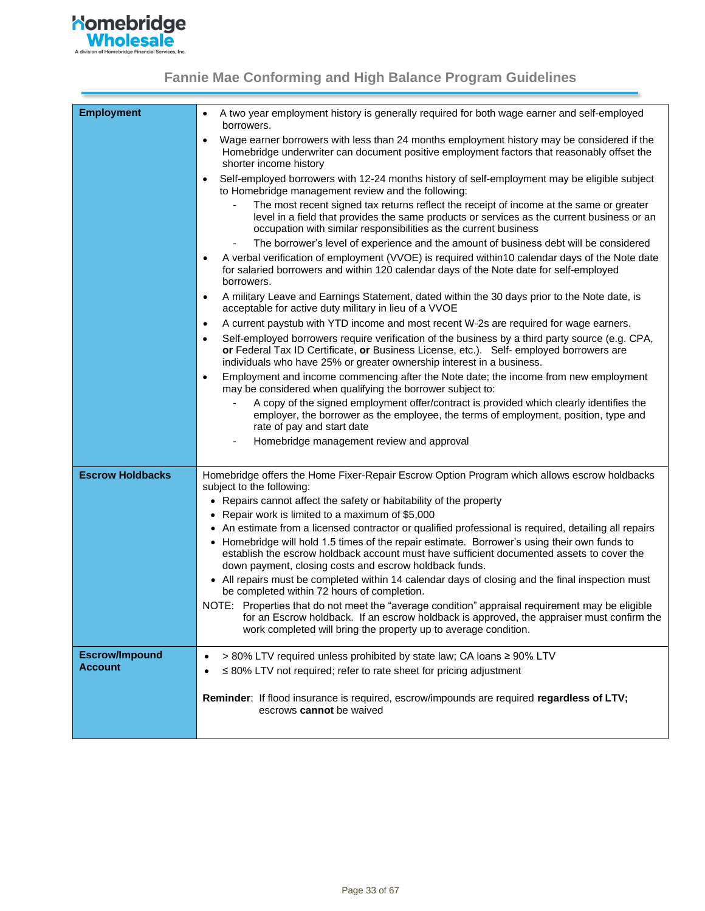

<span id="page-32-1"></span><span id="page-32-0"></span>

| <b>Employment</b>       | A two year employment history is generally required for both wage earner and self-employed<br>$\bullet$<br>borrowers.                                                                                                                                                            |
|-------------------------|----------------------------------------------------------------------------------------------------------------------------------------------------------------------------------------------------------------------------------------------------------------------------------|
|                         | Wage earner borrowers with less than 24 months employment history may be considered if the<br>$\bullet$<br>Homebridge underwriter can document positive employment factors that reasonably offset the<br>shorter income history                                                  |
|                         | Self-employed borrowers with 12-24 months history of self-employment may be eligible subject<br>$\bullet$<br>to Homebridge management review and the following:                                                                                                                  |
|                         | The most recent signed tax returns reflect the receipt of income at the same or greater<br>level in a field that provides the same products or services as the current business or an<br>occupation with similar responsibilities as the current business                        |
|                         | The borrower's level of experience and the amount of business debt will be considered                                                                                                                                                                                            |
|                         | A verbal verification of employment (VVOE) is required within10 calendar days of the Note date<br>$\bullet$<br>for salaried borrowers and within 120 calendar days of the Note date for self-employed<br>borrowers.                                                              |
|                         | A military Leave and Earnings Statement, dated within the 30 days prior to the Note date, is<br>$\bullet$<br>acceptable for active duty military in lieu of a VVOE                                                                                                               |
|                         | A current paystub with YTD income and most recent W-2s are required for wage earners.<br>$\bullet$                                                                                                                                                                               |
|                         | Self-employed borrowers require verification of the business by a third party source (e.g. CPA,<br>$\bullet$<br>or Federal Tax ID Certificate, or Business License, etc.). Self- employed borrowers are<br>individuals who have 25% or greater ownership interest in a business. |
|                         | Employment and income commencing after the Note date; the income from new employment<br>$\bullet$<br>may be considered when qualifying the borrower subject to:                                                                                                                  |
|                         | A copy of the signed employment offer/contract is provided which clearly identifies the<br>employer, the borrower as the employee, the terms of employment, position, type and<br>rate of pay and start date                                                                     |
|                         | Homebridge management review and approval<br>$\overline{\phantom{a}}$                                                                                                                                                                                                            |
| <b>Escrow Holdbacks</b> | Homebridge offers the Home Fixer-Repair Escrow Option Program which allows escrow holdbacks<br>subject to the following:                                                                                                                                                         |
|                         | • Repairs cannot affect the safety or habitability of the property                                                                                                                                                                                                               |
|                         | • Repair work is limited to a maximum of \$5,000                                                                                                                                                                                                                                 |
|                         | • An estimate from a licensed contractor or qualified professional is required, detailing all repairs                                                                                                                                                                            |
|                         | • Homebridge will hold 1.5 times of the repair estimate. Borrower's using their own funds to<br>establish the escrow holdback account must have sufficient documented assets to cover the<br>down payment, closing costs and escrow holdback funds.                              |
|                         | • All repairs must be completed within 14 calendar days of closing and the final inspection must<br>be completed within 72 hours of completion.                                                                                                                                  |
|                         | NOTE: Properties that do not meet the "average condition" appraisal requirement may be eligible<br>for an Escrow holdback. If an escrow holdback is approved, the appraiser must confirm the<br>work completed will bring the property up to average condition.                  |
| <b>Escrow/Impound</b>   | > 80% LTV required unless prohibited by state law; CA loans ≥ 90% LTV<br>$\bullet$                                                                                                                                                                                               |
| <b>Account</b>          | $\leq$ 80% LTV not required; refer to rate sheet for pricing adjustment<br>$\bullet$                                                                                                                                                                                             |
|                         | Reminder: If flood insurance is required, escrow/impounds are required regardless of LTV;<br>escrows cannot be waived                                                                                                                                                            |
|                         |                                                                                                                                                                                                                                                                                  |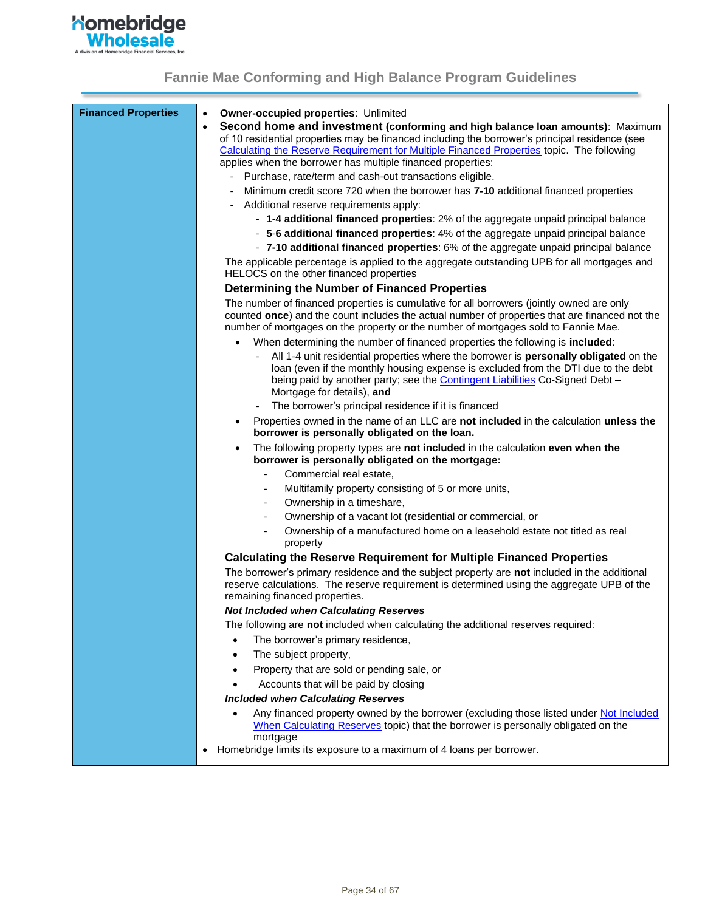

<span id="page-33-1"></span><span id="page-33-0"></span>

| <b>Financed Properties</b> | <b>Owner-occupied properties: Unlimited</b><br>$\bullet$<br>Second home and investment (conforming and high balance loan amounts): Maximum<br>$\bullet$<br>of 10 residential properties may be financed including the borrower's principal residence (see                                        |
|----------------------------|--------------------------------------------------------------------------------------------------------------------------------------------------------------------------------------------------------------------------------------------------------------------------------------------------|
|                            | Calculating the Reserve Requirement for Multiple Financed Properties topic. The following<br>applies when the borrower has multiple financed properties:                                                                                                                                         |
|                            | - Purchase, rate/term and cash-out transactions eligible.                                                                                                                                                                                                                                        |
|                            | Minimum credit score 720 when the borrower has 7-10 additional financed properties                                                                                                                                                                                                               |
|                            | Additional reserve requirements apply:                                                                                                                                                                                                                                                           |
|                            | - 1-4 additional financed properties: 2% of the aggregate unpaid principal balance                                                                                                                                                                                                               |
|                            | - 5-6 additional financed properties: 4% of the aggregate unpaid principal balance                                                                                                                                                                                                               |
|                            | - 7-10 additional financed properties: 6% of the aggregate unpaid principal balance                                                                                                                                                                                                              |
|                            | The applicable percentage is applied to the aggregate outstanding UPB for all mortgages and<br>HELOCS on the other financed properties                                                                                                                                                           |
|                            | Determining the Number of Financed Properties                                                                                                                                                                                                                                                    |
|                            | The number of financed properties is cumulative for all borrowers (jointly owned are only<br>counted once) and the count includes the actual number of properties that are financed not the<br>number of mortgages on the property or the number of mortgages sold to Fannie Mae.                |
|                            | When determining the number of financed properties the following is included:<br>$\bullet$                                                                                                                                                                                                       |
|                            | All 1-4 unit residential properties where the borrower is personally obligated on the<br>loan (even if the monthly housing expense is excluded from the DTI due to the debt<br>being paid by another party; see the <b>Contingent Liabilities</b> Co-Signed Debt -<br>Mortgage for details), and |
|                            | The borrower's principal residence if it is financed                                                                                                                                                                                                                                             |
|                            | Properties owned in the name of an LLC are not included in the calculation unless the<br>$\bullet$<br>borrower is personally obligated on the loan.                                                                                                                                              |
|                            | The following property types are not included in the calculation even when the<br>$\bullet$<br>borrower is personally obligated on the mortgage:                                                                                                                                                 |
|                            | Commercial real estate,<br>L.                                                                                                                                                                                                                                                                    |
|                            | Multifamily property consisting of 5 or more units,                                                                                                                                                                                                                                              |
|                            | Ownership in a timeshare,                                                                                                                                                                                                                                                                        |
|                            | Ownership of a vacant lot (residential or commercial, or                                                                                                                                                                                                                                         |
|                            | Ownership of a manufactured home on a leasehold estate not titled as real<br>property                                                                                                                                                                                                            |
|                            | <b>Calculating the Reserve Requirement for Multiple Financed Properties</b>                                                                                                                                                                                                                      |
|                            | The borrower's primary residence and the subject property are not included in the additional<br>reserve calculations. The reserve requirement is determined using the aggregate UPB of the<br>remaining financed properties.                                                                     |
|                            | <b>Not Included when Calculating Reserves</b>                                                                                                                                                                                                                                                    |
|                            | The following are not included when calculating the additional reserves required:                                                                                                                                                                                                                |
|                            | The borrower's primary residence,                                                                                                                                                                                                                                                                |
|                            | The subject property,                                                                                                                                                                                                                                                                            |
|                            | Property that are sold or pending sale, or                                                                                                                                                                                                                                                       |
|                            | Accounts that will be paid by closing                                                                                                                                                                                                                                                            |
|                            | <b>Included when Calculating Reserves</b>                                                                                                                                                                                                                                                        |
|                            | Any financed property owned by the borrower (excluding those listed under Not Included<br>When Calculating Reserves topic) that the borrower is personally obligated on the<br>mortgage                                                                                                          |
|                            | Homebridge limits its exposure to a maximum of 4 loans per borrower.<br>$\bullet$                                                                                                                                                                                                                |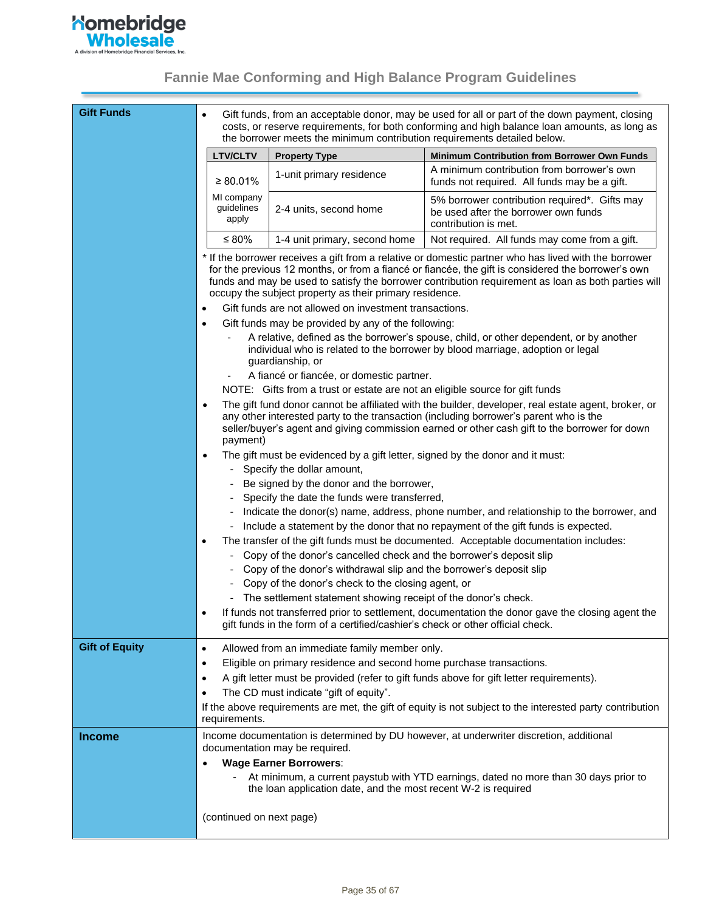

<span id="page-34-0"></span>

| <b>Gift Funds</b>     | $\bullet$                         | the borrower meets the minimum contribution requirements detailed below.                                      | Gift funds, from an acceptable donor, may be used for all or part of the down payment, closing<br>costs, or reserve requirements, for both conforming and high balance loan amounts, as long as                                                                                                                    |
|-----------------------|-----------------------------------|---------------------------------------------------------------------------------------------------------------|--------------------------------------------------------------------------------------------------------------------------------------------------------------------------------------------------------------------------------------------------------------------------------------------------------------------|
|                       | <b>LTV/CLTV</b>                   | <b>Property Type</b>                                                                                          | <b>Minimum Contribution from Borrower Own Funds</b>                                                                                                                                                                                                                                                                |
|                       | $\geq 80.01\%$                    | 1-unit primary residence                                                                                      | A minimum contribution from borrower's own<br>funds not required. All funds may be a gift.                                                                                                                                                                                                                         |
|                       | MI company<br>guidelines<br>apply | 2-4 units, second home                                                                                        | 5% borrower contribution required*. Gifts may<br>be used after the borrower own funds<br>contribution is met.                                                                                                                                                                                                      |
|                       | ≤ 80%                             | 1-4 unit primary, second home                                                                                 | Not required. All funds may come from a gift.                                                                                                                                                                                                                                                                      |
|                       |                                   | occupy the subject property as their primary residence.                                                       | * If the borrower receives a gift from a relative or domestic partner who has lived with the borrower<br>for the previous 12 months, or from a fiancé or fiancée, the gift is considered the borrower's own<br>funds and may be used to satisfy the borrower contribution requirement as loan as both parties will |
|                       |                                   | Gift funds are not allowed on investment transactions.                                                        |                                                                                                                                                                                                                                                                                                                    |
|                       | ٠                                 | Gift funds may be provided by any of the following:                                                           |                                                                                                                                                                                                                                                                                                                    |
|                       |                                   | guardianship, or                                                                                              | A relative, defined as the borrower's spouse, child, or other dependent, or by another<br>individual who is related to the borrower by blood marriage, adoption or legal                                                                                                                                           |
|                       |                                   | A fiancé or fiancée, or domestic partner.                                                                     |                                                                                                                                                                                                                                                                                                                    |
|                       |                                   | NOTE: Gifts from a trust or estate are not an eligible source for gift funds                                  |                                                                                                                                                                                                                                                                                                                    |
|                       | $\bullet$<br>payment)             |                                                                                                               | The gift fund donor cannot be affiliated with the builder, developer, real estate agent, broker, or<br>any other interested party to the transaction (including borrower's parent who is the<br>seller/buyer's agent and giving commission earned or other cash gift to the borrower for down                      |
|                       | $\bullet$                         | The gift must be evidenced by a gift letter, signed by the donor and it must:<br>- Specify the dollar amount, |                                                                                                                                                                                                                                                                                                                    |
|                       |                                   | Be signed by the donor and the borrower,                                                                      |                                                                                                                                                                                                                                                                                                                    |
|                       |                                   | Specify the date the funds were transferred,                                                                  |                                                                                                                                                                                                                                                                                                                    |
|                       |                                   |                                                                                                               | Indicate the donor(s) name, address, phone number, and relationship to the borrower, and                                                                                                                                                                                                                           |
|                       |                                   |                                                                                                               | Include a statement by the donor that no repayment of the gift funds is expected.                                                                                                                                                                                                                                  |
|                       | $\bullet$                         |                                                                                                               | The transfer of the gift funds must be documented. Acceptable documentation includes:                                                                                                                                                                                                                              |
|                       | ۰.                                | Copy of the donor's cancelled check and the borrower's deposit slip                                           |                                                                                                                                                                                                                                                                                                                    |
|                       |                                   | Copy of the donor's withdrawal slip and the borrower's deposit slip                                           |                                                                                                                                                                                                                                                                                                                    |
|                       |                                   | Copy of the donor's check to the closing agent, or                                                            |                                                                                                                                                                                                                                                                                                                    |
|                       |                                   | The settlement statement showing receipt of the donor's check.                                                |                                                                                                                                                                                                                                                                                                                    |
|                       |                                   | gift funds in the form of a certified/cashier's check or other official check.                                | If funds not transferred prior to settlement, documentation the donor gave the closing agent the                                                                                                                                                                                                                   |
| <b>Gift of Equity</b> | $\bullet$                         | Allowed from an immediate family member only.                                                                 |                                                                                                                                                                                                                                                                                                                    |
|                       | $\bullet$                         | Eligible on primary residence and second home purchase transactions.                                          |                                                                                                                                                                                                                                                                                                                    |
|                       | $\bullet$                         |                                                                                                               | A gift letter must be provided (refer to gift funds above for gift letter requirements).                                                                                                                                                                                                                           |
|                       | $\bullet$                         | The CD must indicate "gift of equity".                                                                        |                                                                                                                                                                                                                                                                                                                    |
|                       | requirements.                     |                                                                                                               | If the above requirements are met, the gift of equity is not subject to the interested party contribution                                                                                                                                                                                                          |
| <b>Income</b>         |                                   |                                                                                                               | Income documentation is determined by DU however, at underwriter discretion, additional                                                                                                                                                                                                                            |
|                       | $\bullet$                         | documentation may be required.<br><b>Wage Earner Borrowers:</b>                                               |                                                                                                                                                                                                                                                                                                                    |
|                       |                                   |                                                                                                               | - At minimum, a current paystub with YTD earnings, dated no more than 30 days prior to                                                                                                                                                                                                                             |
|                       |                                   | the loan application date, and the most recent W-2 is required                                                |                                                                                                                                                                                                                                                                                                                    |
|                       | (continued on next page)          |                                                                                                               |                                                                                                                                                                                                                                                                                                                    |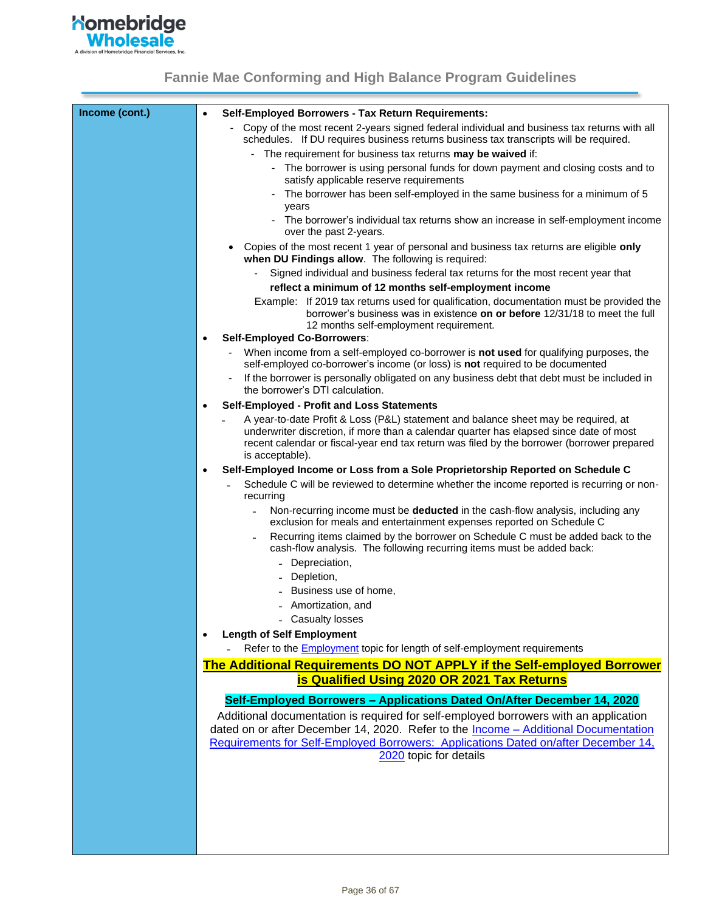

| Income (cont.) | Self-Employed Borrowers - Tax Return Requirements:<br>$\bullet$                                                                                                                                                                                                            |
|----------------|----------------------------------------------------------------------------------------------------------------------------------------------------------------------------------------------------------------------------------------------------------------------------|
|                | Copy of the most recent 2-years signed federal individual and business tax returns with all                                                                                                                                                                                |
|                | schedules. If DU requires business returns business tax transcripts will be required.                                                                                                                                                                                      |
|                | - The requirement for business tax returns <b>may be waived</b> if:                                                                                                                                                                                                        |
|                | - The borrower is using personal funds for down payment and closing costs and to<br>satisfy applicable reserve requirements                                                                                                                                                |
|                | The borrower has been self-employed in the same business for a minimum of 5<br>years                                                                                                                                                                                       |
|                | - The borrower's individual tax returns show an increase in self-employment income<br>over the past 2-years.                                                                                                                                                               |
|                | Copies of the most recent 1 year of personal and business tax returns are eligible only<br>when DU Findings allow. The following is required:                                                                                                                              |
|                | Signed individual and business federal tax returns for the most recent year that<br>reflect a minimum of 12 months self-employment income                                                                                                                                  |
|                | Example: If 2019 tax returns used for qualification, documentation must be provided the                                                                                                                                                                                    |
|                | borrower's business was in existence on or before 12/31/18 to meet the full<br>12 months self-employment requirement.                                                                                                                                                      |
|                | <b>Self-Employed Co-Borrowers:</b>                                                                                                                                                                                                                                         |
|                | When income from a self-employed co-borrower is not used for qualifying purposes, the<br>self-employed co-borrower's income (or loss) is not required to be documented                                                                                                     |
|                | If the borrower is personally obligated on any business debt that debt must be included in<br>the borrower's DTI calculation.                                                                                                                                              |
|                | Self-Employed - Profit and Loss Statements<br>٠                                                                                                                                                                                                                            |
|                | A year-to-date Profit & Loss (P&L) statement and balance sheet may be required, at<br>underwriter discretion, if more than a calendar quarter has elapsed since date of most<br>recent calendar or fiscal-year end tax return was filed by the borrower (borrower prepared |
|                | is acceptable).                                                                                                                                                                                                                                                            |
|                | Self-Employed Income or Loss from a Sole Proprietorship Reported on Schedule C<br>$\bullet$                                                                                                                                                                                |
|                | Schedule C will be reviewed to determine whether the income reported is recurring or non-<br>recurring                                                                                                                                                                     |
|                | Non-recurring income must be deducted in the cash-flow analysis, including any<br>exclusion for meals and entertainment expenses reported on Schedule C                                                                                                                    |
|                | Recurring items claimed by the borrower on Schedule C must be added back to the<br>cash-flow analysis. The following recurring items must be added back:                                                                                                                   |
|                | - Depreciation,                                                                                                                                                                                                                                                            |
|                | Depletion,                                                                                                                                                                                                                                                                 |
|                | Business use of home,                                                                                                                                                                                                                                                      |
|                | - Amortization, and                                                                                                                                                                                                                                                        |
|                | - Casualty losses                                                                                                                                                                                                                                                          |
|                | <b>Length of Self Employment</b>                                                                                                                                                                                                                                           |
|                | Refer to the <b>Employment</b> topic for length of self-employment requirements                                                                                                                                                                                            |
|                | The Additional Requirements DO NOT APPLY if the Self-employed Borrower                                                                                                                                                                                                     |
|                | is Qualified Using 2020 OR 2021 Tax Returns                                                                                                                                                                                                                                |
|                | Self-Employed Borrowers - Applications Dated On/After December 14, 2020                                                                                                                                                                                                    |
|                | Additional documentation is required for self-employed borrowers with an application                                                                                                                                                                                       |
|                | dated on or after December 14, 2020. Refer to the Income - Additional Documentation                                                                                                                                                                                        |
|                | Requirements for Self-Employed Borrowers: Applications Dated on/after December 14,                                                                                                                                                                                         |
|                | 2020 topic for details                                                                                                                                                                                                                                                     |
|                |                                                                                                                                                                                                                                                                            |
|                |                                                                                                                                                                                                                                                                            |
|                |                                                                                                                                                                                                                                                                            |
|                |                                                                                                                                                                                                                                                                            |
|                |                                                                                                                                                                                                                                                                            |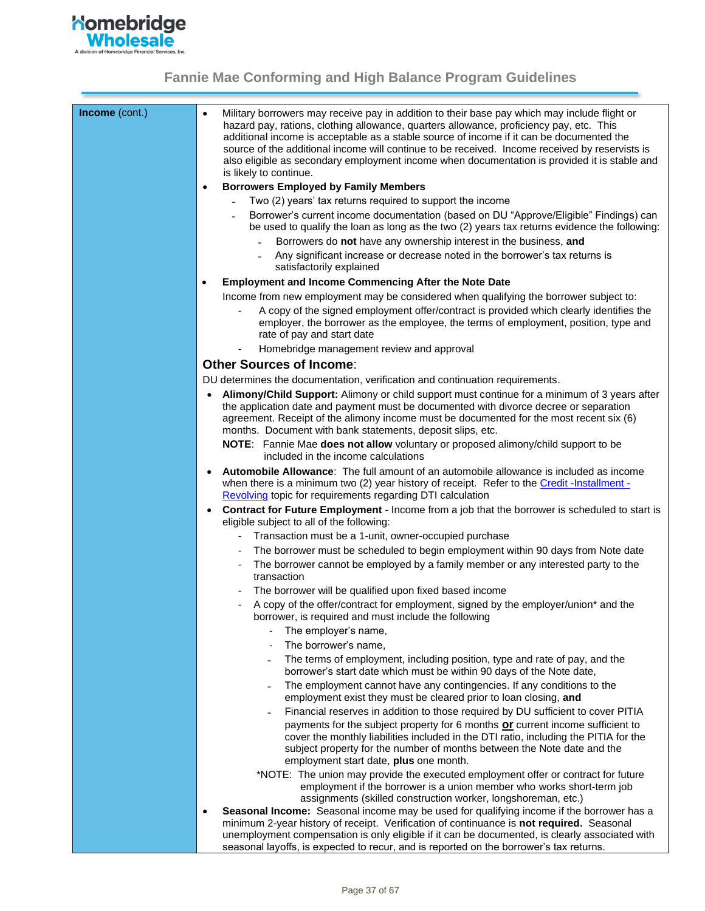

| Income (cont.) | Military borrowers may receive pay in addition to their base pay which may include flight or<br>$\bullet$<br>hazard pay, rations, clothing allowance, quarters allowance, proficiency pay, etc. This<br>additional income is acceptable as a stable source of income if it can be documented the<br>source of the additional income will continue to be received. Income received by reservists is<br>also eligible as secondary employment income when documentation is provided it is stable and<br>is likely to continue.<br><b>Borrowers Employed by Family Members</b><br>$\bullet$<br>Two (2) years' tax returns required to support the income<br>Borrower's current income documentation (based on DU "Approve/Eligible" Findings) can<br>$\blacksquare$<br>be used to qualify the loan as long as the two (2) years tax returns evidence the following: |
|----------------|------------------------------------------------------------------------------------------------------------------------------------------------------------------------------------------------------------------------------------------------------------------------------------------------------------------------------------------------------------------------------------------------------------------------------------------------------------------------------------------------------------------------------------------------------------------------------------------------------------------------------------------------------------------------------------------------------------------------------------------------------------------------------------------------------------------------------------------------------------------|
|                | Borrowers do not have any ownership interest in the business, and<br>Any significant increase or decrease noted in the borrower's tax returns is<br>satisfactorily explained                                                                                                                                                                                                                                                                                                                                                                                                                                                                                                                                                                                                                                                                                     |
|                | <b>Employment and Income Commencing After the Note Date</b><br>$\bullet$                                                                                                                                                                                                                                                                                                                                                                                                                                                                                                                                                                                                                                                                                                                                                                                         |
|                | Income from new employment may be considered when qualifying the borrower subject to:                                                                                                                                                                                                                                                                                                                                                                                                                                                                                                                                                                                                                                                                                                                                                                            |
|                | A copy of the signed employment offer/contract is provided which clearly identifies the<br>employer, the borrower as the employee, the terms of employment, position, type and<br>rate of pay and start date                                                                                                                                                                                                                                                                                                                                                                                                                                                                                                                                                                                                                                                     |
|                | Homebridge management review and approval                                                                                                                                                                                                                                                                                                                                                                                                                                                                                                                                                                                                                                                                                                                                                                                                                        |
|                | <b>Other Sources of Income:</b>                                                                                                                                                                                                                                                                                                                                                                                                                                                                                                                                                                                                                                                                                                                                                                                                                                  |
|                | DU determines the documentation, verification and continuation requirements.                                                                                                                                                                                                                                                                                                                                                                                                                                                                                                                                                                                                                                                                                                                                                                                     |
|                | Alimony/Child Support: Alimony or child support must continue for a minimum of 3 years after<br>$\bullet$<br>the application date and payment must be documented with divorce decree or separation<br>agreement. Receipt of the alimony income must be documented for the most recent six (6)<br>months. Document with bank statements, deposit slips, etc.                                                                                                                                                                                                                                                                                                                                                                                                                                                                                                      |
|                | NOTE: Fannie Mae does not allow voluntary or proposed alimony/child support to be<br>included in the income calculations                                                                                                                                                                                                                                                                                                                                                                                                                                                                                                                                                                                                                                                                                                                                         |
|                | <b>Automobile Allowance:</b> The full amount of an automobile allowance is included as income<br>$\bullet$<br>when there is a minimum two (2) year history of receipt. Refer to the Credit - Installment -<br>Revolving topic for requirements regarding DTI calculation                                                                                                                                                                                                                                                                                                                                                                                                                                                                                                                                                                                         |
|                | Contract for Future Employment - Income from a job that the borrower is scheduled to start is<br>$\bullet$<br>eligible subject to all of the following:                                                                                                                                                                                                                                                                                                                                                                                                                                                                                                                                                                                                                                                                                                          |
|                | Transaction must be a 1-unit, owner-occupied purchase                                                                                                                                                                                                                                                                                                                                                                                                                                                                                                                                                                                                                                                                                                                                                                                                            |
|                | The borrower must be scheduled to begin employment within 90 days from Note date<br>The borrower cannot be employed by a family member or any interested party to the<br>transaction                                                                                                                                                                                                                                                                                                                                                                                                                                                                                                                                                                                                                                                                             |
|                | The borrower will be qualified upon fixed based income                                                                                                                                                                                                                                                                                                                                                                                                                                                                                                                                                                                                                                                                                                                                                                                                           |
|                | A copy of the offer/contract for employment, signed by the employer/union* and the<br>borrower, is required and must include the following                                                                                                                                                                                                                                                                                                                                                                                                                                                                                                                                                                                                                                                                                                                       |
|                | The employer's name,                                                                                                                                                                                                                                                                                                                                                                                                                                                                                                                                                                                                                                                                                                                                                                                                                                             |
|                | The borrower's name,                                                                                                                                                                                                                                                                                                                                                                                                                                                                                                                                                                                                                                                                                                                                                                                                                                             |
|                | The terms of employment, including position, type and rate of pay, and the<br>borrower's start date which must be within 90 days of the Note date,                                                                                                                                                                                                                                                                                                                                                                                                                                                                                                                                                                                                                                                                                                               |
|                | The employment cannot have any contingencies. If any conditions to the<br>employment exist they must be cleared prior to loan closing, and                                                                                                                                                                                                                                                                                                                                                                                                                                                                                                                                                                                                                                                                                                                       |
|                | Financial reserves in addition to those required by DU sufficient to cover PITIA<br>$\blacksquare$                                                                                                                                                                                                                                                                                                                                                                                                                                                                                                                                                                                                                                                                                                                                                               |
|                | payments for the subject property for 6 months or current income sufficient to<br>cover the monthly liabilities included in the DTI ratio, including the PITIA for the<br>subject property for the number of months between the Note date and the<br>employment start date, plus one month.                                                                                                                                                                                                                                                                                                                                                                                                                                                                                                                                                                      |
|                | *NOTE: The union may provide the executed employment offer or contract for future<br>employment if the borrower is a union member who works short-term job                                                                                                                                                                                                                                                                                                                                                                                                                                                                                                                                                                                                                                                                                                       |
|                | assignments (skilled construction worker, longshoreman, etc.)<br>Seasonal Income: Seasonal income may be used for qualifying income if the borrower has a<br>$\bullet$                                                                                                                                                                                                                                                                                                                                                                                                                                                                                                                                                                                                                                                                                           |
|                | minimum 2-year history of receipt. Verification of continuance is not required. Seasonal<br>unemployment compensation is only eligible if it can be documented, is clearly associated with<br>seasonal layoffs, is expected to recur, and is reported on the borrower's tax returns.                                                                                                                                                                                                                                                                                                                                                                                                                                                                                                                                                                             |
|                |                                                                                                                                                                                                                                                                                                                                                                                                                                                                                                                                                                                                                                                                                                                                                                                                                                                                  |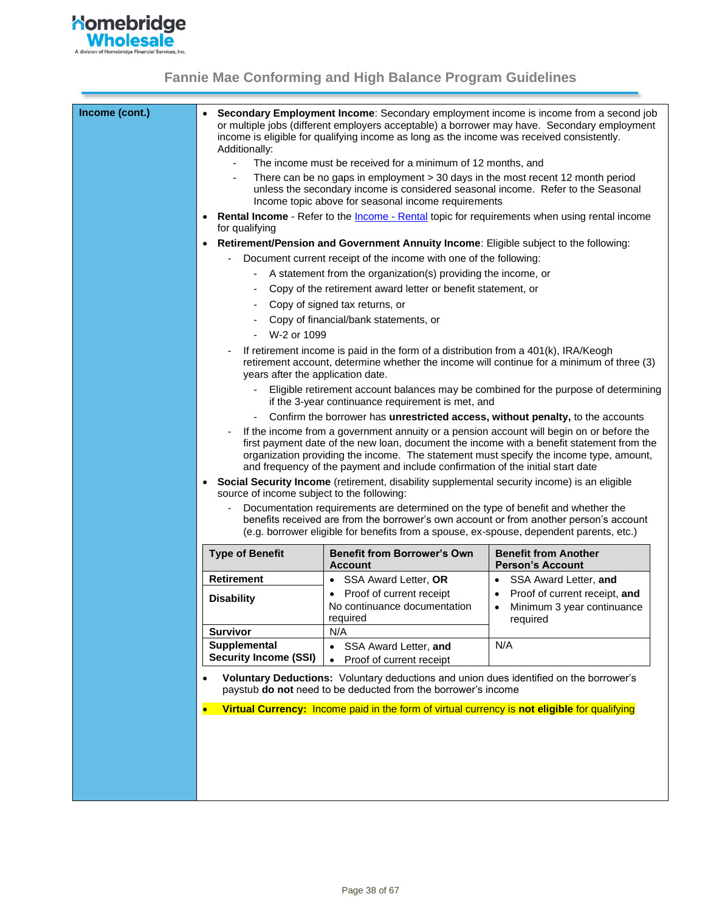

| Income (cont.) | Additionally:                              | income is eligible for qualifying income as long as the income was received consistently.                                                                                                                                                                                                                                                                     | Secondary Employment Income: Secondary employment income is income from a second job<br>or multiple jobs (different employers acceptable) a borrower may have. Secondary employment                                                                                                                                                                                       |
|----------------|--------------------------------------------|---------------------------------------------------------------------------------------------------------------------------------------------------------------------------------------------------------------------------------------------------------------------------------------------------------------------------------------------------------------|---------------------------------------------------------------------------------------------------------------------------------------------------------------------------------------------------------------------------------------------------------------------------------------------------------------------------------------------------------------------------|
|                |                                            | The income must be received for a minimum of 12 months, and                                                                                                                                                                                                                                                                                                   |                                                                                                                                                                                                                                                                                                                                                                           |
|                |                                            | There can be no gaps in employment > 30 days in the most recent 12 month period<br>unless the secondary income is considered seasonal income. Refer to the Seasonal<br>Income topic above for seasonal income requirements                                                                                                                                    |                                                                                                                                                                                                                                                                                                                                                                           |
|                | for qualifying                             |                                                                                                                                                                                                                                                                                                                                                               | <b>Rental Income</b> - Refer to the <i>Income</i> - Rental topic for requirements when using rental income                                                                                                                                                                                                                                                                |
|                |                                            | Retirement/Pension and Government Annuity Income: Eligible subject to the following:                                                                                                                                                                                                                                                                          |                                                                                                                                                                                                                                                                                                                                                                           |
|                |                                            | Document current receipt of the income with one of the following:                                                                                                                                                                                                                                                                                             |                                                                                                                                                                                                                                                                                                                                                                           |
|                |                                            | A statement from the organization(s) providing the income, or                                                                                                                                                                                                                                                                                                 |                                                                                                                                                                                                                                                                                                                                                                           |
|                |                                            | Copy of the retirement award letter or benefit statement, or                                                                                                                                                                                                                                                                                                  |                                                                                                                                                                                                                                                                                                                                                                           |
|                |                                            | Copy of signed tax returns, or                                                                                                                                                                                                                                                                                                                                |                                                                                                                                                                                                                                                                                                                                                                           |
|                |                                            | Copy of financial/bank statements, or                                                                                                                                                                                                                                                                                                                         |                                                                                                                                                                                                                                                                                                                                                                           |
|                | W-2 or 1099                                |                                                                                                                                                                                                                                                                                                                                                               |                                                                                                                                                                                                                                                                                                                                                                           |
|                | years after the application date.          | If retirement income is paid in the form of a distribution from a 401(k), IRA/Keogh                                                                                                                                                                                                                                                                           | retirement account, determine whether the income will continue for a minimum of three (3)                                                                                                                                                                                                                                                                                 |
|                |                                            | if the 3-year continuance requirement is met, and                                                                                                                                                                                                                                                                                                             | Eligible retirement account balances may be combined for the purpose of determining                                                                                                                                                                                                                                                                                       |
|                |                                            | Confirm the borrower has unrestricted access, without penalty, to the accounts                                                                                                                                                                                                                                                                                |                                                                                                                                                                                                                                                                                                                                                                           |
|                | source of income subject to the following: | and frequency of the payment and include confirmation of the initial start date<br>Social Security Income (retirement, disability supplemental security income) is an eligible<br>Documentation requirements are determined on the type of benefit and whether the<br>(e.g. borrower eligible for benefits from a spouse, ex-spouse, dependent parents, etc.) | If the income from a government annuity or a pension account will begin on or before the<br>first payment date of the new loan, document the income with a benefit statement from the<br>organization providing the income. The statement must specify the income type, amount,<br>benefits received are from the borrower's own account or from another person's account |
|                | <b>Type of Benefit</b>                     | <b>Benefit from Borrower's Own</b><br><b>Account</b>                                                                                                                                                                                                                                                                                                          | <b>Benefit from Another</b><br><b>Person's Account</b>                                                                                                                                                                                                                                                                                                                    |
|                | Retirement                                 | SSA Award Letter, OR                                                                                                                                                                                                                                                                                                                                          | SSA Award Letter, and                                                                                                                                                                                                                                                                                                                                                     |
|                | <b>Disability</b><br><b>Survivor</b>       | Proof of current receipt<br>No continuance documentation<br>required<br>N/A                                                                                                                                                                                                                                                                                   | Proof of current receipt, and<br>Minimum 3 year continuance<br>$\bullet$<br>required                                                                                                                                                                                                                                                                                      |
|                | Supplemental                               | • SSA Award Letter, and                                                                                                                                                                                                                                                                                                                                       | N/A                                                                                                                                                                                                                                                                                                                                                                       |
|                | <b>Security Income (SSI)</b>               | Proof of current receipt<br>$\bullet$                                                                                                                                                                                                                                                                                                                         |                                                                                                                                                                                                                                                                                                                                                                           |
|                | $\bullet$<br>$\bullet$                     | Voluntary Deductions: Voluntary deductions and union dues identified on the borrower's<br>paystub do not need to be deducted from the borrower's income<br>Virtual Currency: Income paid in the form of virtual currency is not eligible for qualifying                                                                                                       |                                                                                                                                                                                                                                                                                                                                                                           |
|                |                                            |                                                                                                                                                                                                                                                                                                                                                               |                                                                                                                                                                                                                                                                                                                                                                           |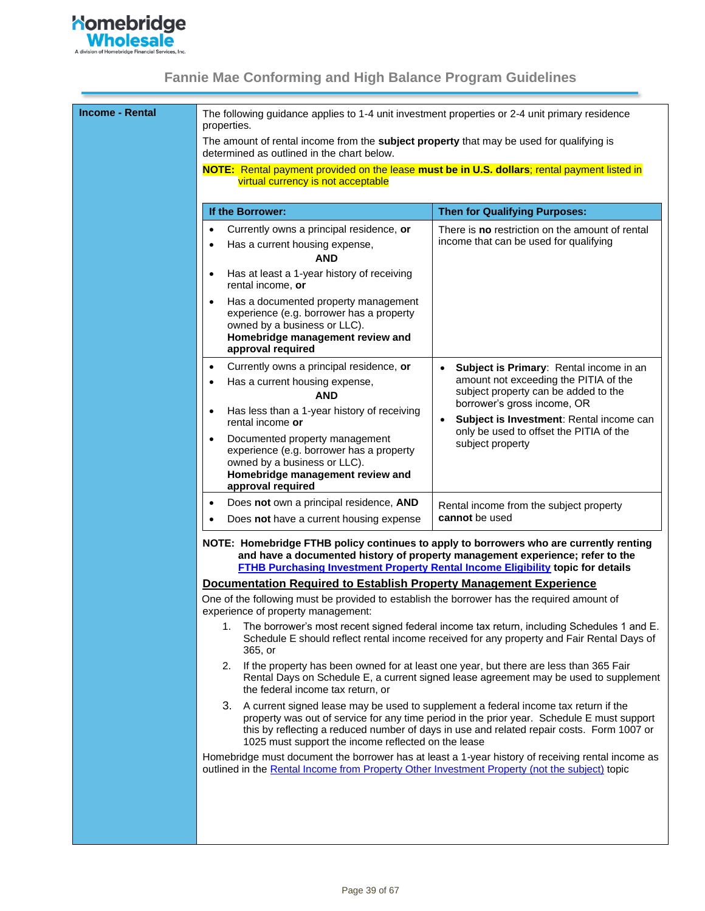

| <b>Income - Rental</b> | The following guidance applies to 1-4 unit investment properties or 2-4 unit primary residence<br>properties.                                                                                                                                                     |                                                                                                                                                                                         |  |  |
|------------------------|-------------------------------------------------------------------------------------------------------------------------------------------------------------------------------------------------------------------------------------------------------------------|-----------------------------------------------------------------------------------------------------------------------------------------------------------------------------------------|--|--|
|                        | The amount of rental income from the subject property that may be used for qualifying is<br>determined as outlined in the chart below.                                                                                                                            |                                                                                                                                                                                         |  |  |
|                        | NOTE: Rental payment provided on the lease must be in U.S. dollars; rental payment listed in<br>virtual currency is not acceptable                                                                                                                                |                                                                                                                                                                                         |  |  |
|                        | If the Borrower:                                                                                                                                                                                                                                                  | <b>Then for Qualifying Purposes:</b>                                                                                                                                                    |  |  |
|                        | Currently owns a principal residence, or<br>$\bullet$<br>Has a current housing expense,<br>$\bullet$<br><b>AND</b><br>Has at least a 1-year history of receiving<br>٠<br>rental income, or                                                                        | There is no restriction on the amount of rental<br>income that can be used for qualifying                                                                                               |  |  |
|                        | Has a documented property management<br>experience (e.g. borrower has a property<br>owned by a business or LLC).<br>Homebridge management review and<br>approval required                                                                                         |                                                                                                                                                                                         |  |  |
|                        | Currently owns a principal residence, or<br>$\bullet$<br>Has a current housing expense,<br>$\bullet$<br><b>AND</b>                                                                                                                                                | Subject is Primary: Rental income in an<br>$\bullet$<br>amount not exceeding the PITIA of the<br>subject property can be added to the<br>borrower's gross income, OR                    |  |  |
|                        | Has less than a 1-year history of receiving<br>$\bullet$<br>rental income or<br>Documented property management                                                                                                                                                    | Subject is Investment: Rental income can<br>$\bullet$<br>only be used to offset the PITIA of the                                                                                        |  |  |
|                        | experience (e.g. borrower has a property<br>owned by a business or LLC).<br>Homebridge management review and<br>approval required                                                                                                                                 | subject property                                                                                                                                                                        |  |  |
|                        | Does not own a principal residence, AND<br>$\bullet$<br>Does not have a current housing expense                                                                                                                                                                   | Rental income from the subject property<br>cannot be used                                                                                                                               |  |  |
|                        | NOTE: Homebridge FTHB policy continues to apply to borrowers who are currently renting<br>and have a documented history of property management experience; refer to the<br><b>FTHB Purchasing Investment Property Rental Income Eligibility topic for details</b> |                                                                                                                                                                                         |  |  |
|                        | Documentation Required to Establish Property Management Experience<br>One of the following must be provided to establish the borrower has the required amount of<br>experience of property management:                                                            |                                                                                                                                                                                         |  |  |
|                        | 1.<br>365, or                                                                                                                                                                                                                                                     | The borrower's most recent signed federal income tax return, including Schedules 1 and E.<br>Schedule E should reflect rental income received for any property and Fair Rental Days of  |  |  |
|                        | 2.<br>the federal income tax return, or                                                                                                                                                                                                                           | If the property has been owned for at least one year, but there are less than 365 Fair<br>Rental Days on Schedule E, a current signed lease agreement may be used to supplement         |  |  |
|                        | 3. A current signed lease may be used to supplement a federal income tax return if the<br>1025 must support the income reflected on the lease                                                                                                                     | property was out of service for any time period in the prior year. Schedule E must support<br>this by reflecting a reduced number of days in use and related repair costs. Form 1007 or |  |  |
|                        | Homebridge must document the borrower has at least a 1-year history of receiving rental income as<br>outlined in the Rental Income from Property Other Investment Property (not the subject) topic                                                                |                                                                                                                                                                                         |  |  |
|                        |                                                                                                                                                                                                                                                                   |                                                                                                                                                                                         |  |  |
|                        |                                                                                                                                                                                                                                                                   |                                                                                                                                                                                         |  |  |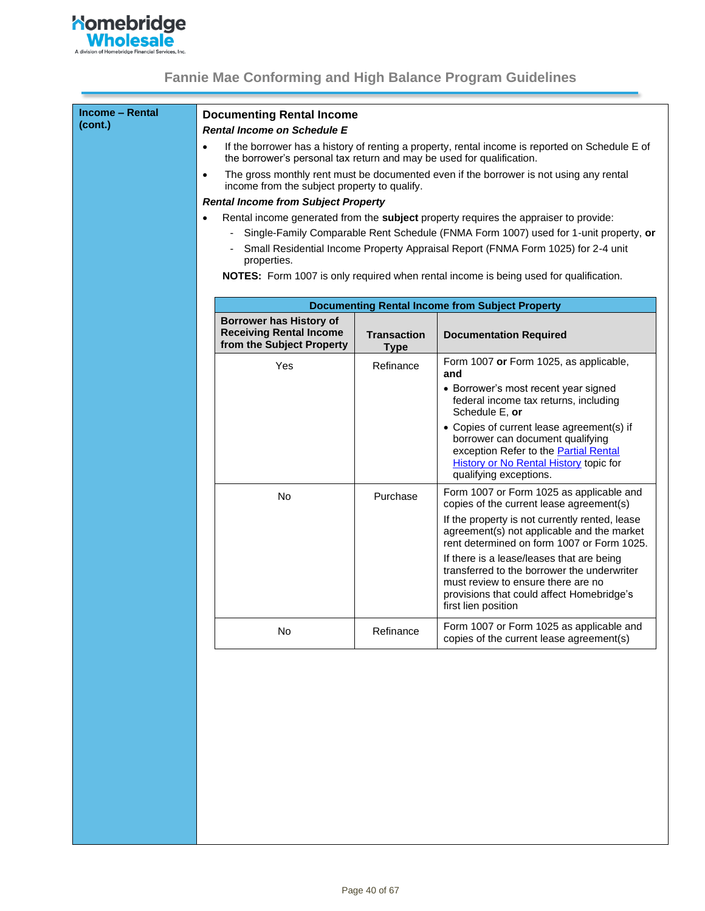

| <b>Income - Rental</b><br>(cont.) |           | <b>Documenting Rental Income</b>                                      |                                   |                                                                                                                                                                                                    |
|-----------------------------------|-----------|-----------------------------------------------------------------------|-----------------------------------|----------------------------------------------------------------------------------------------------------------------------------------------------------------------------------------------------|
|                                   |           | <b>Rental Income on Schedule E</b>                                    |                                   |                                                                                                                                                                                                    |
|                                   | $\bullet$ | the borrower's personal tax return and may be used for qualification. |                                   | If the borrower has a history of renting a property, rental income is reported on Schedule E of                                                                                                    |
|                                   | $\bullet$ | income from the subject property to qualify.                          |                                   | The gross monthly rent must be documented even if the borrower is not using any rental                                                                                                             |
|                                   |           | <b>Rental Income from Subject Property</b>                            |                                   |                                                                                                                                                                                                    |
|                                   |           |                                                                       |                                   | Rental income generated from the subject property requires the appraiser to provide:                                                                                                               |
|                                   |           |                                                                       |                                   | Single-Family Comparable Rent Schedule (FNMA Form 1007) used for 1-unit property, or                                                                                                               |
|                                   |           | properties.                                                           |                                   | Small Residential Income Property Appraisal Report (FNMA Form 1025) for 2-4 unit                                                                                                                   |
|                                   |           |                                                                       |                                   | NOTES: Form 1007 is only required when rental income is being used for qualification.                                                                                                              |
|                                   |           |                                                                       |                                   |                                                                                                                                                                                                    |
|                                   |           |                                                                       |                                   | <b>Documenting Rental Income from Subject Property</b>                                                                                                                                             |
|                                   |           | <b>Borrower has History of</b>                                        |                                   |                                                                                                                                                                                                    |
|                                   |           | <b>Receiving Rental Income</b><br>from the Subject Property           | <b>Transaction</b><br><b>Type</b> | <b>Documentation Required</b>                                                                                                                                                                      |
|                                   |           | Yes                                                                   | Refinance                         | Form 1007 or Form 1025, as applicable,<br>and                                                                                                                                                      |
|                                   |           |                                                                       |                                   | • Borrower's most recent year signed<br>federal income tax returns, including<br>Schedule E, or                                                                                                    |
|                                   |           |                                                                       |                                   | • Copies of current lease agreement(s) if<br>borrower can document qualifying<br>exception Refer to the Partial Rental<br>History or No Rental History topic for<br>qualifying exceptions.         |
|                                   |           | No                                                                    | Purchase                          | Form 1007 or Form 1025 as applicable and<br>copies of the current lease agreement(s)                                                                                                               |
|                                   |           |                                                                       |                                   | If the property is not currently rented, lease<br>agreement(s) not applicable and the market<br>rent determined on form 1007 or Form 1025.                                                         |
|                                   |           |                                                                       |                                   | If there is a lease/leases that are being<br>transferred to the borrower the underwriter<br>must review to ensure there are no<br>provisions that could affect Homebridge's<br>first lien position |
|                                   |           | No                                                                    | Refinance                         | Form 1007 or Form 1025 as applicable and<br>copies of the current lease agreement(s)                                                                                                               |
|                                   |           |                                                                       |                                   |                                                                                                                                                                                                    |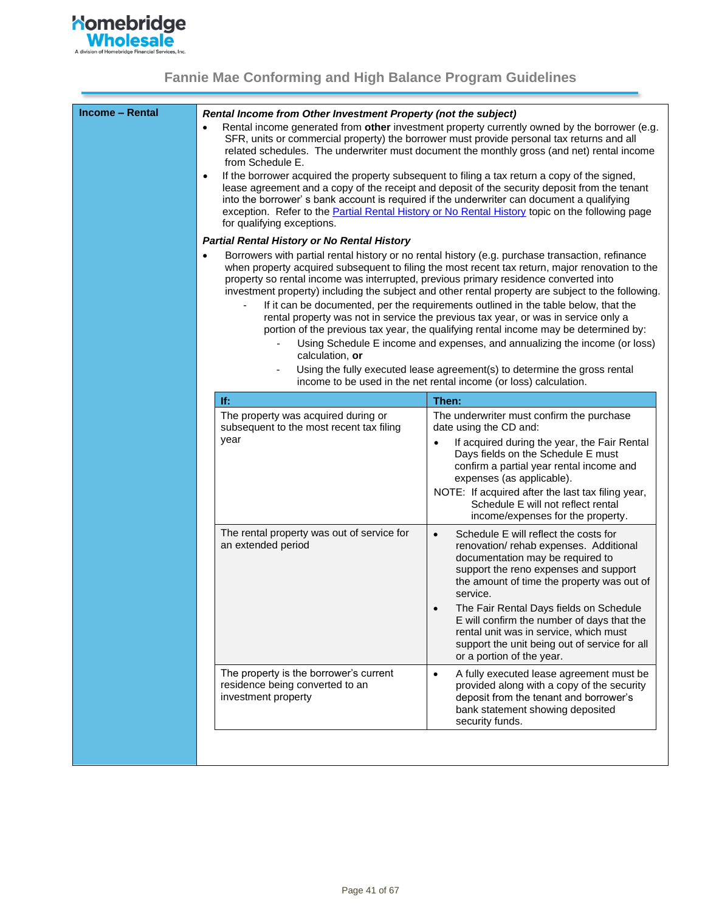

<span id="page-40-2"></span><span id="page-40-1"></span><span id="page-40-0"></span>

| <b>Income - Rental</b> | Rental Income from Other Investment Property (not the subject)<br>from Schedule E.<br>$\bullet$<br>for qualifying exceptions.<br><b>Partial Rental History or No Rental History</b><br>$\bullet$<br>property so rental income was interrupted, previous primary residence converted into<br>calculation, or | Rental income generated from other investment property currently owned by the borrower (e.g.<br>SFR, units or commercial property) the borrower must provide personal tax returns and all<br>related schedules. The underwriter must document the monthly gross (and net) rental income<br>If the borrower acquired the property subsequent to filing a tax return a copy of the signed,<br>lease agreement and a copy of the receipt and deposit of the security deposit from the tenant<br>into the borrower' s bank account is required if the underwriter can document a qualifying<br>exception. Refer to the <b>Partial Rental History or No Rental History</b> topic on the following page<br>Borrowers with partial rental history or no rental history (e.g. purchase transaction, refinance<br>when property acquired subsequent to filing the most recent tax return, major renovation to the<br>investment property) including the subject and other rental property are subject to the following.<br>If it can be documented, per the requirements outlined in the table below, that the<br>rental property was not in service the previous tax year, or was in service only a<br>portion of the previous tax year, the qualifying rental income may be determined by:<br>Using Schedule E income and expenses, and annualizing the income (or loss)<br>Using the fully executed lease agreement(s) to determine the gross rental<br>income to be used in the net rental income (or loss) calculation. |
|------------------------|-------------------------------------------------------------------------------------------------------------------------------------------------------------------------------------------------------------------------------------------------------------------------------------------------------------|---------------------------------------------------------------------------------------------------------------------------------------------------------------------------------------------------------------------------------------------------------------------------------------------------------------------------------------------------------------------------------------------------------------------------------------------------------------------------------------------------------------------------------------------------------------------------------------------------------------------------------------------------------------------------------------------------------------------------------------------------------------------------------------------------------------------------------------------------------------------------------------------------------------------------------------------------------------------------------------------------------------------------------------------------------------------------------------------------------------------------------------------------------------------------------------------------------------------------------------------------------------------------------------------------------------------------------------------------------------------------------------------------------------------------------------------------------------------------------------------------------------------|
|                        | lf.                                                                                                                                                                                                                                                                                                         | Then:                                                                                                                                                                                                                                                                                                                                                                                                                                                                                                                                                                                                                                                                                                                                                                                                                                                                                                                                                                                                                                                                                                                                                                                                                                                                                                                                                                                                                                                                                                               |
|                        | The property was acquired during or<br>subsequent to the most recent tax filing<br>year                                                                                                                                                                                                                     | The underwriter must confirm the purchase<br>date using the CD and:<br>If acquired during the year, the Fair Rental<br>$\bullet$<br>Days fields on the Schedule E must<br>confirm a partial year rental income and<br>expenses (as applicable).<br>NOTE: If acquired after the last tax filing year,<br>Schedule E will not reflect rental<br>income/expenses for the property.                                                                                                                                                                                                                                                                                                                                                                                                                                                                                                                                                                                                                                                                                                                                                                                                                                                                                                                                                                                                                                                                                                                                     |
|                        | The rental property was out of service for<br>an extended period                                                                                                                                                                                                                                            | Schedule E will reflect the costs for<br>$\bullet$<br>renovation/rehab expenses. Additional<br>documentation may be required to<br>support the reno expenses and support<br>the amount of time the property was out of<br>service.<br>The Fair Rental Days fields on Schedule<br>$\bullet$<br>L will confirm the number of days that the<br>rental unit was in service, which must<br>support the unit being out of service for all<br>or a portion of the year.                                                                                                                                                                                                                                                                                                                                                                                                                                                                                                                                                                                                                                                                                                                                                                                                                                                                                                                                                                                                                                                    |
|                        | The property is the borrower's current<br>residence being converted to an<br>investment property                                                                                                                                                                                                            | A fully executed lease agreement must be<br>$\bullet$<br>provided along with a copy of the security<br>deposit from the tenant and borrower's<br>bank statement showing deposited<br>security funds.                                                                                                                                                                                                                                                                                                                                                                                                                                                                                                                                                                                                                                                                                                                                                                                                                                                                                                                                                                                                                                                                                                                                                                                                                                                                                                                |
|                        |                                                                                                                                                                                                                                                                                                             |                                                                                                                                                                                                                                                                                                                                                                                                                                                                                                                                                                                                                                                                                                                                                                                                                                                                                                                                                                                                                                                                                                                                                                                                                                                                                                                                                                                                                                                                                                                     |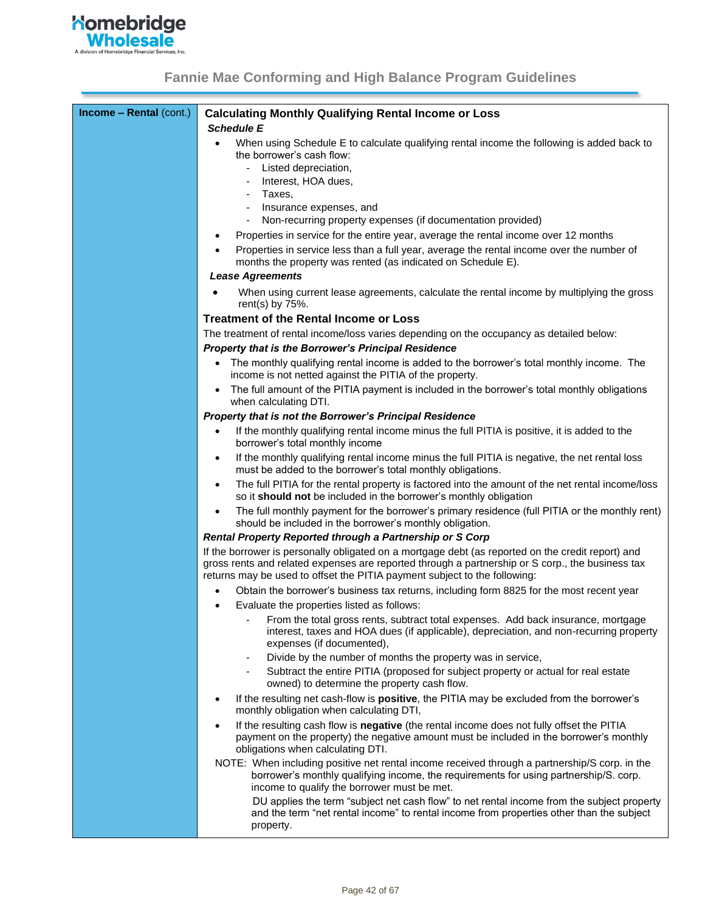

| When using Schedule E to calculate qualifying rental income the following is added back to<br>the borrower's cash flow:<br>Listed depreciation,<br>$\overline{\phantom{a}}$<br>Interest, HOA dues,<br>$\overline{\phantom{a}}$<br>Taxes,<br>$\overline{\phantom{a}}$<br>Insurance expenses, and<br>٠<br>Non-recurring property expenses (if documentation provided)<br>Properties in service for the entire year, average the rental income over 12 months<br>٠<br>Properties in service less than a full year, average the rental income over the number of<br>months the property was rented (as indicated on Schedule E).<br><b>Lease Agreements</b><br>When using current lease agreements, calculate the rental income by multiplying the gross<br>rent(s) by $75%$ .<br><b>Treatment of the Rental Income or Loss</b><br>The treatment of rental income/loss varies depending on the occupancy as detailed below:<br><b>Property that is the Borrower's Principal Residence</b><br>The monthly qualifying rental income is added to the borrower's total monthly income. The<br>$\bullet$<br>income is not netted against the PITIA of the property.<br>The full amount of the PITIA payment is included in the borrower's total monthly obligations<br>$\bullet$<br>when calculating DTI.<br>Property that is not the Borrower's Principal Residence<br>If the monthly qualifying rental income minus the full PITIA is positive, it is added to the<br>$\bullet$<br>borrower's total monthly income<br>If the monthly qualifying rental income minus the full PITIA is negative, the net rental loss<br>$\bullet$<br>must be added to the borrower's total monthly obligations.<br>The full PITIA for the rental property is factored into the amount of the net rental income/loss<br>$\bullet$<br>so it should not be included in the borrower's monthly obligation<br>The full monthly payment for the borrower's primary residence (full PITIA or the monthly rent)<br>٠<br>should be included in the borrower's monthly obligation.<br>Rental Property Reported through a Partnership or S Corp<br>If the borrower is personally obligated on a mortgage debt (as reported on the credit report) and<br>gross rents and related expenses are reported through a partnership or S corp., the business tax<br>returns may be used to offset the PITIA payment subject to the following:<br>Obtain the borrower's business tax returns, including form 8825 for the most recent year<br>$\bullet$<br>Evaluate the properties listed as follows:<br>$\bullet$<br>From the total gross rents, subtract total expenses. Add back insurance, mortgage<br>interest, taxes and HOA dues (if applicable), depreciation, and non-recurring property<br>expenses (if documented),<br>Divide by the number of months the property was in service,<br>$\overline{\phantom{0}}$<br>Subtract the entire PITIA (proposed for subject property or actual for real estate<br>$\overline{\phantom{0}}$<br>owned) to determine the property cash flow.<br>If the resulting net cash-flow is positive, the PITIA may be excluded from the borrower's<br>$\bullet$<br>monthly obligation when calculating DTI,<br>If the resulting cash flow is negative (the rental income does not fully offset the PITIA<br>$\bullet$<br>payment on the property) the negative amount must be included in the borrower's monthly<br>obligations when calculating DTI.<br>NOTE: When including positive net rental income received through a partnership/S corp. in the<br>borrower's monthly qualifying income, the requirements for using partnership/S. corp.<br>income to qualify the borrower must be met.<br>DU applies the term "subject net cash flow" to net rental income from the subject property<br>and the term "net rental income" to rental income from properties other than the subject<br>property. | <b>Income - Rental (cont.)</b> | <b>Calculating Monthly Qualifying Rental Income or Loss</b> |
|------------------------------------------------------------------------------------------------------------------------------------------------------------------------------------------------------------------------------------------------------------------------------------------------------------------------------------------------------------------------------------------------------------------------------------------------------------------------------------------------------------------------------------------------------------------------------------------------------------------------------------------------------------------------------------------------------------------------------------------------------------------------------------------------------------------------------------------------------------------------------------------------------------------------------------------------------------------------------------------------------------------------------------------------------------------------------------------------------------------------------------------------------------------------------------------------------------------------------------------------------------------------------------------------------------------------------------------------------------------------------------------------------------------------------------------------------------------------------------------------------------------------------------------------------------------------------------------------------------------------------------------------------------------------------------------------------------------------------------------------------------------------------------------------------------------------------------------------------------------------------------------------------------------------------------------------------------------------------------------------------------------------------------------------------------------------------------------------------------------------------------------------------------------------------------------------------------------------------------------------------------------------------------------------------------------------------------------------------------------------------------------------------------------------------------------------------------------------------------------------------------------------------------------------------------------------------------------------------------------------------------------------------------------------------------------------------------------------------------------------------------------------------------------------------------------------------------------------------------------------------------------------------------------------------------------------------------------------------------------------------------------------------------------------------------------------------------------------------------------------------------------------------------------------------------------------------------------------------------------------------------------------------------------------------------------------------------------------------------------------------------------------------------------------------------------------------------------------------------------------------------------------------------------------------------------------------------------------------------------------------------------------------------------------------------------------------------------------------------------------------------------------------------------------------------------------------------------------------------------------------------------------|--------------------------------|-------------------------------------------------------------|
|                                                                                                                                                                                                                                                                                                                                                                                                                                                                                                                                                                                                                                                                                                                                                                                                                                                                                                                                                                                                                                                                                                                                                                                                                                                                                                                                                                                                                                                                                                                                                                                                                                                                                                                                                                                                                                                                                                                                                                                                                                                                                                                                                                                                                                                                                                                                                                                                                                                                                                                                                                                                                                                                                                                                                                                                                                                                                                                                                                                                                                                                                                                                                                                                                                                                                                                                                                                                                                                                                                                                                                                                                                                                                                                                                                                                                                                                                                |                                | <b>Schedule E</b>                                           |
|                                                                                                                                                                                                                                                                                                                                                                                                                                                                                                                                                                                                                                                                                                                                                                                                                                                                                                                                                                                                                                                                                                                                                                                                                                                                                                                                                                                                                                                                                                                                                                                                                                                                                                                                                                                                                                                                                                                                                                                                                                                                                                                                                                                                                                                                                                                                                                                                                                                                                                                                                                                                                                                                                                                                                                                                                                                                                                                                                                                                                                                                                                                                                                                                                                                                                                                                                                                                                                                                                                                                                                                                                                                                                                                                                                                                                                                                                                |                                |                                                             |
|                                                                                                                                                                                                                                                                                                                                                                                                                                                                                                                                                                                                                                                                                                                                                                                                                                                                                                                                                                                                                                                                                                                                                                                                                                                                                                                                                                                                                                                                                                                                                                                                                                                                                                                                                                                                                                                                                                                                                                                                                                                                                                                                                                                                                                                                                                                                                                                                                                                                                                                                                                                                                                                                                                                                                                                                                                                                                                                                                                                                                                                                                                                                                                                                                                                                                                                                                                                                                                                                                                                                                                                                                                                                                                                                                                                                                                                                                                |                                |                                                             |
|                                                                                                                                                                                                                                                                                                                                                                                                                                                                                                                                                                                                                                                                                                                                                                                                                                                                                                                                                                                                                                                                                                                                                                                                                                                                                                                                                                                                                                                                                                                                                                                                                                                                                                                                                                                                                                                                                                                                                                                                                                                                                                                                                                                                                                                                                                                                                                                                                                                                                                                                                                                                                                                                                                                                                                                                                                                                                                                                                                                                                                                                                                                                                                                                                                                                                                                                                                                                                                                                                                                                                                                                                                                                                                                                                                                                                                                                                                |                                |                                                             |
|                                                                                                                                                                                                                                                                                                                                                                                                                                                                                                                                                                                                                                                                                                                                                                                                                                                                                                                                                                                                                                                                                                                                                                                                                                                                                                                                                                                                                                                                                                                                                                                                                                                                                                                                                                                                                                                                                                                                                                                                                                                                                                                                                                                                                                                                                                                                                                                                                                                                                                                                                                                                                                                                                                                                                                                                                                                                                                                                                                                                                                                                                                                                                                                                                                                                                                                                                                                                                                                                                                                                                                                                                                                                                                                                                                                                                                                                                                |                                |                                                             |
|                                                                                                                                                                                                                                                                                                                                                                                                                                                                                                                                                                                                                                                                                                                                                                                                                                                                                                                                                                                                                                                                                                                                                                                                                                                                                                                                                                                                                                                                                                                                                                                                                                                                                                                                                                                                                                                                                                                                                                                                                                                                                                                                                                                                                                                                                                                                                                                                                                                                                                                                                                                                                                                                                                                                                                                                                                                                                                                                                                                                                                                                                                                                                                                                                                                                                                                                                                                                                                                                                                                                                                                                                                                                                                                                                                                                                                                                                                |                                |                                                             |
|                                                                                                                                                                                                                                                                                                                                                                                                                                                                                                                                                                                                                                                                                                                                                                                                                                                                                                                                                                                                                                                                                                                                                                                                                                                                                                                                                                                                                                                                                                                                                                                                                                                                                                                                                                                                                                                                                                                                                                                                                                                                                                                                                                                                                                                                                                                                                                                                                                                                                                                                                                                                                                                                                                                                                                                                                                                                                                                                                                                                                                                                                                                                                                                                                                                                                                                                                                                                                                                                                                                                                                                                                                                                                                                                                                                                                                                                                                |                                |                                                             |
|                                                                                                                                                                                                                                                                                                                                                                                                                                                                                                                                                                                                                                                                                                                                                                                                                                                                                                                                                                                                                                                                                                                                                                                                                                                                                                                                                                                                                                                                                                                                                                                                                                                                                                                                                                                                                                                                                                                                                                                                                                                                                                                                                                                                                                                                                                                                                                                                                                                                                                                                                                                                                                                                                                                                                                                                                                                                                                                                                                                                                                                                                                                                                                                                                                                                                                                                                                                                                                                                                                                                                                                                                                                                                                                                                                                                                                                                                                |                                |                                                             |
|                                                                                                                                                                                                                                                                                                                                                                                                                                                                                                                                                                                                                                                                                                                                                                                                                                                                                                                                                                                                                                                                                                                                                                                                                                                                                                                                                                                                                                                                                                                                                                                                                                                                                                                                                                                                                                                                                                                                                                                                                                                                                                                                                                                                                                                                                                                                                                                                                                                                                                                                                                                                                                                                                                                                                                                                                                                                                                                                                                                                                                                                                                                                                                                                                                                                                                                                                                                                                                                                                                                                                                                                                                                                                                                                                                                                                                                                                                |                                |                                                             |
|                                                                                                                                                                                                                                                                                                                                                                                                                                                                                                                                                                                                                                                                                                                                                                                                                                                                                                                                                                                                                                                                                                                                                                                                                                                                                                                                                                                                                                                                                                                                                                                                                                                                                                                                                                                                                                                                                                                                                                                                                                                                                                                                                                                                                                                                                                                                                                                                                                                                                                                                                                                                                                                                                                                                                                                                                                                                                                                                                                                                                                                                                                                                                                                                                                                                                                                                                                                                                                                                                                                                                                                                                                                                                                                                                                                                                                                                                                |                                |                                                             |
|                                                                                                                                                                                                                                                                                                                                                                                                                                                                                                                                                                                                                                                                                                                                                                                                                                                                                                                                                                                                                                                                                                                                                                                                                                                                                                                                                                                                                                                                                                                                                                                                                                                                                                                                                                                                                                                                                                                                                                                                                                                                                                                                                                                                                                                                                                                                                                                                                                                                                                                                                                                                                                                                                                                                                                                                                                                                                                                                                                                                                                                                                                                                                                                                                                                                                                                                                                                                                                                                                                                                                                                                                                                                                                                                                                                                                                                                                                |                                |                                                             |
|                                                                                                                                                                                                                                                                                                                                                                                                                                                                                                                                                                                                                                                                                                                                                                                                                                                                                                                                                                                                                                                                                                                                                                                                                                                                                                                                                                                                                                                                                                                                                                                                                                                                                                                                                                                                                                                                                                                                                                                                                                                                                                                                                                                                                                                                                                                                                                                                                                                                                                                                                                                                                                                                                                                                                                                                                                                                                                                                                                                                                                                                                                                                                                                                                                                                                                                                                                                                                                                                                                                                                                                                                                                                                                                                                                                                                                                                                                |                                |                                                             |
|                                                                                                                                                                                                                                                                                                                                                                                                                                                                                                                                                                                                                                                                                                                                                                                                                                                                                                                                                                                                                                                                                                                                                                                                                                                                                                                                                                                                                                                                                                                                                                                                                                                                                                                                                                                                                                                                                                                                                                                                                                                                                                                                                                                                                                                                                                                                                                                                                                                                                                                                                                                                                                                                                                                                                                                                                                                                                                                                                                                                                                                                                                                                                                                                                                                                                                                                                                                                                                                                                                                                                                                                                                                                                                                                                                                                                                                                                                |                                |                                                             |
|                                                                                                                                                                                                                                                                                                                                                                                                                                                                                                                                                                                                                                                                                                                                                                                                                                                                                                                                                                                                                                                                                                                                                                                                                                                                                                                                                                                                                                                                                                                                                                                                                                                                                                                                                                                                                                                                                                                                                                                                                                                                                                                                                                                                                                                                                                                                                                                                                                                                                                                                                                                                                                                                                                                                                                                                                                                                                                                                                                                                                                                                                                                                                                                                                                                                                                                                                                                                                                                                                                                                                                                                                                                                                                                                                                                                                                                                                                |                                |                                                             |
|                                                                                                                                                                                                                                                                                                                                                                                                                                                                                                                                                                                                                                                                                                                                                                                                                                                                                                                                                                                                                                                                                                                                                                                                                                                                                                                                                                                                                                                                                                                                                                                                                                                                                                                                                                                                                                                                                                                                                                                                                                                                                                                                                                                                                                                                                                                                                                                                                                                                                                                                                                                                                                                                                                                                                                                                                                                                                                                                                                                                                                                                                                                                                                                                                                                                                                                                                                                                                                                                                                                                                                                                                                                                                                                                                                                                                                                                                                |                                |                                                             |
|                                                                                                                                                                                                                                                                                                                                                                                                                                                                                                                                                                                                                                                                                                                                                                                                                                                                                                                                                                                                                                                                                                                                                                                                                                                                                                                                                                                                                                                                                                                                                                                                                                                                                                                                                                                                                                                                                                                                                                                                                                                                                                                                                                                                                                                                                                                                                                                                                                                                                                                                                                                                                                                                                                                                                                                                                                                                                                                                                                                                                                                                                                                                                                                                                                                                                                                                                                                                                                                                                                                                                                                                                                                                                                                                                                                                                                                                                                |                                |                                                             |
|                                                                                                                                                                                                                                                                                                                                                                                                                                                                                                                                                                                                                                                                                                                                                                                                                                                                                                                                                                                                                                                                                                                                                                                                                                                                                                                                                                                                                                                                                                                                                                                                                                                                                                                                                                                                                                                                                                                                                                                                                                                                                                                                                                                                                                                                                                                                                                                                                                                                                                                                                                                                                                                                                                                                                                                                                                                                                                                                                                                                                                                                                                                                                                                                                                                                                                                                                                                                                                                                                                                                                                                                                                                                                                                                                                                                                                                                                                |                                |                                                             |
|                                                                                                                                                                                                                                                                                                                                                                                                                                                                                                                                                                                                                                                                                                                                                                                                                                                                                                                                                                                                                                                                                                                                                                                                                                                                                                                                                                                                                                                                                                                                                                                                                                                                                                                                                                                                                                                                                                                                                                                                                                                                                                                                                                                                                                                                                                                                                                                                                                                                                                                                                                                                                                                                                                                                                                                                                                                                                                                                                                                                                                                                                                                                                                                                                                                                                                                                                                                                                                                                                                                                                                                                                                                                                                                                                                                                                                                                                                |                                |                                                             |
|                                                                                                                                                                                                                                                                                                                                                                                                                                                                                                                                                                                                                                                                                                                                                                                                                                                                                                                                                                                                                                                                                                                                                                                                                                                                                                                                                                                                                                                                                                                                                                                                                                                                                                                                                                                                                                                                                                                                                                                                                                                                                                                                                                                                                                                                                                                                                                                                                                                                                                                                                                                                                                                                                                                                                                                                                                                                                                                                                                                                                                                                                                                                                                                                                                                                                                                                                                                                                                                                                                                                                                                                                                                                                                                                                                                                                                                                                                |                                |                                                             |
|                                                                                                                                                                                                                                                                                                                                                                                                                                                                                                                                                                                                                                                                                                                                                                                                                                                                                                                                                                                                                                                                                                                                                                                                                                                                                                                                                                                                                                                                                                                                                                                                                                                                                                                                                                                                                                                                                                                                                                                                                                                                                                                                                                                                                                                                                                                                                                                                                                                                                                                                                                                                                                                                                                                                                                                                                                                                                                                                                                                                                                                                                                                                                                                                                                                                                                                                                                                                                                                                                                                                                                                                                                                                                                                                                                                                                                                                                                |                                |                                                             |
|                                                                                                                                                                                                                                                                                                                                                                                                                                                                                                                                                                                                                                                                                                                                                                                                                                                                                                                                                                                                                                                                                                                                                                                                                                                                                                                                                                                                                                                                                                                                                                                                                                                                                                                                                                                                                                                                                                                                                                                                                                                                                                                                                                                                                                                                                                                                                                                                                                                                                                                                                                                                                                                                                                                                                                                                                                                                                                                                                                                                                                                                                                                                                                                                                                                                                                                                                                                                                                                                                                                                                                                                                                                                                                                                                                                                                                                                                                |                                |                                                             |
|                                                                                                                                                                                                                                                                                                                                                                                                                                                                                                                                                                                                                                                                                                                                                                                                                                                                                                                                                                                                                                                                                                                                                                                                                                                                                                                                                                                                                                                                                                                                                                                                                                                                                                                                                                                                                                                                                                                                                                                                                                                                                                                                                                                                                                                                                                                                                                                                                                                                                                                                                                                                                                                                                                                                                                                                                                                                                                                                                                                                                                                                                                                                                                                                                                                                                                                                                                                                                                                                                                                                                                                                                                                                                                                                                                                                                                                                                                |                                |                                                             |
|                                                                                                                                                                                                                                                                                                                                                                                                                                                                                                                                                                                                                                                                                                                                                                                                                                                                                                                                                                                                                                                                                                                                                                                                                                                                                                                                                                                                                                                                                                                                                                                                                                                                                                                                                                                                                                                                                                                                                                                                                                                                                                                                                                                                                                                                                                                                                                                                                                                                                                                                                                                                                                                                                                                                                                                                                                                                                                                                                                                                                                                                                                                                                                                                                                                                                                                                                                                                                                                                                                                                                                                                                                                                                                                                                                                                                                                                                                |                                |                                                             |
|                                                                                                                                                                                                                                                                                                                                                                                                                                                                                                                                                                                                                                                                                                                                                                                                                                                                                                                                                                                                                                                                                                                                                                                                                                                                                                                                                                                                                                                                                                                                                                                                                                                                                                                                                                                                                                                                                                                                                                                                                                                                                                                                                                                                                                                                                                                                                                                                                                                                                                                                                                                                                                                                                                                                                                                                                                                                                                                                                                                                                                                                                                                                                                                                                                                                                                                                                                                                                                                                                                                                                                                                                                                                                                                                                                                                                                                                                                |                                |                                                             |
|                                                                                                                                                                                                                                                                                                                                                                                                                                                                                                                                                                                                                                                                                                                                                                                                                                                                                                                                                                                                                                                                                                                                                                                                                                                                                                                                                                                                                                                                                                                                                                                                                                                                                                                                                                                                                                                                                                                                                                                                                                                                                                                                                                                                                                                                                                                                                                                                                                                                                                                                                                                                                                                                                                                                                                                                                                                                                                                                                                                                                                                                                                                                                                                                                                                                                                                                                                                                                                                                                                                                                                                                                                                                                                                                                                                                                                                                                                |                                |                                                             |
|                                                                                                                                                                                                                                                                                                                                                                                                                                                                                                                                                                                                                                                                                                                                                                                                                                                                                                                                                                                                                                                                                                                                                                                                                                                                                                                                                                                                                                                                                                                                                                                                                                                                                                                                                                                                                                                                                                                                                                                                                                                                                                                                                                                                                                                                                                                                                                                                                                                                                                                                                                                                                                                                                                                                                                                                                                                                                                                                                                                                                                                                                                                                                                                                                                                                                                                                                                                                                                                                                                                                                                                                                                                                                                                                                                                                                                                                                                |                                |                                                             |
|                                                                                                                                                                                                                                                                                                                                                                                                                                                                                                                                                                                                                                                                                                                                                                                                                                                                                                                                                                                                                                                                                                                                                                                                                                                                                                                                                                                                                                                                                                                                                                                                                                                                                                                                                                                                                                                                                                                                                                                                                                                                                                                                                                                                                                                                                                                                                                                                                                                                                                                                                                                                                                                                                                                                                                                                                                                                                                                                                                                                                                                                                                                                                                                                                                                                                                                                                                                                                                                                                                                                                                                                                                                                                                                                                                                                                                                                                                |                                |                                                             |
|                                                                                                                                                                                                                                                                                                                                                                                                                                                                                                                                                                                                                                                                                                                                                                                                                                                                                                                                                                                                                                                                                                                                                                                                                                                                                                                                                                                                                                                                                                                                                                                                                                                                                                                                                                                                                                                                                                                                                                                                                                                                                                                                                                                                                                                                                                                                                                                                                                                                                                                                                                                                                                                                                                                                                                                                                                                                                                                                                                                                                                                                                                                                                                                                                                                                                                                                                                                                                                                                                                                                                                                                                                                                                                                                                                                                                                                                                                |                                |                                                             |
|                                                                                                                                                                                                                                                                                                                                                                                                                                                                                                                                                                                                                                                                                                                                                                                                                                                                                                                                                                                                                                                                                                                                                                                                                                                                                                                                                                                                                                                                                                                                                                                                                                                                                                                                                                                                                                                                                                                                                                                                                                                                                                                                                                                                                                                                                                                                                                                                                                                                                                                                                                                                                                                                                                                                                                                                                                                                                                                                                                                                                                                                                                                                                                                                                                                                                                                                                                                                                                                                                                                                                                                                                                                                                                                                                                                                                                                                                                |                                |                                                             |
|                                                                                                                                                                                                                                                                                                                                                                                                                                                                                                                                                                                                                                                                                                                                                                                                                                                                                                                                                                                                                                                                                                                                                                                                                                                                                                                                                                                                                                                                                                                                                                                                                                                                                                                                                                                                                                                                                                                                                                                                                                                                                                                                                                                                                                                                                                                                                                                                                                                                                                                                                                                                                                                                                                                                                                                                                                                                                                                                                                                                                                                                                                                                                                                                                                                                                                                                                                                                                                                                                                                                                                                                                                                                                                                                                                                                                                                                                                |                                |                                                             |
|                                                                                                                                                                                                                                                                                                                                                                                                                                                                                                                                                                                                                                                                                                                                                                                                                                                                                                                                                                                                                                                                                                                                                                                                                                                                                                                                                                                                                                                                                                                                                                                                                                                                                                                                                                                                                                                                                                                                                                                                                                                                                                                                                                                                                                                                                                                                                                                                                                                                                                                                                                                                                                                                                                                                                                                                                                                                                                                                                                                                                                                                                                                                                                                                                                                                                                                                                                                                                                                                                                                                                                                                                                                                                                                                                                                                                                                                                                |                                |                                                             |
|                                                                                                                                                                                                                                                                                                                                                                                                                                                                                                                                                                                                                                                                                                                                                                                                                                                                                                                                                                                                                                                                                                                                                                                                                                                                                                                                                                                                                                                                                                                                                                                                                                                                                                                                                                                                                                                                                                                                                                                                                                                                                                                                                                                                                                                                                                                                                                                                                                                                                                                                                                                                                                                                                                                                                                                                                                                                                                                                                                                                                                                                                                                                                                                                                                                                                                                                                                                                                                                                                                                                                                                                                                                                                                                                                                                                                                                                                                |                                |                                                             |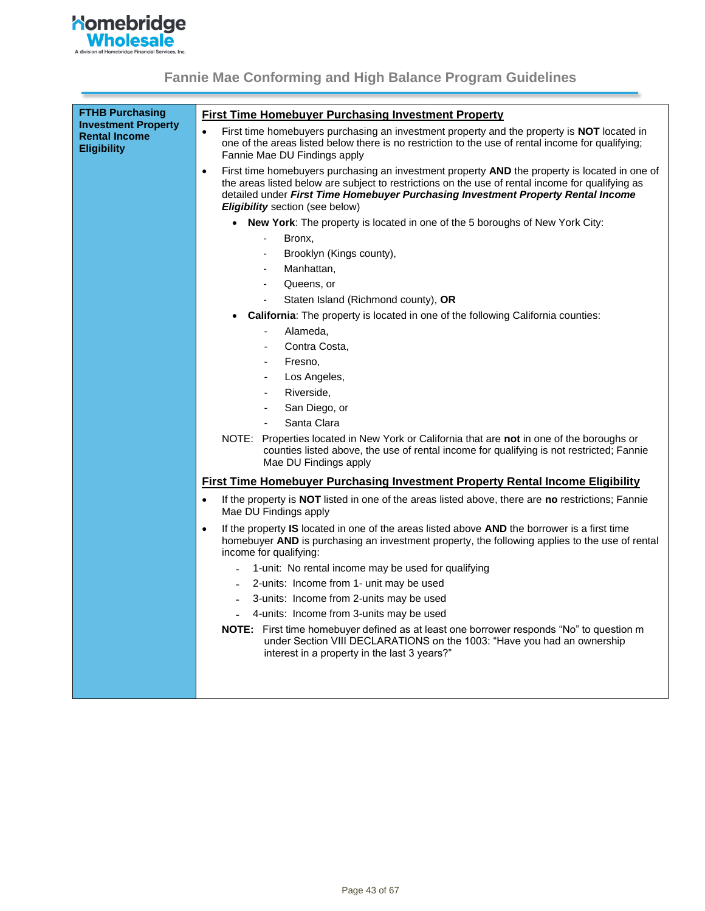

| <b>FTHB Purchasing</b>                                                   | <b>First Time Homebuyer Purchasing Investment Property</b>                                                                                                                                                                                                                                                                                   |
|--------------------------------------------------------------------------|----------------------------------------------------------------------------------------------------------------------------------------------------------------------------------------------------------------------------------------------------------------------------------------------------------------------------------------------|
| <b>Investment Property</b><br><b>Rental Income</b><br><b>Eligibility</b> | First time homebuyers purchasing an investment property and the property is NOT located in<br>$\bullet$<br>one of the areas listed below there is no restriction to the use of rental income for qualifying;<br>Fannie Mae DU Findings apply                                                                                                 |
|                                                                          | First time homebuyers purchasing an investment property AND the property is located in one of<br>$\bullet$<br>the areas listed below are subject to restrictions on the use of rental income for qualifying as<br>detailed under First Time Homebuyer Purchasing Investment Property Rental Income<br><b>Eligibility</b> section (see below) |
|                                                                          | • New York: The property is located in one of the 5 boroughs of New York City:                                                                                                                                                                                                                                                               |
|                                                                          | $\blacksquare$<br>Bronx,                                                                                                                                                                                                                                                                                                                     |
|                                                                          | Brooklyn (Kings county),                                                                                                                                                                                                                                                                                                                     |
|                                                                          | Manhattan,                                                                                                                                                                                                                                                                                                                                   |
|                                                                          | Queens, or<br>$\blacksquare$                                                                                                                                                                                                                                                                                                                 |
|                                                                          | Staten Island (Richmond county), OR<br>÷,                                                                                                                                                                                                                                                                                                    |
|                                                                          | <b>California:</b> The property is located in one of the following California counties:                                                                                                                                                                                                                                                      |
|                                                                          | Alameda,                                                                                                                                                                                                                                                                                                                                     |
|                                                                          | Contra Costa,                                                                                                                                                                                                                                                                                                                                |
|                                                                          | Fresno,<br>$\blacksquare$                                                                                                                                                                                                                                                                                                                    |
|                                                                          | Los Angeles,<br>$\overline{\phantom{a}}$                                                                                                                                                                                                                                                                                                     |
|                                                                          | Riverside,<br>$\overline{\phantom{a}}$                                                                                                                                                                                                                                                                                                       |
|                                                                          | San Diego, or<br>$\overline{\phantom{a}}$                                                                                                                                                                                                                                                                                                    |
|                                                                          | Santa Clara                                                                                                                                                                                                                                                                                                                                  |
|                                                                          | NOTE: Properties located in New York or California that are <b>not</b> in one of the boroughs or<br>counties listed above, the use of rental income for qualifying is not restricted; Fannie<br>Mae DU Findings apply                                                                                                                        |
|                                                                          | <b>First Time Homebuyer Purchasing Investment Property Rental Income Eligibility</b>                                                                                                                                                                                                                                                         |
|                                                                          | If the property is NOT listed in one of the areas listed above, there are no restrictions; Fannie<br>$\bullet$<br>Mae DU Findings apply                                                                                                                                                                                                      |
|                                                                          | If the property <b>IS</b> located in one of the areas listed above <b>AND</b> the borrower is a first time<br>$\bullet$<br>homebuyer AND is purchasing an investment property, the following applies to the use of rental<br>income for qualifying:                                                                                          |
|                                                                          | - 1-unit: No rental income may be used for qualifying                                                                                                                                                                                                                                                                                        |
|                                                                          | - 2-units: Income from 1- unit may be used                                                                                                                                                                                                                                                                                                   |
|                                                                          | 3-units: Income from 2-units may be used                                                                                                                                                                                                                                                                                                     |
|                                                                          | 4-units: Income from 3-units may be used                                                                                                                                                                                                                                                                                                     |
|                                                                          | <b>NOTE:</b> First time homebuyer defined as at least one borrower responds "No" to question m<br>under Section VIII DECLARATIONS on the 1003: "Have you had an ownership<br>interest in a property in the last 3 years?"                                                                                                                    |
|                                                                          |                                                                                                                                                                                                                                                                                                                                              |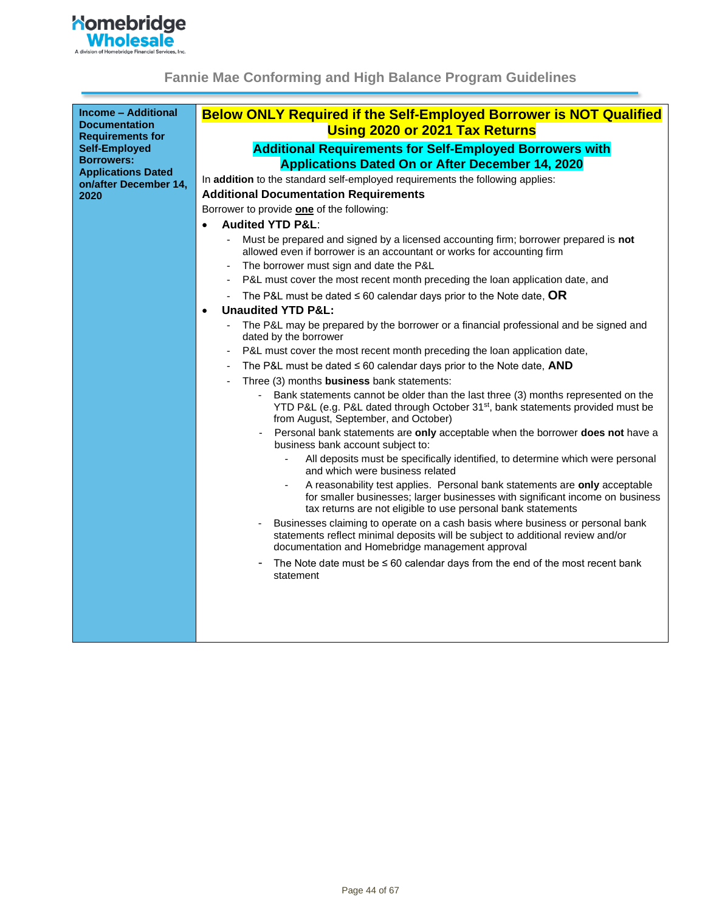

<span id="page-43-0"></span>

| <b>Income - Additional</b><br><b>Documentation</b><br><b>Requirements for</b> | <b>Below ONLY Required if the Self-Employed Borrower is NOT Qualified</b><br><b>Using 2020 or 2021 Tax Returns</b>                                                                                                                                |
|-------------------------------------------------------------------------------|---------------------------------------------------------------------------------------------------------------------------------------------------------------------------------------------------------------------------------------------------|
| <b>Self-Employed</b>                                                          | <b>Additional Requirements for Self-Employed Borrowers with</b>                                                                                                                                                                                   |
| <b>Borrowers:</b>                                                             |                                                                                                                                                                                                                                                   |
| <b>Applications Dated</b>                                                     | <b>Applications Dated On or After December 14, 2020</b>                                                                                                                                                                                           |
| on/after December 14,                                                         | In addition to the standard self-employed requirements the following applies:                                                                                                                                                                     |
| 2020                                                                          | <b>Additional Documentation Requirements</b>                                                                                                                                                                                                      |
|                                                                               | Borrower to provide one of the following:                                                                                                                                                                                                         |
|                                                                               | <b>Audited YTD P&amp;L:</b>                                                                                                                                                                                                                       |
|                                                                               | Must be prepared and signed by a licensed accounting firm; borrower prepared is not<br>allowed even if borrower is an accountant or works for accounting firm                                                                                     |
|                                                                               | The borrower must sign and date the P&L                                                                                                                                                                                                           |
|                                                                               | P&L must cover the most recent month preceding the loan application date, and                                                                                                                                                                     |
|                                                                               | The P&L must be dated $\leq 60$ calendar days prior to the Note date, OR                                                                                                                                                                          |
|                                                                               | <b>Unaudited YTD P&amp;L:</b><br>$\bullet$                                                                                                                                                                                                        |
|                                                                               | The P&L may be prepared by the borrower or a financial professional and be signed and<br>dated by the borrower                                                                                                                                    |
|                                                                               | P&L must cover the most recent month preceding the loan application date,                                                                                                                                                                         |
|                                                                               | The P&L must be dated $\leq 60$ calendar days prior to the Note date, AND                                                                                                                                                                         |
|                                                                               | Three (3) months business bank statements:                                                                                                                                                                                                        |
|                                                                               | Bank statements cannot be older than the last three (3) months represented on the<br>$\blacksquare$<br>YTD P&L (e.g. P&L dated through October 31 <sup>st</sup> , bank statements provided must be<br>from August, September, and October)        |
|                                                                               | Personal bank statements are only acceptable when the borrower does not have a<br>business bank account subject to:                                                                                                                               |
|                                                                               | All deposits must be specifically identified, to determine which were personal<br>and which were business related                                                                                                                                 |
|                                                                               | A reasonability test applies. Personal bank statements are only acceptable<br>for smaller businesses; larger businesses with significant income on business<br>tax returns are not eligible to use personal bank statements                       |
|                                                                               | Businesses claiming to operate on a cash basis where business or personal bank<br>$\overline{\phantom{a}}$<br>statements reflect minimal deposits will be subject to additional review and/or<br>documentation and Homebridge management approval |
|                                                                               | The Note date must be $\leq 60$ calendar days from the end of the most recent bank<br>statement                                                                                                                                                   |
|                                                                               |                                                                                                                                                                                                                                                   |
|                                                                               |                                                                                                                                                                                                                                                   |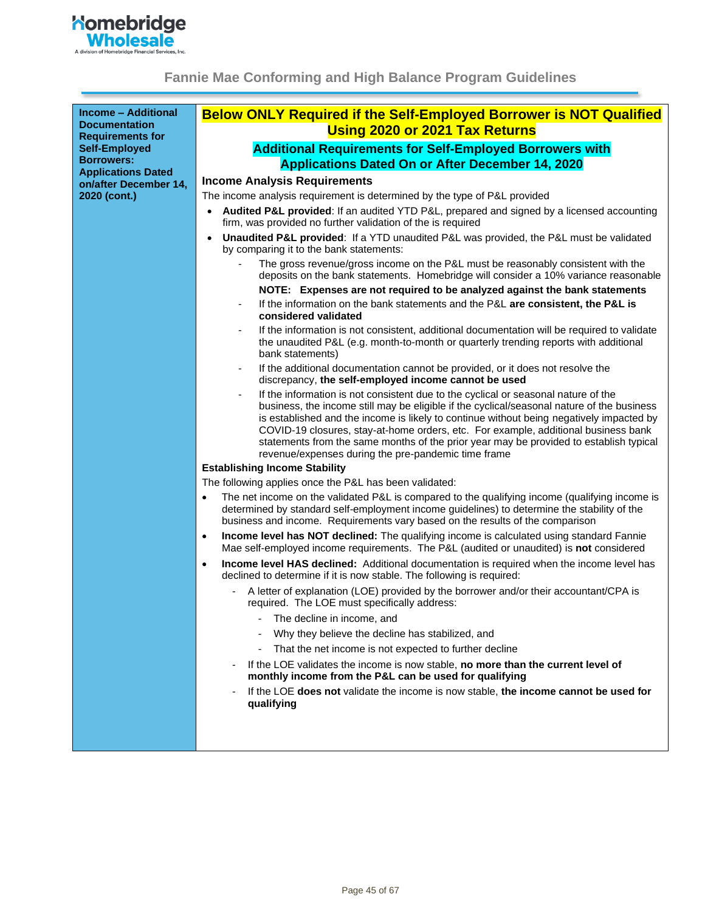

| <b>Income - Additional</b><br><b>Documentation</b><br><b>Requirements for</b> | <b>Below ONLY Required if the Self-Employed Borrower is NOT Qualified</b><br><b>Using 2020 or 2021 Tax Returns</b>                                                                                                                                                                                                                                                                                                                                                                                                  |
|-------------------------------------------------------------------------------|---------------------------------------------------------------------------------------------------------------------------------------------------------------------------------------------------------------------------------------------------------------------------------------------------------------------------------------------------------------------------------------------------------------------------------------------------------------------------------------------------------------------|
| <b>Self-Employed</b>                                                          | <b>Additional Requirements for Self-Employed Borrowers with</b>                                                                                                                                                                                                                                                                                                                                                                                                                                                     |
| <b>Borrowers:</b>                                                             | <b>Applications Dated On or After December 14, 2020</b>                                                                                                                                                                                                                                                                                                                                                                                                                                                             |
| <b>Applications Dated</b>                                                     | <b>Income Analysis Requirements</b>                                                                                                                                                                                                                                                                                                                                                                                                                                                                                 |
| on/after December 14,<br>2020 (cont.)                                         | The income analysis requirement is determined by the type of P&L provided                                                                                                                                                                                                                                                                                                                                                                                                                                           |
|                                                                               | Audited P&L provided: If an audited YTD P&L, prepared and signed by a licensed accounting<br>firm, was provided no further validation of the is required                                                                                                                                                                                                                                                                                                                                                            |
|                                                                               | Unaudited P&L provided: If a YTD unaudited P&L was provided, the P&L must be validated<br>by comparing it to the bank statements:                                                                                                                                                                                                                                                                                                                                                                                   |
|                                                                               | The gross revenue/gross income on the P&L must be reasonably consistent with the<br>deposits on the bank statements. Homebridge will consider a 10% variance reasonable                                                                                                                                                                                                                                                                                                                                             |
|                                                                               | NOTE: Expenses are not required to be analyzed against the bank statements                                                                                                                                                                                                                                                                                                                                                                                                                                          |
|                                                                               | If the information on the bank statements and the P&L are consistent, the P&L is<br>considered validated                                                                                                                                                                                                                                                                                                                                                                                                            |
|                                                                               | If the information is not consistent, additional documentation will be required to validate<br>the unaudited P&L (e.g. month-to-month or quarterly trending reports with additional<br>bank statements)                                                                                                                                                                                                                                                                                                             |
|                                                                               | If the additional documentation cannot be provided, or it does not resolve the<br>discrepancy, the self-employed income cannot be used                                                                                                                                                                                                                                                                                                                                                                              |
|                                                                               | If the information is not consistent due to the cyclical or seasonal nature of the<br>business, the income still may be eligible if the cyclical/seasonal nature of the business<br>is established and the income is likely to continue without being negatively impacted by<br>COVID-19 closures, stay-at-home orders, etc. For example, additional business bank<br>statements from the same months of the prior year may be provided to establish typical<br>revenue/expenses during the pre-pandemic time frame |
|                                                                               | <b>Establishing Income Stability</b>                                                                                                                                                                                                                                                                                                                                                                                                                                                                                |
|                                                                               | The following applies once the P&L has been validated:                                                                                                                                                                                                                                                                                                                                                                                                                                                              |
|                                                                               | The net income on the validated P&L is compared to the qualifying income (qualifying income is<br>$\bullet$<br>determined by standard self-employment income guidelines) to determine the stability of the<br>business and income. Requirements vary based on the results of the comparison                                                                                                                                                                                                                         |
|                                                                               | Income level has NOT declined: The qualifying income is calculated using standard Fannie<br>$\bullet$<br>Mae self-employed income requirements. The P&L (audited or unaudited) is not considered                                                                                                                                                                                                                                                                                                                    |
|                                                                               | Income level HAS declined: Additional documentation is required when the income level has<br>$\bullet$<br>declined to determine if it is now stable. The following is required:                                                                                                                                                                                                                                                                                                                                     |
|                                                                               | A letter of explanation (LOE) provided by the borrower and/or their accountant/CPA is<br>required. The LOE must specifically address:                                                                                                                                                                                                                                                                                                                                                                               |
|                                                                               | The decline in income, and                                                                                                                                                                                                                                                                                                                                                                                                                                                                                          |
|                                                                               | Why they believe the decline has stabilized, and                                                                                                                                                                                                                                                                                                                                                                                                                                                                    |
|                                                                               | That the net income is not expected to further decline<br>$\overline{\phantom{0}}$                                                                                                                                                                                                                                                                                                                                                                                                                                  |
|                                                                               | If the LOE validates the income is now stable, no more than the current level of<br>monthly income from the P&L can be used for qualifying                                                                                                                                                                                                                                                                                                                                                                          |
|                                                                               | If the LOE does not validate the income is now stable, the income cannot be used for<br>qualifying                                                                                                                                                                                                                                                                                                                                                                                                                  |
|                                                                               |                                                                                                                                                                                                                                                                                                                                                                                                                                                                                                                     |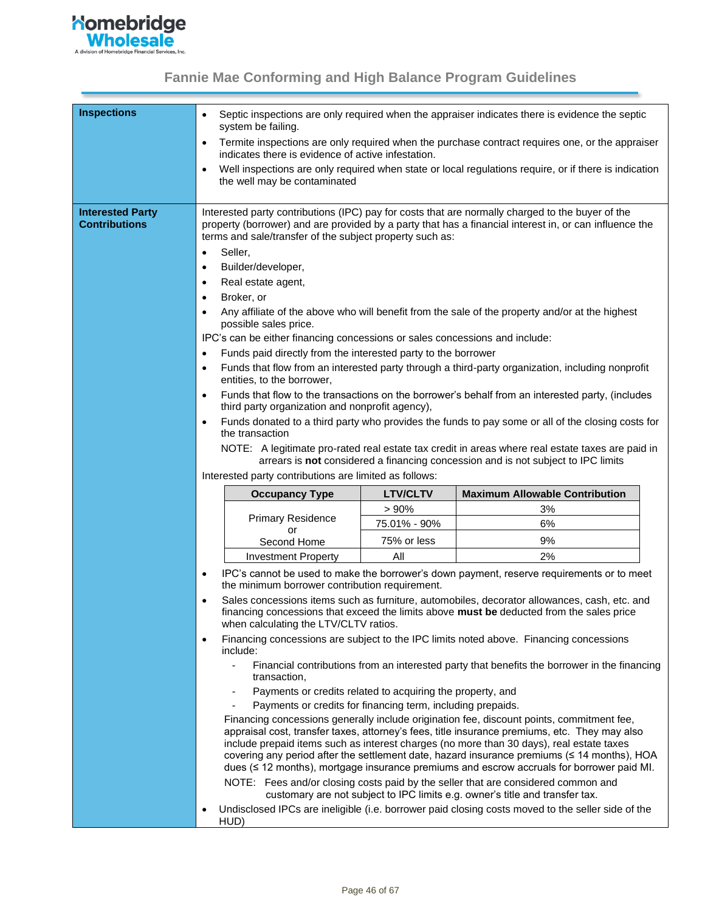

| <b>Inspections</b>                              | system be failing.                                                                                                                                                                                                                                                                                                                                                                                                                                                                                                 |                 | Septic inspections are only required when the appraiser indicates there is evidence the septic                                                                                                                                                                                                                                                                                                                                                                                                                                                                                                                                                                                                                                 |
|-------------------------------------------------|--------------------------------------------------------------------------------------------------------------------------------------------------------------------------------------------------------------------------------------------------------------------------------------------------------------------------------------------------------------------------------------------------------------------------------------------------------------------------------------------------------------------|-----------------|--------------------------------------------------------------------------------------------------------------------------------------------------------------------------------------------------------------------------------------------------------------------------------------------------------------------------------------------------------------------------------------------------------------------------------------------------------------------------------------------------------------------------------------------------------------------------------------------------------------------------------------------------------------------------------------------------------------------------------|
|                                                 | $\bullet$<br>indicates there is evidence of active infestation.                                                                                                                                                                                                                                                                                                                                                                                                                                                    |                 | Termite inspections are only required when the purchase contract requires one, or the appraiser                                                                                                                                                                                                                                                                                                                                                                                                                                                                                                                                                                                                                                |
|                                                 | the well may be contaminated                                                                                                                                                                                                                                                                                                                                                                                                                                                                                       |                 | Well inspections are only required when state or local regulations require, or if there is indication                                                                                                                                                                                                                                                                                                                                                                                                                                                                                                                                                                                                                          |
| <b>Interested Party</b><br><b>Contributions</b> | terms and sale/transfer of the subject property such as:<br>Seller,<br>$\bullet$<br>Builder/developer,<br>$\bullet$<br>Real estate agent,<br>$\bullet$<br>Broker, or<br>$\bullet$<br>possible sales price.<br>IPC's can be either financing concessions or sales concessions and include:<br>Funds paid directly from the interested party to the borrower<br>$\bullet$<br>$\bullet$<br>entities, to the borrower,<br>$\bullet$<br>third party organization and nonprofit agency),<br>$\bullet$<br>the transaction |                 | Interested party contributions (IPC) pay for costs that are normally charged to the buyer of the<br>property (borrower) and are provided by a party that has a financial interest in, or can influence the<br>Any affiliate of the above who will benefit from the sale of the property and/or at the highest<br>Funds that flow from an interested party through a third-party organization, including nonprofit<br>Funds that flow to the transactions on the borrower's behalf from an interested party, (includes<br>Funds donated to a third party who provides the funds to pay some or all of the closing costs for<br>NOTE: A legitimate pro-rated real estate tax credit in areas where real estate taxes are paid in |
|                                                 | Interested party contributions are limited as follows:                                                                                                                                                                                                                                                                                                                                                                                                                                                             |                 | arrears is not considered a financing concession and is not subject to IPC limits                                                                                                                                                                                                                                                                                                                                                                                                                                                                                                                                                                                                                                              |
|                                                 | <b>Occupancy Type</b>                                                                                                                                                                                                                                                                                                                                                                                                                                                                                              | <b>LTV/CLTV</b> | <b>Maximum Allowable Contribution</b>                                                                                                                                                                                                                                                                                                                                                                                                                                                                                                                                                                                                                                                                                          |
|                                                 |                                                                                                                                                                                                                                                                                                                                                                                                                                                                                                                    | > 90%           | 3%                                                                                                                                                                                                                                                                                                                                                                                                                                                                                                                                                                                                                                                                                                                             |
|                                                 | <b>Primary Residence</b>                                                                                                                                                                                                                                                                                                                                                                                                                                                                                           | 75.01% - 90%    | 6%                                                                                                                                                                                                                                                                                                                                                                                                                                                                                                                                                                                                                                                                                                                             |
|                                                 | or<br>Second Home                                                                                                                                                                                                                                                                                                                                                                                                                                                                                                  | 75% or less     | 9%                                                                                                                                                                                                                                                                                                                                                                                                                                                                                                                                                                                                                                                                                                                             |
|                                                 | <b>Investment Property</b>                                                                                                                                                                                                                                                                                                                                                                                                                                                                                         | All             | 2%                                                                                                                                                                                                                                                                                                                                                                                                                                                                                                                                                                                                                                                                                                                             |
|                                                 | $\bullet$<br>the minimum borrower contribution requirement.                                                                                                                                                                                                                                                                                                                                                                                                                                                        |                 | IPC's cannot be used to make the borrower's down payment, reserve requirements or to meet                                                                                                                                                                                                                                                                                                                                                                                                                                                                                                                                                                                                                                      |
|                                                 | when calculating the LTV/CLTV ratios.                                                                                                                                                                                                                                                                                                                                                                                                                                                                              |                 | Sales concessions items such as furniture, automobiles, decorator allowances, cash, etc. and<br>financing concessions that exceed the limits above must be deducted from the sales price                                                                                                                                                                                                                                                                                                                                                                                                                                                                                                                                       |
|                                                 | ٠<br>include:                                                                                                                                                                                                                                                                                                                                                                                                                                                                                                      |                 | Financing concessions are subject to the IPC limits noted above. Financing concessions                                                                                                                                                                                                                                                                                                                                                                                                                                                                                                                                                                                                                                         |
|                                                 | transaction,                                                                                                                                                                                                                                                                                                                                                                                                                                                                                                       |                 | Financial contributions from an interested party that benefits the borrower in the financing                                                                                                                                                                                                                                                                                                                                                                                                                                                                                                                                                                                                                                   |
|                                                 | Payments or credits related to acquiring the property, and                                                                                                                                                                                                                                                                                                                                                                                                                                                         |                 |                                                                                                                                                                                                                                                                                                                                                                                                                                                                                                                                                                                                                                                                                                                                |
|                                                 | Payments or credits for financing term, including prepaids.                                                                                                                                                                                                                                                                                                                                                                                                                                                        |                 |                                                                                                                                                                                                                                                                                                                                                                                                                                                                                                                                                                                                                                                                                                                                |
|                                                 |                                                                                                                                                                                                                                                                                                                                                                                                                                                                                                                    |                 | Financing concessions generally include origination fee, discount points, commitment fee,<br>appraisal cost, transfer taxes, attorney's fees, title insurance premiums, etc. They may also<br>include prepaid items such as interest charges (no more than 30 days), real estate taxes<br>covering any period after the settlement date, hazard insurance premiums (≤ 14 months), HOA<br>dues ( $\leq$ 12 months), mortgage insurance premiums and escrow accruals for borrower paid MI.                                                                                                                                                                                                                                       |
|                                                 |                                                                                                                                                                                                                                                                                                                                                                                                                                                                                                                    |                 | NOTE: Fees and/or closing costs paid by the seller that are considered common and<br>customary are not subject to IPC limits e.g. owner's title and transfer tax.                                                                                                                                                                                                                                                                                                                                                                                                                                                                                                                                                              |
|                                                 | $\bullet$<br>HUD)                                                                                                                                                                                                                                                                                                                                                                                                                                                                                                  |                 | Undisclosed IPCs are ineligible (i.e. borrower paid closing costs moved to the seller side of the                                                                                                                                                                                                                                                                                                                                                                                                                                                                                                                                                                                                                              |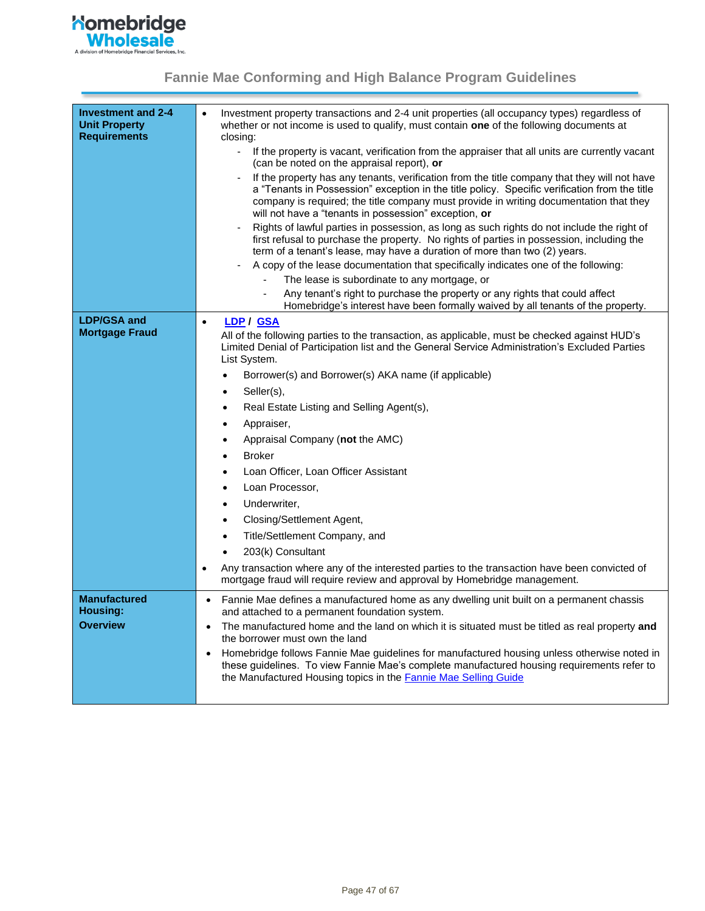

<span id="page-46-0"></span>

| Investment and 2-4<br><b>Unit Property</b><br><b>Requirements</b> | Investment property transactions and 2-4 unit properties (all occupancy types) regardless of<br>$\bullet$<br>whether or not income is used to qualify, must contain one of the following documents at<br>closing:<br>If the property is vacant, verification from the appraiser that all units are currently vacant<br>$\blacksquare$<br>(can be noted on the appraisal report), or<br>If the property has any tenants, verification from the title company that they will not have<br>a "Tenants in Possession" exception in the title policy. Specific verification from the title<br>company is required; the title company must provide in writing documentation that they<br>will not have a "tenants in possession" exception, or<br>Rights of lawful parties in possession, as long as such rights do not include the right of<br>first refusal to purchase the property. No rights of parties in possession, including the<br>term of a tenant's lease, may have a duration of more than two (2) years.<br>A copy of the lease documentation that specifically indicates one of the following:<br>The lease is subordinate to any mortgage, or<br>÷,<br>Any tenant's right to purchase the property or any rights that could affect<br>Homebridge's interest have been formally waived by all tenants of the property. |
|-------------------------------------------------------------------|--------------------------------------------------------------------------------------------------------------------------------------------------------------------------------------------------------------------------------------------------------------------------------------------------------------------------------------------------------------------------------------------------------------------------------------------------------------------------------------------------------------------------------------------------------------------------------------------------------------------------------------------------------------------------------------------------------------------------------------------------------------------------------------------------------------------------------------------------------------------------------------------------------------------------------------------------------------------------------------------------------------------------------------------------------------------------------------------------------------------------------------------------------------------------------------------------------------------------------------------------------------------------------------------------------------------------------|
| <b>LDP/GSA and</b>                                                | <u>LDP</u> / GSA<br>$\bullet$                                                                                                                                                                                                                                                                                                                                                                                                                                                                                                                                                                                                                                                                                                                                                                                                                                                                                                                                                                                                                                                                                                                                                                                                                                                                                                  |
| <b>Mortgage Fraud</b>                                             | All of the following parties to the transaction, as applicable, must be checked against HUD's<br>Limited Denial of Participation list and the General Service Administration's Excluded Parties<br>List System.<br>Borrower(s) and Borrower(s) AKA name (if applicable)<br>$\bullet$<br>Seller(s),<br>$\bullet$<br>Real Estate Listing and Selling Agent(s),<br>٠<br>Appraiser,<br>$\bullet$<br>Appraisal Company (not the AMC)<br>$\bullet$<br><b>Broker</b><br>$\bullet$<br>Loan Officer, Loan Officer Assistant<br>$\bullet$<br>Loan Processor,<br>$\bullet$<br>Underwriter,<br>$\bullet$<br>Closing/Settlement Agent,<br>$\bullet$<br>Title/Settlement Company, and<br>$\bullet$                                                                                                                                                                                                                                                                                                                                                                                                                                                                                                                                                                                                                                           |
|                                                                   | 203(k) Consultant<br>$\bullet$                                                                                                                                                                                                                                                                                                                                                                                                                                                                                                                                                                                                                                                                                                                                                                                                                                                                                                                                                                                                                                                                                                                                                                                                                                                                                                 |
|                                                                   | Any transaction where any of the interested parties to the transaction have been convicted of<br>٠<br>mortgage fraud will require review and approval by Homebridge management.                                                                                                                                                                                                                                                                                                                                                                                                                                                                                                                                                                                                                                                                                                                                                                                                                                                                                                                                                                                                                                                                                                                                                |
| <b>Manufactured</b>                                               | Fannie Mae defines a manufactured home as any dwelling unit built on a permanent chassis<br>$\bullet$                                                                                                                                                                                                                                                                                                                                                                                                                                                                                                                                                                                                                                                                                                                                                                                                                                                                                                                                                                                                                                                                                                                                                                                                                          |
| Housing:                                                          | and attached to a permanent foundation system.                                                                                                                                                                                                                                                                                                                                                                                                                                                                                                                                                                                                                                                                                                                                                                                                                                                                                                                                                                                                                                                                                                                                                                                                                                                                                 |
| <b>Overview</b>                                                   | The manufactured home and the land on which it is situated must be titled as real property and                                                                                                                                                                                                                                                                                                                                                                                                                                                                                                                                                                                                                                                                                                                                                                                                                                                                                                                                                                                                                                                                                                                                                                                                                                 |
|                                                                   | the borrower must own the land<br>Homebridge follows Fannie Mae guidelines for manufactured housing unless otherwise noted in<br>$\bullet$<br>these guidelines. To view Fannie Mae's complete manufactured housing requirements refer to<br>the Manufactured Housing topics in the <b>Fannie Mae Selling Guide</b>                                                                                                                                                                                                                                                                                                                                                                                                                                                                                                                                                                                                                                                                                                                                                                                                                                                                                                                                                                                                             |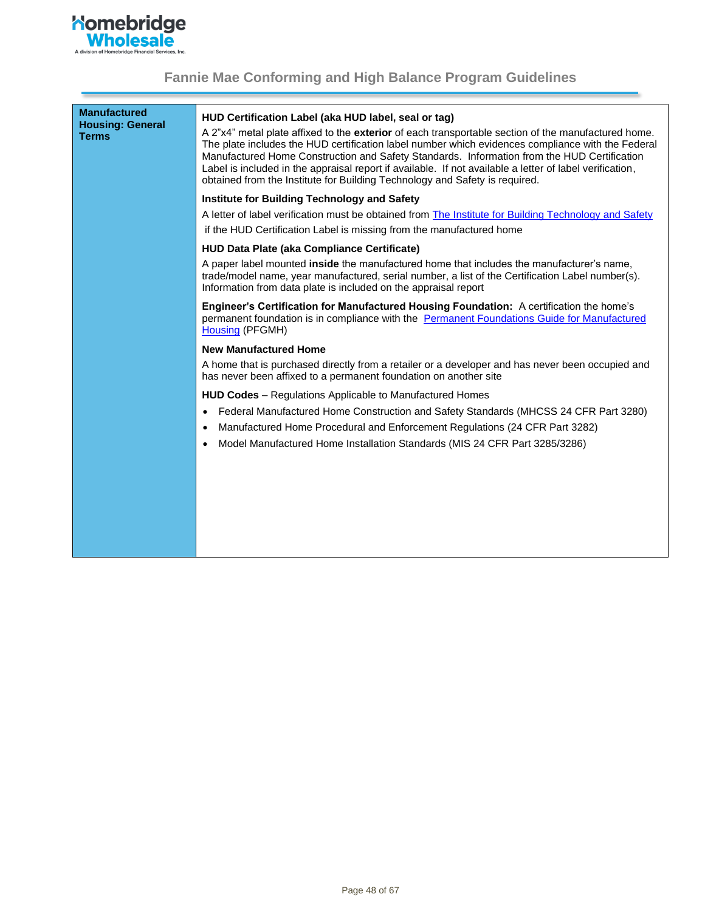

| <b>Manufactured</b><br><b>Housing: General</b><br><b>Terms</b> | HUD Certification Label (aka HUD label, seal or tag)<br>A 2"x4" metal plate affixed to the exterior of each transportable section of the manufactured home.<br>The plate includes the HUD certification label number which evidences compliance with the Federal<br>Manufactured Home Construction and Safety Standards. Information from the HUD Certification<br>Label is included in the appraisal report if available. If not available a letter of label verification,<br>obtained from the Institute for Building Technology and Safety is required. |
|----------------------------------------------------------------|------------------------------------------------------------------------------------------------------------------------------------------------------------------------------------------------------------------------------------------------------------------------------------------------------------------------------------------------------------------------------------------------------------------------------------------------------------------------------------------------------------------------------------------------------------|
|                                                                | Institute for Building Technology and Safety                                                                                                                                                                                                                                                                                                                                                                                                                                                                                                               |
|                                                                | A letter of label verification must be obtained from The Institute for Building Technology and Safety<br>if the HUD Certification Label is missing from the manufactured home                                                                                                                                                                                                                                                                                                                                                                              |
|                                                                | HUD Data Plate (aka Compliance Certificate)                                                                                                                                                                                                                                                                                                                                                                                                                                                                                                                |
|                                                                | A paper label mounted <b>inside</b> the manufactured home that includes the manufacturer's name,<br>trade/model name, year manufactured, serial number, a list of the Certification Label number(s).<br>Information from data plate is included on the appraisal report                                                                                                                                                                                                                                                                                    |
|                                                                | <b>Engineer's Certification for Manufactured Housing Foundation:</b> A certification the home's<br>permanent foundation is in compliance with the Permanent Foundations Guide for Manufactured<br>Housing (PFGMH)                                                                                                                                                                                                                                                                                                                                          |
|                                                                | <b>New Manufactured Home</b>                                                                                                                                                                                                                                                                                                                                                                                                                                                                                                                               |
|                                                                | A home that is purchased directly from a retailer or a developer and has never been occupied and<br>has never been affixed to a permanent foundation on another site                                                                                                                                                                                                                                                                                                                                                                                       |
|                                                                | <b>HUD Codes</b> - Regulations Applicable to Manufactured Homes<br>Federal Manufactured Home Construction and Safety Standards (MHCSS 24 CFR Part 3280)<br>$\bullet$<br>Manufactured Home Procedural and Enforcement Regulations (24 CFR Part 3282)<br>$\bullet$<br>Model Manufactured Home Installation Standards (MIS 24 CFR Part 3285/3286)<br>$\bullet$                                                                                                                                                                                                |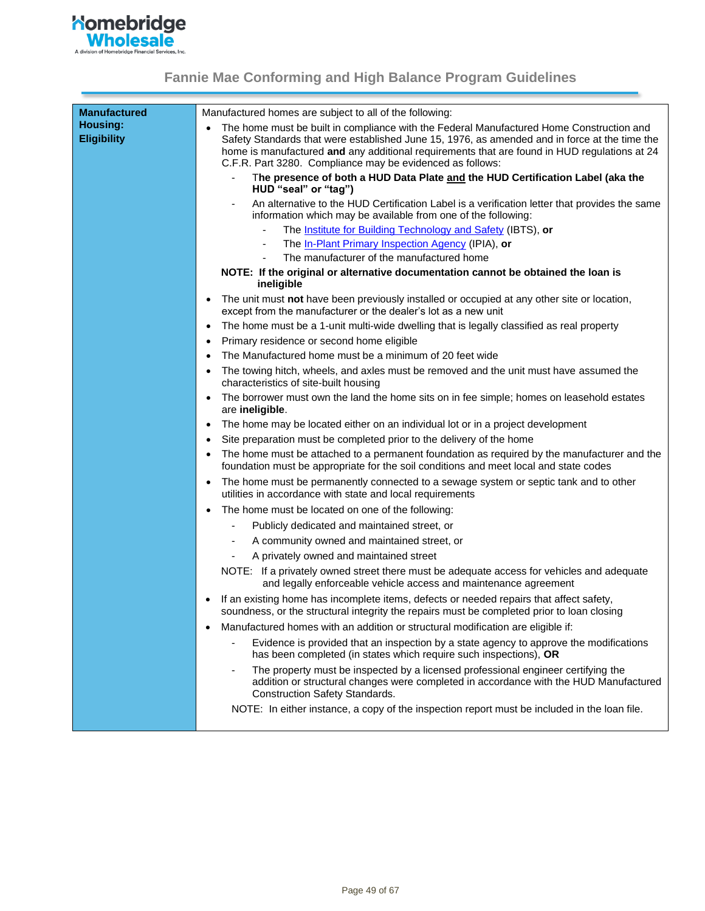

| <b>Manufactured</b>                   | Manufactured homes are subject to all of the following:                                                                                                                                                                                                                                                                                                             |
|---------------------------------------|---------------------------------------------------------------------------------------------------------------------------------------------------------------------------------------------------------------------------------------------------------------------------------------------------------------------------------------------------------------------|
| <b>Housing:</b><br><b>Eligibility</b> | The home must be built in compliance with the Federal Manufactured Home Construction and<br>$\bullet$<br>Safety Standards that were established June 15, 1976, as amended and in force at the time the<br>home is manufactured and any additional requirements that are found in HUD regulations at 24<br>C.F.R. Part 3280. Compliance may be evidenced as follows: |
|                                       | The presence of both a HUD Data Plate and the HUD Certification Label (aka the<br>HUD "seal" or "tag")                                                                                                                                                                                                                                                              |
|                                       | An alternative to the HUD Certification Label is a verification letter that provides the same<br>$\overline{\phantom{a}}$<br>information which may be available from one of the following:                                                                                                                                                                          |
|                                       | The Institute for Building Technology and Safety (IBTS), or                                                                                                                                                                                                                                                                                                         |
|                                       | The In-Plant Primary Inspection Agency (IPIA), or                                                                                                                                                                                                                                                                                                                   |
|                                       | The manufacturer of the manufactured home                                                                                                                                                                                                                                                                                                                           |
|                                       | NOTE: If the original or alternative documentation cannot be obtained the loan is<br>ineligible                                                                                                                                                                                                                                                                     |
|                                       | The unit must not have been previously installed or occupied at any other site or location,<br>except from the manufacturer or the dealer's lot as a new unit                                                                                                                                                                                                       |
|                                       | The home must be a 1-unit multi-wide dwelling that is legally classified as real property<br>$\bullet$                                                                                                                                                                                                                                                              |
|                                       | Primary residence or second home eligible<br>٠                                                                                                                                                                                                                                                                                                                      |
|                                       | The Manufactured home must be a minimum of 20 feet wide                                                                                                                                                                                                                                                                                                             |
|                                       | The towing hitch, wheels, and axles must be removed and the unit must have assumed the<br>$\bullet$<br>characteristics of site-built housing                                                                                                                                                                                                                        |
|                                       | The borrower must own the land the home sits on in fee simple; homes on leasehold estates<br>are ineligible.                                                                                                                                                                                                                                                        |
|                                       | The home may be located either on an individual lot or in a project development<br>$\bullet$                                                                                                                                                                                                                                                                        |
|                                       | Site preparation must be completed prior to the delivery of the home<br>٠                                                                                                                                                                                                                                                                                           |
|                                       | The home must be attached to a permanent foundation as required by the manufacturer and the<br>foundation must be appropriate for the soil conditions and meet local and state codes                                                                                                                                                                                |
|                                       | The home must be permanently connected to a sewage system or septic tank and to other<br>٠<br>utilities in accordance with state and local requirements                                                                                                                                                                                                             |
|                                       | The home must be located on one of the following:                                                                                                                                                                                                                                                                                                                   |
|                                       | Publicly dedicated and maintained street, or                                                                                                                                                                                                                                                                                                                        |
|                                       | A community owned and maintained street, or                                                                                                                                                                                                                                                                                                                         |
|                                       | A privately owned and maintained street                                                                                                                                                                                                                                                                                                                             |
|                                       | NOTE: If a privately owned street there must be adequate access for vehicles and adequate<br>and legally enforceable vehicle access and maintenance agreement                                                                                                                                                                                                       |
|                                       | If an existing home has incomplete items, defects or needed repairs that affect safety,<br>soundness, or the structural integrity the repairs must be completed prior to loan closing                                                                                                                                                                               |
|                                       | Manufactured homes with an addition or structural modification are eligible if:                                                                                                                                                                                                                                                                                     |
|                                       | Evidence is provided that an inspection by a state agency to approve the modifications<br>has been completed (in states which require such inspections), OR                                                                                                                                                                                                         |
|                                       | The property must be inspected by a licensed professional engineer certifying the<br>addition or structural changes were completed in accordance with the HUD Manufactured<br>Construction Safety Standards.                                                                                                                                                        |
|                                       | NOTE: In either instance, a copy of the inspection report must be included in the loan file.                                                                                                                                                                                                                                                                        |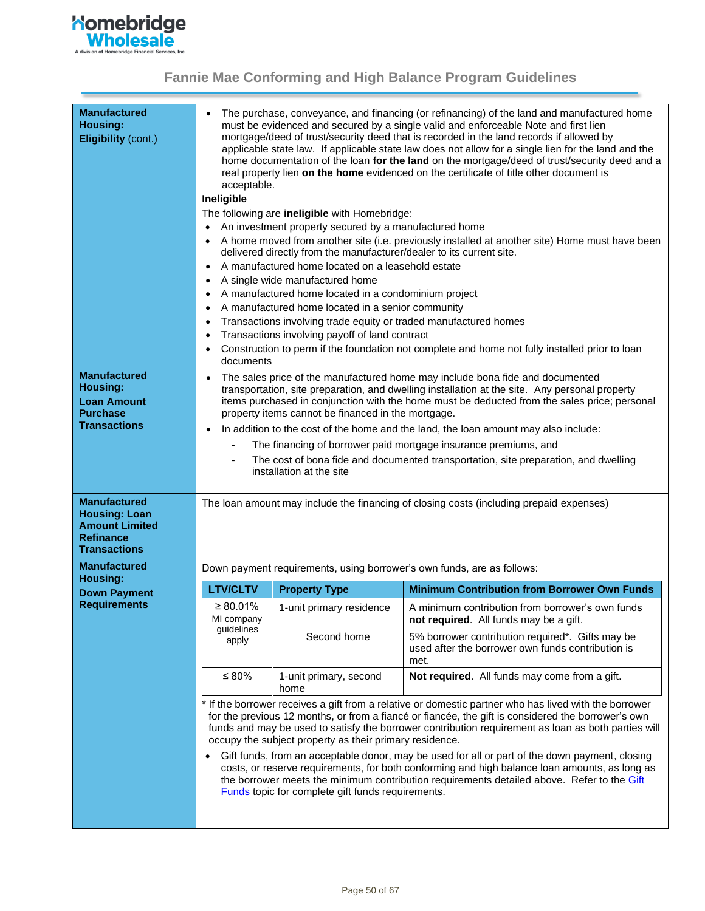

| <b>Manufactured</b><br>Housing:<br><b>Eligibility (cont.)</b>                                                   | The purchase, conveyance, and financing (or refinancing) of the land and manufactured home<br>$\bullet$<br>must be evidenced and secured by a single valid and enforceable Note and first lien<br>mortgage/deed of trust/security deed that is recorded in the land records if allowed by<br>applicable state law. If applicable state law does not allow for a single lien for the land and the<br>home documentation of the loan for the land on the mortgage/deed of trust/security deed and a<br>real property lien on the home evidenced on the certificate of title other document is<br>acceptable.<br>Ineligible<br>The following are ineligible with Homebridge:<br>An investment property secured by a manufactured home<br>A home moved from another site (i.e. previously installed at another site) Home must have been<br>$\bullet$<br>delivered directly from the manufacturer/dealer to its current site.<br>A manufactured home located on a leasehold estate<br>$\bullet$<br>A single wide manufactured home<br>A manufactured home located in a condominium project<br>A manufactured home located in a senior community<br>٠<br>Transactions involving trade equity or traded manufactured homes<br>٠<br>Transactions involving payoff of land contract<br>٠<br>Construction to perm if the foundation not complete and home not fully installed prior to loan<br>documents |                                                                                                                 |                                                                                                                                                                                             |  |  |  |
|-----------------------------------------------------------------------------------------------------------------|-------------------------------------------------------------------------------------------------------------------------------------------------------------------------------------------------------------------------------------------------------------------------------------------------------------------------------------------------------------------------------------------------------------------------------------------------------------------------------------------------------------------------------------------------------------------------------------------------------------------------------------------------------------------------------------------------------------------------------------------------------------------------------------------------------------------------------------------------------------------------------------------------------------------------------------------------------------------------------------------------------------------------------------------------------------------------------------------------------------------------------------------------------------------------------------------------------------------------------------------------------------------------------------------------------------------------------------------------------------------------------------------------|-----------------------------------------------------------------------------------------------------------------|---------------------------------------------------------------------------------------------------------------------------------------------------------------------------------------------|--|--|--|
| <b>Manufactured</b>                                                                                             | $\bullet$                                                                                                                                                                                                                                                                                                                                                                                                                                                                                                                                                                                                                                                                                                                                                                                                                                                                                                                                                                                                                                                                                                                                                                                                                                                                                                                                                                                       |                                                                                                                 | The sales price of the manufactured home may include bona fide and documented                                                                                                               |  |  |  |
| Housing:                                                                                                        |                                                                                                                                                                                                                                                                                                                                                                                                                                                                                                                                                                                                                                                                                                                                                                                                                                                                                                                                                                                                                                                                                                                                                                                                                                                                                                                                                                                                 |                                                                                                                 | transportation, site preparation, and dwelling installation at the site. Any personal property                                                                                              |  |  |  |
| <b>Loan Amount</b>                                                                                              |                                                                                                                                                                                                                                                                                                                                                                                                                                                                                                                                                                                                                                                                                                                                                                                                                                                                                                                                                                                                                                                                                                                                                                                                                                                                                                                                                                                                 |                                                                                                                 | items purchased in conjunction with the home must be deducted from the sales price; personal                                                                                                |  |  |  |
| <b>Purchase</b><br><b>Transactions</b>                                                                          |                                                                                                                                                                                                                                                                                                                                                                                                                                                                                                                                                                                                                                                                                                                                                                                                                                                                                                                                                                                                                                                                                                                                                                                                                                                                                                                                                                                                 | property items cannot be financed in the mortgage.                                                              |                                                                                                                                                                                             |  |  |  |
|                                                                                                                 |                                                                                                                                                                                                                                                                                                                                                                                                                                                                                                                                                                                                                                                                                                                                                                                                                                                                                                                                                                                                                                                                                                                                                                                                                                                                                                                                                                                                 |                                                                                                                 | In addition to the cost of the home and the land, the loan amount may also include:                                                                                                         |  |  |  |
|                                                                                                                 |                                                                                                                                                                                                                                                                                                                                                                                                                                                                                                                                                                                                                                                                                                                                                                                                                                                                                                                                                                                                                                                                                                                                                                                                                                                                                                                                                                                                 |                                                                                                                 | The financing of borrower paid mortgage insurance premiums, and                                                                                                                             |  |  |  |
|                                                                                                                 |                                                                                                                                                                                                                                                                                                                                                                                                                                                                                                                                                                                                                                                                                                                                                                                                                                                                                                                                                                                                                                                                                                                                                                                                                                                                                                                                                                                                 | The cost of bona fide and documented transportation, site preparation, and dwelling<br>installation at the site |                                                                                                                                                                                             |  |  |  |
|                                                                                                                 |                                                                                                                                                                                                                                                                                                                                                                                                                                                                                                                                                                                                                                                                                                                                                                                                                                                                                                                                                                                                                                                                                                                                                                                                                                                                                                                                                                                                 |                                                                                                                 |                                                                                                                                                                                             |  |  |  |
| <b>Manufactured</b><br><b>Housing: Loan</b><br><b>Amount Limited</b><br><b>Refinance</b><br><b>Transactions</b> |                                                                                                                                                                                                                                                                                                                                                                                                                                                                                                                                                                                                                                                                                                                                                                                                                                                                                                                                                                                                                                                                                                                                                                                                                                                                                                                                                                                                 |                                                                                                                 | The loan amount may include the financing of closing costs (including prepaid expenses)                                                                                                     |  |  |  |
| <b>Manufactured</b>                                                                                             |                                                                                                                                                                                                                                                                                                                                                                                                                                                                                                                                                                                                                                                                                                                                                                                                                                                                                                                                                                                                                                                                                                                                                                                                                                                                                                                                                                                                 |                                                                                                                 | Down payment requirements, using borrower's own funds, are as follows:                                                                                                                      |  |  |  |
| Housing:                                                                                                        | <b>LTV/CLTV</b>                                                                                                                                                                                                                                                                                                                                                                                                                                                                                                                                                                                                                                                                                                                                                                                                                                                                                                                                                                                                                                                                                                                                                                                                                                                                                                                                                                                 | <b>Property Type</b>                                                                                            | <b>Minimum Contribution from Borrower Own Funds</b>                                                                                                                                         |  |  |  |
| <b>Down Payment</b><br><b>Requirements</b>                                                                      | $\geq 80.01\%$<br>MI company                                                                                                                                                                                                                                                                                                                                                                                                                                                                                                                                                                                                                                                                                                                                                                                                                                                                                                                                                                                                                                                                                                                                                                                                                                                                                                                                                                    | 1-unit primary residence                                                                                        | A minimum contribution from borrower's own funds<br>not required. All funds may be a gift.                                                                                                  |  |  |  |
|                                                                                                                 | guidelines<br>apply                                                                                                                                                                                                                                                                                                                                                                                                                                                                                                                                                                                                                                                                                                                                                                                                                                                                                                                                                                                                                                                                                                                                                                                                                                                                                                                                                                             | Second home                                                                                                     | 5% borrower contribution required*. Gifts may be<br>used after the borrower own funds contribution is<br>met.                                                                               |  |  |  |
|                                                                                                                 | $\leq 80\%$                                                                                                                                                                                                                                                                                                                                                                                                                                                                                                                                                                                                                                                                                                                                                                                                                                                                                                                                                                                                                                                                                                                                                                                                                                                                                                                                                                                     | 1-unit primary, second<br>home                                                                                  | Not required. All funds may come from a gift.                                                                                                                                               |  |  |  |
|                                                                                                                 | * If the borrower receives a gift from a relative or domestic partner who has lived with the borrower<br>for the previous 12 months, or from a fiancé or fiancée, the gift is considered the borrower's own<br>funds and may be used to satisfy the borrower contribution requirement as loan as both parties will<br>occupy the subject property as their primary residence.<br>Gift funds, from an acceptable donor, may be used for all or part of the down payment, closing<br>$\bullet$                                                                                                                                                                                                                                                                                                                                                                                                                                                                                                                                                                                                                                                                                                                                                                                                                                                                                                    |                                                                                                                 |                                                                                                                                                                                             |  |  |  |
|                                                                                                                 |                                                                                                                                                                                                                                                                                                                                                                                                                                                                                                                                                                                                                                                                                                                                                                                                                                                                                                                                                                                                                                                                                                                                                                                                                                                                                                                                                                                                 | <b>Funds</b> topic for complete gift funds requirements.                                                        | costs, or reserve requirements, for both conforming and high balance loan amounts, as long as<br>the borrower meets the minimum contribution requirements detailed above. Refer to the Gift |  |  |  |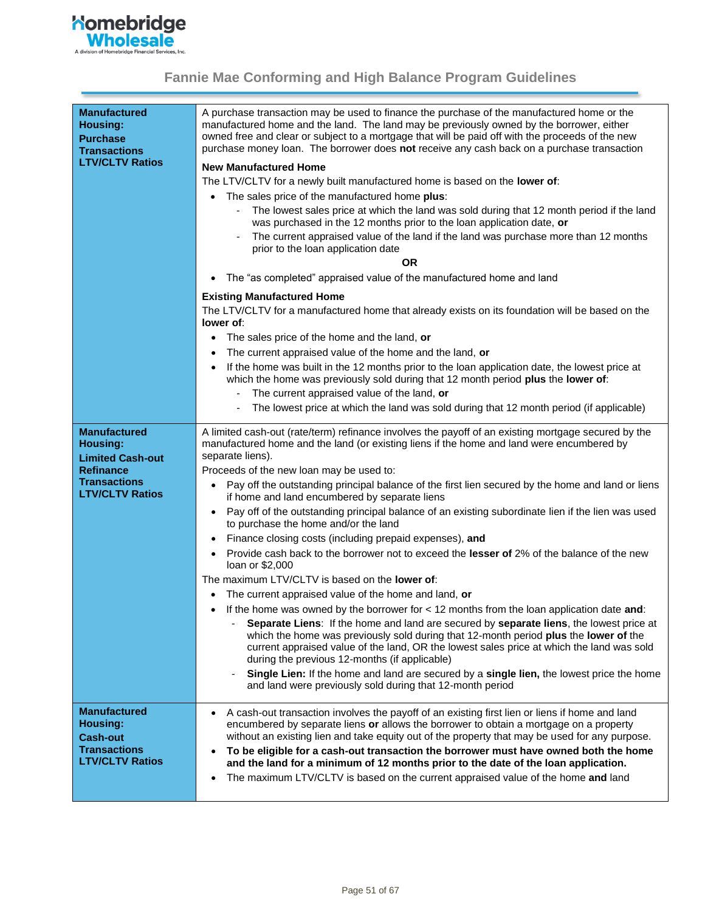

| <b>Manufactured</b><br><b>Housing:</b><br><b>Purchase</b><br><b>Transactions</b><br><b>LTV/CLTV Ratios</b>               | A purchase transaction may be used to finance the purchase of the manufactured home or the<br>manufactured home and the land. The land may be previously owned by the borrower, either<br>owned free and clear or subject to a mortgage that will be paid off with the proceeds of the new<br>purchase money loan. The borrower does not receive any cash back on a purchase transaction<br><b>New Manufactured Home</b><br>The LTV/CLTV for a newly built manufactured home is based on the lower of:<br>The sales price of the manufactured home plus:<br>The lowest sales price at which the land was sold during that 12 month period if the land<br>was purchased in the 12 months prior to the loan application date, or<br>The current appraised value of the land if the land was purchase more than 12 months<br>prior to the loan application date<br><b>OR</b><br>The "as completed" appraised value of the manufactured home and land<br><b>Existing Manufactured Home</b><br>The LTV/CLTV for a manufactured home that already exists on its foundation will be based on the<br>lower of:<br>The sales price of the home and the land, or<br>$\bullet$<br>The current appraised value of the home and the land, or<br>If the home was built in the 12 months prior to the loan application date, the lowest price at<br>which the home was previously sold during that 12 month period plus the lower of:                                                             |
|--------------------------------------------------------------------------------------------------------------------------|------------------------------------------------------------------------------------------------------------------------------------------------------------------------------------------------------------------------------------------------------------------------------------------------------------------------------------------------------------------------------------------------------------------------------------------------------------------------------------------------------------------------------------------------------------------------------------------------------------------------------------------------------------------------------------------------------------------------------------------------------------------------------------------------------------------------------------------------------------------------------------------------------------------------------------------------------------------------------------------------------------------------------------------------------------------------------------------------------------------------------------------------------------------------------------------------------------------------------------------------------------------------------------------------------------------------------------------------------------------------------------------------------------------------------------------------------------------------------------|
|                                                                                                                          | The current appraised value of the land, or                                                                                                                                                                                                                                                                                                                                                                                                                                                                                                                                                                                                                                                                                                                                                                                                                                                                                                                                                                                                                                                                                                                                                                                                                                                                                                                                                                                                                                        |
|                                                                                                                          | The lowest price at which the land was sold during that 12 month period (if applicable)                                                                                                                                                                                                                                                                                                                                                                                                                                                                                                                                                                                                                                                                                                                                                                                                                                                                                                                                                                                                                                                                                                                                                                                                                                                                                                                                                                                            |
| <b>Manufactured</b><br>Housing:<br><b>Limited Cash-out</b><br>Refinance<br><b>Transactions</b><br><b>LTV/CLTV Ratios</b> | A limited cash-out (rate/term) refinance involves the payoff of an existing mortgage secured by the<br>manufactured home and the land (or existing liens if the home and land were encumbered by<br>separate liens).<br>Proceeds of the new loan may be used to:<br>Pay off the outstanding principal balance of the first lien secured by the home and land or liens<br>٠<br>if home and land encumbered by separate liens<br>Pay off of the outstanding principal balance of an existing subordinate lien if the lien was used<br>$\bullet$<br>to purchase the home and/or the land<br>Finance closing costs (including prepaid expenses), and<br>$\bullet$<br>Provide cash back to the borrower not to exceed the lesser of 2% of the balance of the new<br>loan or \$2,000<br>The maximum LTV/CLTV is based on the lower of:<br>The current appraised value of the home and land, or<br>If the home was owned by the borrower for $<$ 12 months from the loan application date and:<br>Separate Liens: If the home and land are secured by separate liens, the lowest price at<br>which the home was previously sold during that 12-month period plus the lower of the<br>current appraised value of the land, OR the lowest sales price at which the land was sold<br>during the previous 12-months (if applicable)<br>Single Lien: If the home and land are secured by a single lien, the lowest price the home<br>and land were previously sold during that 12-month period |
| <b>Manufactured</b><br><b>Housing:</b><br><b>Cash-out</b><br><b>Transactions</b><br><b>LTV/CLTV Ratios</b>               | A cash-out transaction involves the payoff of an existing first lien or liens if home and land<br>encumbered by separate liens or allows the borrower to obtain a mortgage on a property<br>without an existing lien and take equity out of the property that may be used for any purpose.<br>To be eligible for a cash-out transaction the borrower must have owned both the home<br>and the land for a minimum of 12 months prior to the date of the loan application.<br>The maximum LTV/CLTV is based on the current appraised value of the home and land<br>$\bullet$                                                                                                                                                                                                                                                                                                                                                                                                                                                                                                                                                                                                                                                                                                                                                                                                                                                                                                         |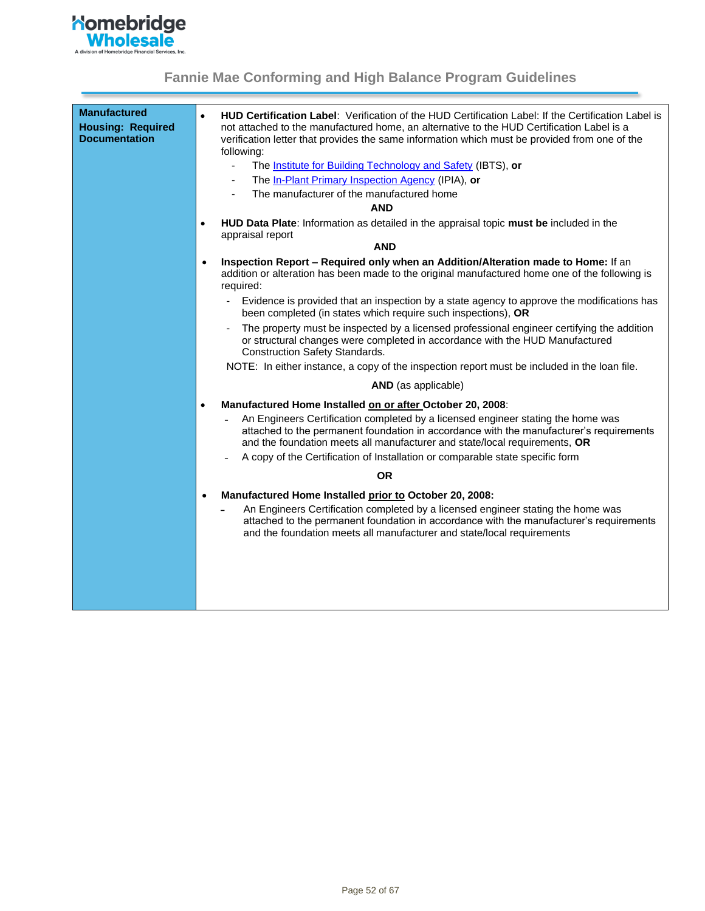

| <b>Manufactured</b><br><b>Housing: Required</b><br><b>Documentation</b> | <b>HUD Certification Label:</b> Verification of the HUD Certification Label: If the Certification Label is<br>$\bullet$<br>not attached to the manufactured home, an alternative to the HUD Certification Label is a<br>verification letter that provides the same information which must be provided from one of the<br>following:<br>$\blacksquare$<br>The <b>Institute for Building Technology and Safety</b> (IBTS), or<br>The In-Plant Primary Inspection Agency (IPIA), or<br>$\overline{\phantom{a}}$<br>The manufacturer of the manufactured home<br><b>AND</b><br>HUD Data Plate: Information as detailed in the appraisal topic must be included in the<br>$\bullet$<br>appraisal report |
|-------------------------------------------------------------------------|----------------------------------------------------------------------------------------------------------------------------------------------------------------------------------------------------------------------------------------------------------------------------------------------------------------------------------------------------------------------------------------------------------------------------------------------------------------------------------------------------------------------------------------------------------------------------------------------------------------------------------------------------------------------------------------------------|
|                                                                         | <b>AND</b>                                                                                                                                                                                                                                                                                                                                                                                                                                                                                                                                                                                                                                                                                         |
|                                                                         | Inspection Report - Required only when an Addition/Alteration made to Home: If an<br>$\bullet$<br>addition or alteration has been made to the original manufactured home one of the following is<br>required:                                                                                                                                                                                                                                                                                                                                                                                                                                                                                      |
|                                                                         | Evidence is provided that an inspection by a state agency to approve the modifications has<br>been completed (in states which require such inspections), OR                                                                                                                                                                                                                                                                                                                                                                                                                                                                                                                                        |
|                                                                         | The property must be inspected by a licensed professional engineer certifying the addition<br>or structural changes were completed in accordance with the HUD Manufactured<br><b>Construction Safety Standards.</b>                                                                                                                                                                                                                                                                                                                                                                                                                                                                                |
|                                                                         | NOTE: In either instance, a copy of the inspection report must be included in the loan file.                                                                                                                                                                                                                                                                                                                                                                                                                                                                                                                                                                                                       |
|                                                                         | AND (as applicable)                                                                                                                                                                                                                                                                                                                                                                                                                                                                                                                                                                                                                                                                                |
|                                                                         | Manufactured Home Installed on or after October 20, 2008:<br>$\bullet$<br>An Engineers Certification completed by a licensed engineer stating the home was<br>attached to the permanent foundation in accordance with the manufacturer's requirements<br>and the foundation meets all manufacturer and state/local requirements, OR<br>A copy of the Certification of Installation or comparable state specific form                                                                                                                                                                                                                                                                               |
|                                                                         | <b>OR</b>                                                                                                                                                                                                                                                                                                                                                                                                                                                                                                                                                                                                                                                                                          |
|                                                                         | Manufactured Home Installed prior to October 20, 2008:<br>$\bullet$<br>An Engineers Certification completed by a licensed engineer stating the home was<br>attached to the permanent foundation in accordance with the manufacturer's requirements                                                                                                                                                                                                                                                                                                                                                                                                                                                 |
|                                                                         | and the foundation meets all manufacturer and state/local requirements                                                                                                                                                                                                                                                                                                                                                                                                                                                                                                                                                                                                                             |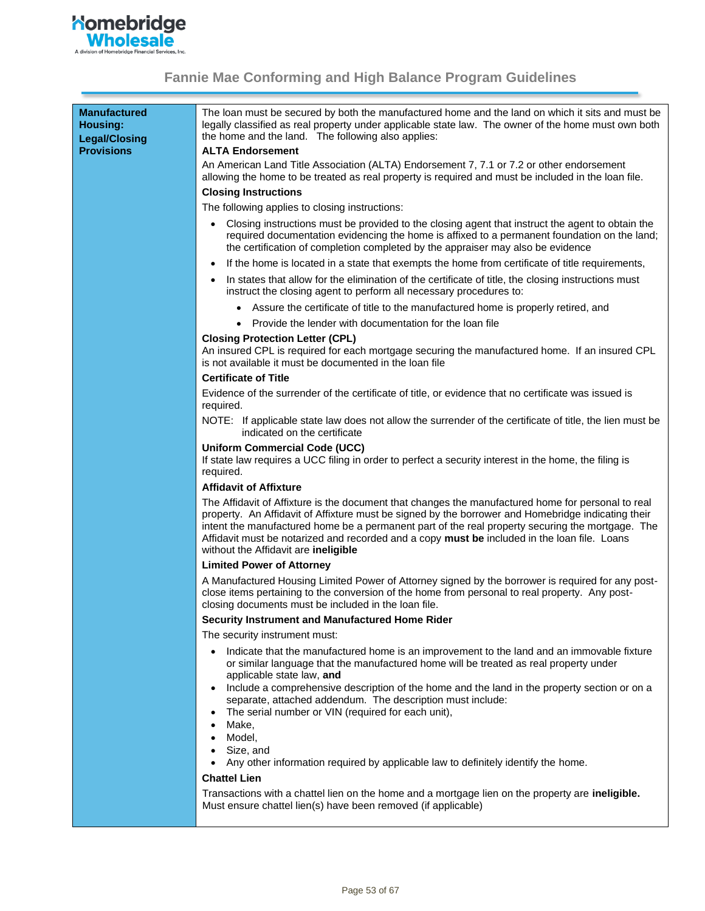

| <b>Manufactured</b><br><b>Housing:</b><br><b>Legal/Closing</b><br><b>Provisions</b> | The loan must be secured by both the manufactured home and the land on which it sits and must be<br>legally classified as real property under applicable state law. The owner of the home must own both<br>the home and the land. The following also applies:<br><b>ALTA Endorsement</b>                                                                                                                                                             |
|-------------------------------------------------------------------------------------|------------------------------------------------------------------------------------------------------------------------------------------------------------------------------------------------------------------------------------------------------------------------------------------------------------------------------------------------------------------------------------------------------------------------------------------------------|
|                                                                                     | An American Land Title Association (ALTA) Endorsement 7, 7.1 or 7.2 or other endorsement<br>allowing the home to be treated as real property is required and must be included in the loan file.                                                                                                                                                                                                                                                      |
|                                                                                     | <b>Closing Instructions</b>                                                                                                                                                                                                                                                                                                                                                                                                                          |
|                                                                                     | The following applies to closing instructions:                                                                                                                                                                                                                                                                                                                                                                                                       |
|                                                                                     | Closing instructions must be provided to the closing agent that instruct the agent to obtain the<br>required documentation evidencing the home is affixed to a permanent foundation on the land;<br>the certification of completion completed by the appraiser may also be evidence                                                                                                                                                                  |
|                                                                                     | If the home is located in a state that exempts the home from certificate of title requirements,                                                                                                                                                                                                                                                                                                                                                      |
|                                                                                     | In states that allow for the elimination of the certificate of title, the closing instructions must<br>instruct the closing agent to perform all necessary procedures to:                                                                                                                                                                                                                                                                            |
|                                                                                     | Assure the certificate of title to the manufactured home is properly retired, and                                                                                                                                                                                                                                                                                                                                                                    |
|                                                                                     | Provide the lender with documentation for the loan file                                                                                                                                                                                                                                                                                                                                                                                              |
|                                                                                     | <b>Closing Protection Letter (CPL)</b><br>An insured CPL is required for each mortgage securing the manufactured home. If an insured CPL<br>is not available it must be documented in the loan file                                                                                                                                                                                                                                                  |
|                                                                                     | <b>Certificate of Title</b>                                                                                                                                                                                                                                                                                                                                                                                                                          |
|                                                                                     | Evidence of the surrender of the certificate of title, or evidence that no certificate was issued is<br>required.                                                                                                                                                                                                                                                                                                                                    |
|                                                                                     | NOTE: If applicable state law does not allow the surrender of the certificate of title, the lien must be<br>indicated on the certificate                                                                                                                                                                                                                                                                                                             |
|                                                                                     | <b>Uniform Commercial Code (UCC)</b><br>If state law requires a UCC filing in order to perfect a security interest in the home, the filing is<br>required.                                                                                                                                                                                                                                                                                           |
|                                                                                     | <b>Affidavit of Affixture</b>                                                                                                                                                                                                                                                                                                                                                                                                                        |
|                                                                                     | The Affidavit of Affixture is the document that changes the manufactured home for personal to real<br>property. An Affidavit of Affixture must be signed by the borrower and Homebridge indicating their<br>intent the manufactured home be a permanent part of the real property securing the mortgage. The<br>Affidavit must be notarized and recorded and a copy must be included in the loan file. Loans<br>without the Affidavit are ineligible |
|                                                                                     | <b>Limited Power of Attorney</b>                                                                                                                                                                                                                                                                                                                                                                                                                     |
|                                                                                     | A Manufactured Housing Limited Power of Attorney signed by the borrower is required for any post-<br>close items pertaining to the conversion of the home from personal to real property. Any post-<br>closing documents must be included in the loan file.                                                                                                                                                                                          |
|                                                                                     | Security Instrument and Manufactured Home Rider                                                                                                                                                                                                                                                                                                                                                                                                      |
|                                                                                     | The security instrument must:                                                                                                                                                                                                                                                                                                                                                                                                                        |
|                                                                                     | Indicate that the manufactured home is an improvement to the land and an immovable fixture<br>or similar language that the manufactured home will be treated as real property under<br>applicable state law, and                                                                                                                                                                                                                                     |
|                                                                                     | Include a comprehensive description of the home and the land in the property section or on a<br>separate, attached addendum. The description must include:<br>The serial number or VIN (required for each unit),<br>Make,                                                                                                                                                                                                                            |
|                                                                                     | Model.<br>Size, and                                                                                                                                                                                                                                                                                                                                                                                                                                  |
|                                                                                     | Any other information required by applicable law to definitely identify the home.<br><b>Chattel Lien</b>                                                                                                                                                                                                                                                                                                                                             |
|                                                                                     | Transpotions with a shottel lian on the home and a mortgoge lian on the property are <b>ineligible</b>                                                                                                                                                                                                                                                                                                                                               |

Transactions with a chattel lien on the home and a mortgage lien on the property are **ineligible.**  Must ensure chattel lien(s) have been removed (if applicable)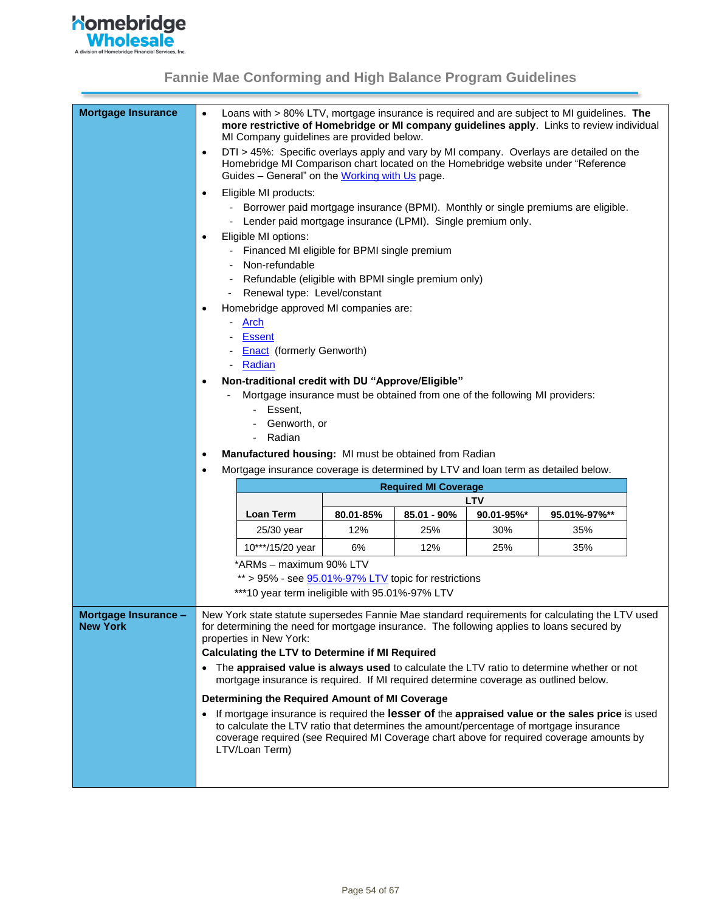

<span id="page-53-0"></span>

| <b>Mortgage Insurance</b> | $\bullet$ | Loans with > 80% LTV, mortgage insurance is required and are subject to MI guidelines. The<br>more restrictive of Homebridge or MI company guidelines apply. Links to review individual<br>MI Company guidelines are provided below. |           |                             |                          |              |  |
|---------------------------|-----------|--------------------------------------------------------------------------------------------------------------------------------------------------------------------------------------------------------------------------------------|-----------|-----------------------------|--------------------------|--------------|--|
|                           | $\bullet$ | DTI > 45%: Specific overlays apply and vary by MI company. Overlays are detailed on the<br>Homebridge MI Comparison chart located on the Homebridge website under "Reference<br>Guides - General" on the Working with Us page.       |           |                             |                          |              |  |
|                           | $\bullet$ | Eligible MI products:                                                                                                                                                                                                                |           |                             |                          |              |  |
|                           |           | - Borrower paid mortgage insurance (BPMI). Monthly or single premiums are eligible.                                                                                                                                                  |           |                             |                          |              |  |
|                           |           | Lender paid mortgage insurance (LPMI). Single premium only.                                                                                                                                                                          |           |                             |                          |              |  |
|                           | $\bullet$ | Eligible MI options:                                                                                                                                                                                                                 |           |                             |                          |              |  |
|                           |           | Financed MI eligible for BPMI single premium                                                                                                                                                                                         |           |                             |                          |              |  |
|                           |           | Non-refundable                                                                                                                                                                                                                       |           |                             |                          |              |  |
|                           |           | Refundable (eligible with BPMI single premium only)                                                                                                                                                                                  |           |                             |                          |              |  |
|                           |           | Renewal type: Level/constant                                                                                                                                                                                                         |           |                             |                          |              |  |
|                           | $\bullet$ | Homebridge approved MI companies are:                                                                                                                                                                                                |           |                             |                          |              |  |
|                           |           | Arch                                                                                                                                                                                                                                 |           |                             |                          |              |  |
|                           |           | <b>Essent</b>                                                                                                                                                                                                                        |           |                             |                          |              |  |
|                           |           | <b>Enact</b> (formerly Genworth)                                                                                                                                                                                                     |           |                             |                          |              |  |
|                           |           | Radian                                                                                                                                                                                                                               |           |                             |                          |              |  |
|                           | $\bullet$ | Non-traditional credit with DU "Approve/Eligible"                                                                                                                                                                                    |           |                             |                          |              |  |
|                           |           | Mortgage insurance must be obtained from one of the following MI providers:                                                                                                                                                          |           |                             |                          |              |  |
|                           |           | Essent,                                                                                                                                                                                                                              |           |                             |                          |              |  |
|                           |           | Genworth, or                                                                                                                                                                                                                         |           |                             |                          |              |  |
|                           |           | Radian                                                                                                                                                                                                                               |           |                             |                          |              |  |
|                           | $\bullet$ | Manufactured housing: MI must be obtained from Radian                                                                                                                                                                                |           |                             |                          |              |  |
|                           | $\bullet$ | Mortgage insurance coverage is determined by LTV and loan term as detailed below.                                                                                                                                                    |           |                             |                          |              |  |
|                           |           |                                                                                                                                                                                                                                      |           | <b>Required MI Coverage</b> |                          |              |  |
|                           |           | <b>Loan Term</b>                                                                                                                                                                                                                     | 80.01-85% | $85.01 - 90\%$              | <b>LTV</b><br>90.01-95%* | 95.01%-97%** |  |
|                           |           | 25/30 year                                                                                                                                                                                                                           | 12%       | 25%                         | 30%                      | 35%          |  |
|                           |           |                                                                                                                                                                                                                                      |           |                             |                          |              |  |
|                           |           | 10***/15/20 year                                                                                                                                                                                                                     | 6%        | 12%                         | 25%                      | 35%          |  |
|                           |           | *ARMs - maximum 90% LTV                                                                                                                                                                                                              |           |                             |                          |              |  |
|                           |           | $**$ > 95% - see 95.01%-97% LTV topic for restrictions                                                                                                                                                                               |           |                             |                          |              |  |
|                           |           | ***10 year term ineligible with 95.01%-97% LTV                                                                                                                                                                                       |           |                             |                          |              |  |
| Mortgage Insurance -      |           | New York state statute supersedes Fannie Mae standard requirements for calculating the LTV used                                                                                                                                      |           |                             |                          |              |  |
| <b>New York</b>           |           | for determining the need for mortgage insurance. The following applies to loans secured by<br>properties in New York:                                                                                                                |           |                             |                          |              |  |
|                           |           | <b>Calculating the LTV to Determine if MI Required</b>                                                                                                                                                                               |           |                             |                          |              |  |
|                           |           | • The appraised value is always used to calculate the LTV ratio to determine whether or not                                                                                                                                          |           |                             |                          |              |  |
|                           |           | mortgage insurance is required. If MI required determine coverage as outlined below.                                                                                                                                                 |           |                             |                          |              |  |
|                           |           | Determining the Required Amount of MI Coverage                                                                                                                                                                                       |           |                             |                          |              |  |
|                           |           | If mortgage insurance is required the lesser of the appraised value or the sales price is used                                                                                                                                       |           |                             |                          |              |  |
|                           |           | to calculate the LTV ratio that determines the amount/percentage of mortgage insurance                                                                                                                                               |           |                             |                          |              |  |
|                           |           | coverage required (see Required MI Coverage chart above for required coverage amounts by                                                                                                                                             |           |                             |                          |              |  |
|                           |           | LTV/Loan Term)                                                                                                                                                                                                                       |           |                             |                          |              |  |
|                           |           |                                                                                                                                                                                                                                      |           |                             |                          |              |  |
|                           |           |                                                                                                                                                                                                                                      |           |                             |                          |              |  |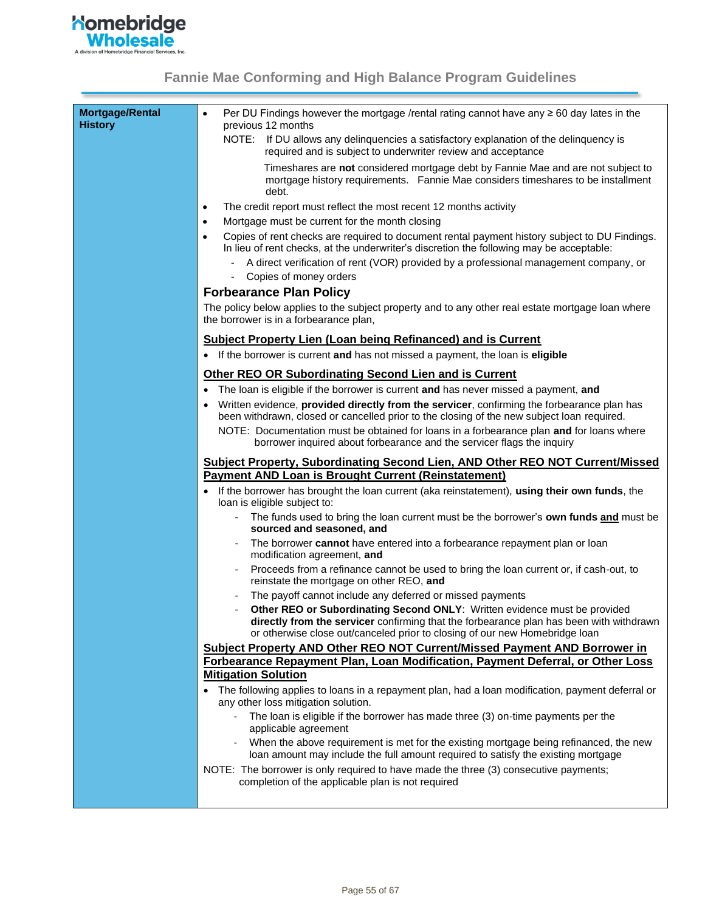

<span id="page-54-0"></span>

| Mortgage/Rental<br><b>History</b> | Per DU Findings however the mortgage /rental rating cannot have any $\geq 60$ day lates in the<br>$\bullet$<br>previous 12 months                                                                                                                   |  |  |  |  |
|-----------------------------------|-----------------------------------------------------------------------------------------------------------------------------------------------------------------------------------------------------------------------------------------------------|--|--|--|--|
|                                   | NOTE:<br>If DU allows any delinquencies a satisfactory explanation of the delinquency is<br>required and is subject to underwriter review and acceptance                                                                                            |  |  |  |  |
|                                   | Timeshares are not considered mortgage debt by Fannie Mae and are not subject to<br>mortgage history requirements. Fannie Mae considers timeshares to be installment<br>debt.                                                                       |  |  |  |  |
|                                   | The credit report must reflect the most recent 12 months activity<br>$\bullet$                                                                                                                                                                      |  |  |  |  |
|                                   | Mortgage must be current for the month closing<br>$\bullet$                                                                                                                                                                                         |  |  |  |  |
|                                   | Copies of rent checks are required to document rental payment history subject to DU Findings.<br>$\bullet$<br>In lieu of rent checks, at the underwriter's discretion the following may be acceptable:                                              |  |  |  |  |
|                                   | A direct verification of rent (VOR) provided by a professional management company, or                                                                                                                                                               |  |  |  |  |
|                                   | Copies of money orders                                                                                                                                                                                                                              |  |  |  |  |
|                                   | <b>Forbearance Plan Policy</b>                                                                                                                                                                                                                      |  |  |  |  |
|                                   | The policy below applies to the subject property and to any other real estate mortgage loan where<br>the borrower is in a forbearance plan,                                                                                                         |  |  |  |  |
|                                   | <b>Subject Property Lien (Loan being Refinanced) and is Current</b>                                                                                                                                                                                 |  |  |  |  |
|                                   | • If the borrower is current and has not missed a payment, the loan is eligible                                                                                                                                                                     |  |  |  |  |
|                                   | <b>Other REO OR Subordinating Second Lien and is Current</b>                                                                                                                                                                                        |  |  |  |  |
|                                   | The loan is eligible if the borrower is current and has never missed a payment, and                                                                                                                                                                 |  |  |  |  |
|                                   | $\bullet$<br>Written evidence, provided directly from the servicer, confirming the forbearance plan has                                                                                                                                             |  |  |  |  |
|                                   | been withdrawn, closed or cancelled prior to the closing of the new subject loan required.                                                                                                                                                          |  |  |  |  |
|                                   | NOTE: Documentation must be obtained for loans in a forbearance plan and for loans where<br>borrower inquired about forbearance and the servicer flags the inquiry                                                                                  |  |  |  |  |
|                                   |                                                                                                                                                                                                                                                     |  |  |  |  |
|                                   | Subject Property, Subordinating Second Lien, AND Other REO NOT Current/Missed                                                                                                                                                                       |  |  |  |  |
|                                   | <b>Payment AND Loan is Brought Current (Reinstatement)</b>                                                                                                                                                                                          |  |  |  |  |
|                                   | If the borrower has brought the loan current (aka reinstatement), using their own funds, the<br>loan is eligible subject to:                                                                                                                        |  |  |  |  |
|                                   | The funds used to bring the loan current must be the borrower's own funds and must be<br>sourced and seasoned, and                                                                                                                                  |  |  |  |  |
|                                   | The borrower cannot have entered into a forbearance repayment plan or loan<br>modification agreement, and                                                                                                                                           |  |  |  |  |
|                                   | Proceeds from a refinance cannot be used to bring the loan current or, if cash-out, to<br>reinstate the mortgage on other REO, and                                                                                                                  |  |  |  |  |
|                                   | The payoff cannot include any deferred or missed payments                                                                                                                                                                                           |  |  |  |  |
|                                   | Other REO or Subordinating Second ONLY: Written evidence must be provided<br>directly from the servicer confirming that the forbearance plan has been with withdrawn<br>or otherwise close out/canceled prior to closing of our new Homebridge loan |  |  |  |  |
|                                   | <b>Subject Property AND Other REO NOT Current/Missed Payment AND Borrower in</b>                                                                                                                                                                    |  |  |  |  |
|                                   | Forbearance Repayment Plan, Loan Modification, Payment Deferral, or Other Loss                                                                                                                                                                      |  |  |  |  |
|                                   | <b>Mitigation Solution</b>                                                                                                                                                                                                                          |  |  |  |  |
|                                   | • The following applies to loans in a repayment plan, had a loan modification, payment deferral or<br>any other loss mitigation solution.                                                                                                           |  |  |  |  |
|                                   | The loan is eligible if the borrower has made three (3) on-time payments per the<br>applicable agreement                                                                                                                                            |  |  |  |  |
|                                   | When the above requirement is met for the existing mortgage being refinanced, the new<br>loan amount may include the full amount required to satisfy the existing mortgage                                                                          |  |  |  |  |
|                                   | NOTE: The borrower is only required to have made the three (3) consecutive payments;<br>completion of the applicable plan is not required                                                                                                           |  |  |  |  |
|                                   |                                                                                                                                                                                                                                                     |  |  |  |  |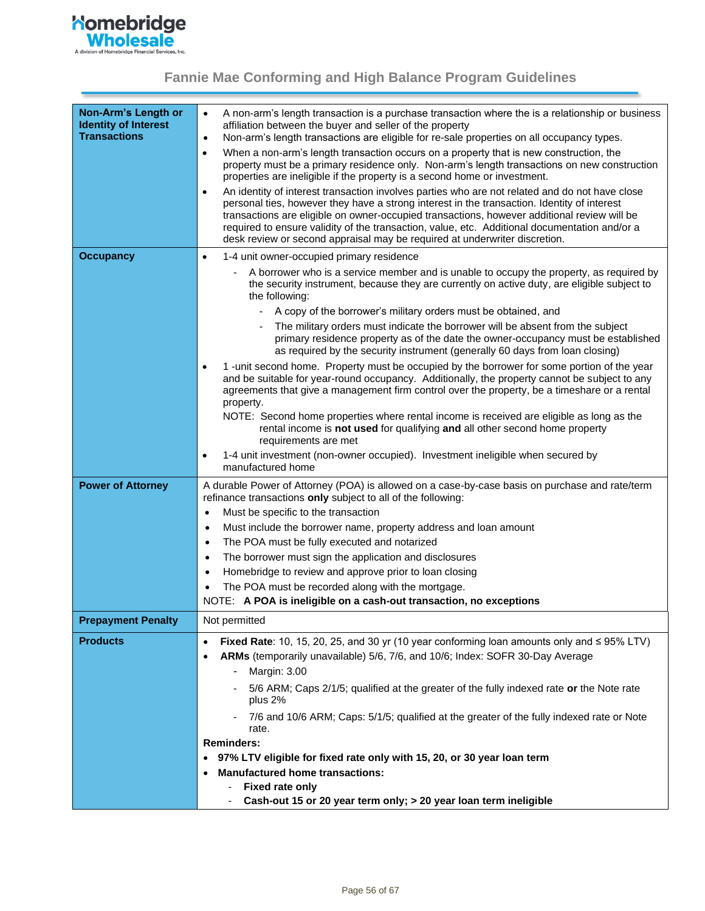

<span id="page-55-0"></span>

| Non-Arm's Length or<br><b>Identity of Interest</b> | A non-arm's length transaction is a purchase transaction where the is a relationship or business<br>$\bullet$<br>affiliation between the buyer and seller of the property                                                                                                                                                                                                                                                                                                                |
|----------------------------------------------------|------------------------------------------------------------------------------------------------------------------------------------------------------------------------------------------------------------------------------------------------------------------------------------------------------------------------------------------------------------------------------------------------------------------------------------------------------------------------------------------|
| <b>Transactions</b>                                | Non-arm's length transactions are eligible for re-sale properties on all occupancy types.<br>$\bullet$                                                                                                                                                                                                                                                                                                                                                                                   |
|                                                    | When a non-arm's length transaction occurs on a property that is new construction, the<br>$\bullet$<br>property must be a primary residence only. Non-arm's length transactions on new construction<br>properties are ineligible if the property is a second home or investment.                                                                                                                                                                                                         |
|                                                    | An identity of interest transaction involves parties who are not related and do not have close<br>$\bullet$<br>personal ties, however they have a strong interest in the transaction. Identity of interest<br>transactions are eligible on owner-occupied transactions, however additional review will be<br>required to ensure validity of the transaction, value, etc. Additional documentation and/or a<br>desk review or second appraisal may be required at underwriter discretion. |
| <b>Occupancy</b>                                   | 1-4 unit owner-occupied primary residence<br>$\bullet$                                                                                                                                                                                                                                                                                                                                                                                                                                   |
|                                                    | A borrower who is a service member and is unable to occupy the property, as required by<br>the security instrument, because they are currently on active duty, are eligible subject to<br>the following:                                                                                                                                                                                                                                                                                 |
|                                                    | A copy of the borrower's military orders must be obtained, and                                                                                                                                                                                                                                                                                                                                                                                                                           |
|                                                    | The military orders must indicate the borrower will be absent from the subject<br>primary residence property as of the date the owner-occupancy must be established<br>as required by the security instrument (generally 60 days from loan closing)                                                                                                                                                                                                                                      |
|                                                    | 1 - unit second home. Property must be occupied by the borrower for some portion of the year<br>$\bullet$<br>and be suitable for year-round occupancy. Additionally, the property cannot be subject to any<br>agreements that give a management firm control over the property, be a timeshare or a rental<br>property.                                                                                                                                                                  |
|                                                    | NOTE: Second home properties where rental income is received are eligible as long as the<br>rental income is not used for qualifying and all other second home property<br>requirements are met                                                                                                                                                                                                                                                                                          |
|                                                    | 1-4 unit investment (non-owner occupied). Investment ineligible when secured by<br>$\bullet$<br>manufactured home                                                                                                                                                                                                                                                                                                                                                                        |
| <b>Power of Attorney</b>                           | A durable Power of Attorney (POA) is allowed on a case-by-case basis on purchase and rate/term<br>refinance transactions only subject to all of the following:                                                                                                                                                                                                                                                                                                                           |
|                                                    | Must be specific to the transaction<br>$\bullet$                                                                                                                                                                                                                                                                                                                                                                                                                                         |
|                                                    | Must include the borrower name, property address and loan amount                                                                                                                                                                                                                                                                                                                                                                                                                         |
|                                                    | The POA must be fully executed and notarized<br>$\bullet$                                                                                                                                                                                                                                                                                                                                                                                                                                |
|                                                    | The borrower must sign the application and disclosures<br>$\bullet$                                                                                                                                                                                                                                                                                                                                                                                                                      |
|                                                    | Homebridge to review and approve prior to loan closing<br>$\bullet$                                                                                                                                                                                                                                                                                                                                                                                                                      |
|                                                    | The POA must be recorded along with the mortgage.<br>$\bullet$                                                                                                                                                                                                                                                                                                                                                                                                                           |
|                                                    | NOTE: A POA is ineligible on a cash-out transaction, no exceptions                                                                                                                                                                                                                                                                                                                                                                                                                       |
| <b>Prepayment Penalty</b>                          | Not permitted                                                                                                                                                                                                                                                                                                                                                                                                                                                                            |
| <b>Products</b>                                    | Fixed Rate: 10, 15, 20, 25, and 30 yr (10 year conforming loan amounts only and $\leq$ 95% LTV)<br>$\bullet$                                                                                                                                                                                                                                                                                                                                                                             |
|                                                    | ARMs (temporarily unavailable) 5/6, 7/6, and 10/6; Index: SOFR 30-Day Average<br>٠                                                                                                                                                                                                                                                                                                                                                                                                       |
|                                                    | Margin: 3.00                                                                                                                                                                                                                                                                                                                                                                                                                                                                             |
|                                                    | 5/6 ARM; Caps 2/1/5; qualified at the greater of the fully indexed rate or the Note rate<br>plus 2%                                                                                                                                                                                                                                                                                                                                                                                      |
|                                                    | 7/6 and 10/6 ARM; Caps: 5/1/5; qualified at the greater of the fully indexed rate or Note<br>$\overline{\phantom{a}}$<br>rate.                                                                                                                                                                                                                                                                                                                                                           |
|                                                    | <b>Reminders:</b>                                                                                                                                                                                                                                                                                                                                                                                                                                                                        |
|                                                    | 97% LTV eligible for fixed rate only with 15, 20, or 30 year loan term                                                                                                                                                                                                                                                                                                                                                                                                                   |
|                                                    | <b>Manufactured home transactions:</b>                                                                                                                                                                                                                                                                                                                                                                                                                                                   |
|                                                    | Fixed rate only                                                                                                                                                                                                                                                                                                                                                                                                                                                                          |
|                                                    | Cash-out 15 or 20 year term only; > 20 year loan term ineligible                                                                                                                                                                                                                                                                                                                                                                                                                         |
|                                                    |                                                                                                                                                                                                                                                                                                                                                                                                                                                                                          |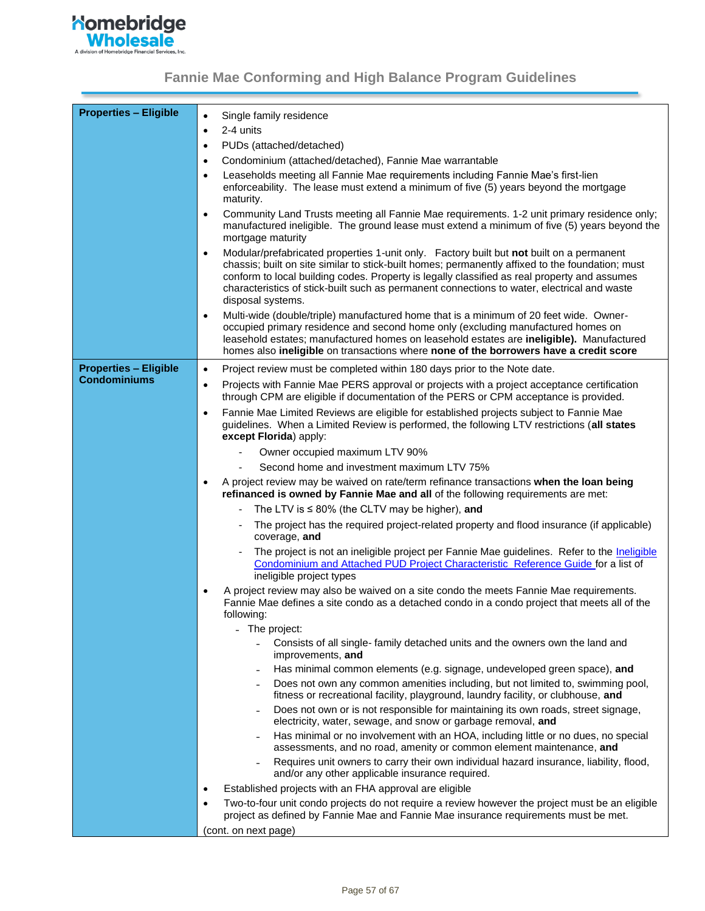

<span id="page-56-0"></span>

| <b>Properties - Eligible</b> | Single family residence<br>$\bullet$                                                                                                                                                                                                                                                                                                                                                                                          |
|------------------------------|-------------------------------------------------------------------------------------------------------------------------------------------------------------------------------------------------------------------------------------------------------------------------------------------------------------------------------------------------------------------------------------------------------------------------------|
|                              | 2-4 units<br>$\bullet$                                                                                                                                                                                                                                                                                                                                                                                                        |
|                              | PUDs (attached/detached)<br>$\bullet$                                                                                                                                                                                                                                                                                                                                                                                         |
|                              | Condominium (attached/detached), Fannie Mae warrantable<br>$\bullet$                                                                                                                                                                                                                                                                                                                                                          |
|                              | Leaseholds meeting all Fannie Mae requirements including Fannie Mae's first-lien<br>$\bullet$<br>enforceability. The lease must extend a minimum of five (5) years beyond the mortgage<br>maturity.                                                                                                                                                                                                                           |
|                              | Community Land Trusts meeting all Fannie Mae requirements. 1-2 unit primary residence only;<br>$\bullet$<br>manufactured ineligible. The ground lease must extend a minimum of five (5) years beyond the<br>mortgage maturity                                                                                                                                                                                                 |
|                              | Modular/prefabricated properties 1-unit only. Factory built but not built on a permanent<br>$\bullet$<br>chassis; built on site similar to stick-built homes; permanently affixed to the foundation; must<br>conform to local building codes. Property is legally classified as real property and assumes<br>characteristics of stick-built such as permanent connections to water, electrical and waste<br>disposal systems. |
|                              | Multi-wide (double/triple) manufactured home that is a minimum of 20 feet wide. Owner-<br>$\bullet$<br>occupied primary residence and second home only (excluding manufactured homes on<br>leasehold estates; manufactured homes on leasehold estates are ineligible). Manufactured<br>homes also ineligible on transactions where none of the borrowers have a credit score                                                  |
| <b>Properties - Eligible</b> | Project review must be completed within 180 days prior to the Note date.<br>$\bullet$                                                                                                                                                                                                                                                                                                                                         |
| <b>Condominiums</b>          | Projects with Fannie Mae PERS approval or projects with a project acceptance certification<br>$\bullet$<br>through CPM are eligible if documentation of the PERS or CPM acceptance is provided.                                                                                                                                                                                                                               |
|                              | Fannie Mae Limited Reviews are eligible for established projects subject to Fannie Mae<br>guidelines. When a Limited Review is performed, the following LTV restrictions (all states<br>except Florida) apply:                                                                                                                                                                                                                |
|                              | Owner occupied maximum LTV 90%                                                                                                                                                                                                                                                                                                                                                                                                |
|                              | Second home and investment maximum LTV 75%                                                                                                                                                                                                                                                                                                                                                                                    |
|                              | A project review may be waived on rate/term refinance transactions when the loan being<br>refinanced is owned by Fannie Mae and all of the following requirements are met:                                                                                                                                                                                                                                                    |
|                              | The LTV is $\leq$ 80% (the CLTV may be higher), and                                                                                                                                                                                                                                                                                                                                                                           |
|                              | The project has the required project-related property and flood insurance (if applicable)<br>coverage, and                                                                                                                                                                                                                                                                                                                    |
|                              | The project is not an ineligible project per Fannie Mae guidelines. Refer to the Ineligible<br>Condominium and Attached PUD Project Characteristic Reference Guide for a list of<br>ineligible project types                                                                                                                                                                                                                  |
|                              | A project review may also be waived on a site condo the meets Fannie Mae requirements.<br>Fannie Mae defines a site condo as a detached condo in a condo project that meets all of the<br>following:                                                                                                                                                                                                                          |
|                              | - The project:                                                                                                                                                                                                                                                                                                                                                                                                                |
|                              | Consists of all single- family detached units and the owners own the land and<br>$\blacksquare$<br>improvements, and                                                                                                                                                                                                                                                                                                          |
|                              | Has minimal common elements (e.g. signage, undeveloped green space), and                                                                                                                                                                                                                                                                                                                                                      |
|                              | Does not own any common amenities including, but not limited to, swimming pool,<br>$\overline{\phantom{a}}$<br>fitness or recreational facility, playground, laundry facility, or clubhouse, and                                                                                                                                                                                                                              |
|                              | Does not own or is not responsible for maintaining its own roads, street signage,<br>electricity, water, sewage, and snow or garbage removal, and                                                                                                                                                                                                                                                                             |
|                              | Has minimal or no involvement with an HOA, including little or no dues, no special<br>assessments, and no road, amenity or common element maintenance, and                                                                                                                                                                                                                                                                    |
|                              | Requires unit owners to carry their own individual hazard insurance, liability, flood,<br>and/or any other applicable insurance required.                                                                                                                                                                                                                                                                                     |
|                              | Established projects with an FHA approval are eligible<br>$\bullet$                                                                                                                                                                                                                                                                                                                                                           |
|                              | Two-to-four unit condo projects do not require a review however the project must be an eligible<br>$\bullet$<br>project as defined by Fannie Mae and Fannie Mae insurance requirements must be met.                                                                                                                                                                                                                           |
|                              | (cont. on next page)                                                                                                                                                                                                                                                                                                                                                                                                          |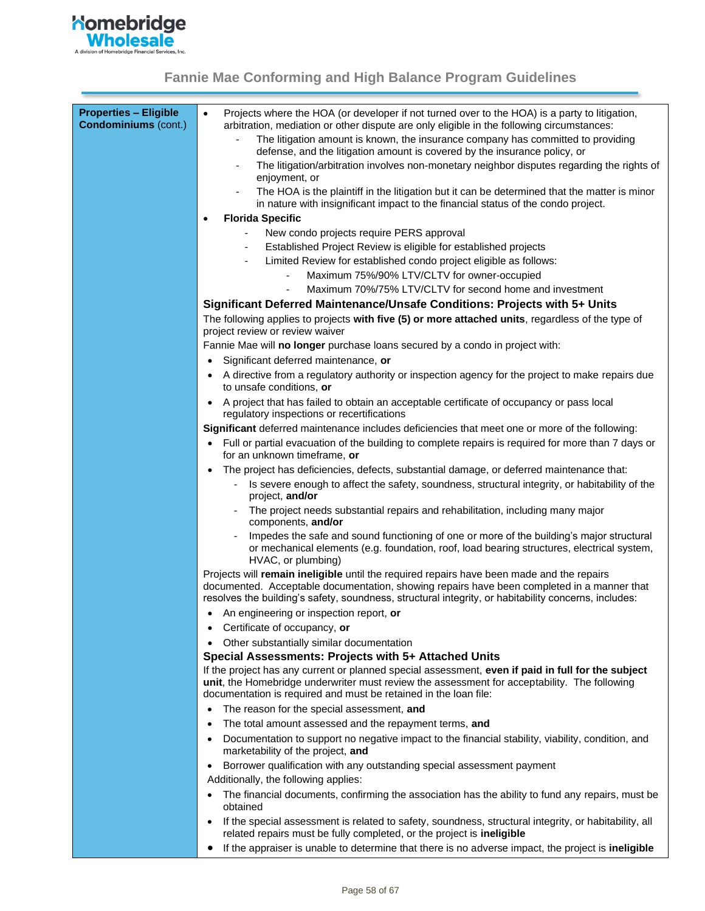

| <b>Properties - Eligible</b><br><b>Condominiums (cont.)</b> | Projects where the HOA (or developer if not turned over to the HOA) is a party to litigation,<br>$\bullet$<br>arbitration, mediation or other dispute are only eligible in the following circumstances:                                                                                         |
|-------------------------------------------------------------|-------------------------------------------------------------------------------------------------------------------------------------------------------------------------------------------------------------------------------------------------------------------------------------------------|
|                                                             | The litigation amount is known, the insurance company has committed to providing<br>defense, and the litigation amount is covered by the insurance policy, or                                                                                                                                   |
|                                                             | The litigation/arbitration involves non-monetary neighbor disputes regarding the rights of<br>enjoyment, or                                                                                                                                                                                     |
|                                                             | The HOA is the plaintiff in the litigation but it can be determined that the matter is minor<br>$\overline{\phantom{a}}$<br>in nature with insignificant impact to the financial status of the condo project.                                                                                   |
|                                                             | <b>Florida Specific</b><br>$\bullet$                                                                                                                                                                                                                                                            |
|                                                             | New condo projects require PERS approval                                                                                                                                                                                                                                                        |
|                                                             | Established Project Review is eligible for established projects                                                                                                                                                                                                                                 |
|                                                             | Limited Review for established condo project eligible as follows:                                                                                                                                                                                                                               |
|                                                             | Maximum 75%/90% LTV/CLTV for owner-occupied                                                                                                                                                                                                                                                     |
|                                                             | Maximum 70%/75% LTV/CLTV for second home and investment                                                                                                                                                                                                                                         |
|                                                             | Significant Deferred Maintenance/Unsafe Conditions: Projects with 5+ Units                                                                                                                                                                                                                      |
|                                                             | The following applies to projects with five (5) or more attached units, regardless of the type of<br>project review or review waiver                                                                                                                                                            |
|                                                             | Fannie Mae will no longer purchase loans secured by a condo in project with:                                                                                                                                                                                                                    |
|                                                             | Significant deferred maintenance, or<br>$\bullet$                                                                                                                                                                                                                                               |
|                                                             | A directive from a regulatory authority or inspection agency for the project to make repairs due<br>٠<br>to unsafe conditions, or                                                                                                                                                               |
|                                                             | A project that has failed to obtain an acceptable certificate of occupancy or pass local<br>regulatory inspections or recertifications                                                                                                                                                          |
|                                                             | Significant deferred maintenance includes deficiencies that meet one or more of the following:                                                                                                                                                                                                  |
|                                                             | Full or partial evacuation of the building to complete repairs is required for more than 7 days or<br>$\bullet$<br>for an unknown timeframe, or                                                                                                                                                 |
|                                                             | The project has deficiencies, defects, substantial damage, or deferred maintenance that:<br>$\bullet$                                                                                                                                                                                           |
|                                                             | Is severe enough to affect the safety, soundness, structural integrity, or habitability of the<br>project, and/or                                                                                                                                                                               |
|                                                             | The project needs substantial repairs and rehabilitation, including many major<br>components, and/or                                                                                                                                                                                            |
|                                                             | Impedes the safe and sound functioning of one or more of the building's major structural<br>or mechanical elements (e.g. foundation, roof, load bearing structures, electrical system,<br>HVAC, or plumbing)                                                                                    |
|                                                             | Projects will remain ineligible until the required repairs have been made and the repairs<br>documented. Acceptable documentation, showing repairs have been completed in a manner that<br>resolves the building's safety, soundness, structural integrity, or habitability concerns, includes: |
|                                                             | An engineering or inspection report, or                                                                                                                                                                                                                                                         |
|                                                             | Certificate of occupancy, or<br>$\bullet$                                                                                                                                                                                                                                                       |
|                                                             | Other substantially similar documentation                                                                                                                                                                                                                                                       |
|                                                             | Special Assessments: Projects with 5+ Attached Units                                                                                                                                                                                                                                            |
|                                                             | If the project has any current or planned special assessment, even if paid in full for the subject<br>unit, the Homebridge underwriter must review the assessment for acceptability. The following<br>documentation is required and must be retained in the loan file:                          |
|                                                             | The reason for the special assessment, and<br>$\bullet$                                                                                                                                                                                                                                         |
|                                                             | The total amount assessed and the repayment terms, and<br>$\bullet$                                                                                                                                                                                                                             |
|                                                             | Documentation to support no negative impact to the financial stability, viability, condition, and<br>٠<br>marketability of the project, and                                                                                                                                                     |
|                                                             | Borrower qualification with any outstanding special assessment payment<br>$\bullet$                                                                                                                                                                                                             |
|                                                             | Additionally, the following applies:                                                                                                                                                                                                                                                            |
|                                                             | The financial documents, confirming the association has the ability to fund any repairs, must be<br>$\bullet$<br>obtained                                                                                                                                                                       |
|                                                             | If the special assessment is related to safety, soundness, structural integrity, or habitability, all<br>$\bullet$<br>related repairs must be fully completed, or the project is ineligible                                                                                                     |
|                                                             | If the appraiser is unable to determine that there is no adverse impact, the project is ineligible<br>٠                                                                                                                                                                                         |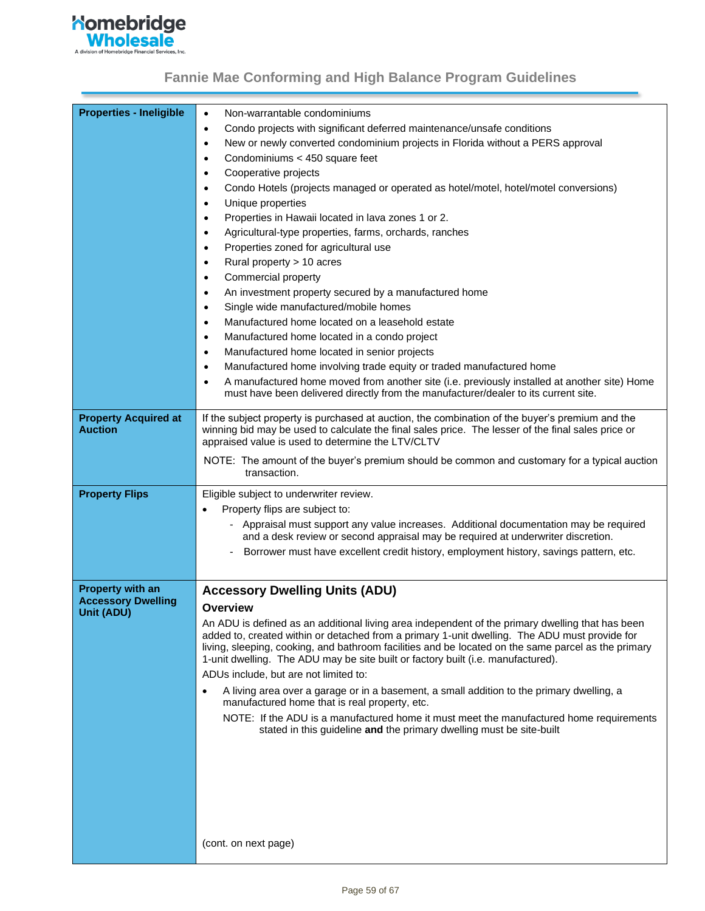

| <b>Properties - Ineligible</b> | Non-warrantable condominiums                                                                                                                                               |
|--------------------------------|----------------------------------------------------------------------------------------------------------------------------------------------------------------------------|
|                                | $\bullet$                                                                                                                                                                  |
|                                | Condo projects with significant deferred maintenance/unsafe conditions<br>$\bullet$                                                                                        |
|                                | New or newly converted condominium projects in Florida without a PERS approval<br>$\bullet$                                                                                |
|                                | Condominiums < 450 square feet<br>$\bullet$                                                                                                                                |
|                                | Cooperative projects<br>$\bullet$                                                                                                                                          |
|                                | Condo Hotels (projects managed or operated as hotel/motel, hotel/motel conversions)<br>$\bullet$                                                                           |
|                                | Unique properties<br>$\bullet$                                                                                                                                             |
|                                | Properties in Hawaii located in lava zones 1 or 2.<br>$\bullet$                                                                                                            |
|                                | Agricultural-type properties, farms, orchards, ranches<br>$\bullet$                                                                                                        |
|                                | Properties zoned for agricultural use<br>$\bullet$                                                                                                                         |
|                                | Rural property > 10 acres<br>$\bullet$                                                                                                                                     |
|                                | Commercial property<br>$\bullet$                                                                                                                                           |
|                                | An investment property secured by a manufactured home<br>$\bullet$                                                                                                         |
|                                | Single wide manufactured/mobile homes<br>$\bullet$                                                                                                                         |
|                                | Manufactured home located on a leasehold estate<br>$\bullet$                                                                                                               |
|                                | Manufactured home located in a condo project<br>$\bullet$                                                                                                                  |
|                                | Manufactured home located in senior projects<br>$\bullet$                                                                                                                  |
|                                | Manufactured home involving trade equity or traded manufactured home<br>$\bullet$                                                                                          |
|                                | A manufactured home moved from another site (i.e. previously installed at another site) Home<br>$\bullet$                                                                  |
|                                | must have been delivered directly from the manufacturer/dealer to its current site.                                                                                        |
| <b>Property Acquired at</b>    | If the subject property is purchased at auction, the combination of the buyer's premium and the                                                                            |
| <b>Auction</b>                 | winning bid may be used to calculate the final sales price. The lesser of the final sales price or<br>appraised value is used to determine the LTV/CLTV                    |
|                                | NOTE: The amount of the buyer's premium should be common and customary for a typical auction                                                                               |
|                                | transaction.                                                                                                                                                               |
| <b>Property Flips</b>          | Eligible subject to underwriter review.                                                                                                                                    |
|                                | Property flips are subject to:<br>$\bullet$                                                                                                                                |
|                                | - Appraisal must support any value increases. Additional documentation may be required<br>and a desk review or second appraisal may be required at underwriter discretion. |
|                                | Borrower must have excellent credit history, employment history, savings pattern, etc.                                                                                     |
|                                |                                                                                                                                                                            |
| <b>Property with an</b>        | <b>Accessory Dwelling Units (ADU)</b>                                                                                                                                      |
| <b>Accessory Dwelling</b>      | Overview                                                                                                                                                                   |
| Unit (ADU)                     | An ADU is defined as an additional living area independent of the primary dwelling that has been                                                                           |
|                                | added to, created within or detached from a primary 1-unit dwelling. The ADU must provide for                                                                              |
|                                | living, sleeping, cooking, and bathroom facilities and be located on the same parcel as the primary                                                                        |
|                                | 1-unit dwelling. The ADU may be site built or factory built (i.e. manufactured).                                                                                           |
|                                | ADUs include, but are not limited to:                                                                                                                                      |
|                                | A living area over a garage or in a basement, a small addition to the primary dwelling, a<br>$\bullet$<br>manufactured home that is real property, etc.                    |
|                                | NOTE: If the ADU is a manufactured home it must meet the manufactured home requirements                                                                                    |
|                                | stated in this guideline and the primary dwelling must be site-built                                                                                                       |
|                                |                                                                                                                                                                            |
|                                |                                                                                                                                                                            |
|                                |                                                                                                                                                                            |
|                                |                                                                                                                                                                            |
|                                |                                                                                                                                                                            |
|                                |                                                                                                                                                                            |
|                                | (cont. on next page)                                                                                                                                                       |
|                                |                                                                                                                                                                            |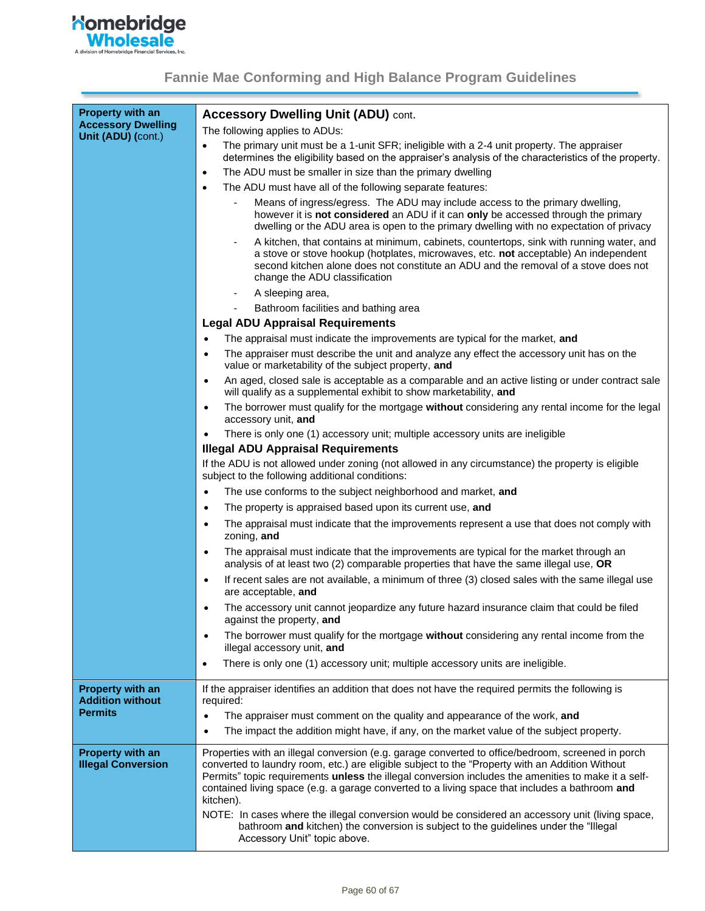

| <b>Property with an</b><br><b>Accessory Dwelling</b> | <b>Accessory Dwelling Unit (ADU) cont.</b>                                                                                                                                                                                                                                                                            |
|------------------------------------------------------|-----------------------------------------------------------------------------------------------------------------------------------------------------------------------------------------------------------------------------------------------------------------------------------------------------------------------|
| Unit (ADU) (cont.)                                   | The following applies to ADUs:                                                                                                                                                                                                                                                                                        |
|                                                      | The primary unit must be a 1-unit SFR; ineligible with a 2-4 unit property. The appraiser<br>$\bullet$<br>determines the eligibility based on the appraiser's analysis of the characteristics of the property.                                                                                                        |
|                                                      | The ADU must be smaller in size than the primary dwelling<br>$\bullet$                                                                                                                                                                                                                                                |
|                                                      | The ADU must have all of the following separate features:<br>$\bullet$                                                                                                                                                                                                                                                |
|                                                      | Means of ingress/egress. The ADU may include access to the primary dwelling,<br>however it is not considered an ADU if it can only be accessed through the primary<br>dwelling or the ADU area is open to the primary dwelling with no expectation of privacy                                                         |
|                                                      | A kitchen, that contains at minimum, cabinets, countertops, sink with running water, and<br>a stove or stove hookup (hotplates, microwaves, etc. not acceptable) An independent<br>second kitchen alone does not constitute an ADU and the removal of a stove does not<br>change the ADU classification               |
|                                                      | A sleeping area,                                                                                                                                                                                                                                                                                                      |
|                                                      | Bathroom facilities and bathing area<br>$\overline{\phantom{a}}$                                                                                                                                                                                                                                                      |
|                                                      | <b>Legal ADU Appraisal Requirements</b>                                                                                                                                                                                                                                                                               |
|                                                      | The appraisal must indicate the improvements are typical for the market, and<br>$\bullet$                                                                                                                                                                                                                             |
|                                                      | The appraiser must describe the unit and analyze any effect the accessory unit has on the<br>$\bullet$<br>value or marketability of the subject property, and                                                                                                                                                         |
|                                                      | An aged, closed sale is acceptable as a comparable and an active listing or under contract sale<br>$\bullet$<br>will qualify as a supplemental exhibit to show marketability, and                                                                                                                                     |
|                                                      | The borrower must qualify for the mortgage without considering any rental income for the legal<br>$\bullet$<br>accessory unit, and                                                                                                                                                                                    |
|                                                      | There is only one (1) accessory unit; multiple accessory units are ineligible                                                                                                                                                                                                                                         |
|                                                      | <b>Illegal ADU Appraisal Requirements</b>                                                                                                                                                                                                                                                                             |
|                                                      | If the ADU is not allowed under zoning (not allowed in any circumstance) the property is eligible<br>subject to the following additional conditions:                                                                                                                                                                  |
|                                                      | The use conforms to the subject neighborhood and market, and                                                                                                                                                                                                                                                          |
|                                                      | The property is appraised based upon its current use, and<br>$\bullet$                                                                                                                                                                                                                                                |
|                                                      | The appraisal must indicate that the improvements represent a use that does not comply with<br>$\bullet$<br>zoning, and                                                                                                                                                                                               |
|                                                      | The appraisal must indicate that the improvements are typical for the market through an<br>analysis of at least two $(2)$ comparable properties that have the same illegal use, OR                                                                                                                                    |
|                                                      | If recent sales are not available, a minimum of three (3) closed sales with the same illegal use<br>are acceptable, and                                                                                                                                                                                               |
|                                                      | The accessory unit cannot jeopardize any future hazard insurance claim that could be filed<br>against the property, and                                                                                                                                                                                               |
|                                                      | The borrower must qualify for the mortgage without considering any rental income from the<br>$\bullet$<br>illegal accessory unit, and                                                                                                                                                                                 |
|                                                      | There is only one (1) accessory unit; multiple accessory units are ineligible.<br>$\bullet$                                                                                                                                                                                                                           |
| <b>Property with an</b><br><b>Addition without</b>   | If the appraiser identifies an addition that does not have the required permits the following is<br>required:                                                                                                                                                                                                         |
| <b>Permits</b>                                       | The appraiser must comment on the quality and appearance of the work, and<br>$\bullet$<br>The impact the addition might have, if any, on the market value of the subject property.<br>$\bullet$                                                                                                                       |
| <b>Property with an</b>                              | Properties with an illegal conversion (e.g. garage converted to office/bedroom, screened in porch                                                                                                                                                                                                                     |
| <b>Illegal Conversion</b>                            | converted to laundry room, etc.) are eligible subject to the "Property with an Addition Without<br>Permits" topic requirements unless the illegal conversion includes the amenities to make it a self-<br>contained living space (e.g. a garage converted to a living space that includes a bathroom and<br>kitchen). |
|                                                      | NOTE: In cases where the illegal conversion would be considered an accessory unit (living space,<br>bathroom and kitchen) the conversion is subject to the guidelines under the "Illegal<br>Accessory Unit" topic above.                                                                                              |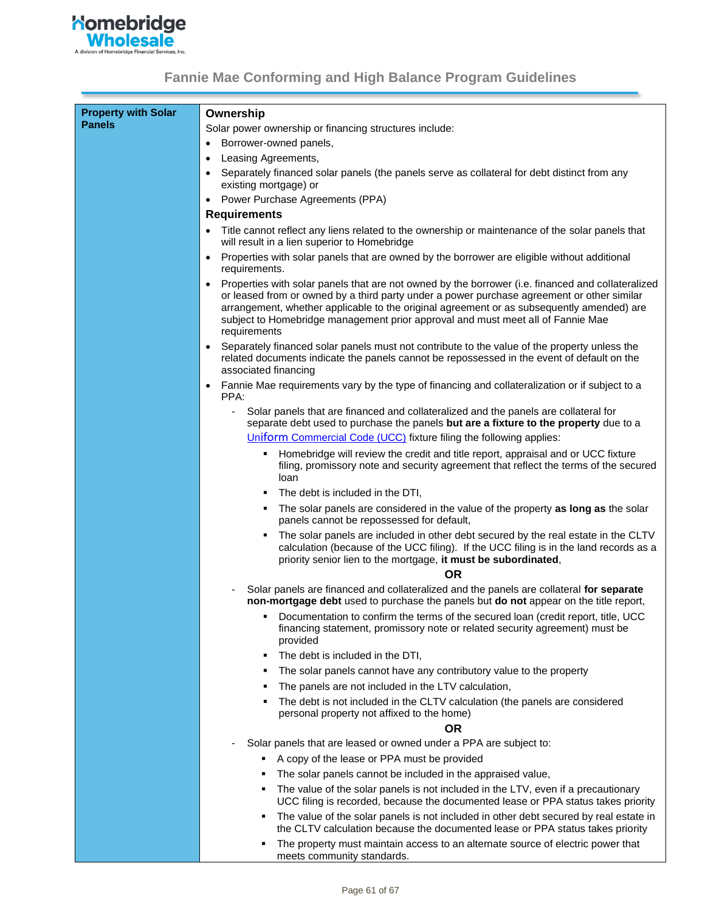

| <b>Property with Solar</b> | Ownership                                                                                                                                                                                                                                                                                                                                                                                       |
|----------------------------|-------------------------------------------------------------------------------------------------------------------------------------------------------------------------------------------------------------------------------------------------------------------------------------------------------------------------------------------------------------------------------------------------|
| <b>Panels</b>              | Solar power ownership or financing structures include:                                                                                                                                                                                                                                                                                                                                          |
|                            | Borrower-owned panels,<br>$\bullet$                                                                                                                                                                                                                                                                                                                                                             |
|                            | Leasing Agreements,                                                                                                                                                                                                                                                                                                                                                                             |
|                            | Separately financed solar panels (the panels serve as collateral for debt distinct from any<br>existing mortgage) or                                                                                                                                                                                                                                                                            |
|                            | Power Purchase Agreements (PPA)                                                                                                                                                                                                                                                                                                                                                                 |
|                            | <b>Requirements</b>                                                                                                                                                                                                                                                                                                                                                                             |
|                            | Title cannot reflect any liens related to the ownership or maintenance of the solar panels that                                                                                                                                                                                                                                                                                                 |
|                            | will result in a lien superior to Homebridge                                                                                                                                                                                                                                                                                                                                                    |
|                            | Properties with solar panels that are owned by the borrower are eligible without additional<br>٠<br>requirements.                                                                                                                                                                                                                                                                               |
|                            | Properties with solar panels that are not owned by the borrower (i.e. financed and collateralized<br>or leased from or owned by a third party under a power purchase agreement or other similar<br>arrangement, whether applicable to the original agreement or as subsequently amended) are<br>subject to Homebridge management prior approval and must meet all of Fannie Mae<br>requirements |
|                            | Separately financed solar panels must not contribute to the value of the property unless the<br>related documents indicate the panels cannot be repossessed in the event of default on the<br>associated financing                                                                                                                                                                              |
|                            | Fannie Mae requirements vary by the type of financing and collateralization or if subject to a<br>$\bullet$<br>PPA:                                                                                                                                                                                                                                                                             |
|                            | Solar panels that are financed and collateralized and the panels are collateral for<br>separate debt used to purchase the panels but are a fixture to the property due to a                                                                                                                                                                                                                     |
|                            | Uniform Commercial Code (UCC) fixture filing the following applies:                                                                                                                                                                                                                                                                                                                             |
|                            | Homebridge will review the credit and title report, appraisal and or UCC fixture<br>filing, promissory note and security agreement that reflect the terms of the secured<br>loan                                                                                                                                                                                                                |
|                            | The debt is included in the DTI,                                                                                                                                                                                                                                                                                                                                                                |
|                            | The solar panels are considered in the value of the property as long as the solar<br>panels cannot be repossessed for default,                                                                                                                                                                                                                                                                  |
|                            | The solar panels are included in other debt secured by the real estate in the CLTV<br>calculation (because of the UCC filing). If the UCC filing is in the land records as a<br>priority senior lien to the mortgage, it must be subordinated,                                                                                                                                                  |
|                            | <b>OR</b>                                                                                                                                                                                                                                                                                                                                                                                       |
|                            | Solar panels are financed and collateralized and the panels are collateral for separate<br>non-mortgage debt used to purchase the panels but do not appear on the title report,                                                                                                                                                                                                                 |
|                            | Documentation to confirm the terms of the secured loan (credit report, title, UCC<br>financing statement, promissory note or related security agreement) must be<br>provided                                                                                                                                                                                                                    |
|                            | The debt is included in the DTI,<br>٠                                                                                                                                                                                                                                                                                                                                                           |
|                            | The solar panels cannot have any contributory value to the property                                                                                                                                                                                                                                                                                                                             |
|                            | The panels are not included in the LTV calculation,                                                                                                                                                                                                                                                                                                                                             |
|                            | The debt is not included in the CLTV calculation (the panels are considered<br>personal property not affixed to the home)                                                                                                                                                                                                                                                                       |
|                            | <b>OR</b>                                                                                                                                                                                                                                                                                                                                                                                       |
|                            | Solar panels that are leased or owned under a PPA are subject to:                                                                                                                                                                                                                                                                                                                               |
|                            | A copy of the lease or PPA must be provided                                                                                                                                                                                                                                                                                                                                                     |
|                            | The solar panels cannot be included in the appraised value,                                                                                                                                                                                                                                                                                                                                     |
|                            | The value of the solar panels is not included in the LTV, even if a precautionary<br>UCC filing is recorded, because the documented lease or PPA status takes priority                                                                                                                                                                                                                          |
|                            | The value of the solar panels is not included in other debt secured by real estate in<br>the CLTV calculation because the documented lease or PPA status takes priority                                                                                                                                                                                                                         |
|                            | The property must maintain access to an alternate source of electric power that<br>meets community standards.                                                                                                                                                                                                                                                                                   |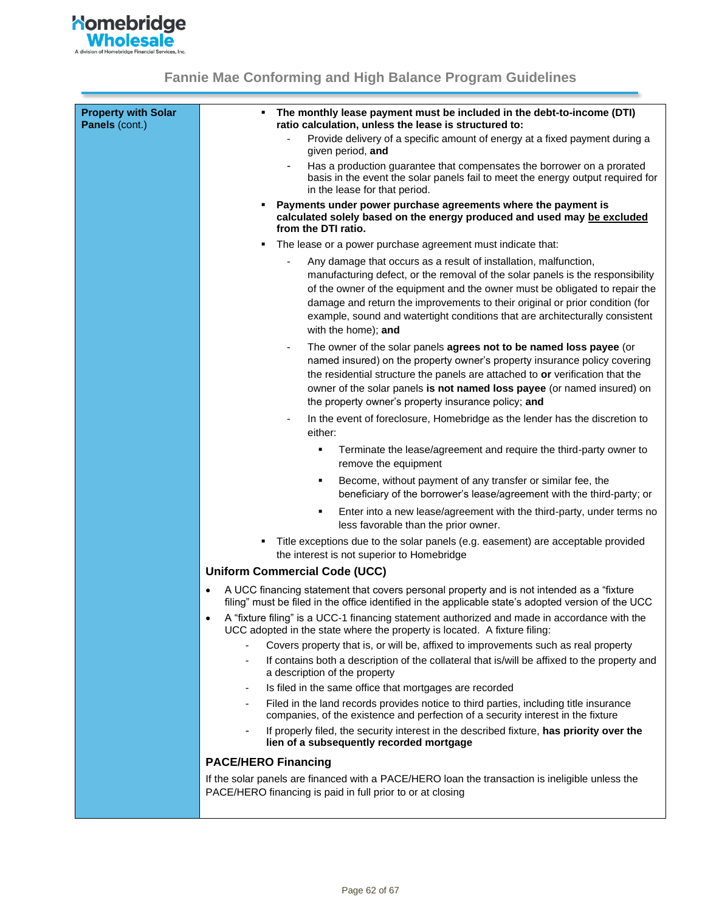

<span id="page-61-0"></span>

| <b>Property with Solar</b><br>Panels (cont.) | The monthly lease payment must be included in the debt-to-income (DTI)<br>٠<br>ratio calculation, unless the lease is structured to:                                                                                                                                                                                                                                                              |
|----------------------------------------------|---------------------------------------------------------------------------------------------------------------------------------------------------------------------------------------------------------------------------------------------------------------------------------------------------------------------------------------------------------------------------------------------------|
|                                              | Provide delivery of a specific amount of energy at a fixed payment during a<br>given period, and                                                                                                                                                                                                                                                                                                  |
|                                              | Has a production guarantee that compensates the borrower on a prorated<br>basis in the event the solar panels fail to meet the energy output required for<br>in the lease for that period.                                                                                                                                                                                                        |
|                                              | Payments under power purchase agreements where the payment is<br>calculated solely based on the energy produced and used may be excluded<br>from the DTI ratio.                                                                                                                                                                                                                                   |
|                                              | The lease or a power purchase agreement must indicate that:<br>٠                                                                                                                                                                                                                                                                                                                                  |
|                                              | Any damage that occurs as a result of installation, malfunction,<br>manufacturing defect, or the removal of the solar panels is the responsibility<br>of the owner of the equipment and the owner must be obligated to repair the<br>damage and return the improvements to their original or prior condition (for<br>example, sound and watertight conditions that are architecturally consistent |
|                                              | with the home); and                                                                                                                                                                                                                                                                                                                                                                               |
|                                              | The owner of the solar panels agrees not to be named loss payee (or<br>named insured) on the property owner's property insurance policy covering<br>the residential structure the panels are attached to or verification that the<br>owner of the solar panels is not named loss payee (or named insured) on<br>the property owner's property insurance policy; and                               |
|                                              | In the event of foreclosure, Homebridge as the lender has the discretion to<br>either:                                                                                                                                                                                                                                                                                                            |
|                                              | Terminate the lease/agreement and require the third-party owner to<br>٠<br>remove the equipment                                                                                                                                                                                                                                                                                                   |
|                                              | Become, without payment of any transfer or similar fee, the<br>٠<br>beneficiary of the borrower's lease/agreement with the third-party; or                                                                                                                                                                                                                                                        |
|                                              | Enter into a new lease/agreement with the third-party, under terms no<br>less favorable than the prior owner.                                                                                                                                                                                                                                                                                     |
|                                              | Title exceptions due to the solar panels (e.g. easement) are acceptable provided<br>٠<br>the interest is not superior to Homebridge                                                                                                                                                                                                                                                               |
|                                              | <b>Uniform Commercial Code (UCC)</b>                                                                                                                                                                                                                                                                                                                                                              |
|                                              | A UCC financing statement that covers personal property and is not intended as a "fixture<br>filing" must be filed in the office identified in the applicable state's adopted version of the UCC                                                                                                                                                                                                  |
|                                              | A "fixture filing" is a UCC-1 financing statement authorized and made in accordance with the<br>UCC adopted in the state where the property is located. A fixture filing:                                                                                                                                                                                                                         |
|                                              | Covers property that is, or will be, affixed to improvements such as real property                                                                                                                                                                                                                                                                                                                |
|                                              | If contains both a description of the collateral that is/will be affixed to the property and<br>a description of the property                                                                                                                                                                                                                                                                     |
|                                              | Is filed in the same office that mortgages are recorded<br>$\overline{\phantom{a}}$                                                                                                                                                                                                                                                                                                               |
|                                              | Filed in the land records provides notice to third parties, including title insurance<br>$\overline{\phantom{a}}$<br>companies, of the existence and perfection of a security interest in the fixture                                                                                                                                                                                             |
|                                              | If properly filed, the security interest in the described fixture, has priority over the<br>$\overline{\phantom{a}}$<br>lien of a subsequently recorded mortgage                                                                                                                                                                                                                                  |
|                                              | <b>PACE/HERO Financing</b>                                                                                                                                                                                                                                                                                                                                                                        |
|                                              | If the solar panels are financed with a PACE/HERO loan the transaction is ineligible unless the<br>PACE/HERO financing is paid in full prior to or at closing                                                                                                                                                                                                                                     |
|                                              |                                                                                                                                                                                                                                                                                                                                                                                                   |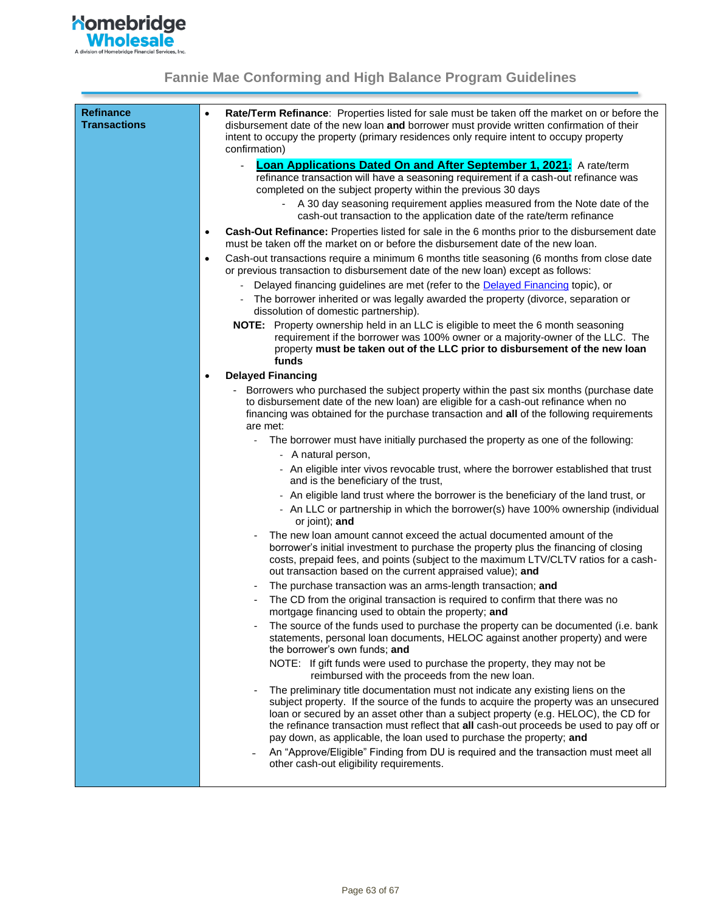

| <b>Refinance</b><br><b>Transactions</b> | $\bullet$ | Rate/Term Refinance: Properties listed for sale must be taken off the market on or before the<br>disbursement date of the new loan and borrower must provide written confirmation of their<br>intent to occupy the property (primary residences only require intent to occupy property<br>confirmation)                                                                                                                                                                                                                  |
|-----------------------------------------|-----------|--------------------------------------------------------------------------------------------------------------------------------------------------------------------------------------------------------------------------------------------------------------------------------------------------------------------------------------------------------------------------------------------------------------------------------------------------------------------------------------------------------------------------|
|                                         |           | <b>Loan Applications Dated On and After September 1, 2021:</b> A rate/term<br>refinance transaction will have a seasoning requirement if a cash-out refinance was<br>completed on the subject property within the previous 30 days<br>A 30 day seasoning requirement applies measured from the Note date of the                                                                                                                                                                                                          |
|                                         |           | cash-out transaction to the application date of the rate/term refinance                                                                                                                                                                                                                                                                                                                                                                                                                                                  |
|                                         | $\bullet$ | <b>Cash-Out Refinance:</b> Properties listed for sale in the 6 months prior to the disbursement date<br>must be taken off the market on or before the disbursement date of the new loan.                                                                                                                                                                                                                                                                                                                                 |
|                                         | $\bullet$ | Cash-out transactions require a minimum 6 months title seasoning (6 months from close date<br>or previous transaction to disbursement date of the new loan) except as follows:                                                                                                                                                                                                                                                                                                                                           |
|                                         |           | Delayed financing guidelines are met (refer to the Delayed Financing topic), or                                                                                                                                                                                                                                                                                                                                                                                                                                          |
|                                         |           | The borrower inherited or was legally awarded the property (divorce, separation or<br>dissolution of domestic partnership).                                                                                                                                                                                                                                                                                                                                                                                              |
|                                         |           | NOTE: Property ownership held in an LLC is eligible to meet the 6 month seasoning<br>requirement if the borrower was 100% owner or a majority-owner of the LLC. The<br>property must be taken out of the LLC prior to disbursement of the new loan<br>funds                                                                                                                                                                                                                                                              |
|                                         | ٠         | <b>Delayed Financing</b>                                                                                                                                                                                                                                                                                                                                                                                                                                                                                                 |
|                                         |           | Borrowers who purchased the subject property within the past six months (purchase date<br>to disbursement date of the new loan) are eligible for a cash-out refinance when no<br>financing was obtained for the purchase transaction and all of the following requirements<br>are met:                                                                                                                                                                                                                                   |
|                                         |           | The borrower must have initially purchased the property as one of the following:<br>$\blacksquare$                                                                                                                                                                                                                                                                                                                                                                                                                       |
|                                         |           | - A natural person,                                                                                                                                                                                                                                                                                                                                                                                                                                                                                                      |
|                                         |           | - An eligible inter vivos revocable trust, where the borrower established that trust<br>and is the beneficiary of the trust,                                                                                                                                                                                                                                                                                                                                                                                             |
|                                         |           | - An eligible land trust where the borrower is the beneficiary of the land trust, or                                                                                                                                                                                                                                                                                                                                                                                                                                     |
|                                         |           | - An LLC or partnership in which the borrower(s) have 100% ownership (individual<br>or joint); and                                                                                                                                                                                                                                                                                                                                                                                                                       |
|                                         |           | The new loan amount cannot exceed the actual documented amount of the<br>borrower's initial investment to purchase the property plus the financing of closing<br>costs, prepaid fees, and points (subject to the maximum LTV/CLTV ratios for a cash-<br>out transaction based on the current appraised value); and                                                                                                                                                                                                       |
|                                         |           | The purchase transaction was an arms-length transaction; and                                                                                                                                                                                                                                                                                                                                                                                                                                                             |
|                                         |           | The CD from the original transaction is required to confirm that there was no<br>mortgage financing used to obtain the property: and                                                                                                                                                                                                                                                                                                                                                                                     |
|                                         |           | The source of the funds used to purchase the property can be documented (i.e. bank<br>statements, personal loan documents, HELOC against another property) and were<br>the borrower's own funds; and                                                                                                                                                                                                                                                                                                                     |
|                                         |           | NOTE: If gift funds were used to purchase the property, they may not be<br>reimbursed with the proceeds from the new loan.                                                                                                                                                                                                                                                                                                                                                                                               |
|                                         |           | The preliminary title documentation must not indicate any existing liens on the<br>subject property. If the source of the funds to acquire the property was an unsecured<br>loan or secured by an asset other than a subject property (e.g. HELOC), the CD for<br>the refinance transaction must reflect that all cash-out proceeds be used to pay off or<br>pay down, as applicable, the loan used to purchase the property; and<br>An "Approve/Eligible" Finding from DU is required and the transaction must meet all |
|                                         |           | other cash-out eligibility requirements.                                                                                                                                                                                                                                                                                                                                                                                                                                                                                 |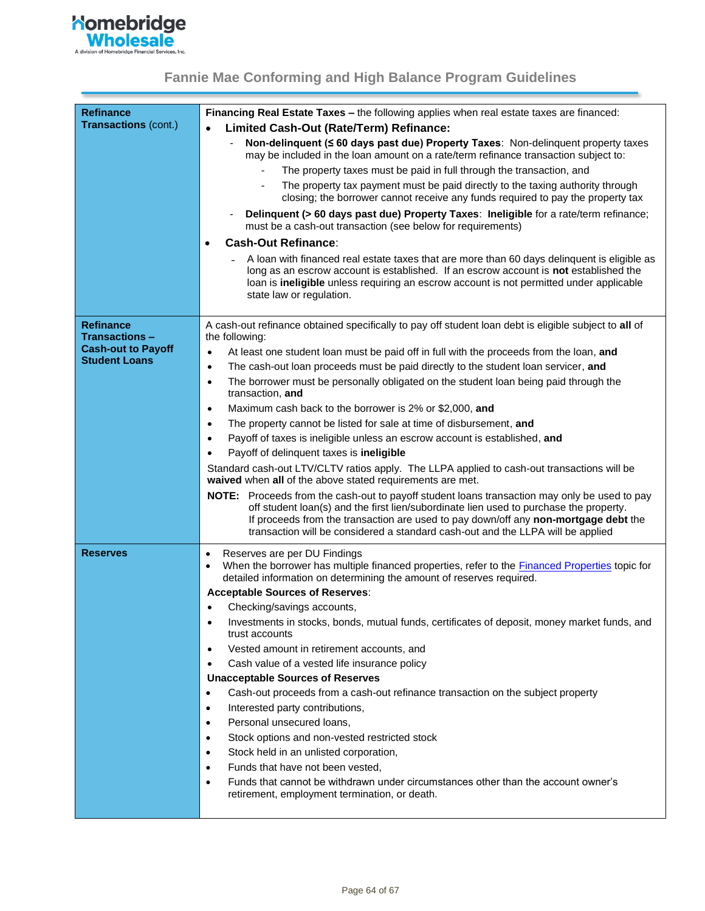

<span id="page-63-0"></span>

| <b>Refinance</b>                         | Financing Real Estate Taxes - the following applies when real estate taxes are financed:                                                                                                                                                                                                                                                                         |
|------------------------------------------|------------------------------------------------------------------------------------------------------------------------------------------------------------------------------------------------------------------------------------------------------------------------------------------------------------------------------------------------------------------|
| <b>Transactions (cont.)</b>              |                                                                                                                                                                                                                                                                                                                                                                  |
|                                          | Limited Cash-Out (Rate/Term) Refinance:                                                                                                                                                                                                                                                                                                                          |
|                                          | Non-delinquent (< 60 days past due) Property Taxes: Non-delinquent property taxes<br>may be included in the loan amount on a rate/term refinance transaction subject to:                                                                                                                                                                                         |
|                                          | The property taxes must be paid in full through the transaction, and                                                                                                                                                                                                                                                                                             |
|                                          | The property tax payment must be paid directly to the taxing authority through<br>closing; the borrower cannot receive any funds required to pay the property tax                                                                                                                                                                                                |
|                                          | Delinquent (> 60 days past due) Property Taxes: Ineligible for a rate/term refinance;<br>must be a cash-out transaction (see below for requirements)                                                                                                                                                                                                             |
|                                          | <b>Cash-Out Refinance:</b>                                                                                                                                                                                                                                                                                                                                       |
|                                          | A loan with financed real estate taxes that are more than 60 days delinquent is eligible as<br>long as an escrow account is established. If an escrow account is <b>not</b> established the<br>loan is ineligible unless requiring an escrow account is not permitted under applicable<br>state law or regulation.                                               |
| <b>Refinance</b><br><b>Transactions-</b> | A cash-out refinance obtained specifically to pay off student loan debt is eligible subject to all of<br>the following:                                                                                                                                                                                                                                          |
| <b>Cash-out to Payoff</b>                | At least one student loan must be paid off in full with the proceeds from the loan, and<br>$\bullet$                                                                                                                                                                                                                                                             |
| <b>Student Loans</b>                     | The cash-out loan proceeds must be paid directly to the student loan servicer, and<br>$\bullet$                                                                                                                                                                                                                                                                  |
|                                          | The borrower must be personally obligated on the student loan being paid through the<br>$\bullet$<br>transaction, and                                                                                                                                                                                                                                            |
|                                          | Maximum cash back to the borrower is 2% or \$2,000, and<br>$\bullet$                                                                                                                                                                                                                                                                                             |
|                                          | The property cannot be listed for sale at time of disbursement, and<br>$\bullet$                                                                                                                                                                                                                                                                                 |
|                                          | Payoff of taxes is ineligible unless an escrow account is established, and<br>$\bullet$                                                                                                                                                                                                                                                                          |
|                                          | Payoff of delinquent taxes is ineligible<br>$\bullet$                                                                                                                                                                                                                                                                                                            |
|                                          | Standard cash-out LTV/CLTV ratios apply. The LLPA applied to cash-out transactions will be<br>waived when all of the above stated requirements are met.                                                                                                                                                                                                          |
|                                          | NOTE: Proceeds from the cash-out to payoff student loans transaction may only be used to pay<br>off student loan(s) and the first lien/subordinate lien used to purchase the property.<br>If proceeds from the transaction are used to pay down/off any non-mortgage debt the<br>transaction will be considered a standard cash-out and the LLPA will be applied |
| <b>Reserves</b>                          | Reserves are per DU Findings<br>$\bullet$                                                                                                                                                                                                                                                                                                                        |
|                                          | When the borrower has multiple financed properties, refer to the <b>Financed Properties</b> topic for<br>$\bullet$<br>detailed information on determining the amount of reserves required.                                                                                                                                                                       |
|                                          | <b>Acceptable Sources of Reserves:</b>                                                                                                                                                                                                                                                                                                                           |
|                                          | Checking/savings accounts,<br>$\bullet$                                                                                                                                                                                                                                                                                                                          |
|                                          | Investments in stocks, bonds, mutual funds, certificates of deposit, money market funds, and<br>$\bullet$<br>trust accounts                                                                                                                                                                                                                                      |
|                                          | Vested amount in retirement accounts, and<br>$\bullet$                                                                                                                                                                                                                                                                                                           |
|                                          | Cash value of a vested life insurance policy<br>$\bullet$                                                                                                                                                                                                                                                                                                        |
|                                          | <b>Unacceptable Sources of Reserves</b>                                                                                                                                                                                                                                                                                                                          |
|                                          | Cash-out proceeds from a cash-out refinance transaction on the subject property<br>$\bullet$                                                                                                                                                                                                                                                                     |
|                                          | Interested party contributions,<br>$\bullet$                                                                                                                                                                                                                                                                                                                     |
|                                          | Personal unsecured loans,<br>$\bullet$                                                                                                                                                                                                                                                                                                                           |
|                                          | Stock options and non-vested restricted stock<br>$\bullet$                                                                                                                                                                                                                                                                                                       |
|                                          | Stock held in an unlisted corporation,<br>$\bullet$                                                                                                                                                                                                                                                                                                              |
|                                          | Funds that have not been vested,<br>$\bullet$                                                                                                                                                                                                                                                                                                                    |
|                                          | Funds that cannot be withdrawn under circumstances other than the account owner's<br>$\bullet$<br>retirement, employment termination, or death.                                                                                                                                                                                                                  |
|                                          |                                                                                                                                                                                                                                                                                                                                                                  |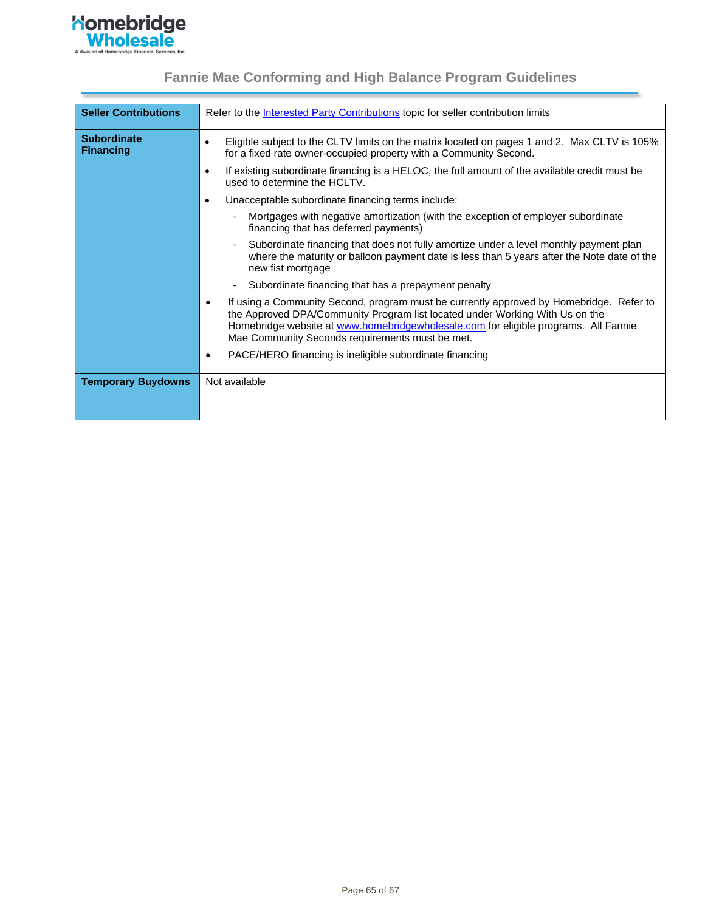

| <b>Seller Contributions</b>            | Refer to the <b>Interested Party Contributions</b> topic for seller contribution limits                                                                                                                                                                                                                                        |
|----------------------------------------|--------------------------------------------------------------------------------------------------------------------------------------------------------------------------------------------------------------------------------------------------------------------------------------------------------------------------------|
| <b>Subordinate</b><br><b>Financing</b> | Eligible subject to the CLTV limits on the matrix located on pages 1 and 2. Max CLTV is 105%<br>$\bullet$<br>for a fixed rate owner-occupied property with a Community Second.                                                                                                                                                 |
|                                        | If existing subordinate financing is a HELOC, the full amount of the available credit must be<br>$\epsilon$<br>used to determine the HCLTV.                                                                                                                                                                                    |
|                                        | Unacceptable subordinate financing terms include:<br>$\bullet$                                                                                                                                                                                                                                                                 |
|                                        | Mortgages with negative amortization (with the exception of employer subordinate<br>financing that has deferred payments)                                                                                                                                                                                                      |
|                                        | Subordinate financing that does not fully amortize under a level monthly payment plan<br>where the maturity or balloon payment date is less than 5 years after the Note date of the<br>new fist mortgage                                                                                                                       |
|                                        | Subordinate financing that has a prepayment penalty                                                                                                                                                                                                                                                                            |
|                                        | If using a Community Second, program must be currently approved by Homebridge. Refer to<br>$\bullet$<br>the Approved DPA/Community Program list located under Working With Us on the<br>Homebridge website at www.homebridgewholesale.com for eligible programs. All Fannie<br>Mae Community Seconds requirements must be met. |
|                                        | PACE/HERO financing is ineligible subordinate financing                                                                                                                                                                                                                                                                        |
| <b>Temporary Buydowns</b>              | Not available                                                                                                                                                                                                                                                                                                                  |
|                                        |                                                                                                                                                                                                                                                                                                                                |
|                                        |                                                                                                                                                                                                                                                                                                                                |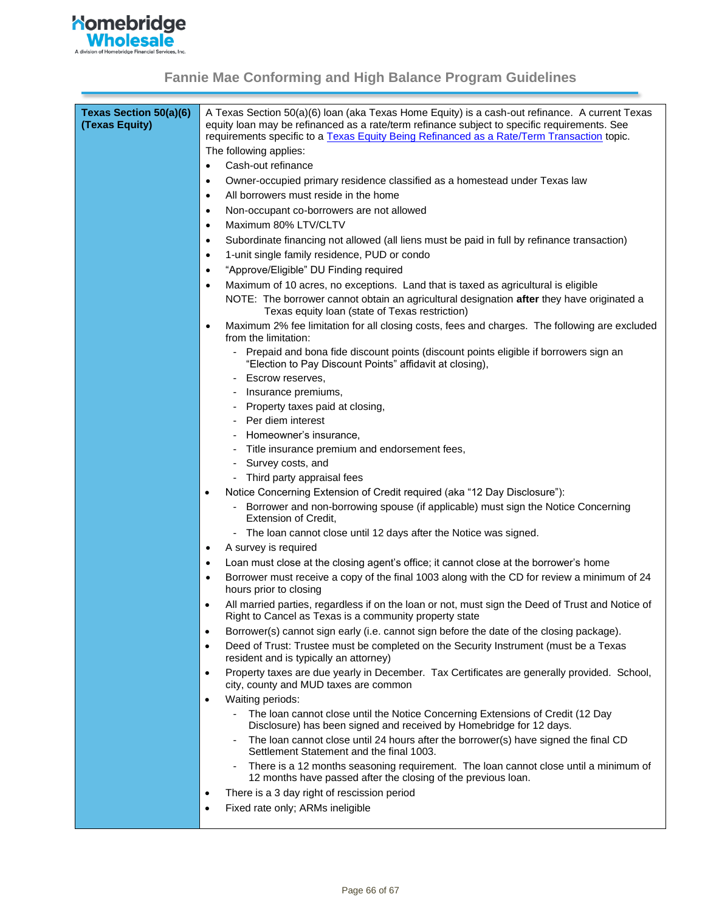

| Texas Section 50(a)(6)<br>(Texas Equity) | A Texas Section 50(a)(6) Ioan (aka Texas Home Equity) is a cash-out refinance. A current Texas<br>equity loan may be refinanced as a rate/term refinance subject to specific requirements. See |  |  |
|------------------------------------------|------------------------------------------------------------------------------------------------------------------------------------------------------------------------------------------------|--|--|
|                                          | requirements specific to a Texas Equity Being Refinanced as a Rate/Term Transaction topic.                                                                                                     |  |  |
|                                          | The following applies:                                                                                                                                                                         |  |  |
|                                          | Cash-out refinance<br>$\bullet$                                                                                                                                                                |  |  |
|                                          | Owner-occupied primary residence classified as a homestead under Texas law<br>$\bullet$                                                                                                        |  |  |
|                                          | All borrowers must reside in the home<br>$\bullet$                                                                                                                                             |  |  |
|                                          | Non-occupant co-borrowers are not allowed<br>$\bullet$                                                                                                                                         |  |  |
|                                          | Maximum 80% LTV/CLTV<br>$\bullet$                                                                                                                                                              |  |  |
|                                          | Subordinate financing not allowed (all liens must be paid in full by refinance transaction)<br>$\bullet$                                                                                       |  |  |
|                                          | 1-unit single family residence, PUD or condo<br>$\bullet$                                                                                                                                      |  |  |
|                                          | "Approve/Eligible" DU Finding required<br>$\bullet$                                                                                                                                            |  |  |
|                                          | Maximum of 10 acres, no exceptions. Land that is taxed as agricultural is eligible<br>$\bullet$                                                                                                |  |  |
|                                          | NOTE: The borrower cannot obtain an agricultural designation after they have originated a<br>Texas equity loan (state of Texas restriction)                                                    |  |  |
|                                          | Maximum 2% fee limitation for all closing costs, fees and charges. The following are excluded<br>$\bullet$<br>from the limitation:                                                             |  |  |
|                                          | - Prepaid and bona fide discount points (discount points eligible if borrowers sign an<br>"Election to Pay Discount Points" affidavit at closing),                                             |  |  |
|                                          | Escrow reserves,                                                                                                                                                                               |  |  |
|                                          | Insurance premiums,                                                                                                                                                                            |  |  |
|                                          | Property taxes paid at closing,                                                                                                                                                                |  |  |
|                                          | Per diem interest                                                                                                                                                                              |  |  |
|                                          | Homeowner's insurance,                                                                                                                                                                         |  |  |
|                                          | Title insurance premium and endorsement fees,                                                                                                                                                  |  |  |
|                                          | Survey costs, and<br>۰                                                                                                                                                                         |  |  |
|                                          | Third party appraisal fees                                                                                                                                                                     |  |  |
|                                          | Notice Concerning Extension of Credit required (aka "12 Day Disclosure"):<br>$\bullet$                                                                                                         |  |  |
|                                          | Borrower and non-borrowing spouse (if applicable) must sign the Notice Concerning<br><b>Extension of Credit,</b>                                                                               |  |  |
|                                          | - The loan cannot close until 12 days after the Notice was signed.                                                                                                                             |  |  |
|                                          | A survey is required<br>$\bullet$                                                                                                                                                              |  |  |
|                                          | Loan must close at the closing agent's office; it cannot close at the borrower's home<br>٠                                                                                                     |  |  |
|                                          | Borrower must receive a copy of the final 1003 along with the CD for review a minimum of 24<br>$\bullet$<br>hours prior to closing                                                             |  |  |
|                                          | All married parties, regardless if on the loan or not, must sign the Deed of Trust and Notice of<br>$\bullet$<br>Right to Cancel as Texas is a community property state                        |  |  |
|                                          | Borrower(s) cannot sign early (i.e. cannot sign before the date of the closing package).<br>$\bullet$                                                                                          |  |  |
|                                          | Deed of Trust: Trustee must be completed on the Security Instrument (must be a Texas<br>$\bullet$<br>resident and is typically an attorney)                                                    |  |  |
|                                          | Property taxes are due yearly in December. Tax Certificates are generally provided. School,<br>$\bullet$<br>city, county and MUD taxes are common                                              |  |  |
|                                          | Waiting periods:<br>$\bullet$                                                                                                                                                                  |  |  |
|                                          | The loan cannot close until the Notice Concerning Extensions of Credit (12 Day                                                                                                                 |  |  |
|                                          | Disclosure) has been signed and received by Homebridge for 12 days.                                                                                                                            |  |  |
|                                          | The loan cannot close until 24 hours after the borrower(s) have signed the final CD<br>$\overline{\phantom{a}}$<br>Settlement Statement and the final 1003.                                    |  |  |
|                                          | There is a 12 months seasoning requirement. The loan cannot close until a minimum of<br>12 months have passed after the closing of the previous loan.                                          |  |  |
|                                          | There is a 3 day right of rescission period<br>$\bullet$                                                                                                                                       |  |  |
|                                          | Fixed rate only; ARMs ineligible<br>$\bullet$                                                                                                                                                  |  |  |
|                                          |                                                                                                                                                                                                |  |  |